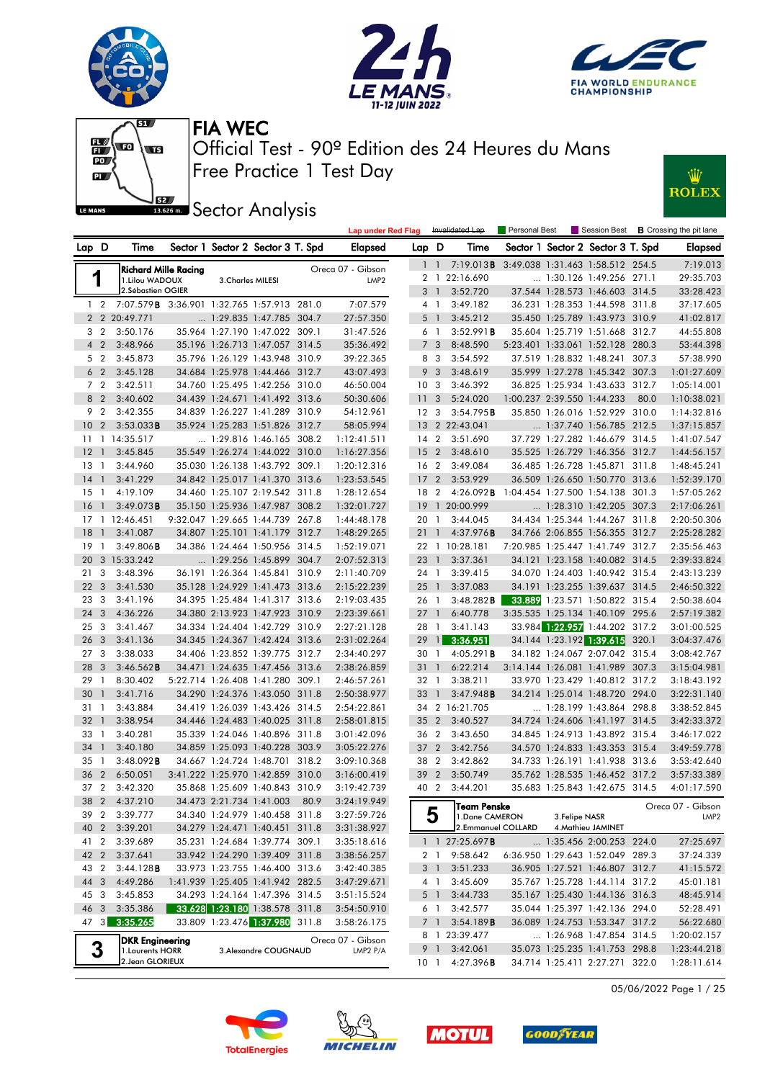





Ŵ

**ROLEX** 



Free Practice 1 Test Day Official Test - 90º Edition des 24 Heures du Mans FIA WEC

**BREEF** Sector Analysis

|                 |                |                                               |                             |                                   |      | <b>Lap under Red Flag</b> |                 |                | Invalidated Lap               | Personal Best |                            |                                   |       | Session Best <b>B</b> Crossing the pit lane |
|-----------------|----------------|-----------------------------------------------|-----------------------------|-----------------------------------|------|---------------------------|-----------------|----------------|-------------------------------|---------------|----------------------------|-----------------------------------|-------|---------------------------------------------|
| Lap D           |                | Time                                          |                             | Sector 1 Sector 2 Sector 3 T. Spd |      | Elapsed                   | Lap D           |                | Time                          |               |                            | Sector 1 Sector 2 Sector 3 T. Spd |       | <b>Elapsed</b>                              |
|                 |                |                                               | <b>Richard Mille Racing</b> |                                   |      | Oreca 07 - Gibson         |                 | $1\quad1$      | 7:19.013 <b>B</b>             |               |                            | 3:49.038 1:31.463 1:58.512 254.5  |       | 7:19.013                                    |
|                 | 1              | 1.Lilou WADOUX                                |                             | 3. Charles MILESI                 |      | LMP <sub>2</sub>          |                 | 2 1            | 22:16.690                     |               |                            | 1:30.126 1:49.256 271.1           |       | 29:35.703                                   |
|                 |                | 2.Sébastien OGIER                             |                             |                                   |      |                           |                 | 3 1            | 3:52.720                      |               |                            | 37.544 1:28.573 1:46.603 314.5    |       | 33:28.423                                   |
|                 |                | 1 2 7:07.579 3:36.901 1:32.765 1:57.913 281.0 |                             |                                   |      | 7:07.579                  | 4 1             |                | 3:49.182                      |               |                            | 36.231 1:28.353 1:44.598 311.8    |       | 37:17.605                                   |
|                 |                | 2 2 20:49.771                                 |                             | 1:29.835 1:47.785 304.7           |      | 27:57.350                 |                 | 5 1            | 3:45.212                      |               |                            | 35.450 1:25.789 1:43.973 310.9    |       | 41:02.817                                   |
| 3               | $\overline{2}$ | 3:50.176                                      |                             | 35.964 1:27.190 1:47.022 309.1    |      | 31:47.526                 | 6 1             |                | 3:52.991B                     |               |                            | 35.604 1:25.719 1:51.668          | 312.7 | 44:55.808                                   |
|                 | 4 <sup>2</sup> | 3:48.966                                      |                             | 35.196 1:26.713 1:47.057 314.5    |      | 35:36.492                 |                 | 7 <sub>3</sub> | 8:48.590                      |               |                            | 5:23.401 1:33.061 1:52.128 280.3  |       | 53:44.398                                   |
| 5               | $\overline{2}$ | 3:45.873                                      |                             | 35.796 1:26.129 1:43.948 310.9    |      | 39:22.365                 |                 | 8 3            | 3:54.592                      |               |                            | 37.519 1:28.832 1:48.241 307.3    |       | 57:38.990                                   |
|                 | 6 <sub>2</sub> | 3:45.128                                      |                             | 34.684 1:25.978 1:44.466 312.7    |      | 43:07.493                 | 9               | 3              | 3:48.619                      |               |                            | 35.999 1:27.278 1:45.342 307.3    |       | 1:01:27.609                                 |
|                 | 7 <sub>2</sub> | 3:42.511                                      |                             | 34.760 1:25.495 1:42.256 310.0    |      | 46:50.004                 | 10 <sup>3</sup> |                | 3:46.392                      |               |                            | 36.825 1:25.934 1:43.633          | 312.7 | 1:05:14.001                                 |
|                 | 8 2            | 3:40.602                                      |                             | 34.439 1:24.671 1:41.492 313.6    |      | 50:30.606                 | 11              | -3             | 5:24.020                      |               | 1:00.237 2:39.550 1:44.233 |                                   | 80.0  | 1:10:38.021                                 |
| 9               | $\overline{2}$ | 3:42.355                                      |                             | 34.839 1:26.227 1:41.289 310.9    |      | 54:12.961                 | 12 <sup>3</sup> |                | 3:54.795B                     |               |                            | 35.850 1:26.016 1:52.929 310.0    |       | 1:14:32.816                                 |
| 10              | $\overline{2}$ | $3:53.033$ <b>B</b>                           |                             | 35.924 1:25.283 1:51.826 312.7    |      | 58:05.994                 |                 |                | 13 2 22:43.041                |               |                            | $\ldots$ 1:37.740 1:56.785 212.5  |       | 1:37:15.857                                 |
| 11              |                | 1 14:35.517                                   |                             | 1:29.816 1:46.165 308.2           |      | 1:12:41.511               | 14 <sup>2</sup> |                | 3:51.690                      |               |                            | 37.729 1:27.282 1:46.679          | 314.5 | 1:41:07.547                                 |
| $12-1$          |                | 3:45.845                                      |                             | 35.549 1:26.274 1:44.022 310.0    |      | 1:16:27.356               | 15 <sub>2</sub> |                | 3:48.610                      |               |                            | 35.525 1:26.729 1:46.356 312.7    |       | 1:44:56.157                                 |
| 13              | $\overline{1}$ | 3:44.960                                      |                             | 35.030 1:26.138 1:43.792 309.1    |      | 1:20:12.316               | 16 <sub>2</sub> |                | 3:49.084                      |               |                            | 36.485 1:26.728 1:45.871 311.8    |       | 1:48:45.241                                 |
| $14-1$          |                | 3:41.229                                      |                             | 34.842 1:25.017 1:41.370 313.6    |      | 1:23:53.545               | 17              | $\overline{2}$ | 3:53.929                      |               |                            | 36.509 1:26.650 1:50.770 313.6    |       | 1:52:39.170                                 |
| 15              | $\mathbf{1}$   | 4:19.109                                      |                             | 34.460 1:25.107 2:19.542 311.8    |      | 1:28:12.654               | 18 2            |                | 4:26.092B                     |               |                            | 1:04.454 1:27.500 1:54.138 301.3  |       | 1:57:05.262                                 |
| 16 <sub>1</sub> |                | 3:49.073B                                     |                             | 35.150 1:25.936 1:47.987 308.2    |      | 1:32:01.727               |                 |                | 19 1 20:00.999                |               |                            | 1:28.310 1:42.205 307.3           |       | 2:17:06.261                                 |
| 17              |                | 1 12:46.451                                   |                             | 9:32.047 1:29.665 1:44.739 267.8  |      | 1:44:48.178               | 20 1            |                | 3:44.045                      |               |                            | 34.434 1:25.344 1:44.267 311.8    |       | 2:20:50.306                                 |
| 18              | $\mathbf{1}$   | 3:41.087                                      |                             | 34.807 1:25.101 1:41.179 312.7    |      | 1:48:29.265               | 21              | $\overline{1}$ | 4:37.976B                     |               |                            | 34.766 2:06.855 1:56.355 312.7    |       | 2:25:28.282                                 |
| 19              | $\mathbf{1}$   | $3:49.806$ B                                  |                             | 34.386 1:24.464 1:50.956 314.5    |      | 1:52:19.071               |                 |                | 22 1 10:28.181                |               |                            | 7:20.985 1:25.447 1:41.749 312.7  |       | 2:35:56.463                                 |
| 20              |                | 3 15:33.242                                   |                             | 1:29.256 1:45.899 304.7           |      | 2:07:52.313               | 23 1            |                | 3:37.361                      |               |                            | 34.121 1:23.158 1:40.082 314.5    |       | 2:39:33.824                                 |
| 21              | 3              | 3:48.396                                      |                             | 36.191 1:26.364 1:45.841 310.9    |      | 2:11:40.709               | 24 1            |                | 3:39.415                      |               |                            | 34.070 1:24.403 1:40.942 315.4    |       | 2:43:13.239                                 |
| 22 <sub>2</sub> | 3              | 3:41.530                                      |                             | 35.128 1:24.929 1:41.473 313.6    |      | 2:15:22.239               | $25 \quad 1$    |                | 3:37.083                      |               |                            | 34.191 1:23.255 1:39.637 314.5    |       | 2:46:50.322                                 |
| 23              | 3              | 3:41.196                                      |                             | 34.395 1:25.484 1:41.317 313.6    |      | 2:19:03.435               | 26 1            |                | $3:48.282$ <b>B</b>           |               |                            | 33.889 1:23.571 1:50.822 315.4    |       | 2:50:38.604                                 |
| 24              | 3              | 4:36.226                                      |                             | 34.380 2:13.923 1:47.923 310.9    |      | 2:23:39.661               | $27-1$          |                | 6:40.778                      |               |                            | 3:35.535 1:25.134 1:40.109 295.6  |       | 2:57:19.382                                 |
| 25              | 3              | 3:41.467                                      |                             | 34.334 1:24.404 1:42.729 310.9    |      | 2:27:21.128               | 28 1            |                | 3:41.143                      |               |                            | 33.984 1:22.957 1:44.202 317.2    |       | 3:01:00.525                                 |
| 26              | 3              | 3:41.136                                      |                             | 34.345 1:24.367 1:42.424 313.6    |      | 2:31:02.264               | 29              | $\overline{1}$ | 3:36.951                      |               |                            | 34.144 1:23.192 1:39.615          | 320.1 | 3:04:37.476                                 |
| 27              | 3              | 3:38.033                                      |                             | 34.406 1:23.852 1:39.775 312.7    |      | 2:34:40.297               | 30 1            |                | 4:05.291B                     |               |                            | 34.182 1:24.067 2:07.042 315.4    |       | 3:08:42.767                                 |
| 28              | 3              | $3:46.562$ <b>B</b>                           |                             | 34.471 1:24.635 1:47.456 313.6    |      | 2:38:26.859               | 31 1            |                | 6:22.214                      |               |                            | 3:14.144 1:26.081 1:41.989 307.3  |       | 3:15:04.981                                 |
| 29              | $\overline{1}$ | 8:30.402                                      |                             | 5:22.714 1:26.408 1:41.280 309.1  |      | 2:46:57.261               | 32 1            |                | 3:38.211                      |               |                            | 33.970 1:23.429 1:40.812 317.2    |       | 3:18:43.192                                 |
| 30              | $\mathbf{1}$   | 3:41.716                                      |                             | 34.290 1:24.376 1:43.050 311.8    |      | 2:50:38.977               | 33              | $\overline{1}$ | 3:47.948B                     |               |                            | 34.214 1:25.014 1:48.720 294.0    |       | 3:22:31.140                                 |
| 31 1            |                | 3:43.884                                      |                             | 34.419 1:26.039 1:43.426 314.5    |      | 2:54:22.861               |                 |                | 34 2 16:21.705                |               |                            | 1:28.199 1:43.864 298.8           |       | 3:38:52.845                                 |
| 32 <sub>1</sub> |                | 3:38.954                                      |                             | 34.446 1:24.483 1:40.025 311.8    |      | 2:58:01.815               | 35 <sub>2</sub> |                | 3:40.527                      |               |                            | 34.724 1:24.606 1:41.197 314.5    |       | 3:42:33.372                                 |
| 33              | $\overline{1}$ | 3:40.281                                      |                             | 35.339 1:24.046 1:40.896 311.8    |      | 3:01:42.096               | 36 2            |                | 3:43.650                      |               |                            | 34.845 1:24.913 1:43.892 315.4    |       | 3:46:17.022                                 |
| 34              | $\mathbf{1}$   | 3:40.180                                      |                             | 34.859 1:25.093 1:40.228 303.9    |      | 3:05:22.276               | 37 2            |                | 3:42.756                      |               |                            | 34.570 1:24.833 1:43.353 315.4    |       | 3:49:59.778                                 |
| $35-1$          |                | 3:48.092B                                     |                             | 34.667 1:24.724 1:48.701 318.2    |      | 3:09:10.368               | 38 2            |                | 3:42.862                      |               |                            | 34.733 1:26.191 1:41.938 313.6    |       | 3:53:42.640                                 |
| 36              | $\overline{2}$ | 6:50.051                                      |                             | 3:41.222 1:25.970 1:42.859 310.0  |      | 3:16:00.419               | 39 2            |                | 3:50.749                      |               |                            | 35.762 1:28.535 1:46.452 317.2    |       | 3:57:33.389                                 |
| 37 <sub>2</sub> |                | 3:42.320                                      |                             | 35.868 1:25.609 1:40.843 310.9    |      | 3:19:42.739               | 40 2            |                | 3:44.201                      |               |                            | 35.683 1:25.843 1:42.675 314.5    |       | 4:01:17.590                                 |
|                 |                | 38 2 4:37.210                                 |                             | 34.473 2:21.734 1:41.003          | 80.9 | 3:24:19.949               |                 |                |                               |               |                            |                                   |       |                                             |
| 39 2            |                | 3:39.777                                      |                             | 34.340 1:24.979 1:40.458 311.8    |      | 3:27:59.726               |                 | 5              | Team Penske<br>1.Dane CAMERON |               | 3. Felipe NASR             |                                   |       | Oreca 07 - Gibson<br>LMP <sub>2</sub>       |
| 40 2            |                | 3:39.201                                      |                             | 34.279 1:24.471 1:40.451 311.8    |      | 3:31:38.927               |                 |                | 2.Emmanuel COLLARD            |               |                            | 4. Mathieu JAMINET                |       |                                             |
| 41 2            |                | 3:39.689                                      |                             | 35.231 1:24.684 1:39.774 309.1    |      | 3:35:18.616               |                 |                | 1 1 27:25.697 <b>B</b>        |               |                            | 1:35.456 2:00.253 224.0           |       | 27:25.697                                   |
| 42 2            |                | 3:37.641                                      |                             | 33.942 1:24.290 1:39.409 311.8    |      | 3:38:56.257               |                 | 2 1            | 9:58.642                      |               |                            | 6:36.950 1:29.643 1:52.049 289.3  |       | 37:24.339                                   |
| 43 2            |                | 3:44.128B                                     |                             | 33.973 1:23.755 1:46.400 313.6    |      | 3:42:40.385               |                 | 3 1            | 3:51.233                      |               |                            | 36.905 1:27.521 1:46.807 312.7    |       | 41:15.572                                   |
| 44 3            |                | 4:49.286                                      |                             | 1:41.939 1:25.405 1:41.942 282.5  |      | 3:47:29.671               |                 | 4 1            | 3:45.609                      |               |                            | 35.767 1:25.728 1:44.114 317.2    |       | 45:01.181                                   |
| 45 3            |                | 3:45.853                                      |                             | 34.293 1:24.164 1:47.396 314.5    |      | 3:51:15.524               |                 | 5 1            | 3:44.733                      |               |                            | 35.167 1:25.430 1:44.136 316.3    |       | 48:45.914                                   |
|                 |                | 46 3 3:35.386                                 |                             | 33.628 1:23.180 1:38.578 311.8    |      | 3:54:50.910               |                 |                | $6 \quad 1 \quad 3:42.577$    |               |                            | 35.044 1:25.397 1:42.136 294.0    |       | 52:28.491                                   |





47 3 3:35.265 33.809 1:23.476 1:37.980 311.8 3:58:26.175

**DKR Engineering** Oreca 07 - Gibson **3**<br>1.Laurents HORR **3.Alexandre COUGNAUD IMP2 P/A**<br>2.Jean GLORIEUX 1.Laurents HORR 3.Alexandre COUGNAUD LMP2 P/A







 7 1 3:54.189B 36.089 1:24.753 1:53.347 317.2 56:22.680 8 1 23:39.477 ... 1:26.968 1:47.854 314.5 1:20:02.157 9 1 3:42.061 35.073 1:25.235 1:41.753 298.8 1:23:44.218 10 1 4:27.396B 34.714 1:25.411 2:27.271 322.0 1:28:11.614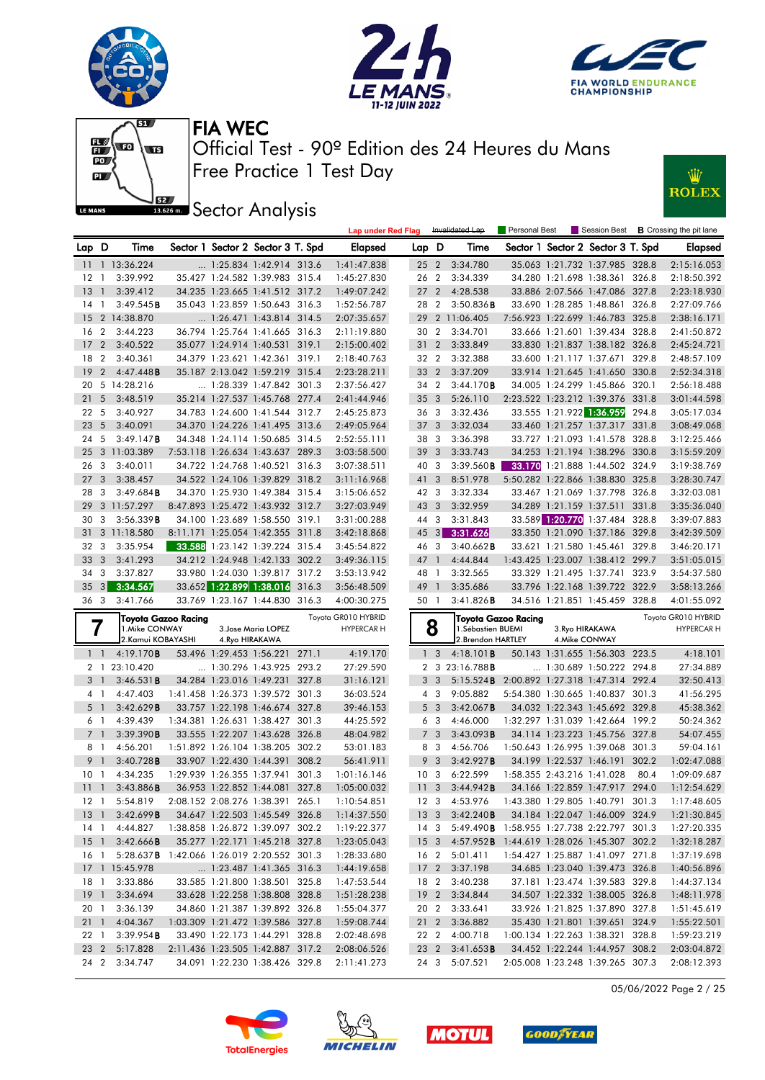







**IBER Sector Analysis** 



| Sector 1 Sector 2 Sector 3 T. Spd<br>Lap D<br>Time<br>Sector 1 Sector 2 Sector 3 T. Spd<br><b>Elapsed</b><br>Lap D<br>Time<br><b>Elapsed</b><br>11 1 13:36.224<br>3:34.780<br>1:25.834 1:42.914 313.6<br>1:41:47.838<br>25 <sub>2</sub><br>35.063 1:21.732 1:37.985 328.8<br>2:15:16.053<br>26 2<br>3:39.992<br>35.427 1:24.582 1:39.983 315.4<br>1:45:27.830<br>3:34.339<br>34.280 1:21.698 1:38.361 326.8<br>2:18:50.392<br>12<br>$\mathbf{1}$<br>4:28.538<br>13<br>3:39.412<br>34.235 1:23.665 1:41.512 317.2<br>1:49:07.242<br>27 <sub>2</sub><br>33.886 2:07.566 1:47.086 327.8<br>2:23:18.930<br>$\overline{1}$<br>$\overline{2}$<br>33.690 1:28.285 1:48.861<br>3:49.545B<br>35.043 1:23.859 1:50.643 316.3<br>1:52:56.787<br>28<br>$3:50.836$ B<br>326.8<br>2:27:09.766<br>14<br>$\mathbf{1}$<br>7:56.923 1:22.699 1:46.783 325.8<br>15<br>2 14:38.870<br>1:26.471 1:43.814 314.5<br>2:07:35.657<br>29<br>2 11:06.405<br>2:38:16.171<br>$\overline{2}$<br>33.666 1:21.601 1:39.434 328.8<br>2<br>3:44.223<br>36.794 1:25.764 1:41.665 316.3<br>2:11:19.880<br>30<br>3:34.701<br>2:41:50.872<br>16<br>$\overline{2}$<br>$\overline{2}$<br>3:33.849<br>17<br>3:40.522<br>35.077 1:24.914 1:40.531 319.1<br>2:15:00.402<br>31<br>33.830 1:21.837 1:38.182 326.8<br>2:45:24.721<br>18<br>$\overline{2}$<br>34.379 1:23.621 1:42.361 319.1<br>2:18:40.763<br>32 2<br>3:32.388<br>33.600 1:21.117 1:37.671<br>2:48:57.109<br>3:40.361<br>329.8<br>19<br>3:37.209<br>$\overline{2}$<br>4:47.448B<br>35.187 2:13.042 1:59.219 315.4<br>2:23:28.211<br>33<br>$\overline{2}$<br>33.914 1:21.645 1:41.650 330.8<br>2:52:34.318<br>5 14:28.216<br>$\ldots$ 1:28.339 1:47.842 301.3<br>34 2<br>34.005 1:24.299 1:45.866 320.1<br>20<br>2:37:56.427<br>3:44.170B<br>2:56:18.488<br>$\overline{5}$<br>35.214 1:27.537 1:45.768 277.4<br>5:26.110<br>2:23.522 1:23.212 1:39.376 331.8<br>21<br>3:48.519<br>2:41:44.946<br>35<br>3<br>3:01:44.598<br>5<br>3:40.927<br>34.783 1:24.600 1:41.544 312.7<br>2:45:25.873<br>3:32.436<br>33.555 1:21.922 1:36.959<br>294.8<br>3:05:17.034<br>22<br>36<br>- 3<br>23<br>34.370 1:24.226 1:41.495 313.6<br>3:32.034<br>33.460 1:21.257 1:37.317 331.8<br>5<br>3:40.091<br>2:49:05.964<br>37<br>3<br>3:08:49.068<br>5<br>3:49.147B<br>34.348 1:24.114 1:50.685 314.5<br>3:36.398<br>33.727 1:21.093 1:41.578 328.8<br>3:12:25.466<br>24<br>2:52:55.111<br>38<br>3<br>3 11:03.389<br>7:53.118 1:26.634 1:43.637 289.3<br>39<br>3<br>3:33.743<br>34.253 1:21.194 1:38.296 330.8<br>3:15:59.209<br>25<br>3:03:58.500<br>3<br>3:39.560B<br>33.170 1:21.888 1:44.502 324.9<br>3:19:38.769<br>3:40.011<br>34.722 1:24.768 1:40.521 316.3<br>3:07:38.511<br>40<br>$\overline{\mathbf{3}}$<br>26<br>8:51.978<br>27<br>3<br>3:38.457<br>34.522 1:24.106 1:39.829 318.2<br>3:11:16.968<br>41<br>3<br>5:50.282 1:22.866 1:38.830 325.8<br>3:28:30.747<br>34.370 1:25.930 1:49.384 315.4<br>3:32.334<br>33.467 1:21.069 1:37.798 326.8<br>28<br>3<br>3:49.684B<br>3:15:06.652<br>42 3<br>3:32:03.081<br>3 11:57.297<br>8:47.893 1:25.472 1:43.932 312.7<br>3:32.959<br>34.289 1:21.159 1:37.511<br>331.8<br>29<br>3:27:03.949<br>43<br>$\mathbf{3}$<br>3:35:36.040<br>3<br>34.100 1:23.689 1:58.550 319.1<br>3<br>3:31.843<br>33.589 1:20.770 1:37.484<br>328.8<br>30<br>3:56.339B<br>3:31:00.288<br>44<br>3:39:07.883<br>8:11.171 1:25.054 1:42.355 311.8<br> 3 <br>3:31.626<br>33.350 1:21.090 1:37.186 329.8<br>31<br>3 11:18.580<br>3:42:18.868<br>45<br>3:42:39.509<br>3<br>3:35.954<br>33.588 1:23.142 1:39.224 315.4<br>3<br>32<br>3:45:54.822<br>46<br>$3:40.662$ <b>B</b><br>33.621 1:21.580 1:45.461<br>329.8<br>3:46:20.171<br>3<br>34.212 1:24.948 1:42.133 302.2<br>4:44.844<br>33<br>3:41.293<br>3:49:36.115<br>47<br>$\overline{1}$<br>1:43.425 1:23.007 1:38.412 299.7<br>3:51:05.015<br>34<br>$\overline{\mathbf{3}}$<br>3:37.827<br>33.980 1:24.030 1:39.817 317.2<br>3:53:13.942<br>48<br>$\overline{1}$<br>3:32.565<br>33.329 1:21.495 1:37.741 323.9<br>3:54:37.580<br>3<br>3:34.567<br>33.652 1:22.899 1:38.016<br>33.796 1:22.168 1:39.722 322.9<br>35<br>316.3<br>49<br>$\overline{1}$<br>3:35.686<br>3:58:13.266<br>3:56:48.509<br>36 3<br>3:41.766<br>33.769 1:23.167 1:44.830 316.3<br>4:00:30.275<br>50 1<br>$3:41.826$ B<br>34.516 1:21.851 1:45.459 328.8<br>4:01:55.092<br>Toyota GR010 HYBRID<br>Toyota GR010 HYBRID<br>Toyota Gazoo Racing<br>Toyota Gazoo Racing<br>8<br>1. Mike CONWAY<br>3. Jose Maria LOPEZ<br>1. Sébastien BUEMI<br>3. Ryo HIRAKAWA<br><b>HYPERCAR H</b><br><b>HYPERCAR H</b><br>2. Kamui KOBAYASHI<br>4. Ryo HIRAKAWA<br>2. Brendon HARTLEY<br>4. Mike CONWAY<br>4:19.170B<br>4:19.170<br>1 <sub>3</sub><br>4:18.101B<br>50.143 1:31.655 1:56.303 223.5<br>4:18.101<br>$1\quad1$<br>53.496 1:29.453 1:56.221 271.1<br>2 1 23:10.420<br>1:30.296 1:43.925 293.2<br>27:29.590<br>2 3<br>23:16.788 <b>B</b><br>1:30.689 1:50.222<br>294.8<br>27:34.889<br>3:46.531B<br>34.284 1:23.016 1:49.231 327.8<br>31:16.121<br>$\overline{\mathbf{3}}$<br>5:15.524B<br>2:00.892 1:27.318 1:47.314 292.4<br>32:50.413<br>3 1<br>3<br>9:05.882<br>41:56.295<br>4:47.403<br>1:41.458 1:26.373 1:39.572 301.3<br>36:03.524<br>$4 \quad 3$<br>5:54.380 1:30.665 1:40.837 301.3<br>4 1<br>3:42.629B<br>34.032 1:22.343 1:45.692 329.8<br>45:38.362<br>5 <sub>1</sub><br>33.757 1:22.198 1:46.674 327.8<br>5 <sub>3</sub><br>3:42.067B<br>39:46.153<br>1:32.297 1:31.039 1:42.664<br>50:24.362<br>4:39.439<br>1:34.381 1:26.631 1:38.427 301.3<br>44:25.592<br>- 3<br>4:46.000<br>199.2<br>6 1<br>6<br>34.114 1:23.223 1:45.756 327.8<br>3:39.390B<br>33.555 1:22.207 1:43.628 326.8<br>48:04.982<br>$\overline{7}$<br>3<br>3:43.093B<br>54:07.455<br>7 1<br>1:51.892 1:26.104 1:38.205 302.2<br>1:50.643 1:26.995 1:39.068 301.3<br>8 1<br>4:56.201<br>53:01.183<br>8<br>- 3<br>4:56.706<br>59:04.161<br>308.2<br>9<br>9 1<br>3:40.728B<br>33.907 1:22.430 1:44.391<br>3<br>3:42.927B<br>34.199 1:22.537 1:46.191<br>302.2<br>1:02:47.088<br>56:41.911<br>1:29.939 1:26.355 1:37.941<br>6:22.599<br>1:58.355 2:43.216 1:41.028<br>80.4<br>1:09:09.687<br>10<br>4:34.235<br>301.3<br>10<br>3<br>-1<br>1:01:16.146<br>36.953 1:22.852 1:44.081 327.8<br>34.166 1:22.859 1:47.917 294.0<br>11<br>3:43.886B<br>1:05:00.032<br>11<br>-3<br>3:44.942B<br>1:12:54.629<br>$\overline{1}$<br>2:08.152 2:08.276 1:38.391 265.1<br>1:10:54.851<br>1:17:48.605<br>5:54.819<br>12 3<br>4:53.976<br>1:43.380 1:29.805 1:40.791 301.3<br>12 1<br>34.647 1:22.503 1:45.549 326.8<br>3:42.240B<br>34.184 1:22.047 1:46.009 324.9<br>13 1<br>3:42.699B<br>1:14:37.550<br>1:21:30.845<br>13 3<br>4:44.827<br>1:38.858 1:26.872 1:39.097 302.2<br>1:19:22.377<br>5:49.490B 1:58.955 1:27.738 2:22.797 301.3<br>1:27:20.335<br>14 1<br>14 3<br>3:42.666B<br>35.277 1:22.171 1:45.218 327.8<br>1:44.619 1:28.026 1:45.307 302.2<br>15 <sub>1</sub><br>1:23:05.043<br>4:57.952B<br>1:32:18.287<br>15 3<br>5:01.411<br>1:54.427 1:25.887 1:41.097 271.8<br>5:28.637B 1:42.066 1:26.019 2:20.552 301.3<br>1:28:33.680<br>16 <sub>2</sub><br>1:37:19.698<br>16 1<br>17 1 15:45.978<br>1:23.487 1:41.365 316.3<br>1:44:19.658<br>3:37.198<br>34.685 1:23.040 1:39.473 326.8<br>17 2<br>1:40:56.896<br>3:33.886<br>33.585 1:21.800 1:38.501 325.8<br>3:40.238<br>37.181 1:23.474 1:39.583 329.8<br>1:44:37.134<br>18 1<br>1:47:53.544<br>18 2<br>19 <sup>1</sup><br>3:34.694<br>33.628 1:22.258 1:38.808 328.8<br>3:34.844<br>34.507 1:22.332 1:38.005 326.8<br>1:48:11.978<br>1:51:28.238<br>19 <sub>2</sub><br>3:36.139<br>34.860 1:21.387 1:39.892 326.8<br>1:55:04.377<br>33.926 1:21.825 1:37.890 327.8<br>20 1<br>20 2 3:33.641<br>1:51:45.619<br>211<br>4:04.367<br>1:03.309 1:21.472 1:39.586 327.8<br>1:59:08.744<br>3:36.882<br>35.430 1:21.801 1:39.651 324.9<br>1:55:22.501<br>21 2<br>3:39.954B<br>33.490 1:22.173 1:44.291 328.8<br>2:02:48.698<br>22 2 4:00.718<br>1:00.134 1:22.263 1:38.321 328.8<br>1:59:23.219<br>22 1 |  |  |  | <b>Lap under Red Flag</b> |  | Invalidated Lap | Personal Best | Session Best | <b>B</b> Crossing the pit lane |
|---------------------------------------------------------------------------------------------------------------------------------------------------------------------------------------------------------------------------------------------------------------------------------------------------------------------------------------------------------------------------------------------------------------------------------------------------------------------------------------------------------------------------------------------------------------------------------------------------------------------------------------------------------------------------------------------------------------------------------------------------------------------------------------------------------------------------------------------------------------------------------------------------------------------------------------------------------------------------------------------------------------------------------------------------------------------------------------------------------------------------------------------------------------------------------------------------------------------------------------------------------------------------------------------------------------------------------------------------------------------------------------------------------------------------------------------------------------------------------------------------------------------------------------------------------------------------------------------------------------------------------------------------------------------------------------------------------------------------------------------------------------------------------------------------------------------------------------------------------------------------------------------------------------------------------------------------------------------------------------------------------------------------------------------------------------------------------------------------------------------------------------------------------------------------------------------------------------------------------------------------------------------------------------------------------------------------------------------------------------------------------------------------------------------------------------------------------------------------------------------------------------------------------------------------------------------------------------------------------------------------------------------------------------------------------------------------------------------------------------------------------------------------------------------------------------------------------------------------------------------------------------------------------------------------------------------------------------------------------------------------------------------------------------------------------------------------------------------------------------------------------------------------------------------------------------------------------------------------------------------------------------------------------------------------------------------------------------------------------------------------------------------------------------------------------------------------------------------------------------------------------------------------------------------------------------------------------------------------------------------------------------------------------------------------------------------------------------------------------------------------------------------------------------------------------------------------------------------------------------------------------------------------------------------------------------------------------------------------------------------------------------------------------------------------------------------------------------------------------------------------------------------------------------------------------------------------------------------------------------------------------------------------------------------------------------------------------------------------------------------------------------------------------------------------------------------------------------------------------------------------------------------------------------------------------------------------------------------------------------------------------------------------------------------------------------------------------------------------------------------------------------------------------------------------------------------------------------------------------------------------------------------------------------------------------------------------------------------------------------------------------------------------------------------------------------------------------------------------------------------------------------------------------------------------------------------------------------------------------------------------------------------------------------------------------------------------------------------------------------------------------------------------------------------------------------------------------------------------------------------------------------------------------------------------------------------------------------------------------------------------------------------------------------------------------------------------------------------------------------------------------------------------------------------------------------------------------------------------------------------------------------------------------------------------------------------------------------------------------------------------------------------------------------------------------------------------------------------------------------------------------------------------------------------------------------------------------------------------------------------------------------------------------------------------------------------------------------------------------------------------------------------------------------------------------------------------------------------------------------------------------------------------------------------------------------------------------------------------------------------------------------------------------------------------------------------------------------------------------------------------------------------------------------------------------------------------------------------------------------------------------------------------------------------------------------------------------------------------------------------------------------------------------------------------------------------------------------------------------------------------------------------------------------------------------------------------------------------------------------------------------------------------------------------------------------------------------------------------------------------------------------------------------------------------------------------------------------------------------------------------------------------------------------------------------------------------------------------------------------------------------------------------------------------------------------------------------------------------------------------------------------------------------------------------------------------------------------------------------------------------------------------------------------------------------------------------------------------|--|--|--|---------------------------|--|-----------------|---------------|--------------|--------------------------------|
|                                                                                                                                                                                                                                                                                                                                                                                                                                                                                                                                                                                                                                                                                                                                                                                                                                                                                                                                                                                                                                                                                                                                                                                                                                                                                                                                                                                                                                                                                                                                                                                                                                                                                                                                                                                                                                                                                                                                                                                                                                                                                                                                                                                                                                                                                                                                                                                                                                                                                                                                                                                                                                                                                                                                                                                                                                                                                                                                                                                                                                                                                                                                                                                                                                                                                                                                                                                                                                                                                                                                                                                                                                                                                                                                                                                                                                                                                                                                                                                                                                                                                                                                                                                                                                                                                                                                                                                                                                                                                                                                                                                                                                                                                                                                                                                                                                                                                                                                                                                                                                                                                                                                                                                                                                                                                                                                                                                                                                                                                                                                                                                                                                                                                                                                                                                                                                                                                                                                                                                                                                                                                                                                                                                                                                                                                                                                                                                                                                                                                                                                                                                                                                                                                                                                                                                                                                                                                                                                                                                                                                                                                                                                                                                                                                                                                                                                                                                                                                                                                                                                                                                                                                                                                                                                                                                                                                                                                                                                                                     |  |  |  |                           |  |                 |               |              |                                |
|                                                                                                                                                                                                                                                                                                                                                                                                                                                                                                                                                                                                                                                                                                                                                                                                                                                                                                                                                                                                                                                                                                                                                                                                                                                                                                                                                                                                                                                                                                                                                                                                                                                                                                                                                                                                                                                                                                                                                                                                                                                                                                                                                                                                                                                                                                                                                                                                                                                                                                                                                                                                                                                                                                                                                                                                                                                                                                                                                                                                                                                                                                                                                                                                                                                                                                                                                                                                                                                                                                                                                                                                                                                                                                                                                                                                                                                                                                                                                                                                                                                                                                                                                                                                                                                                                                                                                                                                                                                                                                                                                                                                                                                                                                                                                                                                                                                                                                                                                                                                                                                                                                                                                                                                                                                                                                                                                                                                                                                                                                                                                                                                                                                                                                                                                                                                                                                                                                                                                                                                                                                                                                                                                                                                                                                                                                                                                                                                                                                                                                                                                                                                                                                                                                                                                                                                                                                                                                                                                                                                                                                                                                                                                                                                                                                                                                                                                                                                                                                                                                                                                                                                                                                                                                                                                                                                                                                                                                                                                                     |  |  |  |                           |  |                 |               |              |                                |
|                                                                                                                                                                                                                                                                                                                                                                                                                                                                                                                                                                                                                                                                                                                                                                                                                                                                                                                                                                                                                                                                                                                                                                                                                                                                                                                                                                                                                                                                                                                                                                                                                                                                                                                                                                                                                                                                                                                                                                                                                                                                                                                                                                                                                                                                                                                                                                                                                                                                                                                                                                                                                                                                                                                                                                                                                                                                                                                                                                                                                                                                                                                                                                                                                                                                                                                                                                                                                                                                                                                                                                                                                                                                                                                                                                                                                                                                                                                                                                                                                                                                                                                                                                                                                                                                                                                                                                                                                                                                                                                                                                                                                                                                                                                                                                                                                                                                                                                                                                                                                                                                                                                                                                                                                                                                                                                                                                                                                                                                                                                                                                                                                                                                                                                                                                                                                                                                                                                                                                                                                                                                                                                                                                                                                                                                                                                                                                                                                                                                                                                                                                                                                                                                                                                                                                                                                                                                                                                                                                                                                                                                                                                                                                                                                                                                                                                                                                                                                                                                                                                                                                                                                                                                                                                                                                                                                                                                                                                                                                     |  |  |  |                           |  |                 |               |              |                                |
|                                                                                                                                                                                                                                                                                                                                                                                                                                                                                                                                                                                                                                                                                                                                                                                                                                                                                                                                                                                                                                                                                                                                                                                                                                                                                                                                                                                                                                                                                                                                                                                                                                                                                                                                                                                                                                                                                                                                                                                                                                                                                                                                                                                                                                                                                                                                                                                                                                                                                                                                                                                                                                                                                                                                                                                                                                                                                                                                                                                                                                                                                                                                                                                                                                                                                                                                                                                                                                                                                                                                                                                                                                                                                                                                                                                                                                                                                                                                                                                                                                                                                                                                                                                                                                                                                                                                                                                                                                                                                                                                                                                                                                                                                                                                                                                                                                                                                                                                                                                                                                                                                                                                                                                                                                                                                                                                                                                                                                                                                                                                                                                                                                                                                                                                                                                                                                                                                                                                                                                                                                                                                                                                                                                                                                                                                                                                                                                                                                                                                                                                                                                                                                                                                                                                                                                                                                                                                                                                                                                                                                                                                                                                                                                                                                                                                                                                                                                                                                                                                                                                                                                                                                                                                                                                                                                                                                                                                                                                                                     |  |  |  |                           |  |                 |               |              |                                |
|                                                                                                                                                                                                                                                                                                                                                                                                                                                                                                                                                                                                                                                                                                                                                                                                                                                                                                                                                                                                                                                                                                                                                                                                                                                                                                                                                                                                                                                                                                                                                                                                                                                                                                                                                                                                                                                                                                                                                                                                                                                                                                                                                                                                                                                                                                                                                                                                                                                                                                                                                                                                                                                                                                                                                                                                                                                                                                                                                                                                                                                                                                                                                                                                                                                                                                                                                                                                                                                                                                                                                                                                                                                                                                                                                                                                                                                                                                                                                                                                                                                                                                                                                                                                                                                                                                                                                                                                                                                                                                                                                                                                                                                                                                                                                                                                                                                                                                                                                                                                                                                                                                                                                                                                                                                                                                                                                                                                                                                                                                                                                                                                                                                                                                                                                                                                                                                                                                                                                                                                                                                                                                                                                                                                                                                                                                                                                                                                                                                                                                                                                                                                                                                                                                                                                                                                                                                                                                                                                                                                                                                                                                                                                                                                                                                                                                                                                                                                                                                                                                                                                                                                                                                                                                                                                                                                                                                                                                                                                                     |  |  |  |                           |  |                 |               |              |                                |
|                                                                                                                                                                                                                                                                                                                                                                                                                                                                                                                                                                                                                                                                                                                                                                                                                                                                                                                                                                                                                                                                                                                                                                                                                                                                                                                                                                                                                                                                                                                                                                                                                                                                                                                                                                                                                                                                                                                                                                                                                                                                                                                                                                                                                                                                                                                                                                                                                                                                                                                                                                                                                                                                                                                                                                                                                                                                                                                                                                                                                                                                                                                                                                                                                                                                                                                                                                                                                                                                                                                                                                                                                                                                                                                                                                                                                                                                                                                                                                                                                                                                                                                                                                                                                                                                                                                                                                                                                                                                                                                                                                                                                                                                                                                                                                                                                                                                                                                                                                                                                                                                                                                                                                                                                                                                                                                                                                                                                                                                                                                                                                                                                                                                                                                                                                                                                                                                                                                                                                                                                                                                                                                                                                                                                                                                                                                                                                                                                                                                                                                                                                                                                                                                                                                                                                                                                                                                                                                                                                                                                                                                                                                                                                                                                                                                                                                                                                                                                                                                                                                                                                                                                                                                                                                                                                                                                                                                                                                                                                     |  |  |  |                           |  |                 |               |              |                                |
|                                                                                                                                                                                                                                                                                                                                                                                                                                                                                                                                                                                                                                                                                                                                                                                                                                                                                                                                                                                                                                                                                                                                                                                                                                                                                                                                                                                                                                                                                                                                                                                                                                                                                                                                                                                                                                                                                                                                                                                                                                                                                                                                                                                                                                                                                                                                                                                                                                                                                                                                                                                                                                                                                                                                                                                                                                                                                                                                                                                                                                                                                                                                                                                                                                                                                                                                                                                                                                                                                                                                                                                                                                                                                                                                                                                                                                                                                                                                                                                                                                                                                                                                                                                                                                                                                                                                                                                                                                                                                                                                                                                                                                                                                                                                                                                                                                                                                                                                                                                                                                                                                                                                                                                                                                                                                                                                                                                                                                                                                                                                                                                                                                                                                                                                                                                                                                                                                                                                                                                                                                                                                                                                                                                                                                                                                                                                                                                                                                                                                                                                                                                                                                                                                                                                                                                                                                                                                                                                                                                                                                                                                                                                                                                                                                                                                                                                                                                                                                                                                                                                                                                                                                                                                                                                                                                                                                                                                                                                                                     |  |  |  |                           |  |                 |               |              |                                |
|                                                                                                                                                                                                                                                                                                                                                                                                                                                                                                                                                                                                                                                                                                                                                                                                                                                                                                                                                                                                                                                                                                                                                                                                                                                                                                                                                                                                                                                                                                                                                                                                                                                                                                                                                                                                                                                                                                                                                                                                                                                                                                                                                                                                                                                                                                                                                                                                                                                                                                                                                                                                                                                                                                                                                                                                                                                                                                                                                                                                                                                                                                                                                                                                                                                                                                                                                                                                                                                                                                                                                                                                                                                                                                                                                                                                                                                                                                                                                                                                                                                                                                                                                                                                                                                                                                                                                                                                                                                                                                                                                                                                                                                                                                                                                                                                                                                                                                                                                                                                                                                                                                                                                                                                                                                                                                                                                                                                                                                                                                                                                                                                                                                                                                                                                                                                                                                                                                                                                                                                                                                                                                                                                                                                                                                                                                                                                                                                                                                                                                                                                                                                                                                                                                                                                                                                                                                                                                                                                                                                                                                                                                                                                                                                                                                                                                                                                                                                                                                                                                                                                                                                                                                                                                                                                                                                                                                                                                                                                                     |  |  |  |                           |  |                 |               |              |                                |
|                                                                                                                                                                                                                                                                                                                                                                                                                                                                                                                                                                                                                                                                                                                                                                                                                                                                                                                                                                                                                                                                                                                                                                                                                                                                                                                                                                                                                                                                                                                                                                                                                                                                                                                                                                                                                                                                                                                                                                                                                                                                                                                                                                                                                                                                                                                                                                                                                                                                                                                                                                                                                                                                                                                                                                                                                                                                                                                                                                                                                                                                                                                                                                                                                                                                                                                                                                                                                                                                                                                                                                                                                                                                                                                                                                                                                                                                                                                                                                                                                                                                                                                                                                                                                                                                                                                                                                                                                                                                                                                                                                                                                                                                                                                                                                                                                                                                                                                                                                                                                                                                                                                                                                                                                                                                                                                                                                                                                                                                                                                                                                                                                                                                                                                                                                                                                                                                                                                                                                                                                                                                                                                                                                                                                                                                                                                                                                                                                                                                                                                                                                                                                                                                                                                                                                                                                                                                                                                                                                                                                                                                                                                                                                                                                                                                                                                                                                                                                                                                                                                                                                                                                                                                                                                                                                                                                                                                                                                                                                     |  |  |  |                           |  |                 |               |              |                                |
|                                                                                                                                                                                                                                                                                                                                                                                                                                                                                                                                                                                                                                                                                                                                                                                                                                                                                                                                                                                                                                                                                                                                                                                                                                                                                                                                                                                                                                                                                                                                                                                                                                                                                                                                                                                                                                                                                                                                                                                                                                                                                                                                                                                                                                                                                                                                                                                                                                                                                                                                                                                                                                                                                                                                                                                                                                                                                                                                                                                                                                                                                                                                                                                                                                                                                                                                                                                                                                                                                                                                                                                                                                                                                                                                                                                                                                                                                                                                                                                                                                                                                                                                                                                                                                                                                                                                                                                                                                                                                                                                                                                                                                                                                                                                                                                                                                                                                                                                                                                                                                                                                                                                                                                                                                                                                                                                                                                                                                                                                                                                                                                                                                                                                                                                                                                                                                                                                                                                                                                                                                                                                                                                                                                                                                                                                                                                                                                                                                                                                                                                                                                                                                                                                                                                                                                                                                                                                                                                                                                                                                                                                                                                                                                                                                                                                                                                                                                                                                                                                                                                                                                                                                                                                                                                                                                                                                                                                                                                                                     |  |  |  |                           |  |                 |               |              |                                |
|                                                                                                                                                                                                                                                                                                                                                                                                                                                                                                                                                                                                                                                                                                                                                                                                                                                                                                                                                                                                                                                                                                                                                                                                                                                                                                                                                                                                                                                                                                                                                                                                                                                                                                                                                                                                                                                                                                                                                                                                                                                                                                                                                                                                                                                                                                                                                                                                                                                                                                                                                                                                                                                                                                                                                                                                                                                                                                                                                                                                                                                                                                                                                                                                                                                                                                                                                                                                                                                                                                                                                                                                                                                                                                                                                                                                                                                                                                                                                                                                                                                                                                                                                                                                                                                                                                                                                                                                                                                                                                                                                                                                                                                                                                                                                                                                                                                                                                                                                                                                                                                                                                                                                                                                                                                                                                                                                                                                                                                                                                                                                                                                                                                                                                                                                                                                                                                                                                                                                                                                                                                                                                                                                                                                                                                                                                                                                                                                                                                                                                                                                                                                                                                                                                                                                                                                                                                                                                                                                                                                                                                                                                                                                                                                                                                                                                                                                                                                                                                                                                                                                                                                                                                                                                                                                                                                                                                                                                                                                                     |  |  |  |                           |  |                 |               |              |                                |
|                                                                                                                                                                                                                                                                                                                                                                                                                                                                                                                                                                                                                                                                                                                                                                                                                                                                                                                                                                                                                                                                                                                                                                                                                                                                                                                                                                                                                                                                                                                                                                                                                                                                                                                                                                                                                                                                                                                                                                                                                                                                                                                                                                                                                                                                                                                                                                                                                                                                                                                                                                                                                                                                                                                                                                                                                                                                                                                                                                                                                                                                                                                                                                                                                                                                                                                                                                                                                                                                                                                                                                                                                                                                                                                                                                                                                                                                                                                                                                                                                                                                                                                                                                                                                                                                                                                                                                                                                                                                                                                                                                                                                                                                                                                                                                                                                                                                                                                                                                                                                                                                                                                                                                                                                                                                                                                                                                                                                                                                                                                                                                                                                                                                                                                                                                                                                                                                                                                                                                                                                                                                                                                                                                                                                                                                                                                                                                                                                                                                                                                                                                                                                                                                                                                                                                                                                                                                                                                                                                                                                                                                                                                                                                                                                                                                                                                                                                                                                                                                                                                                                                                                                                                                                                                                                                                                                                                                                                                                                                     |  |  |  |                           |  |                 |               |              |                                |
|                                                                                                                                                                                                                                                                                                                                                                                                                                                                                                                                                                                                                                                                                                                                                                                                                                                                                                                                                                                                                                                                                                                                                                                                                                                                                                                                                                                                                                                                                                                                                                                                                                                                                                                                                                                                                                                                                                                                                                                                                                                                                                                                                                                                                                                                                                                                                                                                                                                                                                                                                                                                                                                                                                                                                                                                                                                                                                                                                                                                                                                                                                                                                                                                                                                                                                                                                                                                                                                                                                                                                                                                                                                                                                                                                                                                                                                                                                                                                                                                                                                                                                                                                                                                                                                                                                                                                                                                                                                                                                                                                                                                                                                                                                                                                                                                                                                                                                                                                                                                                                                                                                                                                                                                                                                                                                                                                                                                                                                                                                                                                                                                                                                                                                                                                                                                                                                                                                                                                                                                                                                                                                                                                                                                                                                                                                                                                                                                                                                                                                                                                                                                                                                                                                                                                                                                                                                                                                                                                                                                                                                                                                                                                                                                                                                                                                                                                                                                                                                                                                                                                                                                                                                                                                                                                                                                                                                                                                                                                                     |  |  |  |                           |  |                 |               |              |                                |
|                                                                                                                                                                                                                                                                                                                                                                                                                                                                                                                                                                                                                                                                                                                                                                                                                                                                                                                                                                                                                                                                                                                                                                                                                                                                                                                                                                                                                                                                                                                                                                                                                                                                                                                                                                                                                                                                                                                                                                                                                                                                                                                                                                                                                                                                                                                                                                                                                                                                                                                                                                                                                                                                                                                                                                                                                                                                                                                                                                                                                                                                                                                                                                                                                                                                                                                                                                                                                                                                                                                                                                                                                                                                                                                                                                                                                                                                                                                                                                                                                                                                                                                                                                                                                                                                                                                                                                                                                                                                                                                                                                                                                                                                                                                                                                                                                                                                                                                                                                                                                                                                                                                                                                                                                                                                                                                                                                                                                                                                                                                                                                                                                                                                                                                                                                                                                                                                                                                                                                                                                                                                                                                                                                                                                                                                                                                                                                                                                                                                                                                                                                                                                                                                                                                                                                                                                                                                                                                                                                                                                                                                                                                                                                                                                                                                                                                                                                                                                                                                                                                                                                                                                                                                                                                                                                                                                                                                                                                                                                     |  |  |  |                           |  |                 |               |              |                                |
|                                                                                                                                                                                                                                                                                                                                                                                                                                                                                                                                                                                                                                                                                                                                                                                                                                                                                                                                                                                                                                                                                                                                                                                                                                                                                                                                                                                                                                                                                                                                                                                                                                                                                                                                                                                                                                                                                                                                                                                                                                                                                                                                                                                                                                                                                                                                                                                                                                                                                                                                                                                                                                                                                                                                                                                                                                                                                                                                                                                                                                                                                                                                                                                                                                                                                                                                                                                                                                                                                                                                                                                                                                                                                                                                                                                                                                                                                                                                                                                                                                                                                                                                                                                                                                                                                                                                                                                                                                                                                                                                                                                                                                                                                                                                                                                                                                                                                                                                                                                                                                                                                                                                                                                                                                                                                                                                                                                                                                                                                                                                                                                                                                                                                                                                                                                                                                                                                                                                                                                                                                                                                                                                                                                                                                                                                                                                                                                                                                                                                                                                                                                                                                                                                                                                                                                                                                                                                                                                                                                                                                                                                                                                                                                                                                                                                                                                                                                                                                                                                                                                                                                                                                                                                                                                                                                                                                                                                                                                                                     |  |  |  |                           |  |                 |               |              |                                |
|                                                                                                                                                                                                                                                                                                                                                                                                                                                                                                                                                                                                                                                                                                                                                                                                                                                                                                                                                                                                                                                                                                                                                                                                                                                                                                                                                                                                                                                                                                                                                                                                                                                                                                                                                                                                                                                                                                                                                                                                                                                                                                                                                                                                                                                                                                                                                                                                                                                                                                                                                                                                                                                                                                                                                                                                                                                                                                                                                                                                                                                                                                                                                                                                                                                                                                                                                                                                                                                                                                                                                                                                                                                                                                                                                                                                                                                                                                                                                                                                                                                                                                                                                                                                                                                                                                                                                                                                                                                                                                                                                                                                                                                                                                                                                                                                                                                                                                                                                                                                                                                                                                                                                                                                                                                                                                                                                                                                                                                                                                                                                                                                                                                                                                                                                                                                                                                                                                                                                                                                                                                                                                                                                                                                                                                                                                                                                                                                                                                                                                                                                                                                                                                                                                                                                                                                                                                                                                                                                                                                                                                                                                                                                                                                                                                                                                                                                                                                                                                                                                                                                                                                                                                                                                                                                                                                                                                                                                                                                                     |  |  |  |                           |  |                 |               |              |                                |
|                                                                                                                                                                                                                                                                                                                                                                                                                                                                                                                                                                                                                                                                                                                                                                                                                                                                                                                                                                                                                                                                                                                                                                                                                                                                                                                                                                                                                                                                                                                                                                                                                                                                                                                                                                                                                                                                                                                                                                                                                                                                                                                                                                                                                                                                                                                                                                                                                                                                                                                                                                                                                                                                                                                                                                                                                                                                                                                                                                                                                                                                                                                                                                                                                                                                                                                                                                                                                                                                                                                                                                                                                                                                                                                                                                                                                                                                                                                                                                                                                                                                                                                                                                                                                                                                                                                                                                                                                                                                                                                                                                                                                                                                                                                                                                                                                                                                                                                                                                                                                                                                                                                                                                                                                                                                                                                                                                                                                                                                                                                                                                                                                                                                                                                                                                                                                                                                                                                                                                                                                                                                                                                                                                                                                                                                                                                                                                                                                                                                                                                                                                                                                                                                                                                                                                                                                                                                                                                                                                                                                                                                                                                                                                                                                                                                                                                                                                                                                                                                                                                                                                                                                                                                                                                                                                                                                                                                                                                                                                     |  |  |  |                           |  |                 |               |              |                                |
|                                                                                                                                                                                                                                                                                                                                                                                                                                                                                                                                                                                                                                                                                                                                                                                                                                                                                                                                                                                                                                                                                                                                                                                                                                                                                                                                                                                                                                                                                                                                                                                                                                                                                                                                                                                                                                                                                                                                                                                                                                                                                                                                                                                                                                                                                                                                                                                                                                                                                                                                                                                                                                                                                                                                                                                                                                                                                                                                                                                                                                                                                                                                                                                                                                                                                                                                                                                                                                                                                                                                                                                                                                                                                                                                                                                                                                                                                                                                                                                                                                                                                                                                                                                                                                                                                                                                                                                                                                                                                                                                                                                                                                                                                                                                                                                                                                                                                                                                                                                                                                                                                                                                                                                                                                                                                                                                                                                                                                                                                                                                                                                                                                                                                                                                                                                                                                                                                                                                                                                                                                                                                                                                                                                                                                                                                                                                                                                                                                                                                                                                                                                                                                                                                                                                                                                                                                                                                                                                                                                                                                                                                                                                                                                                                                                                                                                                                                                                                                                                                                                                                                                                                                                                                                                                                                                                                                                                                                                                                                     |  |  |  |                           |  |                 |               |              |                                |
|                                                                                                                                                                                                                                                                                                                                                                                                                                                                                                                                                                                                                                                                                                                                                                                                                                                                                                                                                                                                                                                                                                                                                                                                                                                                                                                                                                                                                                                                                                                                                                                                                                                                                                                                                                                                                                                                                                                                                                                                                                                                                                                                                                                                                                                                                                                                                                                                                                                                                                                                                                                                                                                                                                                                                                                                                                                                                                                                                                                                                                                                                                                                                                                                                                                                                                                                                                                                                                                                                                                                                                                                                                                                                                                                                                                                                                                                                                                                                                                                                                                                                                                                                                                                                                                                                                                                                                                                                                                                                                                                                                                                                                                                                                                                                                                                                                                                                                                                                                                                                                                                                                                                                                                                                                                                                                                                                                                                                                                                                                                                                                                                                                                                                                                                                                                                                                                                                                                                                                                                                                                                                                                                                                                                                                                                                                                                                                                                                                                                                                                                                                                                                                                                                                                                                                                                                                                                                                                                                                                                                                                                                                                                                                                                                                                                                                                                                                                                                                                                                                                                                                                                                                                                                                                                                                                                                                                                                                                                                                     |  |  |  |                           |  |                 |               |              |                                |
|                                                                                                                                                                                                                                                                                                                                                                                                                                                                                                                                                                                                                                                                                                                                                                                                                                                                                                                                                                                                                                                                                                                                                                                                                                                                                                                                                                                                                                                                                                                                                                                                                                                                                                                                                                                                                                                                                                                                                                                                                                                                                                                                                                                                                                                                                                                                                                                                                                                                                                                                                                                                                                                                                                                                                                                                                                                                                                                                                                                                                                                                                                                                                                                                                                                                                                                                                                                                                                                                                                                                                                                                                                                                                                                                                                                                                                                                                                                                                                                                                                                                                                                                                                                                                                                                                                                                                                                                                                                                                                                                                                                                                                                                                                                                                                                                                                                                                                                                                                                                                                                                                                                                                                                                                                                                                                                                                                                                                                                                                                                                                                                                                                                                                                                                                                                                                                                                                                                                                                                                                                                                                                                                                                                                                                                                                                                                                                                                                                                                                                                                                                                                                                                                                                                                                                                                                                                                                                                                                                                                                                                                                                                                                                                                                                                                                                                                                                                                                                                                                                                                                                                                                                                                                                                                                                                                                                                                                                                                                                     |  |  |  |                           |  |                 |               |              |                                |
|                                                                                                                                                                                                                                                                                                                                                                                                                                                                                                                                                                                                                                                                                                                                                                                                                                                                                                                                                                                                                                                                                                                                                                                                                                                                                                                                                                                                                                                                                                                                                                                                                                                                                                                                                                                                                                                                                                                                                                                                                                                                                                                                                                                                                                                                                                                                                                                                                                                                                                                                                                                                                                                                                                                                                                                                                                                                                                                                                                                                                                                                                                                                                                                                                                                                                                                                                                                                                                                                                                                                                                                                                                                                                                                                                                                                                                                                                                                                                                                                                                                                                                                                                                                                                                                                                                                                                                                                                                                                                                                                                                                                                                                                                                                                                                                                                                                                                                                                                                                                                                                                                                                                                                                                                                                                                                                                                                                                                                                                                                                                                                                                                                                                                                                                                                                                                                                                                                                                                                                                                                                                                                                                                                                                                                                                                                                                                                                                                                                                                                                                                                                                                                                                                                                                                                                                                                                                                                                                                                                                                                                                                                                                                                                                                                                                                                                                                                                                                                                                                                                                                                                                                                                                                                                                                                                                                                                                                                                                                                     |  |  |  |                           |  |                 |               |              |                                |
|                                                                                                                                                                                                                                                                                                                                                                                                                                                                                                                                                                                                                                                                                                                                                                                                                                                                                                                                                                                                                                                                                                                                                                                                                                                                                                                                                                                                                                                                                                                                                                                                                                                                                                                                                                                                                                                                                                                                                                                                                                                                                                                                                                                                                                                                                                                                                                                                                                                                                                                                                                                                                                                                                                                                                                                                                                                                                                                                                                                                                                                                                                                                                                                                                                                                                                                                                                                                                                                                                                                                                                                                                                                                                                                                                                                                                                                                                                                                                                                                                                                                                                                                                                                                                                                                                                                                                                                                                                                                                                                                                                                                                                                                                                                                                                                                                                                                                                                                                                                                                                                                                                                                                                                                                                                                                                                                                                                                                                                                                                                                                                                                                                                                                                                                                                                                                                                                                                                                                                                                                                                                                                                                                                                                                                                                                                                                                                                                                                                                                                                                                                                                                                                                                                                                                                                                                                                                                                                                                                                                                                                                                                                                                                                                                                                                                                                                                                                                                                                                                                                                                                                                                                                                                                                                                                                                                                                                                                                                                                     |  |  |  |                           |  |                 |               |              |                                |
|                                                                                                                                                                                                                                                                                                                                                                                                                                                                                                                                                                                                                                                                                                                                                                                                                                                                                                                                                                                                                                                                                                                                                                                                                                                                                                                                                                                                                                                                                                                                                                                                                                                                                                                                                                                                                                                                                                                                                                                                                                                                                                                                                                                                                                                                                                                                                                                                                                                                                                                                                                                                                                                                                                                                                                                                                                                                                                                                                                                                                                                                                                                                                                                                                                                                                                                                                                                                                                                                                                                                                                                                                                                                                                                                                                                                                                                                                                                                                                                                                                                                                                                                                                                                                                                                                                                                                                                                                                                                                                                                                                                                                                                                                                                                                                                                                                                                                                                                                                                                                                                                                                                                                                                                                                                                                                                                                                                                                                                                                                                                                                                                                                                                                                                                                                                                                                                                                                                                                                                                                                                                                                                                                                                                                                                                                                                                                                                                                                                                                                                                                                                                                                                                                                                                                                                                                                                                                                                                                                                                                                                                                                                                                                                                                                                                                                                                                                                                                                                                                                                                                                                                                                                                                                                                                                                                                                                                                                                                                                     |  |  |  |                           |  |                 |               |              |                                |
|                                                                                                                                                                                                                                                                                                                                                                                                                                                                                                                                                                                                                                                                                                                                                                                                                                                                                                                                                                                                                                                                                                                                                                                                                                                                                                                                                                                                                                                                                                                                                                                                                                                                                                                                                                                                                                                                                                                                                                                                                                                                                                                                                                                                                                                                                                                                                                                                                                                                                                                                                                                                                                                                                                                                                                                                                                                                                                                                                                                                                                                                                                                                                                                                                                                                                                                                                                                                                                                                                                                                                                                                                                                                                                                                                                                                                                                                                                                                                                                                                                                                                                                                                                                                                                                                                                                                                                                                                                                                                                                                                                                                                                                                                                                                                                                                                                                                                                                                                                                                                                                                                                                                                                                                                                                                                                                                                                                                                                                                                                                                                                                                                                                                                                                                                                                                                                                                                                                                                                                                                                                                                                                                                                                                                                                                                                                                                                                                                                                                                                                                                                                                                                                                                                                                                                                                                                                                                                                                                                                                                                                                                                                                                                                                                                                                                                                                                                                                                                                                                                                                                                                                                                                                                                                                                                                                                                                                                                                                                                     |  |  |  |                           |  |                 |               |              |                                |
|                                                                                                                                                                                                                                                                                                                                                                                                                                                                                                                                                                                                                                                                                                                                                                                                                                                                                                                                                                                                                                                                                                                                                                                                                                                                                                                                                                                                                                                                                                                                                                                                                                                                                                                                                                                                                                                                                                                                                                                                                                                                                                                                                                                                                                                                                                                                                                                                                                                                                                                                                                                                                                                                                                                                                                                                                                                                                                                                                                                                                                                                                                                                                                                                                                                                                                                                                                                                                                                                                                                                                                                                                                                                                                                                                                                                                                                                                                                                                                                                                                                                                                                                                                                                                                                                                                                                                                                                                                                                                                                                                                                                                                                                                                                                                                                                                                                                                                                                                                                                                                                                                                                                                                                                                                                                                                                                                                                                                                                                                                                                                                                                                                                                                                                                                                                                                                                                                                                                                                                                                                                                                                                                                                                                                                                                                                                                                                                                                                                                                                                                                                                                                                                                                                                                                                                                                                                                                                                                                                                                                                                                                                                                                                                                                                                                                                                                                                                                                                                                                                                                                                                                                                                                                                                                                                                                                                                                                                                                                                     |  |  |  |                           |  |                 |               |              |                                |
|                                                                                                                                                                                                                                                                                                                                                                                                                                                                                                                                                                                                                                                                                                                                                                                                                                                                                                                                                                                                                                                                                                                                                                                                                                                                                                                                                                                                                                                                                                                                                                                                                                                                                                                                                                                                                                                                                                                                                                                                                                                                                                                                                                                                                                                                                                                                                                                                                                                                                                                                                                                                                                                                                                                                                                                                                                                                                                                                                                                                                                                                                                                                                                                                                                                                                                                                                                                                                                                                                                                                                                                                                                                                                                                                                                                                                                                                                                                                                                                                                                                                                                                                                                                                                                                                                                                                                                                                                                                                                                                                                                                                                                                                                                                                                                                                                                                                                                                                                                                                                                                                                                                                                                                                                                                                                                                                                                                                                                                                                                                                                                                                                                                                                                                                                                                                                                                                                                                                                                                                                                                                                                                                                                                                                                                                                                                                                                                                                                                                                                                                                                                                                                                                                                                                                                                                                                                                                                                                                                                                                                                                                                                                                                                                                                                                                                                                                                                                                                                                                                                                                                                                                                                                                                                                                                                                                                                                                                                                                                     |  |  |  |                           |  |                 |               |              |                                |
|                                                                                                                                                                                                                                                                                                                                                                                                                                                                                                                                                                                                                                                                                                                                                                                                                                                                                                                                                                                                                                                                                                                                                                                                                                                                                                                                                                                                                                                                                                                                                                                                                                                                                                                                                                                                                                                                                                                                                                                                                                                                                                                                                                                                                                                                                                                                                                                                                                                                                                                                                                                                                                                                                                                                                                                                                                                                                                                                                                                                                                                                                                                                                                                                                                                                                                                                                                                                                                                                                                                                                                                                                                                                                                                                                                                                                                                                                                                                                                                                                                                                                                                                                                                                                                                                                                                                                                                                                                                                                                                                                                                                                                                                                                                                                                                                                                                                                                                                                                                                                                                                                                                                                                                                                                                                                                                                                                                                                                                                                                                                                                                                                                                                                                                                                                                                                                                                                                                                                                                                                                                                                                                                                                                                                                                                                                                                                                                                                                                                                                                                                                                                                                                                                                                                                                                                                                                                                                                                                                                                                                                                                                                                                                                                                                                                                                                                                                                                                                                                                                                                                                                                                                                                                                                                                                                                                                                                                                                                                                     |  |  |  |                           |  |                 |               |              |                                |
|                                                                                                                                                                                                                                                                                                                                                                                                                                                                                                                                                                                                                                                                                                                                                                                                                                                                                                                                                                                                                                                                                                                                                                                                                                                                                                                                                                                                                                                                                                                                                                                                                                                                                                                                                                                                                                                                                                                                                                                                                                                                                                                                                                                                                                                                                                                                                                                                                                                                                                                                                                                                                                                                                                                                                                                                                                                                                                                                                                                                                                                                                                                                                                                                                                                                                                                                                                                                                                                                                                                                                                                                                                                                                                                                                                                                                                                                                                                                                                                                                                                                                                                                                                                                                                                                                                                                                                                                                                                                                                                                                                                                                                                                                                                                                                                                                                                                                                                                                                                                                                                                                                                                                                                                                                                                                                                                                                                                                                                                                                                                                                                                                                                                                                                                                                                                                                                                                                                                                                                                                                                                                                                                                                                                                                                                                                                                                                                                                                                                                                                                                                                                                                                                                                                                                                                                                                                                                                                                                                                                                                                                                                                                                                                                                                                                                                                                                                                                                                                                                                                                                                                                                                                                                                                                                                                                                                                                                                                                                                     |  |  |  |                           |  |                 |               |              |                                |
|                                                                                                                                                                                                                                                                                                                                                                                                                                                                                                                                                                                                                                                                                                                                                                                                                                                                                                                                                                                                                                                                                                                                                                                                                                                                                                                                                                                                                                                                                                                                                                                                                                                                                                                                                                                                                                                                                                                                                                                                                                                                                                                                                                                                                                                                                                                                                                                                                                                                                                                                                                                                                                                                                                                                                                                                                                                                                                                                                                                                                                                                                                                                                                                                                                                                                                                                                                                                                                                                                                                                                                                                                                                                                                                                                                                                                                                                                                                                                                                                                                                                                                                                                                                                                                                                                                                                                                                                                                                                                                                                                                                                                                                                                                                                                                                                                                                                                                                                                                                                                                                                                                                                                                                                                                                                                                                                                                                                                                                                                                                                                                                                                                                                                                                                                                                                                                                                                                                                                                                                                                                                                                                                                                                                                                                                                                                                                                                                                                                                                                                                                                                                                                                                                                                                                                                                                                                                                                                                                                                                                                                                                                                                                                                                                                                                                                                                                                                                                                                                                                                                                                                                                                                                                                                                                                                                                                                                                                                                                                     |  |  |  |                           |  |                 |               |              |                                |
|                                                                                                                                                                                                                                                                                                                                                                                                                                                                                                                                                                                                                                                                                                                                                                                                                                                                                                                                                                                                                                                                                                                                                                                                                                                                                                                                                                                                                                                                                                                                                                                                                                                                                                                                                                                                                                                                                                                                                                                                                                                                                                                                                                                                                                                                                                                                                                                                                                                                                                                                                                                                                                                                                                                                                                                                                                                                                                                                                                                                                                                                                                                                                                                                                                                                                                                                                                                                                                                                                                                                                                                                                                                                                                                                                                                                                                                                                                                                                                                                                                                                                                                                                                                                                                                                                                                                                                                                                                                                                                                                                                                                                                                                                                                                                                                                                                                                                                                                                                                                                                                                                                                                                                                                                                                                                                                                                                                                                                                                                                                                                                                                                                                                                                                                                                                                                                                                                                                                                                                                                                                                                                                                                                                                                                                                                                                                                                                                                                                                                                                                                                                                                                                                                                                                                                                                                                                                                                                                                                                                                                                                                                                                                                                                                                                                                                                                                                                                                                                                                                                                                                                                                                                                                                                                                                                                                                                                                                                                                                     |  |  |  |                           |  |                 |               |              |                                |
|                                                                                                                                                                                                                                                                                                                                                                                                                                                                                                                                                                                                                                                                                                                                                                                                                                                                                                                                                                                                                                                                                                                                                                                                                                                                                                                                                                                                                                                                                                                                                                                                                                                                                                                                                                                                                                                                                                                                                                                                                                                                                                                                                                                                                                                                                                                                                                                                                                                                                                                                                                                                                                                                                                                                                                                                                                                                                                                                                                                                                                                                                                                                                                                                                                                                                                                                                                                                                                                                                                                                                                                                                                                                                                                                                                                                                                                                                                                                                                                                                                                                                                                                                                                                                                                                                                                                                                                                                                                                                                                                                                                                                                                                                                                                                                                                                                                                                                                                                                                                                                                                                                                                                                                                                                                                                                                                                                                                                                                                                                                                                                                                                                                                                                                                                                                                                                                                                                                                                                                                                                                                                                                                                                                                                                                                                                                                                                                                                                                                                                                                                                                                                                                                                                                                                                                                                                                                                                                                                                                                                                                                                                                                                                                                                                                                                                                                                                                                                                                                                                                                                                                                                                                                                                                                                                                                                                                                                                                                                                     |  |  |  |                           |  |                 |               |              |                                |
|                                                                                                                                                                                                                                                                                                                                                                                                                                                                                                                                                                                                                                                                                                                                                                                                                                                                                                                                                                                                                                                                                                                                                                                                                                                                                                                                                                                                                                                                                                                                                                                                                                                                                                                                                                                                                                                                                                                                                                                                                                                                                                                                                                                                                                                                                                                                                                                                                                                                                                                                                                                                                                                                                                                                                                                                                                                                                                                                                                                                                                                                                                                                                                                                                                                                                                                                                                                                                                                                                                                                                                                                                                                                                                                                                                                                                                                                                                                                                                                                                                                                                                                                                                                                                                                                                                                                                                                                                                                                                                                                                                                                                                                                                                                                                                                                                                                                                                                                                                                                                                                                                                                                                                                                                                                                                                                                                                                                                                                                                                                                                                                                                                                                                                                                                                                                                                                                                                                                                                                                                                                                                                                                                                                                                                                                                                                                                                                                                                                                                                                                                                                                                                                                                                                                                                                                                                                                                                                                                                                                                                                                                                                                                                                                                                                                                                                                                                                                                                                                                                                                                                                                                                                                                                                                                                                                                                                                                                                                                                     |  |  |  |                           |  |                 |               |              |                                |
|                                                                                                                                                                                                                                                                                                                                                                                                                                                                                                                                                                                                                                                                                                                                                                                                                                                                                                                                                                                                                                                                                                                                                                                                                                                                                                                                                                                                                                                                                                                                                                                                                                                                                                                                                                                                                                                                                                                                                                                                                                                                                                                                                                                                                                                                                                                                                                                                                                                                                                                                                                                                                                                                                                                                                                                                                                                                                                                                                                                                                                                                                                                                                                                                                                                                                                                                                                                                                                                                                                                                                                                                                                                                                                                                                                                                                                                                                                                                                                                                                                                                                                                                                                                                                                                                                                                                                                                                                                                                                                                                                                                                                                                                                                                                                                                                                                                                                                                                                                                                                                                                                                                                                                                                                                                                                                                                                                                                                                                                                                                                                                                                                                                                                                                                                                                                                                                                                                                                                                                                                                                                                                                                                                                                                                                                                                                                                                                                                                                                                                                                                                                                                                                                                                                                                                                                                                                                                                                                                                                                                                                                                                                                                                                                                                                                                                                                                                                                                                                                                                                                                                                                                                                                                                                                                                                                                                                                                                                                                                     |  |  |  |                           |  |                 |               |              |                                |
|                                                                                                                                                                                                                                                                                                                                                                                                                                                                                                                                                                                                                                                                                                                                                                                                                                                                                                                                                                                                                                                                                                                                                                                                                                                                                                                                                                                                                                                                                                                                                                                                                                                                                                                                                                                                                                                                                                                                                                                                                                                                                                                                                                                                                                                                                                                                                                                                                                                                                                                                                                                                                                                                                                                                                                                                                                                                                                                                                                                                                                                                                                                                                                                                                                                                                                                                                                                                                                                                                                                                                                                                                                                                                                                                                                                                                                                                                                                                                                                                                                                                                                                                                                                                                                                                                                                                                                                                                                                                                                                                                                                                                                                                                                                                                                                                                                                                                                                                                                                                                                                                                                                                                                                                                                                                                                                                                                                                                                                                                                                                                                                                                                                                                                                                                                                                                                                                                                                                                                                                                                                                                                                                                                                                                                                                                                                                                                                                                                                                                                                                                                                                                                                                                                                                                                                                                                                                                                                                                                                                                                                                                                                                                                                                                                                                                                                                                                                                                                                                                                                                                                                                                                                                                                                                                                                                                                                                                                                                                                     |  |  |  |                           |  |                 |               |              |                                |
|                                                                                                                                                                                                                                                                                                                                                                                                                                                                                                                                                                                                                                                                                                                                                                                                                                                                                                                                                                                                                                                                                                                                                                                                                                                                                                                                                                                                                                                                                                                                                                                                                                                                                                                                                                                                                                                                                                                                                                                                                                                                                                                                                                                                                                                                                                                                                                                                                                                                                                                                                                                                                                                                                                                                                                                                                                                                                                                                                                                                                                                                                                                                                                                                                                                                                                                                                                                                                                                                                                                                                                                                                                                                                                                                                                                                                                                                                                                                                                                                                                                                                                                                                                                                                                                                                                                                                                                                                                                                                                                                                                                                                                                                                                                                                                                                                                                                                                                                                                                                                                                                                                                                                                                                                                                                                                                                                                                                                                                                                                                                                                                                                                                                                                                                                                                                                                                                                                                                                                                                                                                                                                                                                                                                                                                                                                                                                                                                                                                                                                                                                                                                                                                                                                                                                                                                                                                                                                                                                                                                                                                                                                                                                                                                                                                                                                                                                                                                                                                                                                                                                                                                                                                                                                                                                                                                                                                                                                                                                                     |  |  |  |                           |  |                 |               |              |                                |
|                                                                                                                                                                                                                                                                                                                                                                                                                                                                                                                                                                                                                                                                                                                                                                                                                                                                                                                                                                                                                                                                                                                                                                                                                                                                                                                                                                                                                                                                                                                                                                                                                                                                                                                                                                                                                                                                                                                                                                                                                                                                                                                                                                                                                                                                                                                                                                                                                                                                                                                                                                                                                                                                                                                                                                                                                                                                                                                                                                                                                                                                                                                                                                                                                                                                                                                                                                                                                                                                                                                                                                                                                                                                                                                                                                                                                                                                                                                                                                                                                                                                                                                                                                                                                                                                                                                                                                                                                                                                                                                                                                                                                                                                                                                                                                                                                                                                                                                                                                                                                                                                                                                                                                                                                                                                                                                                                                                                                                                                                                                                                                                                                                                                                                                                                                                                                                                                                                                                                                                                                                                                                                                                                                                                                                                                                                                                                                                                                                                                                                                                                                                                                                                                                                                                                                                                                                                                                                                                                                                                                                                                                                                                                                                                                                                                                                                                                                                                                                                                                                                                                                                                                                                                                                                                                                                                                                                                                                                                                                     |  |  |  |                           |  |                 |               |              |                                |
|                                                                                                                                                                                                                                                                                                                                                                                                                                                                                                                                                                                                                                                                                                                                                                                                                                                                                                                                                                                                                                                                                                                                                                                                                                                                                                                                                                                                                                                                                                                                                                                                                                                                                                                                                                                                                                                                                                                                                                                                                                                                                                                                                                                                                                                                                                                                                                                                                                                                                                                                                                                                                                                                                                                                                                                                                                                                                                                                                                                                                                                                                                                                                                                                                                                                                                                                                                                                                                                                                                                                                                                                                                                                                                                                                                                                                                                                                                                                                                                                                                                                                                                                                                                                                                                                                                                                                                                                                                                                                                                                                                                                                                                                                                                                                                                                                                                                                                                                                                                                                                                                                                                                                                                                                                                                                                                                                                                                                                                                                                                                                                                                                                                                                                                                                                                                                                                                                                                                                                                                                                                                                                                                                                                                                                                                                                                                                                                                                                                                                                                                                                                                                                                                                                                                                                                                                                                                                                                                                                                                                                                                                                                                                                                                                                                                                                                                                                                                                                                                                                                                                                                                                                                                                                                                                                                                                                                                                                                                                                     |  |  |  |                           |  |                 |               |              |                                |
|                                                                                                                                                                                                                                                                                                                                                                                                                                                                                                                                                                                                                                                                                                                                                                                                                                                                                                                                                                                                                                                                                                                                                                                                                                                                                                                                                                                                                                                                                                                                                                                                                                                                                                                                                                                                                                                                                                                                                                                                                                                                                                                                                                                                                                                                                                                                                                                                                                                                                                                                                                                                                                                                                                                                                                                                                                                                                                                                                                                                                                                                                                                                                                                                                                                                                                                                                                                                                                                                                                                                                                                                                                                                                                                                                                                                                                                                                                                                                                                                                                                                                                                                                                                                                                                                                                                                                                                                                                                                                                                                                                                                                                                                                                                                                                                                                                                                                                                                                                                                                                                                                                                                                                                                                                                                                                                                                                                                                                                                                                                                                                                                                                                                                                                                                                                                                                                                                                                                                                                                                                                                                                                                                                                                                                                                                                                                                                                                                                                                                                                                                                                                                                                                                                                                                                                                                                                                                                                                                                                                                                                                                                                                                                                                                                                                                                                                                                                                                                                                                                                                                                                                                                                                                                                                                                                                                                                                                                                                                                     |  |  |  |                           |  |                 |               |              |                                |
|                                                                                                                                                                                                                                                                                                                                                                                                                                                                                                                                                                                                                                                                                                                                                                                                                                                                                                                                                                                                                                                                                                                                                                                                                                                                                                                                                                                                                                                                                                                                                                                                                                                                                                                                                                                                                                                                                                                                                                                                                                                                                                                                                                                                                                                                                                                                                                                                                                                                                                                                                                                                                                                                                                                                                                                                                                                                                                                                                                                                                                                                                                                                                                                                                                                                                                                                                                                                                                                                                                                                                                                                                                                                                                                                                                                                                                                                                                                                                                                                                                                                                                                                                                                                                                                                                                                                                                                                                                                                                                                                                                                                                                                                                                                                                                                                                                                                                                                                                                                                                                                                                                                                                                                                                                                                                                                                                                                                                                                                                                                                                                                                                                                                                                                                                                                                                                                                                                                                                                                                                                                                                                                                                                                                                                                                                                                                                                                                                                                                                                                                                                                                                                                                                                                                                                                                                                                                                                                                                                                                                                                                                                                                                                                                                                                                                                                                                                                                                                                                                                                                                                                                                                                                                                                                                                                                                                                                                                                                                                     |  |  |  |                           |  |                 |               |              |                                |
|                                                                                                                                                                                                                                                                                                                                                                                                                                                                                                                                                                                                                                                                                                                                                                                                                                                                                                                                                                                                                                                                                                                                                                                                                                                                                                                                                                                                                                                                                                                                                                                                                                                                                                                                                                                                                                                                                                                                                                                                                                                                                                                                                                                                                                                                                                                                                                                                                                                                                                                                                                                                                                                                                                                                                                                                                                                                                                                                                                                                                                                                                                                                                                                                                                                                                                                                                                                                                                                                                                                                                                                                                                                                                                                                                                                                                                                                                                                                                                                                                                                                                                                                                                                                                                                                                                                                                                                                                                                                                                                                                                                                                                                                                                                                                                                                                                                                                                                                                                                                                                                                                                                                                                                                                                                                                                                                                                                                                                                                                                                                                                                                                                                                                                                                                                                                                                                                                                                                                                                                                                                                                                                                                                                                                                                                                                                                                                                                                                                                                                                                                                                                                                                                                                                                                                                                                                                                                                                                                                                                                                                                                                                                                                                                                                                                                                                                                                                                                                                                                                                                                                                                                                                                                                                                                                                                                                                                                                                                                                     |  |  |  |                           |  |                 |               |              |                                |
|                                                                                                                                                                                                                                                                                                                                                                                                                                                                                                                                                                                                                                                                                                                                                                                                                                                                                                                                                                                                                                                                                                                                                                                                                                                                                                                                                                                                                                                                                                                                                                                                                                                                                                                                                                                                                                                                                                                                                                                                                                                                                                                                                                                                                                                                                                                                                                                                                                                                                                                                                                                                                                                                                                                                                                                                                                                                                                                                                                                                                                                                                                                                                                                                                                                                                                                                                                                                                                                                                                                                                                                                                                                                                                                                                                                                                                                                                                                                                                                                                                                                                                                                                                                                                                                                                                                                                                                                                                                                                                                                                                                                                                                                                                                                                                                                                                                                                                                                                                                                                                                                                                                                                                                                                                                                                                                                                                                                                                                                                                                                                                                                                                                                                                                                                                                                                                                                                                                                                                                                                                                                                                                                                                                                                                                                                                                                                                                                                                                                                                                                                                                                                                                                                                                                                                                                                                                                                                                                                                                                                                                                                                                                                                                                                                                                                                                                                                                                                                                                                                                                                                                                                                                                                                                                                                                                                                                                                                                                                                     |  |  |  |                           |  |                 |               |              |                                |
|                                                                                                                                                                                                                                                                                                                                                                                                                                                                                                                                                                                                                                                                                                                                                                                                                                                                                                                                                                                                                                                                                                                                                                                                                                                                                                                                                                                                                                                                                                                                                                                                                                                                                                                                                                                                                                                                                                                                                                                                                                                                                                                                                                                                                                                                                                                                                                                                                                                                                                                                                                                                                                                                                                                                                                                                                                                                                                                                                                                                                                                                                                                                                                                                                                                                                                                                                                                                                                                                                                                                                                                                                                                                                                                                                                                                                                                                                                                                                                                                                                                                                                                                                                                                                                                                                                                                                                                                                                                                                                                                                                                                                                                                                                                                                                                                                                                                                                                                                                                                                                                                                                                                                                                                                                                                                                                                                                                                                                                                                                                                                                                                                                                                                                                                                                                                                                                                                                                                                                                                                                                                                                                                                                                                                                                                                                                                                                                                                                                                                                                                                                                                                                                                                                                                                                                                                                                                                                                                                                                                                                                                                                                                                                                                                                                                                                                                                                                                                                                                                                                                                                                                                                                                                                                                                                                                                                                                                                                                                                     |  |  |  |                           |  |                 |               |              |                                |
|                                                                                                                                                                                                                                                                                                                                                                                                                                                                                                                                                                                                                                                                                                                                                                                                                                                                                                                                                                                                                                                                                                                                                                                                                                                                                                                                                                                                                                                                                                                                                                                                                                                                                                                                                                                                                                                                                                                                                                                                                                                                                                                                                                                                                                                                                                                                                                                                                                                                                                                                                                                                                                                                                                                                                                                                                                                                                                                                                                                                                                                                                                                                                                                                                                                                                                                                                                                                                                                                                                                                                                                                                                                                                                                                                                                                                                                                                                                                                                                                                                                                                                                                                                                                                                                                                                                                                                                                                                                                                                                                                                                                                                                                                                                                                                                                                                                                                                                                                                                                                                                                                                                                                                                                                                                                                                                                                                                                                                                                                                                                                                                                                                                                                                                                                                                                                                                                                                                                                                                                                                                                                                                                                                                                                                                                                                                                                                                                                                                                                                                                                                                                                                                                                                                                                                                                                                                                                                                                                                                                                                                                                                                                                                                                                                                                                                                                                                                                                                                                                                                                                                                                                                                                                                                                                                                                                                                                                                                                                                     |  |  |  |                           |  |                 |               |              |                                |
|                                                                                                                                                                                                                                                                                                                                                                                                                                                                                                                                                                                                                                                                                                                                                                                                                                                                                                                                                                                                                                                                                                                                                                                                                                                                                                                                                                                                                                                                                                                                                                                                                                                                                                                                                                                                                                                                                                                                                                                                                                                                                                                                                                                                                                                                                                                                                                                                                                                                                                                                                                                                                                                                                                                                                                                                                                                                                                                                                                                                                                                                                                                                                                                                                                                                                                                                                                                                                                                                                                                                                                                                                                                                                                                                                                                                                                                                                                                                                                                                                                                                                                                                                                                                                                                                                                                                                                                                                                                                                                                                                                                                                                                                                                                                                                                                                                                                                                                                                                                                                                                                                                                                                                                                                                                                                                                                                                                                                                                                                                                                                                                                                                                                                                                                                                                                                                                                                                                                                                                                                                                                                                                                                                                                                                                                                                                                                                                                                                                                                                                                                                                                                                                                                                                                                                                                                                                                                                                                                                                                                                                                                                                                                                                                                                                                                                                                                                                                                                                                                                                                                                                                                                                                                                                                                                                                                                                                                                                                                                     |  |  |  |                           |  |                 |               |              |                                |
|                                                                                                                                                                                                                                                                                                                                                                                                                                                                                                                                                                                                                                                                                                                                                                                                                                                                                                                                                                                                                                                                                                                                                                                                                                                                                                                                                                                                                                                                                                                                                                                                                                                                                                                                                                                                                                                                                                                                                                                                                                                                                                                                                                                                                                                                                                                                                                                                                                                                                                                                                                                                                                                                                                                                                                                                                                                                                                                                                                                                                                                                                                                                                                                                                                                                                                                                                                                                                                                                                                                                                                                                                                                                                                                                                                                                                                                                                                                                                                                                                                                                                                                                                                                                                                                                                                                                                                                                                                                                                                                                                                                                                                                                                                                                                                                                                                                                                                                                                                                                                                                                                                                                                                                                                                                                                                                                                                                                                                                                                                                                                                                                                                                                                                                                                                                                                                                                                                                                                                                                                                                                                                                                                                                                                                                                                                                                                                                                                                                                                                                                                                                                                                                                                                                                                                                                                                                                                                                                                                                                                                                                                                                                                                                                                                                                                                                                                                                                                                                                                                                                                                                                                                                                                                                                                                                                                                                                                                                                                                     |  |  |  |                           |  |                 |               |              |                                |
|                                                                                                                                                                                                                                                                                                                                                                                                                                                                                                                                                                                                                                                                                                                                                                                                                                                                                                                                                                                                                                                                                                                                                                                                                                                                                                                                                                                                                                                                                                                                                                                                                                                                                                                                                                                                                                                                                                                                                                                                                                                                                                                                                                                                                                                                                                                                                                                                                                                                                                                                                                                                                                                                                                                                                                                                                                                                                                                                                                                                                                                                                                                                                                                                                                                                                                                                                                                                                                                                                                                                                                                                                                                                                                                                                                                                                                                                                                                                                                                                                                                                                                                                                                                                                                                                                                                                                                                                                                                                                                                                                                                                                                                                                                                                                                                                                                                                                                                                                                                                                                                                                                                                                                                                                                                                                                                                                                                                                                                                                                                                                                                                                                                                                                                                                                                                                                                                                                                                                                                                                                                                                                                                                                                                                                                                                                                                                                                                                                                                                                                                                                                                                                                                                                                                                                                                                                                                                                                                                                                                                                                                                                                                                                                                                                                                                                                                                                                                                                                                                                                                                                                                                                                                                                                                                                                                                                                                                                                                                                     |  |  |  |                           |  |                 |               |              |                                |
|                                                                                                                                                                                                                                                                                                                                                                                                                                                                                                                                                                                                                                                                                                                                                                                                                                                                                                                                                                                                                                                                                                                                                                                                                                                                                                                                                                                                                                                                                                                                                                                                                                                                                                                                                                                                                                                                                                                                                                                                                                                                                                                                                                                                                                                                                                                                                                                                                                                                                                                                                                                                                                                                                                                                                                                                                                                                                                                                                                                                                                                                                                                                                                                                                                                                                                                                                                                                                                                                                                                                                                                                                                                                                                                                                                                                                                                                                                                                                                                                                                                                                                                                                                                                                                                                                                                                                                                                                                                                                                                                                                                                                                                                                                                                                                                                                                                                                                                                                                                                                                                                                                                                                                                                                                                                                                                                                                                                                                                                                                                                                                                                                                                                                                                                                                                                                                                                                                                                                                                                                                                                                                                                                                                                                                                                                                                                                                                                                                                                                                                                                                                                                                                                                                                                                                                                                                                                                                                                                                                                                                                                                                                                                                                                                                                                                                                                                                                                                                                                                                                                                                                                                                                                                                                                                                                                                                                                                                                                                                     |  |  |  |                           |  |                 |               |              |                                |
|                                                                                                                                                                                                                                                                                                                                                                                                                                                                                                                                                                                                                                                                                                                                                                                                                                                                                                                                                                                                                                                                                                                                                                                                                                                                                                                                                                                                                                                                                                                                                                                                                                                                                                                                                                                                                                                                                                                                                                                                                                                                                                                                                                                                                                                                                                                                                                                                                                                                                                                                                                                                                                                                                                                                                                                                                                                                                                                                                                                                                                                                                                                                                                                                                                                                                                                                                                                                                                                                                                                                                                                                                                                                                                                                                                                                                                                                                                                                                                                                                                                                                                                                                                                                                                                                                                                                                                                                                                                                                                                                                                                                                                                                                                                                                                                                                                                                                                                                                                                                                                                                                                                                                                                                                                                                                                                                                                                                                                                                                                                                                                                                                                                                                                                                                                                                                                                                                                                                                                                                                                                                                                                                                                                                                                                                                                                                                                                                                                                                                                                                                                                                                                                                                                                                                                                                                                                                                                                                                                                                                                                                                                                                                                                                                                                                                                                                                                                                                                                                                                                                                                                                                                                                                                                                                                                                                                                                                                                                                                     |  |  |  |                           |  |                 |               |              |                                |
|                                                                                                                                                                                                                                                                                                                                                                                                                                                                                                                                                                                                                                                                                                                                                                                                                                                                                                                                                                                                                                                                                                                                                                                                                                                                                                                                                                                                                                                                                                                                                                                                                                                                                                                                                                                                                                                                                                                                                                                                                                                                                                                                                                                                                                                                                                                                                                                                                                                                                                                                                                                                                                                                                                                                                                                                                                                                                                                                                                                                                                                                                                                                                                                                                                                                                                                                                                                                                                                                                                                                                                                                                                                                                                                                                                                                                                                                                                                                                                                                                                                                                                                                                                                                                                                                                                                                                                                                                                                                                                                                                                                                                                                                                                                                                                                                                                                                                                                                                                                                                                                                                                                                                                                                                                                                                                                                                                                                                                                                                                                                                                                                                                                                                                                                                                                                                                                                                                                                                                                                                                                                                                                                                                                                                                                                                                                                                                                                                                                                                                                                                                                                                                                                                                                                                                                                                                                                                                                                                                                                                                                                                                                                                                                                                                                                                                                                                                                                                                                                                                                                                                                                                                                                                                                                                                                                                                                                                                                                                                     |  |  |  |                           |  |                 |               |              |                                |
|                                                                                                                                                                                                                                                                                                                                                                                                                                                                                                                                                                                                                                                                                                                                                                                                                                                                                                                                                                                                                                                                                                                                                                                                                                                                                                                                                                                                                                                                                                                                                                                                                                                                                                                                                                                                                                                                                                                                                                                                                                                                                                                                                                                                                                                                                                                                                                                                                                                                                                                                                                                                                                                                                                                                                                                                                                                                                                                                                                                                                                                                                                                                                                                                                                                                                                                                                                                                                                                                                                                                                                                                                                                                                                                                                                                                                                                                                                                                                                                                                                                                                                                                                                                                                                                                                                                                                                                                                                                                                                                                                                                                                                                                                                                                                                                                                                                                                                                                                                                                                                                                                                                                                                                                                                                                                                                                                                                                                                                                                                                                                                                                                                                                                                                                                                                                                                                                                                                                                                                                                                                                                                                                                                                                                                                                                                                                                                                                                                                                                                                                                                                                                                                                                                                                                                                                                                                                                                                                                                                                                                                                                                                                                                                                                                                                                                                                                                                                                                                                                                                                                                                                                                                                                                                                                                                                                                                                                                                                                                     |  |  |  |                           |  |                 |               |              |                                |
|                                                                                                                                                                                                                                                                                                                                                                                                                                                                                                                                                                                                                                                                                                                                                                                                                                                                                                                                                                                                                                                                                                                                                                                                                                                                                                                                                                                                                                                                                                                                                                                                                                                                                                                                                                                                                                                                                                                                                                                                                                                                                                                                                                                                                                                                                                                                                                                                                                                                                                                                                                                                                                                                                                                                                                                                                                                                                                                                                                                                                                                                                                                                                                                                                                                                                                                                                                                                                                                                                                                                                                                                                                                                                                                                                                                                                                                                                                                                                                                                                                                                                                                                                                                                                                                                                                                                                                                                                                                                                                                                                                                                                                                                                                                                                                                                                                                                                                                                                                                                                                                                                                                                                                                                                                                                                                                                                                                                                                                                                                                                                                                                                                                                                                                                                                                                                                                                                                                                                                                                                                                                                                                                                                                                                                                                                                                                                                                                                                                                                                                                                                                                                                                                                                                                                                                                                                                                                                                                                                                                                                                                                                                                                                                                                                                                                                                                                                                                                                                                                                                                                                                                                                                                                                                                                                                                                                                                                                                                                                     |  |  |  |                           |  |                 |               |              |                                |

05/06/2022 Page 2 / 25



 23 2 5:17.828 2:11.436 1:23.505 1:42.887 317.2 2:08:06.526 24 2 3:34.747 34.091 1:22.230 1:38.426 329.8 2:11:41.273







 23 2 3:41.653B 34.452 1:22.244 1:44.957 308.2 2:03:04.872 24 3 5:07.521 2:05.008 1:23.248 1:39.265 307.3 2:08:12.393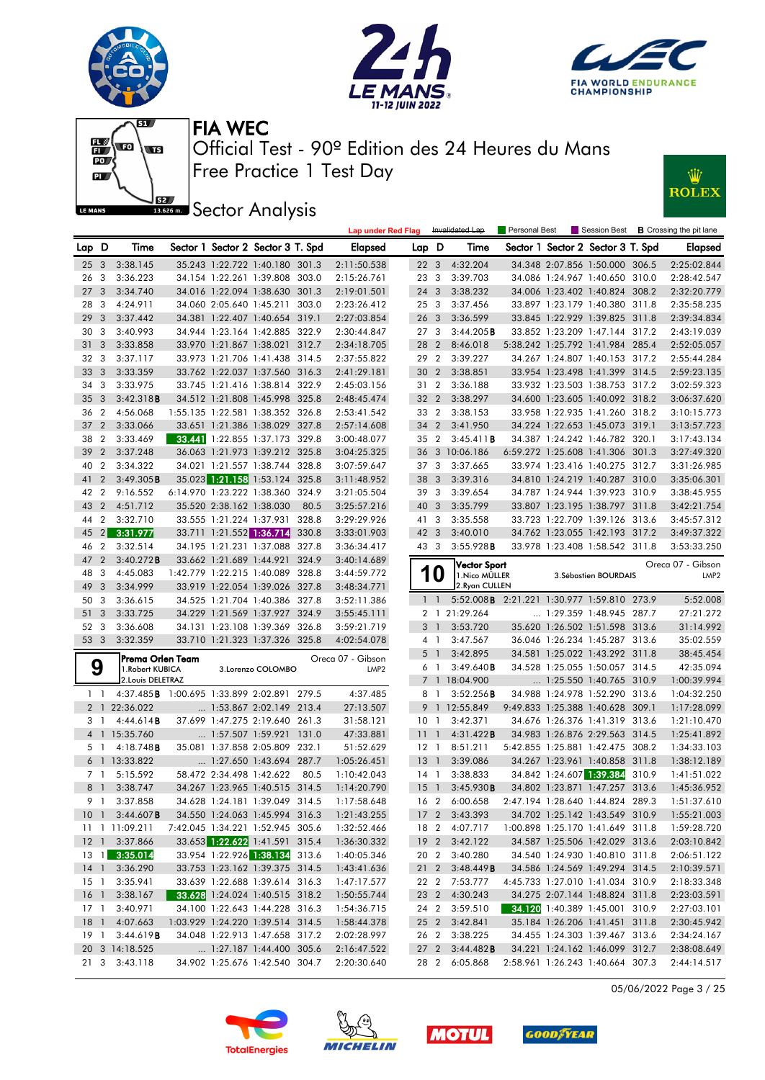







**JEE** Sector Analysis



|                 |                |                                             |                          |                                   |       | <b>Lap under Red Flag</b>             |                 |                | Invalidated Lap                            | Personal Best |                                   |       | Session Best <b>B</b> Crossing the pit lane |
|-----------------|----------------|---------------------------------------------|--------------------------|-----------------------------------|-------|---------------------------------------|-----------------|----------------|--------------------------------------------|---------------|-----------------------------------|-------|---------------------------------------------|
| Lap             | D              | Time                                        |                          | Sector 1 Sector 2 Sector 3 T. Spd |       | <b>Elapsed</b>                        | Lap D           |                | Time                                       |               | Sector 1 Sector 2 Sector 3 T. Spd |       | <b>Elapsed</b>                              |
| 253             |                | 3:38.145                                    |                          | 35.243 1:22.722 1:40.180 301.3    |       | 2:11:50.538                           | 22 <sub>3</sub> |                | 4:32.204                                   |               | 34.348 2:07.856 1:50.000 306.5    |       | 2:25:02.844                                 |
| 26              | -3             | 3:36.223                                    |                          | 34.154 1:22.261 1:39.808 303.0    |       | 2:15:26.761                           | 23 3            |                | 3:39.703                                   |               | 34.086 1:24.967 1:40.650 310.0    |       | 2:28:42.547                                 |
| 27              | 3              | 3:34.740                                    |                          | 34.016 1:22.094 1:38.630 301.3    |       | 2:19:01.501                           | 24 3            |                | 3:38.232                                   |               | 34.006 1:23.402 1:40.824 308.2    |       | 2:32:20.779                                 |
| 28              | 3              | 4:24.911                                    | 34.060 2:05.640 1:45.211 |                                   | 303.0 | 2:23:26.412                           | 25 <sub>3</sub> |                | 3:37.456                                   |               | 33.897 1:23.179 1:40.380 311.8    |       | 2:35:58.235                                 |
| 29              | 3              | 3:37.442                                    |                          | 34.381 1:22.407 1:40.654 319.1    |       | 2:27:03.854                           | 26 <sub>3</sub> |                | 3:36.599                                   |               | 33.845 1:22.929 1:39.825 311.8    |       | 2:39:34.834                                 |
| 30              | 3              | 3:40.993                                    |                          | 34.944 1:23.164 1:42.885 322.9    |       | 2:30:44.847                           | 27 <sub>3</sub> |                | 3:44.205B                                  |               | 33.852 1:23.209 1:47.144 317.2    |       | 2:43:19.039                                 |
| 31              | 3              | 3:33.858                                    |                          | 33.970 1:21.867 1:38.021 312.7    |       | 2:34:18.705                           | 28 2            |                | 8:46.018                                   |               | 5:38.242 1:25.792 1:41.984 285.4  |       | 2:52:05.057                                 |
| 32              | - 3            | 3:37.117                                    |                          | 33.973 1:21.706 1:41.438 314.5    |       | 2:37:55.822                           | 29 2            |                | 3:39.227                                   |               | 34.267 1:24.807 1:40.153 317.2    |       | 2:55:44.284                                 |
| 33              | 3              | 3:33.359                                    |                          | 33.762 1:22.037 1:37.560 316.3    |       | 2:41:29.181                           | 30 <sub>2</sub> |                | 3:38.851                                   |               | 33.954 1:23.498 1:41.399 314.5    |       | 2:59:23.135                                 |
| 34              | -3             | 3:33.975                                    |                          | 33.745 1:21.416 1:38.814 322.9    |       | 2:45:03.156                           | 31 2            |                | 3:36.188                                   |               | 33.932 1:23.503 1:38.753 317.2    |       | 3:02:59.323                                 |
| 35              | 3              | 3:42.318B                                   |                          | 34.512 1:21.808 1:45.998 325.8    |       | 2:48:45.474                           | 32 <sub>2</sub> |                | 3:38.297                                   |               | 34.600 1:23.605 1:40.092 318.2    |       | 3:06:37.620                                 |
| 36              | $\overline{2}$ | 4:56.068                                    |                          | 1:55.135 1:22.581 1:38.352 326.8  |       | 2:53:41.542                           | 33 2            |                | 3:38.153                                   |               | 33.958 1:22.935 1:41.260 318.2    |       | 3:10:15.773                                 |
| 37              | $\overline{2}$ | 3:33.066                                    |                          | 33.651 1:21.386 1:38.029 327.8    |       | 2:57:14.608                           | 34 2            |                | 3:41.950                                   |               | 34.224 1:22.653 1:45.073 319.1    |       | 3:13:57.723                                 |
| 38              | $\overline{2}$ | 3:33.469                                    |                          | 33.441 1:22.855 1:37.173 329.8    |       | 3:00:48.077                           | 35 <sub>2</sub> |                | 3:45.411B                                  |               | 34.387 1:24.242 1:46.782 320.1    |       | 3:17:43.134                                 |
| 39              | $\overline{2}$ | 3:37.248                                    |                          | 36.063 1:21.973 1:39.212 325.8    |       | 3:04:25.325                           |                 |                | 36 3 10:06.186                             |               | 6:59.272 1:25.608 1:41.306 301.3  |       | 3:27:49.320                                 |
| 40              | $\overline{2}$ | 3:34.322                                    |                          | 34.021 1:21.557 1:38.744 328.8    |       | 3:07:59.647                           | 37 3            |                | 3:37.665                                   |               | 33.974 1:23.416 1:40.275 312.7    |       | 3:31:26.985                                 |
| 41              | $\overline{2}$ | 3:49.305B                                   |                          | 35.023 1:21.158 1:53.124 325.8    |       | 3:11:48.952                           | 38 3            |                | 3:39.316                                   |               | 34.810 1:24.219 1:40.287 310.0    |       | 3:35:06.301                                 |
| 42              | $\overline{2}$ | 9:16.552                                    |                          | 6:14.970 1:23.222 1:38.360 324.9  |       | 3:21:05.504                           | 39 3            |                | 3:39.654                                   |               | 34.787 1:24.944 1:39.923 310.9    |       | 3:38:45.955                                 |
| 43              | $\overline{2}$ | 4:51.712                                    | 35.520 2:38.162 1:38.030 |                                   | 80.5  | 3:25:57.216                           | 40 3            |                | 3:35.799                                   |               | 33.807 1:23.195 1:38.797 311.8    |       | 3:42:21.754                                 |
| 44              | 2              | 3:32.710                                    |                          | 33.555 1:21.224 1:37.931          | 328.8 | 3:29:29.926                           | 41 3            |                | 3:35.558                                   |               | 33.723 1:22.709 1:39.126 313.6    |       | 3:45:57.312                                 |
| 45              | 2 <sup>1</sup> | 3:31.977                                    | 33.711 1:21.552 1:36.714 |                                   | 330.8 | 3:33:01.903                           | 42 3            |                | 3:40.010                                   |               | 34.762 1:23.055 1:42.193 317.2    |       | 3:49:37.322                                 |
| 46              | $\overline{2}$ | 3:32.514                                    |                          | 34.195 1:21.231 1:37.088          | 327.8 | 3:36:34.417                           | 43 3            |                | 3:55.928B                                  |               | 33.978 1:23.408 1:58.542 311.8    |       | 3:53:33.250                                 |
| 47              | $\overline{2}$ | $3:40.272$ B                                | 33.662 1:21.689 1:44.921 |                                   | 324.9 | 3:40:14.689                           |                 |                |                                            |               |                                   |       |                                             |
| 48              | -3             | 4:45.083                                    |                          | 1:42.779 1:22.215 1:40.089 328.8  |       | 3:44:59.772                           |                 | 10             | Vector Sport<br>1. Nico MÜLLER             |               | 3. Sébastien BOURDAIS             |       | Oreca 07 - Gibson<br>LMP <sub>2</sub>       |
| 49              | 3              | 3:34.999                                    |                          | 33.919 1:22.054 1:39.026 327.8    |       | 3:48:34.771                           |                 |                | 2. Ryan CULLEN                             |               |                                   |       |                                             |
| 50              | 3              | 3:36.615                                    |                          | 34.525 1:21.704 1:40.386 327.8    |       | 3:52:11.386                           |                 | $1 - 1$        | 5:52.008B 2:21.221 1:30.977 1:59.810 273.9 |               |                                   |       | 5:52.008                                    |
| 51              | 3              | 3:33.725                                    |                          | 34.229 1:21.569 1:37.927 324.9    |       | 3:55:45.111                           |                 | 2 <sub>1</sub> | 21:29.264                                  |               | 1:29.359 1:48.945 287.7           |       | 27:21.272                                   |
| 52              | -3             | 3:36.608                                    |                          | 34.131 1:23.108 1:39.369 326.8    |       | 3:59:21.719                           |                 | 3 1            | 3:53.720                                   |               | 35.620 1:26.502 1:51.598 313.6    |       | 31:14.992                                   |
| 53 3            |                | 3:32.359                                    |                          | 33.710 1:21.323 1:37.326 325.8    |       | 4:02:54.078                           |                 | 41             | 3:47.567                                   |               | 36.046 1:26.234 1:45.287 313.6    |       | 35:02.559                                   |
|                 |                |                                             |                          |                                   |       |                                       |                 | 5 <sub>1</sub> | 3:42.895                                   |               | 34.581 1:25.022 1:43.292 311.8    |       | 38:45.454                                   |
|                 | 9              | Prema Orlen Team<br>1. Robert KUBICA        |                          | 3.Lorenzo COLOMBO                 |       | Oreca 07 - Gibson<br>LMP <sub>2</sub> |                 | 61             | 3:49.640B                                  |               | 34.528 1:25.055 1:50.057 314.5    |       | 42:35.094                                   |
|                 |                | 2. Louis DELETRAZ                           |                          |                                   |       |                                       |                 |                | 7 1 18:04.900                              |               | $\ldots$ 1:25.550 1:40.765 310.9  |       | 1:00:39.994                                 |
|                 | $1\quad$       | 4:37.485 B 1:00.695 1:33.899 2:02.891 279.5 |                          |                                   |       | 4:37.485                              | 8               | $\overline{1}$ | 3:52.256B                                  |               | 34.988 1:24.978 1:52.290 313.6    |       | 1:04:32.250                                 |
|                 |                | 2 1 22:36.022                               |                          | $\ldots$ 1:53.867 2:02.149 213.4  |       | 27:13.507                             | 9               |                | 1 12:55.849                                |               | 9:49.833 1:25.388 1:40.628 309.1  |       | 1:17:28.099                                 |
|                 | 31             | 4:44.614B                                   |                          | 37.699 1:47.275 2:19.640 261.3    |       | 31:58.121                             | 10              | $\overline{1}$ | 3:42.371                                   |               | 34.676 1:26.376 1:41.319 313.6    |       | 1:21:10.470                                 |
|                 |                | 4 1 15:35.760                               |                          | 1:57.507 1:59.921 131.0           |       | 47:33.881                             | 11              | $\overline{1}$ | 4:31.422B                                  |               | 34.983 1:26.876 2:29.563 314.5    |       | 1:25:41.892                                 |
|                 | 5 1            | $4:18.748$ <b>B</b>                         |                          | 35.081 1:37.858 2:05.809 232.1    |       | 51:52.629                             | $12-1$          |                | 8:51.211                                   |               | 5:42.855 1:25.881 1:42.475 308.2  |       | 1:34:33.103                                 |
|                 |                | 6 1 13:33.822                               |                          | 1:27.650 1:43.694 287.7           |       | 1:05:26.451                           | 13              | $\overline{1}$ | 3:39.086                                   |               | 34.267 1:23.961 1:40.858 311.8    |       | 1:38:12.189                                 |
|                 | 7 1            | 5:15.592                                    | 58.472 2:34.498 1:42.622 |                                   | 80.5  | 1:10:42.043                           | 14 1            |                | 3:38.833                                   |               | 34.842 1:24.607 1:39.384          | 310.9 | 1:41:51.022                                 |
|                 | 81             | 3:38.747                                    |                          | 34.267 1:23.965 1:40.515 314.5    |       | 1:14:20.790                           |                 | 15 1           | 3:45.930B                                  |               | 34.802 1:23.871 1:47.257 313.6    |       | 1:45:36.952                                 |
|                 |                | 9 1 3:37.858                                |                          | 34.628 1:24.181 1:39.049 314.5    |       | 1:17:58.648                           |                 |                | 16 2 6:00.658                              |               | 2:47.194 1:28.640 1:44.824 289.3  |       | 1:51:37.610                                 |
|                 |                | 10 1 3:44.607 <b>B</b>                      |                          | 34.550 1:24.063 1:45.994 316.3    |       | 1:21:43.255                           |                 |                | 17 2 3:43.393                              |               | 34.702 1:25.142 1:43.549 310.9    |       | 1:55:21.003                                 |
|                 |                | 11 11:09.211                                |                          | 7:42.045 1:34.221 1:52.945 305.6  |       | 1:32:52.466                           |                 |                | 18 2 4:07.717                              |               | 1:00.898 1:25.170 1:41.649 311.8  |       | 1:59:28.720                                 |
|                 |                | 12 1 3:37.866                               |                          | 33.653 1:22.622 1:41.591 315.4    |       | 1:36:30.332                           |                 |                | 19 2 3:42.122                              |               | 34.587 1:25.506 1:42.029 313.6    |       | 2:03:10.842                                 |
|                 |                | 13 1 3:35.014                               |                          | 33.954 1:22.926 1:38.134 313.6    |       | 1:40:05.346                           |                 |                | 20 2 3:40.280                              |               | 34.540 1:24.930 1:40.810 311.8    |       | 2:06:51.122                                 |
|                 |                | 14 1 3:36.290                               |                          | 33.753 1:23.162 1:39.375 314.5    |       | 1:43:41.636                           |                 |                | 21 2 3:48.449B                             |               | 34.586 1:24.569 1:49.294 314.5    |       | 2:10:39.571                                 |
|                 |                | 15 1 3:35.941                               |                          | 33.639 1:22.688 1:39.614 316.3    |       | 1:47:17.577                           |                 |                | 22 2 7:53.777                              |               | 4:45.733 1:27.010 1:41.034 310.9  |       | 2:18:33.348                                 |
|                 |                | 16 1 3:38.167                               |                          | 33.628 1:24.024 1:40.515 318.2    |       | 1:50:55.744                           |                 |                | 23 2 4:30.243                              |               | 34.275 2:07.144 1:48.824 311.8    |       | 2:23:03.591                                 |
|                 |                | 17 1 3:40.971                               |                          | 34.100 1:22.643 1:44.228 316.3    |       | 1:54:36.715                           |                 |                | 24 2 3:59.510                              |               | 34.120 1:40.389 1:45.001 310.9    |       | 2:27:03.101                                 |
| 18 <sup>1</sup> |                | 4:07.663                                    |                          | 1:03.929 1:24.220 1:39.514 314.5  |       | 1:58:44.378                           |                 |                | 25 2 3:42.841                              |               | 35.184 1:26.206 1:41.451 311.8    |       | 2:30:45.942                                 |
|                 |                | 19 1 3:44.619 <b>B</b>                      |                          | 34.048 1:22.913 1:47.658 317.2    |       | 2:02:28.997                           |                 |                | 26 2 3:38.225                              |               | 34.455 1:24.303 1:39.467 313.6    |       | 2:34:24.167                                 |
|                 |                | 20 3 14:18.525                              |                          | 1:27.187 1:44.400 305.6           |       | 2:16:47.522                           |                 |                | 27 2 3:44.482 <b>B</b>                     |               | 34.221 1:24.162 1:46.099 312.7    |       | 2:38:08.649                                 |
|                 |                | 21 3 3:43.118                               |                          | 34.902 1:25.676 1:42.540 304.7    |       | 2:20:30.640                           |                 |                | 28 2 6:05.868                              |               | 2:58.961 1:26.243 1:40.664 307.3  |       | 2:44:14.517                                 |

05/06/2022 Page 3 / 25







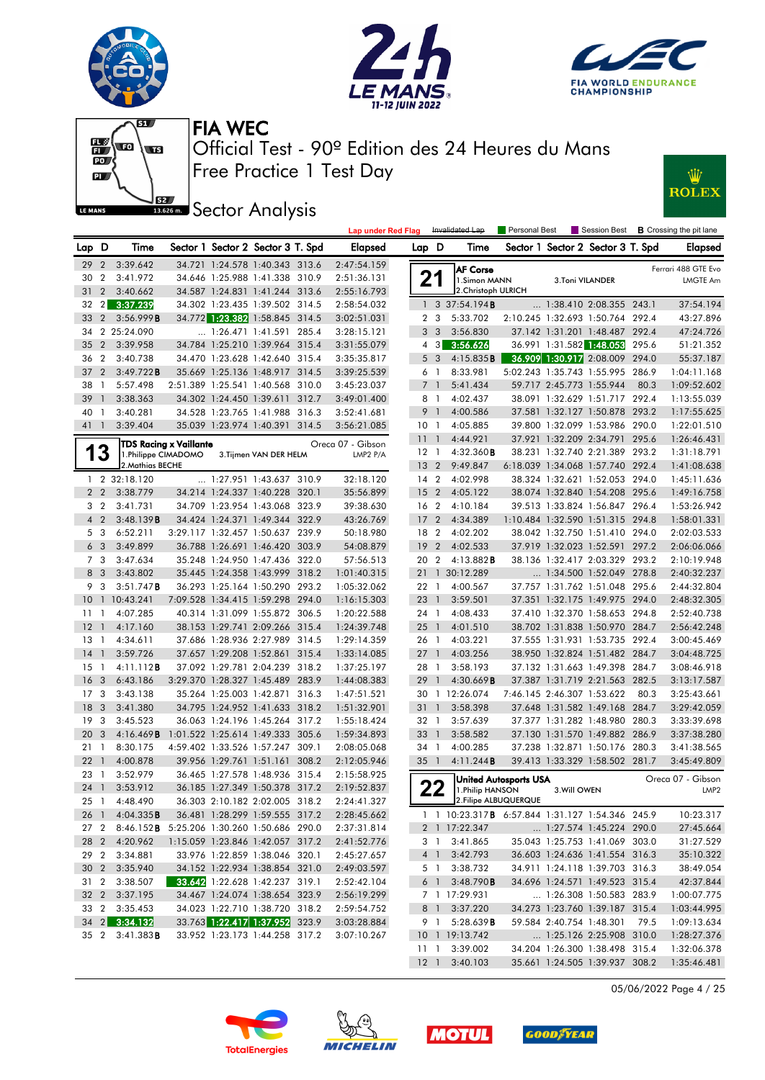











|                 |                         |                                                 |                                  |                                       |       | <b>Lap under Red Flag</b> |                 |                | Invalidated Lap                                         | Personal Best                |                            |                                   |       | Session Best <b>B</b> Crossing the pit lane |
|-----------------|-------------------------|-------------------------------------------------|----------------------------------|---------------------------------------|-------|---------------------------|-----------------|----------------|---------------------------------------------------------|------------------------------|----------------------------|-----------------------------------|-------|---------------------------------------------|
| Lap D           |                         | Time                                            |                                  | Sector 1 Sector 2 Sector 3 T. Spd     |       | Elapsed                   | Lap D           |                | Time                                                    |                              |                            | Sector 1 Sector 2 Sector 3 T. Spd |       | <b>Elapsed</b>                              |
| 29              | $\overline{2}$          | 3:39.642                                        |                                  | 34.721 1:24.578 1:40.343 313.6        |       | 2:47:54.159               |                 |                | <b>AF Corse</b>                                         |                              |                            |                                   |       | Ferrari 488 GTE Evo                         |
| 30              | $\overline{2}$          | 3:41.972                                        |                                  | 34.646 1:25.988 1:41.338 310.9        |       | 2:51:36.131               |                 | 21             | 1.Simon MANN                                            |                              | 3.Toni VILANDER            |                                   |       | <b>LMGTE Am</b>                             |
| 31              | 2                       | 3:40.662                                        |                                  | 34.587 1:24.831 1:41.244 313.6        |       | 2:55:16.793               |                 |                | 2. Christoph ULRICH                                     |                              |                            |                                   |       |                                             |
| $32 \quad 2$    |                         | 3:37.239                                        |                                  | 34.302 1:23.435 1:39.502 314.5        |       | 2:58:54.032               |                 |                | $1 \quad 3 \quad 37:54.194 \text{ B}$                   |                              |                            | 1:38.410 2:08.355 243.1           |       | 37:54.194                                   |
| 33 2            |                         | 3:56.999B                                       |                                  | 34.772 1:23.382 1:58.845 314.5        |       | 3:02:51.031               |                 | 2 <sub>3</sub> | 5:33.702                                                |                              |                            | 2:10.245 1:32.693 1:50.764 292.4  |       | 43:27.896                                   |
| 34              |                         | 2 25:24.090                                     |                                  | 1:26.471 1:41.591 285.4               |       | 3:28:15.121               |                 | 3 <sub>3</sub> | 3:56.830                                                |                              |                            | 37.142 1:31.201 1:48.487 292.4    |       | 47:24.726                                   |
| 35              | $\overline{2}$          | 3:39.958                                        |                                  | 34.784 1:25.210 1:39.964 315.4        |       | 3:31:55.079               |                 | $4 \quad 3$    | 3:56.626                                                |                              |                            | 36.991 1:31.582 1:48.053          | 295.6 | 51:21.352                                   |
| 36 2            |                         | 3:40.738                                        |                                  | 34.470 1:23.628 1:42.640 315.4        |       | 3:35:35.817               |                 | 5 <sub>3</sub> | 4:15.835B                                               |                              |                            | 36.909 1:30.917 2:08.009 294.0    |       | 55:37.187                                   |
| 37              | $\overline{2}$          | 3:49.722B                                       |                                  | 35.669 1:25.136 1:48.917 314.5        |       | 3:39:25.539               | 6               | $\overline{1}$ | 8:33.981                                                |                              |                            | 5:02.243 1:35.743 1:55.995        | 286.9 | 1:04:11.168                                 |
| 38              | $\overline{1}$          | 5:57.498                                        |                                  | 2:51.389 1:25.541 1:40.568 310.0      |       | 3:45:23.037               |                 | 7 <sup>1</sup> | 5:41.434                                                |                              | 59.717 2:45.773 1:55.944   |                                   | 80.3  | 1:09:52.602                                 |
| 39              | $\overline{1}$          | 3:38.363                                        |                                  | 34.302 1:24.450 1:39.611 312.7        |       | 3:49:01.400               |                 | 8 1            | 4:02.437                                                |                              |                            | 38.091 1:32.629 1:51.717 292.4    |       | 1:13:55.039                                 |
| 40 1            |                         | 3:40.281                                        |                                  | 34.528 1:23.765 1:41.988 316.3        |       | 3:52:41.681               |                 | 9 <sub>1</sub> | 4:00.586                                                |                              |                            | 37.581 1:32.127 1:50.878 293.2    |       | 1:17:55.625                                 |
| 41 1            |                         | 3:39.404                                        |                                  | 35.039 1:23.974 1:40.391 314.5        |       | 3:56:21.085               | 10 <sub>1</sub> |                | 4:05.885                                                |                              |                            | 39.800 1:32.099 1:53.986 290.0    |       | 1:22:01.510                                 |
|                 |                         |                                                 | TDS Racing x Vaillante           |                                       |       | Oreca 07 - Gibson         | 11              | $\overline{1}$ | 4:44.921                                                |                              |                            | 37.921 1:32.209 2:34.791 295.6    |       | 1:26:46.431                                 |
|                 | 13                      | 1.Philippe CIMADOMO                             |                                  | 3. Tijmen VAN DER HELM                |       | LMP2 P/A                  | $12-1$          |                | 4:32.360B                                               |                              |                            | 38.231 1:32.740 2:21.389 293.2    |       | 1:31:18.791                                 |
|                 |                         | 2. Mathias BECHE                                |                                  |                                       |       |                           |                 | $13 \quad 2$   | 9:49.847                                                |                              |                            | 6:18.039 1:34.068 1:57.740 292.4  |       | 1:41:08.638                                 |
| $\mathbf{1}$    |                         | 2 32:18.120                                     |                                  | 1:27.951 1:43.637 310.9               |       | 32:18.120                 | 14 <sup>2</sup> |                | 4:02.998                                                |                              |                            | 38.324 1:32.621 1:52.053 294.0    |       | 1:45:11.636                                 |
|                 | 2 <sub>2</sub>          | 3:38.779                                        |                                  | 34.214 1:24.337 1:40.228 320.1        |       | 35:56.899                 | 15 <sub>2</sub> |                | 4:05.122                                                |                              |                            | 38.074 1:32.840 1:54.208 295.6    |       | 1:49:16.758                                 |
|                 | 3 <sub>2</sub>          | 3:41.731                                        |                                  | 34.709 1:23.954 1:43.068 323.9        |       | 39:38.630                 | 16 <sub>2</sub> |                | 4:10.184                                                |                              |                            | 39.513 1:33.824 1:56.847 296.4    |       | 1:53:26.942                                 |
|                 | 4 <sub>2</sub>          | 3:48.139B                                       |                                  | 34.424 1:24.371 1:49.344 322.9        |       | 43:26.769                 | 17              | $\overline{2}$ | 4:34.389                                                |                              |                            | 1:10.484 1:32.590 1:51.315 294.8  |       | 1:58:01.331                                 |
|                 | 5 <sub>3</sub>          | 6:52.211                                        |                                  | 3:29.117 1:32.457 1:50.637 239.9      |       | 50:18.980                 | 18              | $\overline{2}$ | 4:02.202                                                |                              |                            | 38.042 1:32.750 1:51.410 294.0    |       | 2:02:03.533                                 |
|                 | 6 <sub>3</sub>          | 3:49.899                                        |                                  | 36.788 1:26.691 1:46.420 303.9        |       | 54:08.879                 | 19              | $\overline{2}$ | 4:02.533                                                |                              |                            | 37.919 1:32.023 1:52.591 297.2    |       | 2:06:06.066                                 |
|                 | 7 3                     | 3:47.634                                        |                                  | 35.248 1:24.950 1:47.436 322.0        |       | 57:56.513                 | 20              | $\overline{2}$ | 4:13.882B                                               |                              |                            | 38.136 1:32.417 2:03.329 293.2    |       | 2:10:19.948                                 |
|                 | 8 3                     | 3:43.802                                        |                                  | 35.445 1:24.358 1:43.999 318.2        |       | 1:01:40.315               |                 | $21 \quad 1$   | 30:12.289                                               |                              |                            | 1:34.500 1:52.049 278.8           |       | 2:40:32.237                                 |
| 9               | $\overline{\mathbf{3}}$ | 3:51.747B                                       |                                  | 36.293 1:25.164 1:50.290 293.2        |       | 1:05:32.062               | 22 1            |                | 4:00.567                                                |                              |                            | 37.757 1:31.762 1:51.048          | 295.6 | 2:44:32.804                                 |
| 10              |                         | 1 10:43.241                                     |                                  | 7:09.528 1:34.415 1:59.298 294.0      |       | 1:16:15.303               | 23              | $\overline{1}$ | 3:59.501                                                |                              |                            | 37.351 1:32.175 1:49.975 294.0    |       | 2:48:32.305                                 |
| $11-1$          |                         | 4:07.285                                        |                                  | 40.314 1:31.099 1:55.872 306.5        |       | 1:20:22.588               | 24 1            |                | 4:08.433                                                |                              |                            | 37.410 1:32.370 1:58.653 294.8    |       | 2:52:40.738                                 |
| $12-1$          |                         | 4:17.160                                        |                                  | 38.153 1:29.741 2:09.266 315.4        |       | 1:24:39.748               | $25 \quad 1$    |                | 4:01.510                                                |                              |                            | 38.702 1:31.838 1:50.970 284.7    |       | 2:56:42.248                                 |
| $13-1$          |                         | 4:34.611                                        |                                  | 37.686 1:28.936 2:27.989 314.5        |       | 1:29:14.359               | 26 1            |                | 4:03.221                                                |                              |                            | 37.555 1:31.931 1:53.735 292.4    |       | 3:00:45.469                                 |
| 14              | $\overline{1}$          | 3:59.726                                        |                                  | 37.657 1:29.208 1:52.861 315.4        |       | 1:33:14.085               | $27-1$          |                | 4:03.256                                                |                              |                            | 38.950 1:32.824 1:51.482 284.7    |       | 3:04:48.725                                 |
| $15-1$          |                         | 4:11.112B                                       |                                  | 37.092 1:29.781 2:04.239 318.2        |       | 1:37:25.197               | 28 1            |                | 3:58.193                                                |                              |                            | 37.132 1:31.663 1:49.398 284.7    |       | 3:08:46.918                                 |
| 16              | $\overline{3}$          | 6:43.186                                        |                                  | 3:29.370 1:28.327 1:45.489 283.9      |       | 1:44:08.383               | 29              | $\overline{1}$ | 4:30.669B                                               |                              |                            | 37.387 1:31.719 2:21.563 282.5    |       | 3:13:17.587                                 |
| 17 <sub>3</sub> |                         | 3:43.138                                        |                                  | 35.264 1:25.003 1:42.871              | 316.3 | 1:47:51.521               | 30              |                | 1 12:26.074                                             |                              | 7:46.145 2:46.307 1:53.622 |                                   | 80.3  | 3:25:43.661                                 |
| 18              | $\overline{\mathbf{3}}$ | 3:41.380                                        |                                  | 34.795 1:24.952 1:41.633 318.2        |       | 1:51:32.901               | 31              | $\overline{1}$ | 3:58.398                                                |                              |                            | 37.648 1:31.582 1:49.168 284.7    |       | 3:29:42.059                                 |
| 19              | $\mathbf{3}$            | 3:45.523                                        |                                  | 36.063 1:24.196 1:45.264 317.2        |       | 1:55:18.424               | 32 1            |                | 3:57.639                                                |                              |                            | 37.377 1:31.282 1:48.980 280.3    |       | 3:33:39.698                                 |
| 20              | $\overline{3}$          | 4:16.469B                                       | 1:01.522 1:25.614 1:49.333 305.6 |                                       |       | 1:59:34.893               | 33              | $\overline{1}$ | 3:58.582                                                |                              |                            | 37.130 1:31.570 1:49.882 286.9    |       | 3:37:38.280                                 |
| 21              | $\overline{1}$          | 8:30.175                                        |                                  | 4:59.402 1:33.526 1:57.247 309.1      |       | 2:08:05.068               | 34              | $\overline{1}$ | 4:00.285                                                |                              |                            | 37.238 1:32.871 1:50.176          | 280.3 | 3:41:38.565                                 |
| 221             |                         | 4:00.878                                        |                                  | 39.956 1:29.761 1:51.161 308.2        |       | 2:12:05.946               | 35              | $\overline{1}$ | 4:11.244B                                               |                              |                            | 39.413 1:33.329 1:58.502 281.7    |       | 3:45:49.809                                 |
| 23 1            |                         | 3:52.979                                        |                                  | 36.465 1:27.578 1:48.936 315.4        |       | 2:15:58.925               |                 |                |                                                         | <b>United Autosports USA</b> |                            |                                   |       | Oreca 07 - Gibson                           |
| 24 1            |                         | 3:53.912                                        |                                  | 36.185 1:27.349 1:50.378 317.2        |       | 2:19:52.837               |                 | 22             | 1. Philip HANSON                                        |                              | 3. Will OWEN               |                                   |       | LMP <sub>2</sub>                            |
| 25 1            |                         | 4:48.490                                        |                                  | 36.303 2:10.182 2:02.005 318.2        |       | 2:24:41.327               |                 |                |                                                         | 2. Filipe ALBUQUERQUE        |                            |                                   |       |                                             |
|                 |                         | 26 1 4:04.335 <b>B</b>                          |                                  | 36.481 1:28.299 1:59.555 317.2        |       | 2:28:45.662               |                 |                | 1 1 10:23.317 <b>B</b> 6:57.844 1:31.127 1:54.346 245.9 |                              |                            |                                   |       | 10:23.317                                   |
|                 |                         | 27 2 8:46.152B 5:25.206 1:30.260 1:50.686 290.0 |                                  |                                       |       | 2:37:31.814               |                 |                | 2 1 17:22.347                                           |                              |                            | 1:27.574 1:45.224 290.0           |       | 27:45.664                                   |
|                 |                         | 28 2 4:20.962                                   |                                  | 1:15.059 1:23.846 1:42.057 317.2      |       | 2:41:52.776               |                 |                | 3 1 3:41.865                                            |                              |                            | 35.043 1:25.753 1:41.069 303.0    |       | 31:27.529                                   |
| 29 2            |                         | 3:34.881                                        |                                  | 33.976 1:22.859 1:38.046 320.1        |       | 2:45:27.657               |                 | 4 1            | 3:42.793                                                |                              |                            | 36.603 1:24.636 1:41.554 316.3    |       | 35:10.322                                   |
|                 |                         | 30 2 3:35.940                                   |                                  | 34.152 1:22.934 1:38.854 321.0        |       | 2:49:03.597               |                 | 5 1            | 3:38.732                                                |                              |                            | 34.911 1:24.118 1:39.703 316.3    |       | 38:49.054                                   |
|                 |                         | 31 2 3:38.507                                   |                                  | <b>33.642</b> 1:22.628 1:42.237 319.1 |       | 2:52:42.104               |                 | 6 1            | 3:48.790B                                               |                              |                            | 34.696 1:24.571 1:49.523 315.4    |       | 42:37.844                                   |
| 32 2            |                         | 3:37.195                                        |                                  | 34.467 1:24.074 1:38.654 323.9        |       | 2:56:19.299               |                 |                | 7 1 17:29.931                                           |                              |                            | 1:26.308 1:50.583 283.9           |       | 1:00:07.775                                 |
|                 |                         | 33 2 3:35.453                                   |                                  | 34.023 1:22.710 1:38.720 318.2        |       | 2:59:54.752               |                 | 8 1            | 3:37.220                                                |                              |                            | 34.273 1:23.760 1:39.187 315.4    |       | 1:03:44.995                                 |
|                 |                         | 34 2 3:34.132                                   |                                  | 33.763 1:22.417 1:37.952 323.9        |       | 3:03:28.884               |                 |                | 9 1 5:28.639 <b>B</b>                                   |                              |                            | 59.584 2:40.754 1:48.301 79.5     |       | 1:09:13.634                                 |
|                 |                         | 35 2 3:41.383 <b>B</b>                          |                                  | 33.952 1:23.173 1:44.258 317.2        |       | 3:07:10.267               |                 |                | 10 1 19:13.742                                          |                              |                            | 1:25.126 2:25.908 310.0           |       | 1:28:27.376                                 |
|                 |                         |                                                 |                                  |                                       |       |                           |                 |                | 11 1 3:39.002                                           |                              |                            | 34.204 1:26.300 1:38.498 315.4    |       | 1:32:06.378                                 |

05/06/2022 Page 4 / 25









12 1 3:40.103 35.661 1:24.505 1:39.937 308.2 1:35:46.481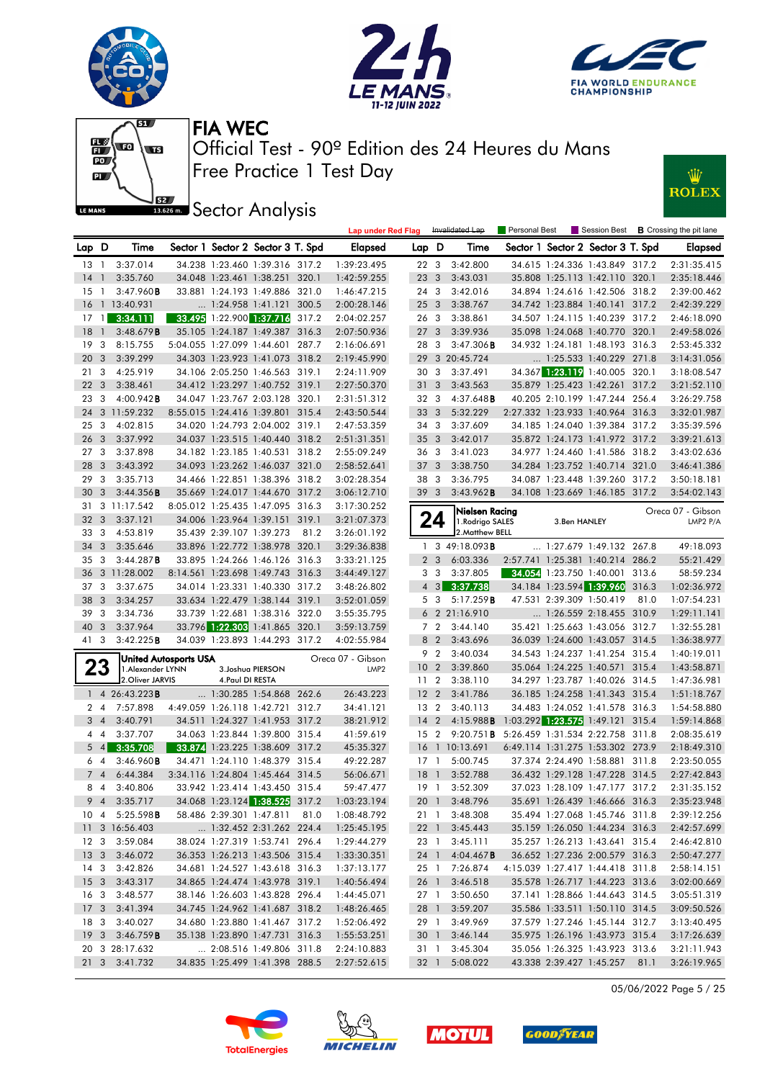







**JEE** Sector Analysis



|                 |                |                              |                  |                                   |       | <b>Lap under Red Flag</b> |                 |                | Invalidated Lap        | Personal Best |              |                                   |       | Session Best <b>B</b> Crossing the pit lane |
|-----------------|----------------|------------------------------|------------------|-----------------------------------|-------|---------------------------|-----------------|----------------|------------------------|---------------|--------------|-----------------------------------|-------|---------------------------------------------|
| Lap D           |                | Time                         |                  | Sector 1 Sector 2 Sector 3 T. Spd |       | <b>Elapsed</b>            | Lap D           |                | Time                   |               |              | Sector 1 Sector 2 Sector 3 T. Spd |       | <b>Elapsed</b>                              |
| $13-1$          |                | 3:37.014                     |                  | 34.238 1:23.460 1:39.316 317.2    |       | 1:39:23.495               | 22 3            |                | 3:42.800               |               |              | 34.615 1:24.336 1:43.849 317.2    |       | 2:31:35.415                                 |
| $14-1$          |                | 3:35.760                     |                  | 34.048 1:23.461 1:38.251 320.1    |       | 1:42:59.255               | 23 <sub>3</sub> |                | 3:43.031               |               |              | 35.808 1:25.113 1:42.110 320.1    |       | 2:35:18.446                                 |
| 15              | $\overline{1}$ | 3:47.960B                    |                  | 33.881 1:24.193 1:49.886 321.0    |       | 1:46:47.215               | 24 3            |                | 3:42.016               |               |              | 34.894 1:24.616 1:42.506 318.2    |       | 2:39:00.462                                 |
| 16              |                | 1 13:40.931                  |                  | $\ldots$ 1:24.958 1:41.121        | 300.5 | 2:00:28.146               | 25 <sub>3</sub> |                | 3:38.767               |               |              | 34.742 1:23.884 1:40.141 317.2    |       | 2:42:39.229                                 |
| 17              | $\overline{1}$ | 3:34.111                     |                  | 33.495 1:22.900 1:37.716 317.2    |       | 2:04:02.257               | 26 3            |                | 3:38.861               |               |              | 34.507 1:24.115 1:40.239 317.2    |       | 2:46:18.090                                 |
| 18              | $\overline{1}$ | 3:48.679B                    |                  | 35.105 1:24.187 1:49.387          | 316.3 | 2:07:50.936               | 27 <sub>3</sub> |                | 3:39.936               |               |              | 35.098 1:24.068 1:40.770 320.1    |       | 2:49:58.026                                 |
| 19              | 3              | 8:15.755                     |                  | 5:04.055 1:27.099 1:44.601        | 287.7 | 2:16:06.691               | 28              | $\mathbf{3}$   | $3:47.306$ <b>B</b>    |               |              | 34.932 1:24.181 1:48.193 316.3    |       | 2:53:45.332                                 |
| 20              | 3              | 3:39.299                     |                  | 34.303 1:23.923 1:41.073 318.2    |       | 2:19:45.990               |                 |                | 29 3 20:45.724         |               |              | 1:25.533 1:40.229 271.8           |       | 3:14:31.056                                 |
| 21              | 3              | 4:25.919                     |                  | 34.106 2:05.250 1:46.563 319.1    |       | 2:24:11.909               | 30 3            |                | 3:37.491               |               |              | 34.367 1:23.119 1:40.005 320.1    |       | 3:18:08.547                                 |
| 22              | 3              | 3:38.461                     |                  | 34.412 1:23.297 1:40.752 319.1    |       | 2:27:50.370               | 31 <sub>3</sub> |                | 3:43.563               |               |              | 35.879 1:25.423 1:42.261          | 317.2 | 3:21:52.110                                 |
| 23              | 3              | $4:00.942$ <b>B</b>          |                  | 34.047 1:23.767 2:03.128 320.1    |       | 2:31:51.312               | 32 3            |                | 4:37.648 <b>B</b>      |               |              | 40.205 2:10.199 1:47.244          | 256.4 | 3:26:29.758                                 |
| 24              |                | 3 11:59.232                  |                  | 8:55.015 1:24.416 1:39.801 315.4  |       | 2:43:50.544               | 33 3            |                | 5:32.229               |               |              | 2:27.332 1:23.933 1:40.964 316.3  |       | 3:32:01.987                                 |
| 25              | 3              | 4:02.815                     |                  | 34.020 1:24.793 2:04.002 319.1    |       | 2:47:53.359               | 34 3            |                | 3:37.609               |               |              | 34.185 1:24.040 1:39.384 317.2    |       | 3:35:39.596                                 |
| 26              | 3              | 3:37.992                     |                  | 34.037 1:23.515 1:40.440 318.2    |       | 2:51:31.351               | 35 <sub>3</sub> |                | 3:42.017               |               |              | 35.872 1:24.173 1:41.972 317.2    |       | 3:39:21.613                                 |
| 27              | 3              | 3:37.898                     |                  | 34.182 1:23.185 1:40.531 318.2    |       | 2:55:09.249               | 36 3            |                | 3:41.023               |               |              | 34.977 1:24.460 1:41.586 318.2    |       | 3:43:02.636                                 |
| 28              | 3              | 3:43.392                     |                  | 34.093 1:23.262 1:46.037 321.0    |       | 2:58:52.641               | 37 <sub>3</sub> |                | 3:38.750               |               |              | 34.284 1:23.752 1:40.714 321.0    |       | 3:46:41.386                                 |
| 29              | 3              | 3:35.713                     |                  | 34.466 1:22.851 1:38.396 318.2    |       | 3:02:28.354               | 38 3            |                | 3:36.795               |               |              | 34.087 1:23.448 1:39.260 317.2    |       | 3:50:18.181                                 |
| 30              | 3              | 3:44.356B                    |                  | 35.669 1:24.017 1:44.670 317.2    |       | 3:06:12.710               | 39 <sub>3</sub> |                | 3:43.962B              |               |              | 34.108 1:23.669 1:46.185 317.2    |       | 3:54:02.143                                 |
| 31              |                | 3 11:17.542                  |                  | 8:05.012 1:25.435 1:47.095 316.3  |       | 3:17:30.252               |                 |                | Nielsen Racing         |               |              |                                   |       | Oreca 07 - Gibson                           |
| 32              | 3              | 3:37.121                     |                  | 34.006 1:23.964 1:39.151 319.1    |       | 3:21:07.373               |                 | 24             | 1.Rodrigo SALES        |               | 3.Ben HANLEY |                                   |       | LMP2 P/A                                    |
| 33              | 3              | 4:53.819                     |                  | 35.439 2:39.107 1:39.273          | 81.2  | 3:26:01.192               |                 |                | 2. Matthew BELL        |               |              |                                   |       |                                             |
| 34              | 3              | 3:35.646                     |                  | 33.896 1:22.772 1:38.978 320.1    |       | 3:29:36.838               |                 |                | 1 3 49:18.093 <b>B</b> |               |              | $\ldots$ 1:27.679 1:49.132 267.8  |       | 49:18.093                                   |
| 35              | 3              | 3:44.287B                    |                  | 33.895 1:24.266 1:46.126 316.3    |       | 3:33:21.125               |                 | 2 <sub>3</sub> | 6:03.336               |               |              | 2:57.741 1:25.381 1:40.214 286.2  |       | 55:21.429                                   |
| 36              |                | 3 11:28.002                  |                  | 8:14.561 1:23.698 1:49.743 316.3  |       | 3:44:49.127               |                 | 3 <sub>3</sub> | 3:37.805               |               |              | 34.054 1:23.750 1:40.001 313.6    |       | 58:59.234                                   |
| 37              | 3              | 3:37.675                     |                  | 34.014 1:23.331 1:40.330 317.2    |       | 3:48:26.802               |                 | $4 \quad 3$    | 3:37.738               |               |              | 34.184 1:23.594 1:39.960          | 316.3 | 1:02:36.972                                 |
| 38              | 3              | 3:34.257                     |                  | 33.634 1:22.479 1:38.144 319.1    |       | 3:52:01.059               |                 | 5 <sub>3</sub> | 5:17.259B              |               |              | 47.531 2:39.309 1:50.419          | 81.0  | 1:07:54.231                                 |
| 39              | 3              | 3:34.736                     |                  | 33.739 1:22.681 1:38.316 322.0    |       | 3:55:35.795               |                 |                | 6 2 21:16.910          |               |              | 1:26.559 2:18.455 310.9           |       | 1:29:11.141                                 |
| 40              | 3              | 3:37.964                     |                  | 33.796 1:22.303 1:41.865 320.1    |       | 3:59:13.759               |                 | 7 <sub>2</sub> | 3:44.140               |               |              | 35.421 1:25.663 1:43.056 312.7    |       | 1:32:55.281                                 |
| 41              | 3              | 3:42.225B                    |                  | 34.039 1:23.893 1:44.293 317.2    |       | 4:02:55.984               |                 | 8 2            | 3:43.696               |               |              | 36.039 1:24.600 1:43.057 314.5    |       | 1:36:38.977                                 |
|                 |                | <b>United Autosports USA</b> |                  |                                   |       | Oreca 07 - Gibson         |                 | 9 2            | 3:40.034               |               |              | 34.543 1:24.237 1:41.254 315.4    |       | 1:40:19.011                                 |
|                 | 23             | 1. Alexander LYNN            |                  | 3. Joshua PIERSON                 |       | LMP <sub>2</sub>          | 10 <sub>2</sub> |                | 3:39.860               |               |              | 35.064 1:24.225 1:40.571 315.4    |       | 1:43:58.871                                 |
|                 |                | 2. Oliver JARVIS             | 4. Paul DI RESTA |                                   |       |                           | 11 <sub>2</sub> |                | 3:38.110               |               |              | 34.297 1:23.787 1:40.026 314.5    |       | 1:47:36.981                                 |
|                 |                | 1 4 26:43.223B               |                  | 1:30.285 1:54.868 262.6           |       | 26:43.223                 | 12 2            |                | 3:41.786               |               |              | 36.185 1:24.258 1:41.343 315.4    |       | 1:51:18.767                                 |
| 2 4             |                | 7:57.898                     |                  | 4:49.059 1:26.118 1:42.721 312.7  |       | 34:41.121                 | 13              | $\overline{2}$ | 3:40.113               |               |              | 34.483 1:24.052 1:41.578 316.3    |       | 1:54:58.880                                 |
| 3               | $\overline{4}$ | 3:40.791                     |                  | 34.511 1:24.327 1:41.953 317.2    |       | 38:21.912                 | 14 <sup>2</sup> |                | 4:15.988B              |               |              | 1:03.292 1:23.575 1:49.121 315.4  |       | 1:59:14.868                                 |
| 44              |                | 3:37.707                     |                  | 34.063 1:23.844 1:39.800 315.4    |       | 41:59.619                 | 15 <sub>2</sub> |                | 9:20.751B              |               |              | 5:26.459 1:31.534 2:22.758 311.8  |       | 2:08:35.619                                 |
|                 | $5 \quad 4$    | 3:35.708                     |                  | 33.874 1:23.225 1:38.609 317.2    |       | 45:35.327                 | 16              |                | 1 10:13.691            |               |              | 6:49.114 1:31.275 1:53.302 273.9  |       | 2:18:49.310                                 |
| 64              |                | 3:46.960B                    |                  | 34.471 1:24.110 1:48.379 315.4    |       | 49:22.287                 | 17 1            |                | 5:00.745               |               |              | 37.374 2:24.490 1:58.881          | 311.8 | 2:23:50.055                                 |
| 74              |                | 6:44.384                     |                  | 3:34.116 1:24.804 1:45.464 314.5  |       | 56:06.671                 | 18              | $\overline{1}$ | 3:52.788               |               |              | 36.432 1:29.128 1:47.228 314.5    |       | 2:27:42.843                                 |
| 8 4             |                | 3:40.806                     |                  | 33.942 1:23.414 1:43.450 315.4    |       | 59:47.477                 | 19 1            |                | 3:52.309               |               |              | 37.023 1:28.109 1:47.177 317.2    |       | 2:31:35.152                                 |
|                 |                | 9 4 3:35.717                 |                  | 34.068 1:23.124 1:38.525 317.2    |       | 1:03:23.194               |                 |                | 20 1 3:48.796          |               |              | 35.691 1:26.439 1:46.666 316.3    |       | 2:35:23.948                                 |
| $10 \t 4$       |                | 5:25.598B                    |                  | 58.486 2:39.301 1:47.811          | 81.0  | 1:08:48.792               | 21 1            |                | 3:48.308               |               |              | 35.494 1:27.068 1:45.746 311.8    |       | 2:39:12.256                                 |
|                 |                | 11 3 16:56.403               |                  | 1:32.452 2:31.262 224.4           |       | 1:25:45.195               | 22 1            |                | 3:45.443               |               |              | 35.159 1:26.050 1:44.234 316.3    |       | 2:42:57.699                                 |
| 12 <sup>3</sup> |                | 3:59.084                     |                  | 38.024 1:27.319 1:53.741 296.4    |       | 1:29:44.279               | 23 1            |                | 3:45.111               |               |              | 35.257 1:26.213 1:43.641 315.4    |       | 2:46:42.810                                 |
|                 |                | 13 3 3:46.072                |                  | 36.353 1:26.213 1:43.506 315.4    |       | 1:33:30.351               | 24 1            |                | 4:04.467B              |               |              | 36.652 1:27.236 2:00.579 316.3    |       | 2:50:47.277                                 |
| $14 \quad 3$    |                | 3:42.826                     |                  | 34.681 1:24.527 1:43.618 316.3    |       | 1:37:13.177               | 25 1            |                | 7:26.874               |               |              | 4:15.039 1:27.417 1:44.418 311.8  |       | 2:58:14.151                                 |
| 15 <sub>3</sub> |                | 3:43.317                     |                  | 34.865 1:24.474 1:43.978 319.1    |       | 1:40:56.494               | 26 1            |                | 3:46.518               |               |              | 35.578 1:26.717 1:44.223 313.6    |       | 3:02:00.669                                 |
| 16 3            |                | 3:48.577                     |                  | 38.146 1:26.603 1:43.828 296.4    |       | 1:44:45.071               | 27 1            |                | 3:50.650               |               |              | 37.141 1:28.866 1:44.643 314.5    |       | 3:05:51.319                                 |
|                 |                | 17 3 3:41.394                |                  | 34.745 1:24.962 1:41.687 318.2    |       | 1:48:26.465               | 28 1            |                | 3:59.207               |               |              | 35.586 1:33.511 1:50.110 314.5    |       | 3:09:50.526                                 |
| 18 3            |                | 3:40.027                     |                  | 34.680 1:23.880 1:41.467 317.2    |       | 1:52:06.492               | 29 1            |                | 3:49.969               |               |              | 37.579 1:27.246 1:45.144 312.7    |       | 3:13:40.495                                 |
|                 |                | 19 3 3:46.759 <b>B</b>       |                  | 35.138 1:23.890 1:47.731 316.3    |       | 1:55:53.251               | 30 1            |                | 3:46.144               |               |              | 35.975 1:26.196 1:43.973 315.4    |       | 3:17:26.639                                 |
|                 |                | 20 3 28:17.632               |                  | 2:08.516 1:49.806 311.8           |       | 2:24:10.883               | 31 1            |                | 3:45.304               |               |              | 35.056 1:26.325 1:43.923 313.6    |       | 3:21:11.943                                 |
|                 |                | 21 3 3:41.732                |                  | 34.835 1:25.499 1:41.398 288.5    |       | 2:27:52.615               | 32 1            |                | 5:08.022               |               |              | 43.338 2:39.427 1:45.257 81.1     |       | 3:26:19.965                                 |

05/06/2022 Page 5 / 25







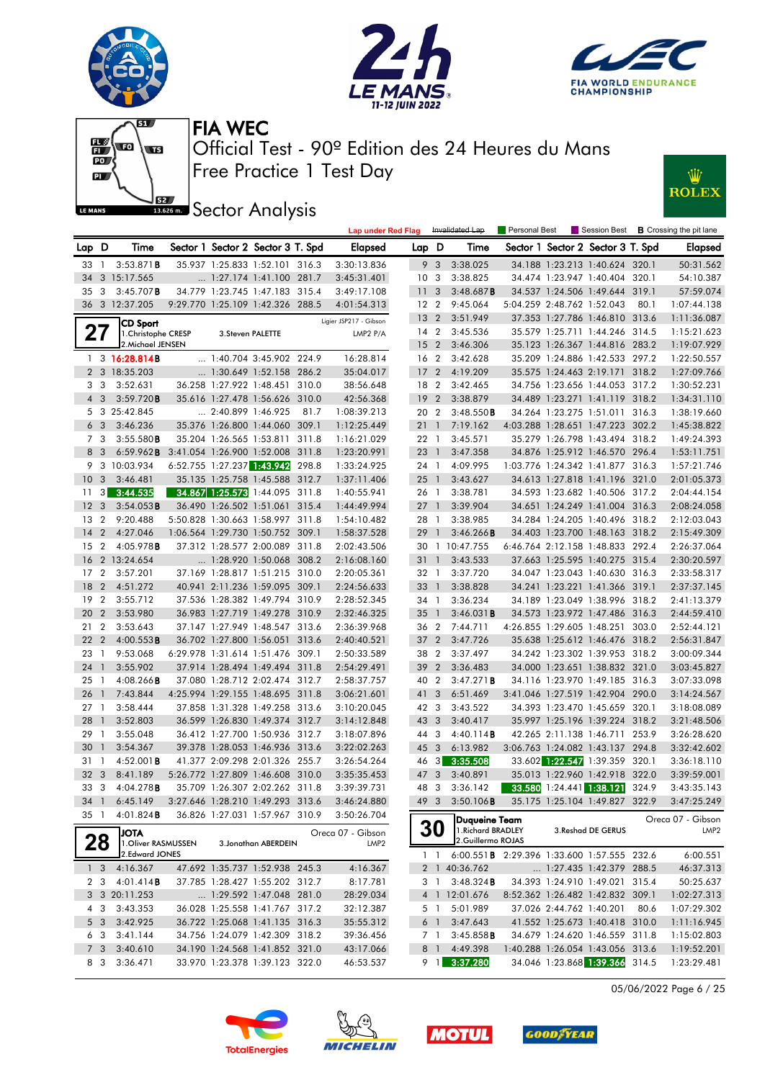







**JEE** Sector Analysis



|                 |                         |                                   |                            |                                                                    |       | <b>Lap under Red Flag</b>             |                 |                | Invalidated Lap                                    | Personal Best |                                                                  |       | Session Best <b>B</b> Crossing the pit lane |
|-----------------|-------------------------|-----------------------------------|----------------------------|--------------------------------------------------------------------|-------|---------------------------------------|-----------------|----------------|----------------------------------------------------|---------------|------------------------------------------------------------------|-------|---------------------------------------------|
| Lap D           |                         | Time                              |                            | Sector 1 Sector 2 Sector 3 T. Spd                                  |       | <b>Elapsed</b>                        | Lap D           |                | Time                                               |               | Sector 1 Sector 2 Sector 3 T. Spd                                |       | <b>Elapsed</b>                              |
| 33              | $\overline{1}$          | 3:53.871B                         |                            | 35.937 1:25.833 1:52.101 316.3                                     |       | 3:30:13.836                           |                 | 9 3            | 3:38.025                                           |               | 34.188 1:23.213 1:40.624 320.1                                   |       | 50:31.562                                   |
| 34              |                         | 3 15:17.565                       |                            | $\ldots$ 1:27.174 1:41.100 281.7                                   |       | 3:45:31.401                           | 10              | $\mathbf{3}$   | 3:38.825                                           |               | 34.474 1:23.947 1:40.404 320.1                                   |       | 54:10.387                                   |
| 35              | 3                       | $3:45.707$ B                      |                            | 34.779 1:23.745 1:47.183 315.4                                     |       | 3:49:17.108                           | 11              | 3              | 3:48.687B                                          |               | 34.537 1:24.506 1:49.644 319.1                                   |       | 57:59.074                                   |
|                 |                         | 36 3 12:37.205                    |                            | 9:29.770 1:25.109 1:42.326 288.5                                   |       | 4:01:54.313                           | 12 2            |                | 9:45.064                                           |               | 5:04.259 2:48.762 1:52.043                                       | 80.1  | 1:07:44.138                                 |
|                 |                         | <b>CD Sport</b>                   |                            |                                                                    |       | Ligier JSP217 - Gibson                | 13 <sub>2</sub> |                | 3:51.949                                           |               | 37.353 1:27.786 1:46.810 313.6                                   |       | 1:11:36.087                                 |
| 27              |                         | 1. Christophe CRESP               | 3. Steven PALETTE          |                                                                    |       | LMP2 P/A                              | 14 2            |                | 3:45.536                                           |               | 35.579 1:25.711 1:44.246 314.5                                   |       | 1:15:21.623                                 |
|                 |                         | 2. Michael JENSEN                 |                            |                                                                    |       |                                       | 15 <sub>2</sub> |                | 3:46.306                                           |               | 35.123 1:26.367 1:44.816 283.2                                   |       | 1:19:07.929                                 |
|                 |                         | $1 \quad 3 \quad 16:28.814B$      |                            | $\ldots$ 1:40.704 3:45.902 224.9                                   |       | 16:28.814                             | 16 <sub>2</sub> |                | 3:42.628                                           |               | 35.209 1:24.886 1:42.533 297.2                                   |       | 1:22:50.557                                 |
|                 |                         | 2 3 18:35.203                     |                            | $\ldots$ 1:30.649 1:52.158 286.2                                   |       | 35:04.017                             | 17 <sub>2</sub> |                | 4:19.209                                           |               | 35.575 1:24.463 2:19.171 318.2                                   |       | 1:27:09.766                                 |
| 3               | 3                       | 3:52.631                          |                            | 36.258 1:27.922 1:48.451 310.0                                     |       | 38:56.648                             | 18 2            |                | 3:42.465                                           |               | 34.756 1:23.656 1:44.053 317.2                                   |       | 1:30:52.231                                 |
| $\overline{4}$  | 3                       | 3:59.720B                         |                            | 35.616 1:27.478 1:56.626 310.0                                     |       | 42:56.368                             | 19 <sup>2</sup> |                | 3:38.879                                           |               | 34.489 1:23.271 1:41.119 318.2                                   |       | 1:34:31.110                                 |
|                 |                         | 5 3 25:42.845                     | $\ldots$ 2:40.899 1:46.925 |                                                                    | 81.7  | 1:08:39.213                           | 20 2            |                | 3:48.550B                                          |               | 34.264 1:23.275 1:51.011 316.3                                   |       | 1:38:19.660                                 |
|                 | 6 <sub>3</sub>          | 3:46.236                          |                            | 35.376 1:26.800 1:44.060 309.1                                     |       | 1:12:25.449                           | 211             |                | 7:19.162                                           |               | 4:03.288 1:28.651 1:47.223 302.2                                 |       | 1:45:38.822                                 |
|                 | 7 3                     | 3:55.580B                         |                            | 35.204 1:26.565 1:53.811                                           | 311.8 | 1:16:21.029                           | 22 1            |                | 3:45.571                                           |               | 35.279 1:26.798 1:43.494 318.2                                   |       | 1:49:24.393                                 |
|                 | 8 3                     | 6:59.962B                         | 3:41.054 1:26.900 1:52.008 |                                                                    | 311.8 | 1:23:20.991                           | 23 1            |                | 3:47.358                                           |               | 34.876 1:25.912 1:46.570 296.4                                   |       | 1:53:11.751                                 |
|                 |                         | 9 3 10:03.934                     | 6:52.755 1:27.237 1:43.942 |                                                                    | 298.8 | 1:33:24.925                           | 24 1            |                | 4:09.995                                           |               | 1:03.776 1:24.342 1:41.877 316.3                                 |       | 1:57:21.746                                 |
| 10 <sub>3</sub> |                         | 3:46.481                          |                            | 35.135 1:25.758 1:45.588 312.7                                     |       | 1:37:11.406                           | $25 \quad 1$    |                | 3:43.627                                           |               | 34.613 1:27.818 1:41.196 321.0                                   |       | 2:01:05.373                                 |
| 11              |                         | $3\quad 3:44.535$                 | 34.867 1:25.573 1:44.095   |                                                                    | 311.8 | 1:40:55.941                           | 26 1            |                | 3:38.781                                           |               | 34.593 1:23.682 1:40.506 317.2                                   |       | 2:04:44.154                                 |
| 12              | $\overline{\mathbf{3}}$ | 3:54.053B                         |                            | 36.490 1:26.502 1:51.061 315.4                                     |       | 1:44:49.994                           | 27              | $\overline{1}$ | 3:39.904                                           |               | 34.651 1:24.249 1:41.004 316.3                                   |       | 2:08:24.058                                 |
| 13              | $\overline{2}$          | 9:20.488                          |                            | 5:50.828 1:30.663 1:58.997 311.8                                   |       | 1:54:10.482                           | 28 1            |                | 3:38.985                                           |               | 34.284 1:24.205 1:40.496 318.2                                   |       | 2:12:03.043                                 |
| 14 2            |                         | 4:27.046                          |                            | 1:06.564 1:29.730 1:50.752 309.1                                   |       | 1:58:37.528                           | 29              | $\overline{1}$ | 3:46.266B                                          |               | 34.403 1:23.700 1:48.163 318.2                                   |       | 2:15:49.309                                 |
| 15              | $\overline{2}$          | 4:05.978B                         |                            | 37.312 1:28.577 2:00.089 311.8                                     |       | 2:02:43.506                           |                 |                | 30 1 10:47.755                                     |               | 6:46.764 2:12.158 1:48.833 292.4                                 |       | 2:26:37.064                                 |
| 16              |                         | 2 13:24.654                       |                            | 1:28.920 1:50.068 308.2                                            |       | 2:16:08.160                           | 31              | $\overline{1}$ | 3:43.533                                           |               | 37.663 1:25.595 1:40.275 315.4                                   |       | 2:30:20.597                                 |
| 17              | 2                       | 3:57.201                          |                            | 37.169 1:28.817 1:51.215 310.0                                     |       | 2:20:05.361                           | 32 1            |                | 3:37.720                                           |               | 34.047 1:23.043 1:40.630 316.3                                   |       | 2:33:58.317                                 |
| 18              | $\overline{2}$          | 4:51.272                          |                            | 40.941 2:11.236 1:59.095 309.1                                     |       | 2:24:56.633                           | 33 1            |                | 3:38.828                                           |               | 34.241 1:23.221 1:41.366 319.1                                   |       | 2:37:37.145                                 |
| 19              | $\overline{2}$          | 3:55.712                          |                            | 37.536 1:28.382 1:49.794 310.9                                     |       | 2:28:52.345                           | 34 1            |                | 3:36.234                                           |               | 34.189 1:23.049 1:38.996 318.2                                   |       | 2:41:13.379                                 |
| 20              | $\overline{2}$          | 3:53.980                          |                            | 36.983 1:27.719 1:49.278 310.9                                     |       | 2:32:46.325                           | 35              | $\overline{1}$ | 3:46.031B                                          |               | 34.573 1:23.972 1:47.486 316.3                                   |       | 2:44:59.410                                 |
| 21              | $\overline{2}$          | 3:53.643                          |                            | 37.147 1:27.949 1:48.547 313.6                                     |       | 2:36:39.968                           | 36 2            |                | 7:44.711                                           |               | 4:26.855 1:29.605 1:48.251                                       | 303.0 | 2:52:44.121                                 |
| 22              | $\overline{2}$          | $4:00.553$ <b>B</b>               |                            | 36.702 1:27.800 1:56.051 313.6                                     |       | 2:40:40.521                           | $372$           |                | 3:47.726                                           |               | 35.638 1:25.612 1:46.476 318.2                                   |       | 2:56:31.847                                 |
| 23              | $\overline{1}$          | 9:53.068                          |                            | 6:29.978 1:31.614 1:51.476 309.1                                   |       | 2:50:33.589                           | 38 2            |                | 3:37.497                                           |               | 34.242 1:23.302 1:39.953 318.2                                   |       | 3:00:09.344                                 |
| 24              | $\overline{1}$          | 3:55.902                          |                            | 37.914 1:28.494 1:49.494 311.8                                     |       | 2:54:29.491                           | 39              | $\overline{2}$ | 3:36.483                                           |               | 34.000 1:23.651 1:38.832 321.0                                   |       | 3:03:45.827                                 |
| 25              | - 1                     | $4:08.266$ B                      |                            | 37.080 1:28.712 2:02.474 312.7                                     |       | 2:58:37.757                           | 40 2            |                | 3:47.271B                                          |               | 34.116 1:23.970 1:49.185 316.3                                   |       | 3:07:33.098                                 |
| 26              | $\overline{1}$          | 7:43.844                          |                            | 4:25.994 1:29.155 1:48.695 311.8                                   |       | 3:06:21.601                           | 41 3            |                | 6:51.469                                           |               | 3:41.046 1:27.519 1:42.904 290.0                                 |       | 3:14:24.567                                 |
| 27              | - 1                     | 3:58.444                          |                            | 37.858 1:31.328 1:49.258 313.6                                     |       | 3:10:20.045                           | 42 3            |                | 3:43.522                                           |               | 34.393 1:23.470 1:45.659 320.1                                   |       | 3:18:08.089                                 |
| 28              | $\overline{1}$          | 3:52.803                          |                            | 36.599 1:26.830 1:49.374 312.7                                     |       | 3:14:12.848                           | 43 3            |                | 3:40.417                                           |               | 35.997 1:25.196 1:39.224 318.2                                   |       | 3:21:48.506                                 |
| 29              | $\overline{1}$          | 3:55.048                          |                            | 36.412 1:27.700 1:50.936 312.7                                     |       | 3:18:07.896                           | 44 3            |                | 4:40.114B                                          |               | 42.265 2:11.138 1:46.711                                         | 253.9 | 3:26:28.620                                 |
| 30              | $\overline{1}$          | 3:54.367                          |                            | 39.378 1:28.053 1:46.936 313.6                                     |       | 3:22:02.263                           | 45 3            |                | 6:13.982                                           |               | 3:06.763 1:24.082 1:43.137 294.8                                 |       | 3:32:42.602                                 |
| 31              | $\overline{1}$          | $4:52.001$ <b>B</b>               |                            | 41.377 2:09.298 2:01.326 255.7                                     |       | 3:26:54.264                           | 46              | 3              | 3:35.508                                           |               | 33.602 1:22.547 1:39.359 320.1                                   |       | 3:36:18.110                                 |
| 32 <sub>3</sub> |                         | 8:41.189                          |                            | 5:26.772 1:27.809 1:46.608 310.0                                   |       | 3:35:35.453                           | 47 3            |                | 3:40.891                                           |               | 35.013 1:22.960 1:42.918 322.0<br>33.580 1:24.441 1:38.121 324.9 |       | 3:39:59.001<br>3:43:35.143                  |
| 33 3            |                         | 4:04.278B<br>34 1 6:45.149        |                            | 35.709 1:26.307 2:02.262 311.8<br>3:27.646 1:28.210 1:49.293 313.6 |       | 3:39:39.731<br>3:46:24.880            | 48 3            |                | 3:36.142<br>49 3 3:50.106 <b>B</b>                 |               | 35.175 1:25.104 1:49.827 322.9                                   |       | 3:47:25.249                                 |
| 35 1            |                         |                                   |                            | 36.826 1:27.031 1:57.967 310.9                                     |       |                                       |                 |                |                                                    |               |                                                                  |       |                                             |
|                 |                         | 4:01.824B                         |                            |                                                                    |       | 3:50:26.704                           |                 |                | <b>Duqueine Team</b>                               |               |                                                                  |       | Oreca 07 - Gibson                           |
|                 | 28                      | <b>ATOL</b><br>1.Oliver RASMUSSEN |                            | 3. Jonathan ABERDEIN                                               |       | Oreca 07 - Gibson<br>LMP <sub>2</sub> |                 | 30             | 1. Richard BRADLEY<br>2.Guillermo ROJAS            |               | 3. Reshad DE GERUS                                               |       | LMP2                                        |
|                 |                         | 2.Edward JONES                    |                            |                                                                    |       |                                       |                 | $1\quad1$      | 6:00.551 <b>B</b> 2:29.396 1:33.600 1:57.555 232.6 |               |                                                                  |       | 6:00.551                                    |
|                 | 1 <sub>3</sub>          | 4:16.367                          |                            | 47.692 1:35.737 1:52.938 245.3                                     |       | 4:16.367                              |                 |                | 2 1 40:36.762                                      |               | 1:27.435 1:42.379 288.5                                          |       | 46:37.313                                   |
|                 | 2 3                     | 4:01.414B                         |                            | 37.785 1:28.427 1:55.202 312.7                                     |       | 8:17.781                              |                 | 31             | 3:48.324B                                          |               | 34.393 1:24.910 1:49.021 315.4                                   |       | 50:25.637                                   |
|                 |                         | 3 3 20:11.253                     |                            | $\ldots$ 1:29.592 1:47.048 281.0                                   |       | 28:29.034                             |                 |                | 4 1 12:01.676                                      |               | 8:52.362 1:26.482 1:42.832 309.1                                 |       | 1:02:27.313                                 |
|                 | 4 3                     | 3:43.353                          |                            | 36.028 1:25.558 1:41.767 317.2                                     |       | 32:12.387                             |                 | 5 1            | 5:01.989                                           |               | 37.026 2:44.762 1:40.201                                         | 80.6  | 1:07:29.302                                 |
|                 | 5 3                     | 3:42.925                          |                            | 36.722 1:25.068 1:41.135 316.3                                     |       | 35:55.312                             |                 | 6 1            | 3:47.643                                           |               | 41.552 1:25.673 1:40.418 310.0                                   |       | 1:11:16.945                                 |
|                 | 6 3                     | 3:41.144                          |                            | 34.756 1:24.079 1:42.309 318.2                                     |       | 39:36.456                             |                 | 7 1            | 3:45.858B                                          |               | 34.679 1:24.620 1:46.559 311.8                                   |       | 1:15:02.803                                 |
|                 | 7 <sub>3</sub>          | 3:40.610                          |                            | 34.190 1:24.568 1:41.852 321.0                                     |       | 43:17.066                             |                 | 8 1            | 4:49.398                                           |               | 1:40.288 1:26.054 1:43.056 313.6                                 |       | 1:19:52.201                                 |
|                 | 8 3                     | 3:36.471                          |                            | 33.970 1:23.378 1:39.123 322.0                                     |       | 46:53.537                             |                 | 9 1            | 3:37.280                                           |               | 34.046 1:23.868 1:39.366 314.5                                   |       | 1:23:29.481                                 |
|                 |                         |                                   |                            |                                                                    |       |                                       |                 |                |                                                    |               |                                                                  |       |                                             |

05/06/2022 Page 6 / 25







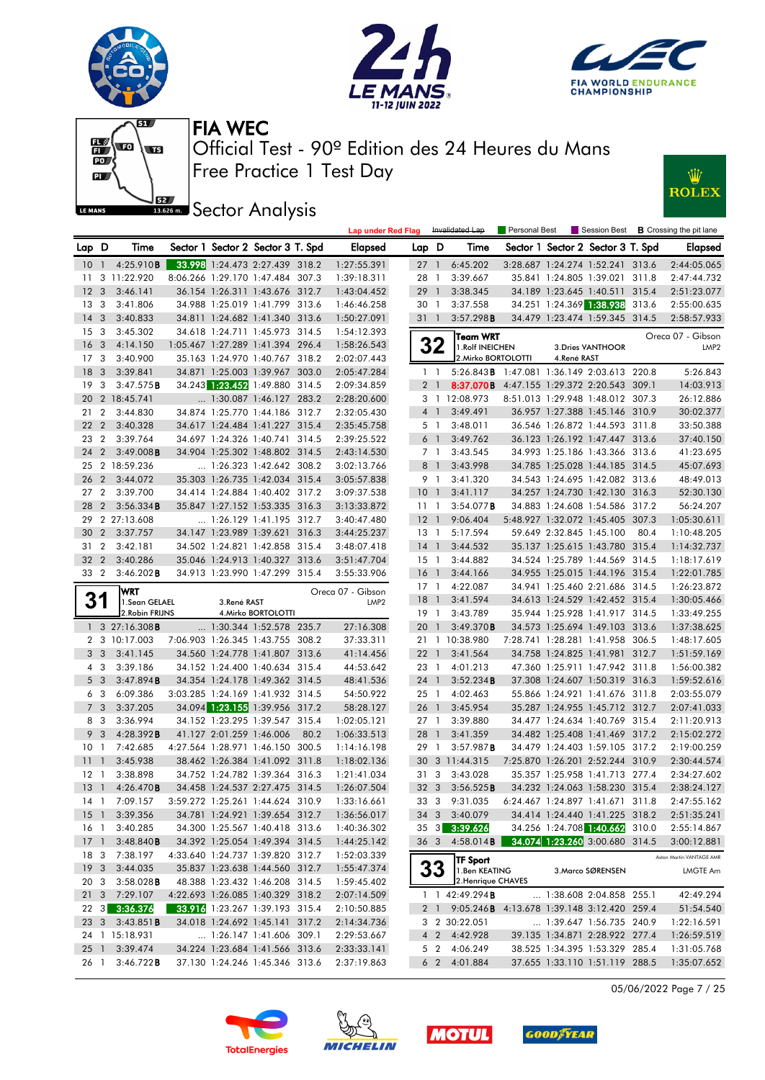





Lap under Red Flag Invalidated Lap Personal Best Session Best **B** Crossing the pit lane



Free Practice 1 Test Day Official Test - 90º Edition des 24 Heures du Mans FIA WEC



**Sector Analysis** 

| Lap D           |                 | Time                                 |             | Sector 1 Sector 2 Sector 3 T. Spd |      | Elapsed                                    | Lap D           |                | Time                                                   | Sector 1 Sector 2 Sector 3 T. Spd |                   |      | Elapsed                  |
|-----------------|-----------------|--------------------------------------|-------------|-----------------------------------|------|--------------------------------------------|-----------------|----------------|--------------------------------------------------------|-----------------------------------|-------------------|------|--------------------------|
|                 |                 | 10 1 4:25.910 <b>B</b>               |             | 33.998 1:24.473 2:27.439 318.2    |      | 1:27:55.391                                | $27 \quad 1$    |                | 6:45.202                                               | 3:28.687 1:24.274 1:52.241 313.6  |                   |      | 2:44:05.065              |
| 11              |                 | 3 11:22.920                          |             | 8:06.266 1:29.170 1:47.484 307.3  |      | 1:39:18.311                                | 28 1            |                | 3:39.667                                               | 35.841 1:24.805 1:39.021 311.8    |                   |      | 2:47:44.732              |
| 12 <sup>3</sup> |                 | 3:46.141                             |             | 36.154 1:26.311 1:43.676 312.7    |      | 1:43:04.452                                | 29 1            |                | 3:38.345                                               | 34.189 1:23.645 1:40.511 315.4    |                   |      | 2:51:23.077              |
| 13 <sub>3</sub> |                 | 3:41.806                             |             | 34.988 1:25.019 1:41.799 313.6    |      | 1:46:46.258                                | 30 1            |                | 3:37.558                                               | 34.251 1:24.369 1:38.938 313.6    |                   |      | 2:55:00.635              |
| $14 \quad 3$    |                 | 3:40.833                             |             | 34.811 1:24.682 1:41.340 313.6    |      | 1:50:27.091                                | $31 \quad 1$    |                | 3:57.298B                                              | 34.479 1:23.474 1:59.345 314.5    |                   |      | 2:58:57.933              |
|                 | 15 <sub>3</sub> | 3:45.302                             |             | 34.618 1:24.711 1:45.973 314.5    |      | 1:54:12.393                                |                 |                | Team WRT                                               |                                   |                   |      | Oreca 07 - Gibson        |
| 16 <sub>3</sub> |                 | 4:14.150                             |             | 1:05.467 1:27.289 1:41.394 296.4  |      | 1:58:26.543                                |                 | 32             | 1. Rolf INEICHEN                                       |                                   | 3. Dries VANTHOOR |      | LMP <sub>2</sub>         |
| 17 <sub>3</sub> |                 | 3:40.900                             |             | 35.163 1:24.970 1:40.767 318.2    |      | 2:02:07.443                                |                 |                | 2. Mirko BORTOLOTTI                                    | 4.René RAST                       |                   |      |                          |
| 18 <sup>3</sup> |                 | 3:39.841                             |             | 34.871 1:25.003 1:39.967 303.0    |      | 2:05:47.284                                | 1 <sub>1</sub>  |                | 5:26.843B 1:47.081 1:36.149 2:03.613 220.8             |                                   |                   |      | 5:26.843                 |
|                 | 19 <sup>3</sup> | 3:47.575B                            |             | 34.243 1:23.452 1:49.880 314.5    |      | 2:09:34.859                                |                 | 2 <sub>1</sub> | 8:37.070B 4:47.155 1:29.372 2:20.543 309.1             |                                   |                   |      | 14:03.913                |
|                 |                 | 20 2 18:45.741                       |             | 1:30.087 1:46.127 283.2           |      | 2:28:20.600                                |                 |                | 3 1 12:08.973                                          | 8:51.013 1:29.948 1:48.012 307.3  |                   |      | 26:12.886                |
|                 | 21 2            | 3:44.830                             |             | 34.874 1:25.770 1:44.186 312.7    |      | 2:32:05.430                                |                 | 4 1            | 3:49.491                                               | 36.957 1:27.388 1:45.146 310.9    |                   |      | 30:02.377                |
|                 | 22 2            | 3:40.328                             |             | 34.617 1:24.484 1:41.227 315.4    |      | 2:35:45.758                                |                 | 5 1            | 3:48.011                                               | 36.546 1:26.872 1:44.593 311.8    |                   |      | 33:50.388                |
|                 | 23 2            | 3:39.764                             |             | 34.697 1:24.326 1:40.741 314.5    |      | 2:39:25.522                                | 6 1             |                | 3:49.762                                               | 36.123 1:26.192 1:47.447 313.6    |                   |      | 37:40.150                |
|                 | 24 2            | 3:49.008B                            |             | 34.904 1:25.302 1:48.802 314.5    |      | 2:43:14.530                                |                 | 7 1            | 3:43.545                                               | 34.993 1:25.186 1:43.366 313.6    |                   |      | 41:23.695                |
|                 |                 | 25 2 18:59.236                       |             | $\ldots$ 1:26.323 1:42.642 308.2  |      | 3:02:13.766                                |                 | 8 1            | 3:43.998                                               | 34.785 1:25.028 1:44.185 314.5    |                   |      | 45:07.693                |
|                 |                 | 26 2 3:44.072                        |             | 35.303 1:26.735 1:42.034 315.4    |      | 3:05:57.838                                |                 | 9 1            | 3:41.320                                               | 34.543 1:24.695 1:42.082 313.6    |                   |      | 48:49.013                |
|                 | 27 2            | 3:39.700                             |             | 34.414 1:24.884 1:40.402 317.2    |      | 3:09:37.538                                | 10 <sub>1</sub> |                | 3:41.117                                               | 34.257 1:24.730 1:42.130 316.3    |                   |      | 52:30.130                |
|                 | 28 2            | 3:56.334B                            |             | 35.847 1:27.152 1:53.335 316.3    |      | 3:13:33.872                                | $11-1$          |                | 3:54.077B                                              | 34.883 1:24.608 1:54.586 317.2    |                   |      | 56:24.207                |
|                 |                 | 29 2 27:13.608                       |             | 1:26.129 1:41.195 312.7           |      | 3:40:47.480                                | $12-1$          |                | 9:06.404                                               | 5:48.927 1:32.072 1:45.405 307.3  |                   |      | 1:05:30.611              |
|                 |                 | 30 2 3:37.757                        |             | 34.147 1:23.989 1:39.621 316.3    |      | 3:44:25.237                                | 13 1            |                | 5:17.594                                               | 59.649 2:32.845 1:45.100          |                   | 80.4 | 1:10:48.205              |
|                 | 31 2            | 3:42.181                             |             | 34.502 1:24.821 1:42.858 315.4    |      | 3:48:07.418                                | $14-1$          |                | 3:44.532                                               | 35.137 1:25.615 1:43.780 315.4    |                   |      | 1:14:32.737              |
|                 | 32 2            | 3:40.286                             |             | 35.046 1:24.913 1:40.327 313.6    |      | 3:51:47.704                                | $15-1$          |                | 3:44.882                                               | 34.524 1:25.789 1:44.569 314.5    |                   |      | 1:18:17.619              |
|                 | 33 2            | $3:46.202$ <b>B</b>                  |             | 34.913 1:23.990 1:47.299 315.4    |      | 3:55:33.906                                | 16 1            |                | 3:44.166                                               | 34.955 1:25.015 1:44.196 315.4    |                   |      | 1:22:01.785              |
|                 |                 | <b>WRT</b>                           |             |                                   |      | Oreca 07 - Gibson                          |                 |                | 17 1 4:22.087                                          | 34.941 1:25.460 2:21.686 314.5    |                   |      | 1:26:23.872              |
|                 | 31              | 1.Sean GELAEL                        | 3.René RAST |                                   |      | LMP <sub>2</sub>                           | 18 <sup>1</sup> |                | 3:41.594                                               | 34.613 1:24.529 1:42.452 315.4    |                   |      | 1:30:05.466              |
|                 |                 | 2. Robin FRIJNS                      |             | 4. Mirko BORTOLOTTI               |      |                                            | 19 1            |                | 3:43.789                                               | 35.944 1:25.928 1:41.917 314.5    |                   |      | 1:33:49.255              |
|                 |                 | $1 \quad 3 \quad 27:16.308$ <b>B</b> |             | $\ldots$ 1:30.344 1:52.578 235.7  |      | 27:16.308                                  | 20 1            |                | 3:49.370B                                              | 34.573 1:25.694 1:49.103 313.6    |                   |      | 1:37:38.625              |
|                 |                 | 2 3 10:17.003                        |             | 7:06.903 1:26.345 1:43.755 308.2  |      | 37:33.311                                  |                 |                | 21 1 10:38.980                                         | 7:28.741 1:28.281 1:41.958 306.5  |                   |      | 1:48:17.605              |
|                 | 3 <sub>3</sub>  | 3:41.145                             |             | 34.560 1:24.778 1:41.807 313.6    |      | 41:14.456                                  | $22 \quad 1$    |                | 3:41.564                                               | 34.758 1:24.825 1:41.981 312.7    |                   |      | 1:51:59.169              |
|                 | 4 3             | 3:39.186                             |             | 34.152 1:24.400 1:40.634 315.4    |      | 44:53.642                                  | 23 1            |                | 4:01.213                                               | 47.360 1:25.911 1:47.942 311.8    |                   |      | 1:56:00.382              |
|                 | 5 <sub>3</sub>  | 3:47.894B                            |             | 34.354 1:24.178 1:49.362 314.5    |      | 48:41.536                                  | 24 1            |                | 3:52.234B                                              | 37.308 1:24.607 1:50.319 316.3    |                   |      | 1:59:52.616              |
|                 | 6 3             | 6:09.386                             |             | 3:03.285 1:24.169 1:41.932 314.5  |      | 54:50.922                                  | 25 1            |                | 4:02.463                                               | 55.866 1:24.921 1:41.676 311.8    |                   |      | 2:03:55.079              |
|                 | 7 <sub>3</sub>  | 3:37.205                             |             | 34.094 1:23.155 1:39.956 317.2    |      | 58:28.127                                  | 26 1            |                | 3:45.954                                               | 35.287 1:24.955 1:45.712 312.7    |                   |      | 2:07:41.033              |
|                 | 8 3             | 3:36.994                             |             | 34.152 1:23.295 1:39.547 315.4    |      | 1:02:05.121                                | 27 1            |                | 3:39.880                                               | 34.477 1:24.634 1:40.769 315.4    |                   |      | 2:11:20.913              |
|                 | 9 <sup>3</sup>  | 4:28.392B                            |             | 41.127 2:01.259 1:46.006          | 80.2 | 1:06:33.513                                | 28 1            |                | 3:41.359                                               | 34.482 1:25.408 1:41.469 317.2    |                   |      | 2:15:02.272              |
| 10 <sub>1</sub> |                 | 7:42.685                             |             | 4:27.564 1:28.971 1:46.150 300.5  |      | 1:14:16.198                                | 29 1            |                | 3:57.987B                                              | 34.479 1:24.403 1:59.105 317.2    |                   |      | 2:19:00.259              |
| $11 \quad 1$    |                 | 3:45.938                             |             | 38.462 1:26.384 1:41.092 311.8    |      | 1:18:02.136                                |                 |                | 30 3 11:44.315                                         | 7:25.870 1:26.201 2:52.244 310.9  |                   |      | 2:30:44.574              |
| $12-1$          |                 | 3:38.898                             |             | 34.752 1:24.782 1:39.364 316.3    |      | 1:21:41.034                                | 31 3            |                | 3:43.028                                               | 35.357 1:25.958 1:41.713 277.4    |                   |      | 2:34:27.602              |
| $13-1$          |                 | 4:26.470B                            |             | 34.458 1:24.537 2:27.475 314.5    |      | 1:26:07.504                                | 32 <sub>3</sub> |                | 3:56.525B                                              | 34.232 1:24.063 1:58.230 315.4    |                   |      | 2:38:24.127              |
|                 |                 | 14 1 7:09.157                        |             | 3:59.272 1:25.261 1:44.624 310.9  |      | 1:33:16.661                                |                 |                | 33 3 9:31.035                                          | 6:24.467 1:24.897 1:41.671 311.8  |                   |      | 2:47:55.162              |
|                 |                 | 15 1 3:39.356                        |             |                                   |      | 34.781 1:24.921 1:39.654 312.7 1:36:56.017 |                 |                | 34 3 3:40.079                                          | 34.414 1:24.440 1:41.225 318.2    |                   |      | 2:51:35.241              |
|                 |                 | 16 1 3:40.285                        |             | 34.300 1:25.567 1:40.418 313.6    |      | 1:40:36.302                                |                 |                | 35 3 3:39.626                                          | 34.256 1:24.708 1:40.662 310.0    |                   |      | 2:55:14.867              |
|                 | $17-1$          | 3:48.840B                            |             | 34.392 1:25.054 1:49.394 314.5    |      | 1:44:25.142                                | 36 <sup>3</sup> |                | 4:58.014B                                              | 34.074 1:23.260 3:00.680 314.5    |                   |      | 3:00:12.881              |
|                 | 18 3            | 7:38.197                             |             | 4:33.640 1:24.737 1:39.820 312.7  |      | 1:52:03.339                                |                 |                | <b>TF Sport</b>                                        |                                   |                   |      | Aston Martin VANTAGE AMR |
| 19 <sup>3</sup> |                 | 3:44.035                             |             | 35.837 1:23.638 1:44.560 312.7    |      | 1:55:47.374                                |                 | 33             | 1.Ben KEATING                                          |                                   | 3. Marco SØRENSEN |      | LMGTE Am                 |
| 20 3            |                 | $3:58.028$ <b>B</b>                  |             | 48.388 1:23.432 1:46.208 314.5    |      | 1:59:45.402                                |                 |                | 2. Henrique CHAVES                                     |                                   |                   |      |                          |
| $21 \quad 3$    |                 | 7:29.107                             |             | 4:22.693 1:26.085 1:40.329 318.2  |      | 2:07:14.509                                |                 |                | 1 1 42:49.294 <b>B</b>                                 | $\ldots$ 1:38.608 2:04.858 255.1  |                   |      | 42:49.294                |
|                 | 223             | 3:36.376                             |             | 33.916 1:23.267 1:39.193 315.4    |      | 2:10:50.885                                |                 |                | 2 1 9:05.246 <b>B</b> 4:13.678 1:39.148 3:12.420 259.4 |                                   |                   |      | 51:54.540                |
|                 | 23 3            | 3:43.851B                            |             | 34.018 1:24.692 1:45.141 317.2    |      | 2:14:34.736                                |                 |                | 3 2 30:22.051                                          | 1:39.647 1:56.735 240.9           |                   |      | 1:22:16.591              |
|                 |                 | 24 1 15:18.931                       |             | 1:26.147 1:41.606 309.1           |      | 2:29:53.667                                |                 |                | 4 2 4:42.928                                           | 39.135 1:34.871 2:28.922 277.4    |                   |      | 1:26:59.519              |
|                 | $25-1$<br>26 1  | 3:39.474                             |             | 34.224 1:23.684 1:41.566 313.6    |      | 2:33:33.141                                |                 |                | 5 2 4:06.249<br>6 2 4:01.884                           | 38.525 1:34.395 1:53.329 285.4    |                   |      | 1:31:05.768              |
|                 |                 | 3:46.722B                            |             | 37.130 1:24.246 1:45.346 313.6    |      | 2:37:19.863                                |                 |                |                                                        | 37.655 1:33.110 1:51.119 288.5    |                   |      | 1:35:07.652              |

05/06/2022 Page 7 / 25





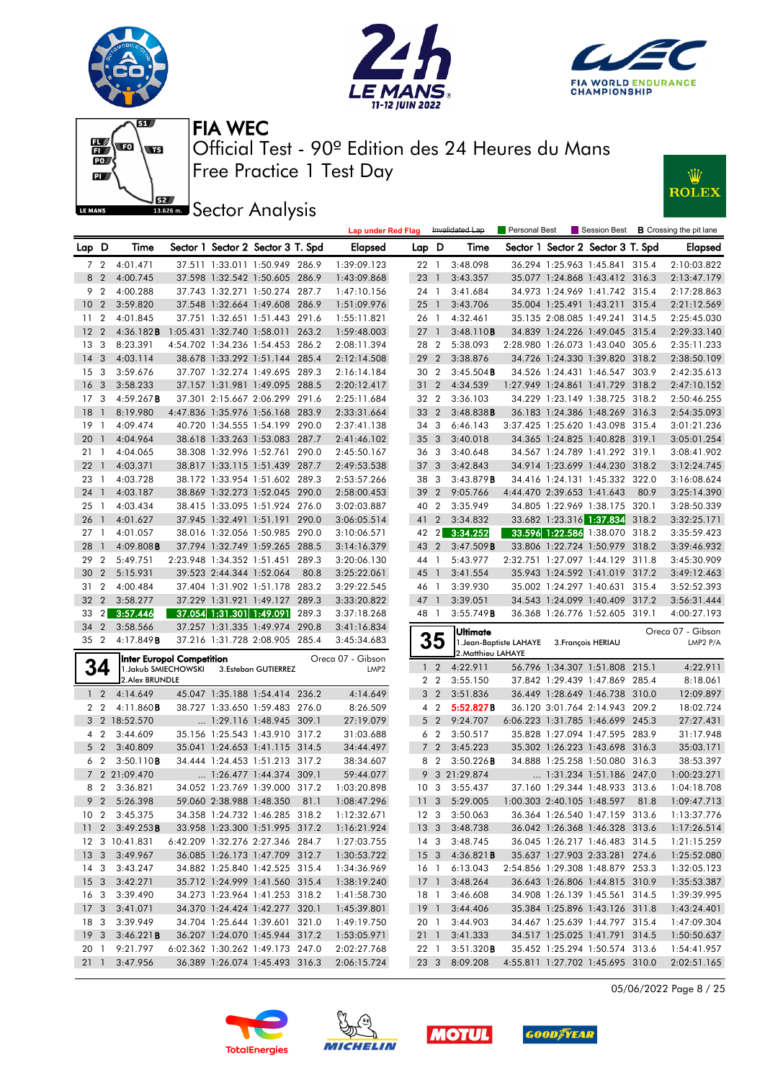







**J**BEZ Sector Analysis



|                 |                          |                                  |                          |                                   |       | <b>Lap under Red Flag</b> |                 |                         | Invalidated Lap    | Personal Best           |                            |                                   |      | Session Best <b>B</b> Crossing the pit lane |
|-----------------|--------------------------|----------------------------------|--------------------------|-----------------------------------|-------|---------------------------|-----------------|-------------------------|--------------------|-------------------------|----------------------------|-----------------------------------|------|---------------------------------------------|
| Lap D           |                          | Time                             |                          | Sector 1 Sector 2 Sector 3 T. Spd |       | Elapsed                   | Lap D           |                         | Time               |                         |                            | Sector 1 Sector 2 Sector 3 T. Spd |      | Elapsed                                     |
|                 | 7 <sub>2</sub>           | 4:01.471                         |                          | 37.511 1:33.011 1:50.949 286.9    |       | 1:39:09.123               | 22 1            |                         | 3:48.098           |                         |                            | 36.294 1:25.963 1:45.841 315.4    |      | 2:10:03.822                                 |
|                 | 8 2                      | 4:00.745                         |                          | 37.598 1:32.542 1:50.605 286.9    |       | 1:43:09.868               | 23 1            |                         | 3:43.357           |                         |                            | 35.077 1:24.868 1:43.412 316.3    |      | 2:13:47.179                                 |
| 9               | $\overline{2}$           | 4:00.288                         |                          | 37.743 1:32.271 1:50.274 287.7    |       | 1:47:10.156               | 24 1            |                         | 3:41.684           |                         |                            | 34.973 1:24.969 1:41.742 315.4    |      | 2:17:28.863                                 |
| 10 <sub>2</sub> |                          | 3:59.820                         |                          | 37.548 1:32.664 1:49.608 286.9    |       | 1:51:09.976               | 25 <sub>1</sub> |                         | 3:43.706           |                         |                            | 35.004 1:25.491 1:43.211 315.4    |      | 2:21:12.569                                 |
| 11              | $\overline{2}$           | 4:01.845                         |                          | 37.751 1:32.651 1:51.443 291.6    |       | 1:55:11.821               | 26 1            |                         | 4:32.461           |                         |                            | 35.135 2:08.085 1:49.241 314.5    |      | 2:25:45.030                                 |
| 12              | $\overline{2}$           | 4:36.182B                        |                          | 1:05.431 1:32.740 1:58.011 263.2  |       | 1:59:48.003               | 27              | $\overline{1}$          | 3:48.110B          |                         |                            | 34.839 1:24.226 1:49.045 315.4    |      | 2:29:33.140                                 |
| 13              | 3                        | 8:23.391                         |                          | 4:54.702 1:34.236 1:54.453 286.2  |       | 2:08:11.394               | 28 2            |                         | 5:38.093           |                         |                            | 2:28.980 1:26.073 1:43.040 305.6  |      | 2:35:11.233                                 |
| 14              | $\overline{\mathbf{3}}$  | 4:03.114                         |                          | 38.678 1:33.292 1:51.144 285.4    |       | 2:12:14.508               | 29              | $\overline{2}$          | 3:38.876           |                         |                            | 34.726 1:24.330 1:39.820 318.2    |      | 2:38:50.109                                 |
| 15              | 3                        | 3:59.676                         |                          | 37.707 1:32.274 1:49.695 289.3    |       | 2:16:14.184               | 30              | $\overline{2}$          | 3:45.504B          |                         |                            | 34.526 1:24.431 1:46.547 303.9    |      | 2:42:35.613                                 |
| 16              | $\overline{\mathbf{3}}$  | 3:58.233                         |                          | 37.157 1:31.981 1:49.095 288.5    |       | 2:20:12.417               | 31 2            |                         | 4:34.539           |                         |                            | 1:27.949 1:24.861 1:41.729 318.2  |      | 2:47:10.152                                 |
| 17              | 3                        | 4:59.267B                        |                          | 37.301 2:15.667 2:06.299 291.6    |       | 2:25:11.684               | 32 2            |                         | 3:36.103           |                         |                            | 34.229 1:23.149 1:38.725 318.2    |      | 2:50:46.255                                 |
| 18              | $\overline{1}$           | 8:19.980                         |                          | 4:47.836 1:35.976 1:56.168 283.9  |       | 2:33:31.664               | 33 2            |                         | 3:48.838B          |                         |                            | 36.183 1:24.386 1:48.269 316.3    |      | 2:54:35.093                                 |
| 19              | $\overline{1}$           | 4:09.474                         |                          | 40.720 1:34.555 1:54.199 290.0    |       | 2:37:41.138               | 343             |                         | 6:46.143           |                         |                            | 3:37.425 1:25.620 1:43.098 315.4  |      | 3:01:21.236                                 |
| 20              | $\overline{1}$           | 4:04.964                         |                          | 38.618 1:33.263 1:53.083 287.7    |       | 2:41:46.102               | 35 <sub>3</sub> |                         | 3:40.018           |                         |                            | 34.365 1:24.825 1:40.828 319.1    |      | 3:05:01.254                                 |
| 21              | - 1                      | 4:04.065                         |                          | 38.308 1:32.996 1:52.761 290.0    |       | 2:45:50.167               | 363             |                         | 3:40.648           |                         |                            | 34.567 1:24.789 1:41.292 319.1    |      | 3:08:41.902                                 |
| 22              | $\overline{\phantom{a}}$ | 4:03.371                         |                          | 38.817 1:33.115 1:51.439 287.7    |       | 2:49:53.538               | 37              | $\overline{\mathbf{3}}$ | 3:42.843           |                         |                            | 34.914 1:23.699 1:44.230 318.2    |      | 3:12:24.745                                 |
| 23              | $\overline{1}$           | 4:03.728                         |                          | 38.172 1:33.954 1:51.602 289.3    |       | 2:53:57.266               | 38              | -3                      | 3:43.879B          |                         |                            | 34.416 1:24.131 1:45.332 322.0    |      | 3:16:08.624                                 |
| 24 1            |                          | 4:03.187                         |                          | 38.869 1:32.273 1:52.045 290.0    |       | 2:58:00.453               | 39              | $\overline{2}$          | 9:05.766           |                         | 4:44.470 2:39.653 1:41.643 |                                   | 80.9 | 3:25:14.390                                 |
| 25              | - 1                      | 4:03.434                         |                          | 38.415 1:33.095 1:51.924 276.0    |       | 3:02:03.887               | 40 2            |                         | 3:35.949           |                         |                            | 34.805 1:22.969 1:38.175 320.1    |      | 3:28:50.339                                 |
| 26              | $\overline{1}$           | 4:01.627                         |                          | 37.945 1:32.491 1:51.191          | 290.0 | 3:06:05.514               | 41 2            |                         | 3:34.832           |                         |                            | 33.682 1:23.316 1:37.834 318.2    |      | 3:32:25.171                                 |
| 27              | $\overline{1}$           | 4:01.057                         |                          | 38.016 1:32.056 1:50.985 290.0    |       | 3:10:06.571               | 42 2            |                         | 3:34.252           |                         |                            | 33.596 1:22.586 1:38.070 318.2    |      | 3:35:59.423                                 |
| 28              | $\overline{1}$           | $4:09.808$ B                     |                          | 37.794 1:32.749 1:59.265 288.5    |       | 3:14:16.379               | 43 2            |                         | 3:47.509B          |                         |                            | 33.806 1:22.724 1:50.979 318.2    |      | 3:39:46.932                                 |
| 29              | $\overline{2}$           | 5:49.751                         |                          | 2:23.948 1:34.352 1:51.451 289.3  |       | 3:20:06.130               | 44 1            |                         | 5:43.977           |                         |                            | 2:32.751 1:27.097 1:44.129 311.8  |      | 3:45:30.909                                 |
| 30              | $\overline{2}$           | 5:15.931                         | 39.523 2:44.344 1:52.064 |                                   | 80.8  | 3:25:22.061               | 45 1            |                         | 3:41.554           |                         |                            | 35.943 1:24.592 1:41.019 317.2    |      | 3:49:12.463                                 |
| 31 2            |                          | 4:00.484                         |                          | 37.404 1:31.902 1:51.178 283.2    |       | 3:29:22.545               | 46 1            |                         | 3:39.930           |                         |                            | 35.002 1:24.297 1:40.631 315.4    |      | 3:52:52.393                                 |
| 32              | $\overline{2}$           | 3:58.277                         |                          | 37.229 1:31.921 1:49.127 289.3    |       | 3:33:20.822               | 47 1            |                         | 3:39.051           |                         |                            | 34.543 1:24.099 1:40.409 317.2    |      | 3:56:31.444                                 |
| 33              |                          | 2 3:57.446                       | 37.054 1:31.301 1:49.091 |                                   | 289.3 | 3:37:18.268               | 48 1            |                         | 3:55.749B          |                         |                            | 36.368 1:26.776 1:52.605 319.1    |      | 4:00:27.193                                 |
| 34              | $\overline{2}$           | 3:58.566                         |                          | 37.257 1:31.335 1:49.974          | 290.8 | 3:41:16.834               |                 |                         | <b>Ultimate</b>    |                         |                            |                                   |      | Oreca 07 - Gibson                           |
| 35 2            |                          | 4:17.849B                        |                          | 37.216 1:31.728 2:08.905 285.4    |       | 3:45:34.683               |                 | 35                      |                    | 1. Jean-Baptiste LAHAYE |                            | 3. François HERIAU                |      | LMP2 P/A                                    |
|                 |                          | <b>Inter Europol Competition</b> |                          |                                   |       | Oreca 07 - Gibson         |                 |                         | 2. Matthieu LAHAYE |                         |                            |                                   |      |                                             |
|                 | 34                       | 1. Jakub SMIECHOWSKI             |                          | 3.Esteban GUTIERREZ               |       | LMP <sub>2</sub>          | $\mathbf{1}$    | $\overline{2}$          | 4:22.911           |                         |                            | 56.796 1:34.307 1:51.808 215.1    |      | 4:22.911                                    |
|                 |                          | 2. Alex BRUNDLE                  |                          |                                   |       |                           |                 | 2 <sub>2</sub>          | 3:55.150           |                         |                            | 37.842 1:29.439 1:47.869 285.4    |      | 8:18.061                                    |
|                 | 1 <sub>2</sub>           | 4:14.649                         |                          | 45.047 1:35.188 1:54.414 236.2    |       | 4:14.649                  |                 | 3 <sub>2</sub>          | 3:51.836           |                         |                            | 36.449 1:28.649 1:46.738 310.0    |      | 12:09.897                                   |
|                 | 2 <sub>2</sub>           | 4:11.860B                        |                          | 38.727 1:33.650 1:59.483 276.0    |       | 8:26.509                  |                 | $4\quad2$               | 5:52.827B          |                         |                            | 36.120 3:01.764 2:14.943 209.2    |      | 18:02.724                                   |
|                 |                          | 3 2 18:52.570                    |                          | 1:29.116 1:48.945 309.1           |       | 27:19.079                 | 5               | $\overline{2}$          | 9:24.707           |                         |                            | 6:06.223 1:31.785 1:46.699 245.3  |      | 27:27.431                                   |
|                 | 4 2                      | 3:44.609                         |                          | 35.156 1:25.543 1:43.910 317.2    |       | 31:03.688                 |                 | 6 <sub>2</sub>          | 3:50.517           |                         |                            | 35.828 1:27.094 1:47.595 283.9    |      | 31:17.948                                   |
|                 | 5 <sub>2</sub>           | 3:40.809                         |                          | 35.041 1:24.653 1:41.115 314.5    |       | 34:44.497                 | $\overline{7}$  | $\overline{2}$          | 3:45.223           |                         |                            | 35.302 1:26.223 1:43.698 316.3    |      | 35:03.171                                   |
|                 | 6 2                      | 3:50.110B                        |                          | 34.444 1:24.453 1:51.213 317.2    |       | 38:34.607                 |                 | 8 2                     | $3:50.226$ B       |                         |                            | 34.888 1:25.258 1:50.080 316.3    |      | 38:53.397                                   |
|                 |                          | 7 2 21:09.470                    |                          | $\ldots$ 1:26.477 1:44.374 309.1  |       | 59:44.077                 | 9               |                         | 3 21:29.874        |                         |                            | 1:31.234 1:51.186 247.0           |      | 1:00:23.271                                 |
|                 | 8 2                      | 3:36.821                         |                          | 34.052 1:23.769 1:39.000 317.2    |       | 1:03:20.898               | 10 <sub>3</sub> |                         | 3:55.437           |                         |                            | 37.160 1:29.344 1:48.933 313.6    |      | 1:04:18.708                                 |
|                 | 9 <sub>2</sub>           | 5:26.398                         |                          | 59.060 2:38.988 1:48.350 81.1     |       | 1:08:47.296               |                 |                         | 11 3 5:29.005      |                         |                            | 1:00.303 2:40.105 1:48.597 81.8   |      | 1:09:47.713                                 |
| 10 <sub>2</sub> |                          | 3:45.375                         |                          | 34.358 1:24.732 1:46.285 318.2    |       | 1:12:32.671               |                 | 12 3                    | 3:50.063           |                         |                            | 36.364 1:26.540 1:47.159 313.6    |      | 1:13:37.776                                 |
|                 |                          | 11 2 3:49.253 <b>B</b>           |                          | 33.958 1:23.300 1:51.995 317.2    |       | 1:16:21.924               | 13 3            |                         | 3:48.738           |                         |                            | 36.042 1:26.368 1:46.328 313.6    |      | 1:17:26.514                                 |
|                 |                          | 12 3 10:41.831                   |                          | 6:42.209 1:32.276 2:27.346 284.7  |       | 1:27:03.755               |                 | 14 3                    | 3:48.745           |                         |                            | 36.045 1:26.217 1:46.483 314.5    |      | 1:21:15.259                                 |
| 13 <sub>3</sub> |                          | 3:49.967                         |                          | 36.085 1:26.173 1:47.709 312.7    |       | 1:30:53.722               | $15 \quad 3$    |                         | 4:36.821B          |                         |                            | 35.637 1:27.903 2:33.281 274.6    |      | 1:25:52.080                                 |
| 14 3            |                          | 3:43.247                         |                          | 34.882 1:25.840 1:42.525 315.4    |       | 1:34:36.969               | 16 1            |                         | 6:13.043           |                         |                            | 2:54.856 1:29.308 1:48.879 253.3  |      | 1:32:05.123                                 |
| 15 <sub>3</sub> |                          | 3:42.271                         |                          | 35.712 1:24.999 1:41.560 315.4    |       | 1:38:19.240               | 17 <sup>1</sup> |                         | 3:48.264           |                         |                            | 36.643 1:26.806 1:44.815 310.9    |      | 1:35:53.387                                 |
| 16 3            |                          | 3:39.490                         |                          | 34.273 1:23.964 1:41.253 318.2    |       | 1:41:58.730               | 18 1            |                         | 3:46.608           |                         |                            | 34.908 1:26.139 1:45.561 314.5    |      | 1:39:39.995                                 |
| 17 <sub>3</sub> |                          | 3:41.071                         |                          | 34.370 1:24.424 1:42.277 320.1    |       | 1:45:39.801               |                 | 19 1                    | 3:44.406           |                         |                            | 35.384 1:25.896 1:43.126 311.8    |      | 1:43:24.401                                 |
| 18 3            |                          | 3:39.949                         |                          | 34.704 1:25.644 1:39.601 321.0    |       | 1:49:19.750               | 20 1            |                         | 3:44.903           |                         |                            | 34.467 1:25.639 1:44.797 315.4    |      | 1:47:09.304                                 |
| 19 <sup>3</sup> |                          | 3:46.221B                        |                          | 36.207 1:24.070 1:45.944 317.2    |       | 1:53:05.971               | $21 \quad 1$    |                         | 3:41.333           |                         |                            | 34.517 1:25.025 1:41.791 314.5    |      | 1:50:50.637                                 |
| 20 1            |                          | 9:21.797                         |                          | 6:02.362 1:30.262 1:49.173 247.0  |       | 2:02:27.768               | 22 1            |                         | 3:51.320B          |                         |                            | 35.452 1:25.294 1:50.574 313.6    |      | 1:54:41.957                                 |
| 21 1            |                          | 3:47.956                         |                          | 36.389 1:26.074 1:45.493 316.3    |       | 2:06:15.724               |                 | 23 3                    | 8:09.208           |                         |                            | 4:55.811 1:27.702 1:45.695 310.0  |      | 2:02:51.165                                 |

05/06/2022 Page 8 / 25







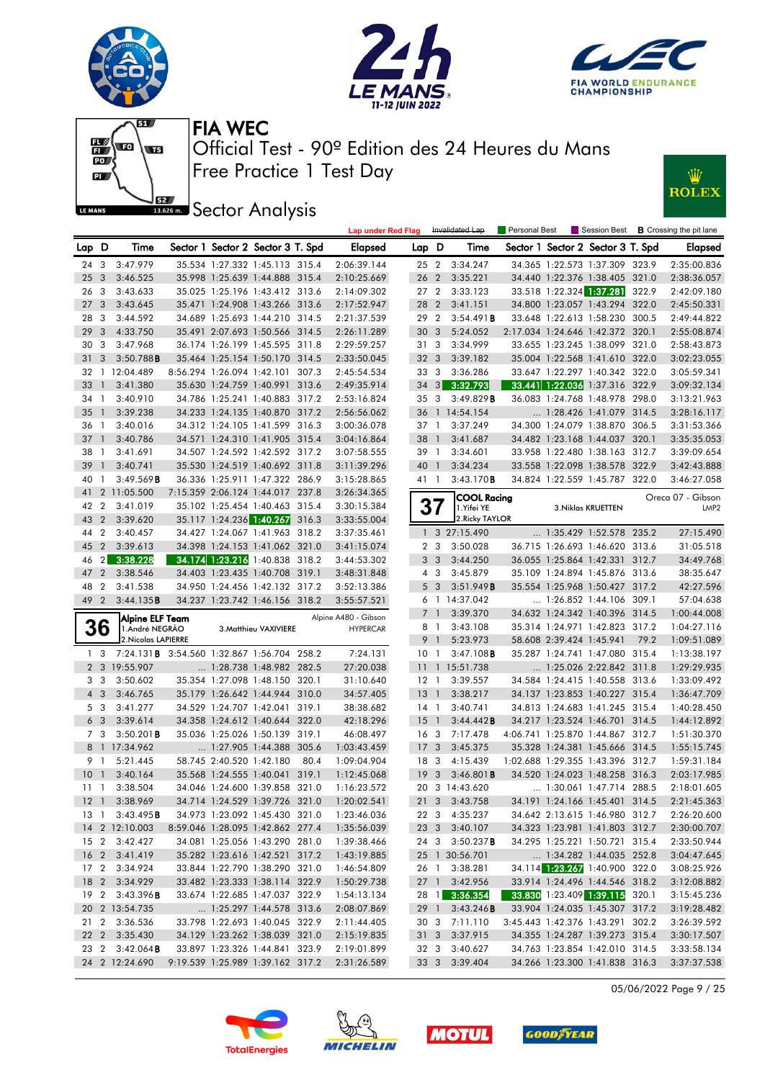









**J**<br>**Bassem Sector Analysis** 

|                 |                         |                                                    |                                  |                                   |      | <b>Lap under Red Flag</b>               |                 |                | Invalidated Lap                  | Personal Best |                          |                                       |       | Session Best <b>B</b> Crossing the pit lane |
|-----------------|-------------------------|----------------------------------------------------|----------------------------------|-----------------------------------|------|-----------------------------------------|-----------------|----------------|----------------------------------|---------------|--------------------------|---------------------------------------|-------|---------------------------------------------|
| Lap D           |                         | Time                                               |                                  | Sector 1 Sector 2 Sector 3 T. Spd |      | <b>Elapsed</b>                          | Lap D           |                | Time                             |               |                          | Sector 1 Sector 2 Sector 3 T. Spd     |       | Elapsed                                     |
| 24              | 3                       | 3:47.979                                           |                                  | 35.534 1:27.332 1:45.113 315.4    |      | 2:06:39.144                             | $25\quad2$      |                | 3:34.247                         |               |                          | 34.365 1:22.573 1:37.309 323.9        |       | 2:35:00.836                                 |
| 25              | $\overline{3}$          | 3:46.525                                           |                                  | 35.998 1:25.639 1:44.888 315.4    |      | 2:10:25.669                             | 26 2            |                | 3:35.221                         |               |                          | 34.440 1:22.376 1:38.405 321.0        |       | 2:38:36.057                                 |
| 26              | $\overline{\mathbf{3}}$ | 3:43.633                                           |                                  | 35.025 1:25.196 1:43.412 313.6    |      | 2:14:09.302                             | 27 <sub>2</sub> |                | 3:33.123                         |               |                          | 33.518 1:22.324 1:37.281 322.9        |       | 2:42:09.180                                 |
| 27              | $\mathbf{3}$            | 3:43.645                                           |                                  | 35.471 1:24.908 1:43.266 313.6    |      | 2:17:52.947                             | 28 2            |                | 3:41.151                         |               |                          | 34.800 1:23.057 1:43.294 322.0        |       | 2:45:50.331                                 |
| 28              | -3                      | 3:44.592                                           |                                  | 34.689 1:25.693 1:44.210 314.5    |      | 2:21:37.539                             | 29              | $\overline{2}$ | 3:54.491B                        |               |                          | 33.648 1:22.613 1:58.230 300.5        |       | 2:49:44.822                                 |
| 29              | $\overline{3}$          | 4:33.750                                           |                                  | 35.491 2:07.693 1:50.566 314.5    |      | 2:26:11.289                             | 30              | $\mathbf{3}$   | 5:24.052                         |               |                          | 2:17.034 1:24.646 1:42.372 320.1      |       | 2:55:08.874                                 |
| 30 3            |                         | 3:47.968                                           |                                  | 36.174 1:26.199 1:45.595 311.8    |      | 2:29:59.257                             | 31 3            |                | 3:34.999                         |               |                          | 33.655 1:23.245 1:38.099 321.0        |       | 2:58:43.873                                 |
| 31              | 3                       | 3:50.788B                                          |                                  | 35.464 1:25.154 1:50.170 314.5    |      | 2:33:50.045                             | 32 <sub>3</sub> |                | 3:39.182                         |               |                          | 35.004 1:22.568 1:41.610 322.0        |       | 3:02:23.055                                 |
| 32              |                         | 1 12:04.489                                        |                                  | 8:56.294 1:26.094 1:42.101 307.3  |      | 2:45:54.534                             | 33              | $\mathbf{3}$   | 3:36.286                         |               |                          | 33.647 1:22.297 1:40.342 322.0        |       | 3:05:59.341                                 |
| 33              | $\mathbf{1}$            | 3:41.380                                           |                                  | 35.630 1:24.759 1:40.991 313.6    |      | 2:49:35.914                             | 34              | 3              | 3:32.793                         |               |                          | 33.441 1:22.036 1:37.316 322.9        |       | 3:09:32.134                                 |
| 34 1            |                         | 3:40.910                                           |                                  | 34.786 1:25.241 1:40.883 317.2    |      | 2:53:16.824                             | 35 3            |                | 3:49.829B                        |               |                          | 36.083 1:24.768 1:48.978 298.0        |       | 3:13:21.963                                 |
| 35              | $\overline{1}$          | 3:39.238                                           |                                  | 34.233 1:24.135 1:40.870 317.2    |      | 2:56:56.062                             |                 |                | 36 1 14:54.154                   |               |                          | 1:28.426 1:41.079 314.5               |       | 3:28:16.117                                 |
| 36              | $\overline{1}$          | 3:40.016                                           |                                  | 34.312 1:24.105 1:41.599 316.3    |      | 3:00:36.078                             | 37 1            |                | 3:37.249                         |               |                          | 34.300 1:24.079 1:38.870              | 306.5 | 3:31:53.366                                 |
| 37              | $\overline{1}$          | 3:40.786                                           |                                  | 34.571 1:24.310 1:41.905 315.4    |      | 3:04:16.864                             | 38              | $\overline{1}$ | 3:41.687                         |               |                          | 34.482 1:23.168 1:44.037 320.1        |       | 3:35:35.053                                 |
| 38              | $\overline{1}$          | 3:41.691                                           |                                  | 34.507 1:24.592 1:42.592 317.2    |      | 3:07:58.555                             | 39 1            |                | 3:34.601                         |               |                          | 33.958 1:22.480 1:38.163 312.7        |       | 3:39:09.654                                 |
| 39              | $\overline{1}$          | 3:40.741                                           |                                  | 35.530 1:24.519 1:40.692 311.8    |      | 3:11:39.296                             | 40 1            |                | 3:34.234                         |               |                          | 33.558 1:22.098 1:38.578 322.9        |       | 3:42:43.888                                 |
| 40              | $\mathbf{1}$            | 3:49.569B                                          |                                  | 36.336 1:25.911 1:47.322 286.9    |      | 3:15:28.865                             | 41 1            |                | 3:43.170B                        |               |                          | 34.824 1:22.559 1:45.787 322.0        |       | 3:46:27.058                                 |
| 41              |                         | 2 11:05.500                                        |                                  | 7:15.359 2:06.124 1:44.017 237.8  |      | 3:26:34.365                             |                 |                |                                  |               |                          |                                       |       |                                             |
| 42              | $\overline{2}$          | 3:41.019                                           |                                  | 35.102 1:25.454 1:40.463 315.4    |      | 3:30:15.384                             |                 |                | <b>COOL Racina</b><br>1.Yifei YE |               |                          | 3. Niklas KRUETTEN                    |       | Oreca 07 - Gibson<br>LMP <sub>2</sub>       |
| 43              | $\overline{2}$          | 3:39.620                                           |                                  | 35.117 1:24.236 1:40.267 316.3    |      | 3:33:55.004                             |                 |                | 2. Ricky TAYLOR                  |               |                          |                                       |       |                                             |
| 44              | $\overline{2}$          | 3:40.457                                           |                                  | 34.427 1:24.067 1:41.963 318.2    |      | 3:37:35.461                             |                 |                | 1 3 27:15.490                    |               |                          | 1:35.429 1:52.578 235.2               |       | 27:15.490                                   |
| 45              | $\overline{2}$          | 3:39.613                                           |                                  | 34.398 1:24.153 1:41.062 321.0    |      | 3:41:15.074                             |                 | 2 <sub>3</sub> | 3:50.028                         |               |                          | 36.715 1:26.693 1:46.620 313.6        |       | 31:05.518                                   |
| 46              |                         | 2 3:38.228                                         |                                  | 34.174 1:23.216 1:40.838 318.2    |      | 3:44:53.302                             |                 | 3 <sub>3</sub> | 3:44.250                         |               |                          | 36.055 1:25.864 1:42.331 312.7        |       | 34:49.768                                   |
| 47              | $\overline{2}$          | 3:38.546                                           |                                  | 34.403 1:23.435 1:40.708 319.1    |      | 3:48:31.848                             |                 | 4 3            | 3:45.879                         |               |                          | 35.109 1:24.894 1:45.876 313.6        |       | 38:35.647                                   |
| 48              | $\overline{2}$          | 3:41.538                                           |                                  | 34.950 1:24.456 1:42.132 317.2    |      | 3:52:13.386                             |                 | 5 <sub>3</sub> | 3:51.949B                        |               |                          | 35.554 1:25.968 1:50.427 317.2        |       | 42:27.596                                   |
| 49 2            |                         | 3:44.135B                                          |                                  | 34.237 1:23.742 1:46.156 318.2    |      | 3:55:57.521                             |                 |                | 6 1 14:37.042                    |               |                          | 1:26.852 1:44.106 309.1               |       | 57:04.638                                   |
|                 |                         |                                                    |                                  |                                   |      |                                         |                 | 7 <sub>1</sub> | 3:39.370                         |               |                          | 34.632 1:24.342 1:40.396 314.5        |       | 1:00:44.008                                 |
|                 | 36                      | Alpine ELF Team<br>1.André NEGRÃO                  |                                  | 3. Matthieu VAXIVIERE             |      | Alpine A480 - Gibson<br><b>HYPERCAR</b> |                 | 8 1            | 3:43.108                         |               |                          | 35.314 1:24.971 1:42.823 317.2        |       | 1:04:27.116                                 |
|                 |                         | 2. Nicolas LAPIERRE                                |                                  |                                   |      |                                         |                 | 9 1            | 5:23.973                         |               | 58.608 2:39.424 1:45.941 |                                       | 79.2  | 1:09:51.089                                 |
|                 | 1 <sub>3</sub>          | 7:24.131 <b>B</b> 3:54.560 1:32.867 1:56.704 258.2 |                                  |                                   |      | 7:24.131                                | 10 <sub>1</sub> |                | $3:47.108$ <b>B</b>              |               |                          | 35.287 1:24.741 1:47.080 315.4        |       | 1:13:38.197                                 |
|                 |                         | 2 3 19:55.907                                      |                                  | 1:28.738 1:48.982 282.5           |      | 27:20.038                               |                 |                | 11 1 15:51.738                   |               |                          | 1:25.026 2:22.842 311.8               |       | 1:29:29.935                                 |
|                 | 3 <sub>3</sub>          | 3:50.602                                           |                                  | 35.354 1:27.098 1:48.150 320.1    |      | 31:10.640                               | $12-1$          |                | 3:39.557                         |               |                          | 34.584 1:24.415 1:40.558 313.6        |       | 1:33:09.492                                 |
|                 | $4 \quad 3$             | 3:46.765                                           |                                  | 35.179 1:26.642 1:44.944 310.0    |      | 34:57.405                               | 13 <sup>1</sup> |                | 3:38.217                         |               |                          | 34.137 1:23.853 1:40.227 315.4        |       | 1:36:47.709                                 |
|                 | 5 3                     | 3:41.277                                           |                                  | 34.529 1:24.707 1:42.041 319.1    |      | 38:38.682                               | $14-1$          |                | 3:40.741                         |               |                          | 34.813 1:24.683 1:41.245 315.4        |       | 1:40:28.450                                 |
|                 | 6 <sub>3</sub>          | 3:39.614                                           |                                  | 34.358 1:24.612 1:40.644 322.0    |      | 42:18.296                               | $15-1$          |                | 3:44.442B                        |               |                          | 34.217 1:23.524 1:46.701 314.5        |       | 1:44:12.892                                 |
|                 | 7 <sub>3</sub>          | $3:50.201$ <b>B</b>                                |                                  | 35.036 1:25.026 1:50.139 319.1    |      | 46:08.497                               | 16 <sub>3</sub> |                | 7:17.478                         |               |                          | 4:06.741 1:25.870 1:44.867 312.7      |       | 1:51:30.370                                 |
|                 |                         | 8 1 17:34.962                                      |                                  | 1:27.905 1:44.388 305.6           |      | 1:03:43.459                             | 17 <sub>3</sub> |                | 3:45.375                         |               |                          | 35.328 1:24.381 1:45.666 314.5        |       | 1:55:15.745                                 |
|                 | 9 1                     | 5:21.445                                           | 58.745 2:40.520 1:42.180         |                                   | 80.4 | 1:09:04.904                             | 18 3            |                | 4:15.439                         |               |                          | 1:02.688 1:29.355 1:43.396 312.7      |       | 1:59:31.184                                 |
| 10 <sub>1</sub> |                         | 3:40.164                                           |                                  | 35.568 1:24.555 1:40.041 319.1    |      | 1:12:45.068                             | 19 <sup>3</sup> |                | $3:46.801$ <b>B</b>              |               |                          | 34.520 1:24.023 1:48.258 316.3        |       | 2:03:17.985                                 |
| $11 \quad 1$    |                         | 3:38.504                                           |                                  | 34.046 1:24.600 1:39.858 321.0    |      | 1:16:23.572                             |                 |                | 20 3 14:43.620                   |               |                          | $\ldots$ 1:30.061 1:47.714 288.5      |       | 2:18:01.605                                 |
|                 |                         | 12 1 3:38.969                                      |                                  | 34.714 1:24.529 1:39.726 321.0    |      | 1:20:02.541                             |                 |                | 21 3 3:43.758                    |               |                          | 34.191 1:24.166 1:45.401 314.5        |       | 2:21:45.363                                 |
|                 |                         | 13 1 3:43.495 <b>B</b>                             |                                  | 34.973 1:23.092 1:45.430 321.0    |      | 1:23:46.036                             |                 |                | 22 3 4:35.237                    |               |                          | 34.642 2:13.615 1:46.980 312.7        |       | 2:26:20.600                                 |
|                 |                         | 14 2 12:10.003                                     |                                  | 8:59.046 1:28.095 1:42.862 277.4  |      | 1:35:56.039                             |                 |                | 23 3 3:40.107                    |               |                          | 34.323 1:23.981 1:41.803 312.7        |       | 2:30:00.707                                 |
|                 |                         | 15 2 3:42.427                                      |                                  | 34.081 1:25.056 1:43.290 281.0    |      | 1:39:38.466                             |                 |                | 24 3 3:50.237 <b>B</b>           |               |                          | 34.295 1:25.221 1:50.721 315.4        |       | 2:33:50.944                                 |
|                 |                         | 16 2 3:41.419                                      |                                  | 35.282 1:23.616 1:42.521 317.2    |      | 1:43:19.885                             |                 |                | 25 1 30:56.701                   |               |                          | 1:34.282 1:44.035 252.8               |       | 3:04:47.645                                 |
|                 |                         | 17 2 3:34.924                                      |                                  | 33.844 1:22.790 1:38.290 321.0    |      | 1:46:54.809                             |                 |                | 26 1 3:38.281                    |               |                          | 34.114 1:23.267 1:40.900 322.0        |       | 3:08:25.926                                 |
|                 |                         | 18 2 3:34.929                                      |                                  | 33.482 1:23.333 1:38.114 322.9    |      | 1:50:29.738                             |                 |                | 27 1 3:42.956                    |               |                          | 33.914 1:24.496 1:44.546 318.2        |       | 3:12:08.882                                 |
|                 |                         | 19 2 3:43.396 <b>B</b>                             |                                  | 33.674 1:22.685 1:47.037 322.9    |      | 1:54:13.134                             |                 |                | 28 1 3:36.354                    |               |                          | <b>33.830</b> 1:23.409 1:39.115 320.1 |       | 3:15:45.236                                 |
|                 |                         | 20 2 13:54.735                                     |                                  | 1:25.297 1:44.578 313.6           |      | 2:08:07.869                             |                 |                | 29 1 3:43.246 <b>B</b>           |               |                          | 33.904 1:24.035 1:45.307 317.2        |       | 3:19:28.482                                 |
|                 |                         | 21 2 3:36.536                                      |                                  | 33.798 1:22.693 1:40.045 322.9    |      | 2:11:44.405                             |                 |                | 30 3 7:11.110                    |               |                          | 3:45.443 1:42.376 1:43.291 302.2      |       | 3:26:39.592                                 |
|                 |                         | 22 2 3:35.430                                      |                                  | 34.129 1:23.262 1:38.039 321.0    |      | 2:15:19.835                             |                 |                | 31 3 3:37.915                    |               |                          | 34.355 1:24.287 1:39.273 315.4        |       | 3:30:17.507                                 |
|                 |                         | 23 2 3:42.064 <b>B</b>                             |                                  | 33.897 1:23.326 1:44.841 323.9    |      | 2:19:01.899                             |                 |                | 32 3 3:40.627                    |               |                          | 34.763 1:23.854 1:42.010 314.5        |       | 3:33:58.134                                 |
|                 |                         | 24 2 12:24.690                                     | 9:19.539 1:25.989 1:39.162 317.2 |                                   |      | 2:31:26.589                             |                 |                | 33 3 3:39.404                    |               |                          | 34.266 1:23.300 1:41.838 316.3        |       | 3:37:37.538                                 |

05/06/2022 Page 9 / 25







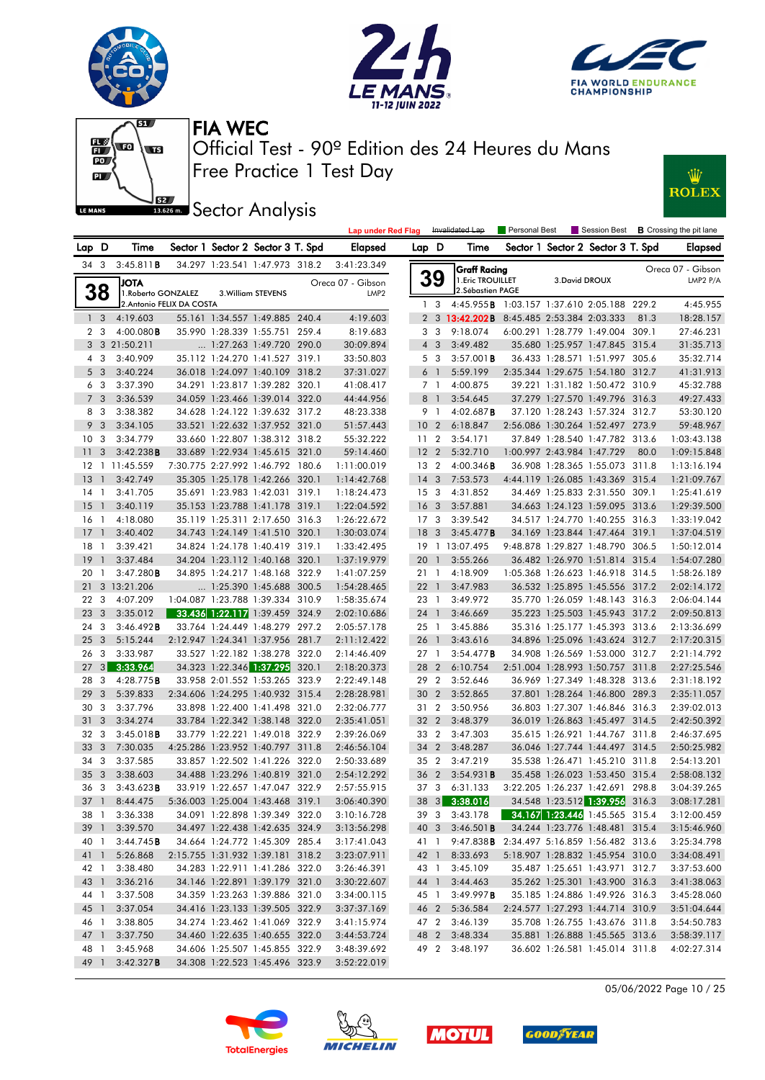







**Lap under Red Flag** Invalidated Lap

**JEE** Sector Analysis



|                 |                         |                           |                                   |                    |       | <b>Lap under Red Flag</b> |                 |                         | Invalidated Lap                            | Personal Best |                |                                   |      | Session Best <b>B</b> Crossing the pit lane |
|-----------------|-------------------------|---------------------------|-----------------------------------|--------------------|-------|---------------------------|-----------------|-------------------------|--------------------------------------------|---------------|----------------|-----------------------------------|------|---------------------------------------------|
| Lap D           |                         | Time                      | Sector 1 Sector 2 Sector 3 T. Spd |                    |       | Elapsed                   | Lap D           |                         | Time                                       |               |                | Sector 1 Sector 2 Sector 3 T. Spd |      | Elapsed                                     |
|                 | 343                     | 3:45.811B                 | 34.297 1:23.541 1:47.973 318.2    |                    |       | 3:41:23.349               |                 |                         | <b>Graff Racina</b>                        |               |                |                                   |      | Oreca 07 - Gibson                           |
|                 |                         | <b>JOTA</b>               |                                   |                    |       | Oreca 07 - Gibson         |                 | 39                      | 1. Eric TROUILLET                          |               | 3. David DROUX |                                   |      | LMP2 P/A                                    |
|                 | 38                      | 1. Roberto GONZALEZ       |                                   | 3. William STEVENS |       | LMP <sub>2</sub>          |                 |                         | 2. Sébastien PAGE                          |               |                |                                   |      |                                             |
|                 |                         | 2. Antonio FELIX DA COSTA |                                   |                    |       |                           |                 | 1 <sup>3</sup>          | 4:45.955B 1:03.157 1:37.610 2:05.188 229.2 |               |                |                                   |      | 4:45.955                                    |
|                 | 1 <sub>3</sub>          | 4:19.603                  | 55.161 1:34.557 1:49.885 240.4    |                    |       | 4:19.603                  |                 |                         | 2 3 13:42.202B 8:45.485 2:53.384 2:03.333  |               |                |                                   | 81.3 | 18:28.157                                   |
|                 | 2 <sub>3</sub>          | 4:00.080B                 | 35.990 1:28.339 1:55.751 259.4    |                    |       | 8:19.683                  |                 | 3 <sub>3</sub>          | 9:18.074                                   |               |                | 6:00.291 1:28.779 1:49.004 309.1  |      | 27:46.231                                   |
|                 |                         | 3 3 21:50.211             | 1:27.263 1:49.720 290.0           |                    |       | 30:09.894                 |                 | $4 \quad 3$             | 3:49.482                                   |               |                | 35.680 1:25.957 1:47.845 315.4    |      | 31:35.713                                   |
|                 | 4 3                     | 3:40.909                  | 35.112 1:24.270 1:41.527 319.1    |                    |       | 33:50.803                 |                 | 5 <sub>3</sub>          | $3:57.001$ <b>B</b>                        |               |                | 36.433 1:28.571 1:51.997 305.6    |      | 35:32.714                                   |
|                 | 5 <sub>3</sub>          | 3:40.224                  | 36.018 1:24.097 1:40.109 318.2    |                    |       | 37:31.027                 |                 | 6 <sup>1</sup>          | 5:59.199                                   |               |                | 2:35.344 1:29.675 1:54.180 312.7  |      | 41:31.913                                   |
|                 | 6 <sub>3</sub>          | 3:37.390                  | 34.291 1:23.817 1:39.282 320.1    |                    |       | 41:08.417                 |                 | 7 1                     | 4:00.875                                   |               |                | 39.221 1:31.182 1:50.472 310.9    |      | 45:32.788                                   |
|                 | 7 <sub>3</sub>          | 3:36.539                  | 34.059 1:23.466 1:39.014 322.0    |                    |       | 44:44.956                 |                 | 8 <sup>1</sup>          | 3:54.645                                   |               |                | 37.279 1:27.570 1:49.796 316.3    |      | 49:27.433                                   |
|                 | 8 3                     | 3:38.382                  | 34.628 1:24.122 1:39.632 317.2    |                    |       | 48:23.338                 |                 | 9 1                     | 4:02.687B                                  |               |                | 37.120 1:28.243 1:57.324 312.7    |      | 53:30.120                                   |
|                 | 9 <sub>3</sub>          | 3:34.105                  | 33.521 1:22.632 1:37.952 321.0    |                    |       | 51:57.443                 | 10 <sub>2</sub> |                         | 6:18.847                                   |               |                | 2:56.086 1:30.264 1:52.497 273.9  |      | 59:48.967                                   |
| 10 <sub>3</sub> |                         | 3:34.779                  | 33.660 1:22.807 1:38.312 318.2    |                    |       | 55:32.222                 | 11 <sub>2</sub> |                         | 3:54.171                                   |               |                | 37.849 1:28.540 1:47.782 313.6    |      | 1:03:43.138                                 |
| 11              | - 3                     | 3:42.238B                 | 33.689 1:22.934 1:45.615 321.0    |                    |       | 59:14.460                 | 12 <sub>2</sub> |                         | 5:32.710                                   |               |                | 1:00.997 2:43.984 1:47.729        | 80.0 | 1:09:15.848                                 |
|                 |                         | 12 1 11:45.559            | 7:30.775 2:27.992 1:46.792 180.6  |                    |       | 1:11:00.019               | 13 <sub>2</sub> |                         | $4:00.346$ <b>B</b>                        |               |                | 36.908 1:28.365 1:55.073 311.8    |      | 1:13:16.194                                 |
| 13              | $\overline{1}$          | 3:42.749                  | 35.305 1:25.178 1:42.266 320.1    |                    |       | 1:14:42.768               | $14 \quad 3$    |                         | 7:53.573                                   |               |                | 4:44.119 1:26.085 1:43.369 315.4  |      | 1:21:09.767                                 |
| 14 1            |                         | 3:41.705                  | 35.691 1:23.983 1:42.031 319.1    |                    |       | 1:18:24.473               | 15 <sub>3</sub> |                         | 4:31.852                                   |               |                | 34.469 1:25.833 2:31.550 309.1    |      | 1:25:41.619                                 |
| 15              | $\overline{1}$          | 3:40.119                  | 35.153 1:23.788 1:41.178 319.1    |                    |       | 1:22:04.592               | 16              | $\overline{\mathbf{3}}$ | 3:57.881                                   |               |                | 34.663 1:24.123 1:59.095 313.6    |      | 1:29:39.500                                 |
| 16              | $\overline{1}$          | 4:18.080                  | 35.119 1:25.311 2:17.650 316.3    |                    |       | 1:26:22.672               | 17 <sub>3</sub> |                         | 3:39.542                                   |               |                | 34.517 1:24.770 1:40.255 316.3    |      | 1:33:19.042                                 |
| 17              | $\overline{1}$          | 3:40.402                  | 34.743 1:24.149 1:41.510 320.1    |                    |       | 1:30:03.074               | 18              | $\mathbf{3}$            | 3:45.477B                                  |               |                | 34.169 1:23.844 1:47.464 319.1    |      | 1:37:04.519                                 |
| 18              | -1                      | 3:39.421                  | 34.824 1:24.178 1:40.419 319.1    |                    |       | 1:33:42.495               |                 |                         | 19 1 13:07.495                             |               |                | 9:48.878 1:29.827 1:48.790 306.5  |      | 1:50:12.014                                 |
| 19              | $\overline{1}$          | 3:37.484                  | 34.204 1:23.112 1:40.168 320.1    |                    |       | 1:37:19.979               | 20 1            |                         | 3:55.266                                   |               |                | 36.482 1:26.970 1:51.814 315.4    |      | 1:54:07.280                                 |
| 20              | $\overline{1}$          | 3:47.280B                 | 34.895 1:24.217 1:48.168 322.9    |                    |       | 1:41:07.259               |                 | $21 \quad 1$            | 4:18.909                                   |               |                | 1:05.368 1:26.623 1:46.918 314.5  |      | 1:58:26.189                                 |
| 21              |                         | 3 13:21.206               | 1:25.390 1:45.688 300.5           |                    |       | 1:54:28.465               | $22 \quad 1$    |                         | 3:47.983                                   |               |                | 36.532 1:25.895 1:45.556 317.2    |      | 2:02:14.172                                 |
| 22 3            |                         | 4:07.209                  | 1:04.087 1:23.788 1:39.334 310.9  |                    |       | 1:58:35.674               |                 | 23 1                    | 3:49.972                                   |               |                | 35.770 1:26.059 1:48.143 316.3    |      | 2:06:04.144                                 |
| 23              | $\mathbf{3}$            | 3:35.012                  | 33.436 1:22.117 1:39.459 324.9    |                    |       | 2:02:10.686               | 24 1            |                         | 3:46.669                                   |               |                | 35.223 1:25.503 1:45.943 317.2    |      | 2:09:50.813                                 |
| 24              | $\overline{\mathbf{3}}$ | 3:46.492B                 | 33.764 1:24.449 1:48.279 297.2    |                    |       | 2:05:57.178               | $25-1$          |                         | 3:45.886                                   |               |                | 35.316 1:25.177 1:45.393 313.6    |      | 2:13:36.699                                 |
| 25              | $\mathbf{3}$            | 5:15.244                  | 2:12.947 1:24.341 1:37.956 281.7  |                    |       | 2:11:12.422               | 26 1            |                         | 3:43.616                                   |               |                | 34.896 1:25.096 1:43.624 312.7    |      | 2:17:20.315                                 |
| 26              | -3                      | 3:33.987                  | 33.527 1:22.182 1:38.278 322.0    |                    |       | 2:14:46.409               | 27 1            |                         | 3:54.477B                                  |               |                | 34.908 1:26.569 1:53.000 312.7    |      | 2:21:14.792                                 |
| 27              | 3                       | 3:33.964                  | 34.323 1:22.346 1:37.295          |                    | 320.1 | 2:18:20.373               |                 | 28 2                    | 6:10.754                                   |               |                | 2:51.004 1:28.993 1:50.757 311.8  |      | 2:27:25.546                                 |
| 28              | 3                       | 4:28.775B                 | 33.958 2:01.552 1:53.265 323.9    |                    |       | 2:22:49.148               |                 | 29 2                    | 3:52.646                                   |               |                | 36.969 1:27.349 1:48.328 313.6    |      | 2:31:18.192                                 |
| 29              | 3                       | 5:39.833                  | 2:34.606 1:24.295 1:40.932 315.4  |                    |       | 2:28:28.981               | 30 2            |                         | 3:52.865                                   |               |                | 37.801 1:28.264 1:46.800 289.3    |      | 2:35:11.057                                 |
| 30              | $\overline{3}$          | 3:37.796                  | 33.898 1:22.400 1:41.498 321.0    |                    |       | 2:32:06.777               |                 | 31 2                    | 3:50.956                                   |               |                | 36.803 1:27.307 1:46.846 316.3    |      | 2:39:02.013                                 |
| 31              | 3                       | 3:34.274                  | 33.784 1:22.342 1:38.148 322.0    |                    |       | 2:35:41.051               | 32 2            |                         | 3:48.379                                   |               |                | 36.019 1:26.863 1:45.497 314.5    |      | 2:42:50.392                                 |
| 32              | $\overline{\mathbf{3}}$ | 3:45.018B                 | 33.779 1:22.221 1:49.018 322.9    |                    |       | 2:39:26.069               |                 | 33 2                    | 3:47.303                                   |               |                | 35.615 1:26.921 1:44.767 311.8    |      | 2:46:37.695                                 |
| 33              | $\overline{\mathbf{3}}$ | 7:30.035                  | 4:25.286 1:23.952 1:40.797 311.8  |                    |       | 2:46:56.104               | 34 2            |                         | 3:48.287                                   |               |                | 36.046 1:27.744 1:44.497 314.5    |      | 2:50:25.982                                 |
| 34 3            |                         | 3:37.585                  | 33.857 1:22.502 1:41.226 322.0    |                    |       | 2:50:33.689               | 35 2            |                         | 3:47.219                                   |               |                | 35.538 1:26.471 1:45.210 311.8    |      | 2:54:13.201                                 |
| 35              | $\overline{\mathbf{3}}$ | 3:38.603                  | 34.488 1:23.296 1:40.819 321.0    |                    |       | 2:54:12.292               |                 | 36 2                    | $3:54.931$ B                               |               |                | 35.458 1:26.023 1:53.450 315.4    |      | 2:58:08.132                                 |
| 36              | $\mathbf{3}$            | 3:43.623B                 | 33.919 1:22.657 1:47.047 322.9    |                    |       | 2:57:55.915               |                 | 37 3                    | 6:31.133                                   |               |                | 3:22.205 1:26.237 1:42.691 298.8  |      | 3:04:39.265                                 |
|                 |                         | 37 1 8:44.475             | 5:36.003 1:25.004 1:43.468 319.1  |                    |       | 3:06:40.390               |                 |                         | 38 3 3:38.016                              |               |                | 34.548 1:23.512 1:39.956 316.3    |      | 3:08:17.281                                 |
|                 |                         | 38 1 3:36.338             | 34.091 1:22.898 1:39.349 322.0    |                    |       | 3:10:16.728               |                 |                         | 39 3 3:43.178                              |               |                | $34.167$ 1:23.446 1:45.565 315.4  |      | 3:12:00.459                                 |
| 39 1            |                         | 3:39.570                  | 34.497 1:22.438 1:42.635 324.9    |                    |       | 3:13:56.298               |                 |                         | 40 3 3:46.501 <b>B</b>                     |               |                | 34.244 1:23.776 1:48.481 315.4    |      | 3:15:46.960                                 |
| 40 1            |                         | 3:44.745B                 | 34.664 1:24.772 1:45.309 285.4    |                    |       | 3:17:41.043               |                 | 41 1                    | 9:47.838B 2:34.497 5:16.859 1:56.482 313.6 |               |                |                                   |      | 3:25:34.798                                 |
|                 | 41 1                    | 5:26.868                  | 2:15.755 1:31.932 1:39.181 318.2  |                    |       | 3:23:07.911               |                 | 42 1                    | 8:33.693                                   |               |                | 5:18.907 1:28.832 1:45.954 310.0  |      | 3:34:08.491                                 |
|                 | 42 1                    | 3:38.480                  | 34.283 1:22.911 1:41.286 322.0    |                    |       | 3:26:46.391               |                 | 43 1                    | 3:45.109                                   |               |                | 35.487 1:25.651 1:43.971 312.7    |      | 3:37:53.600                                 |
| 43 1            |                         | 3:36.216                  | 34.146 1:22.891 1:39.179 321.0    |                    |       | 3:30:22.607               |                 | 44 1                    | 3:44.463                                   |               |                | 35.262 1:25.301 1:43.900 316.3    |      | 3:41:38.063                                 |
| 44 1            |                         | 3:37.508                  | 34.359 1:23.263 1:39.886 321.0    |                    |       | 3:34:00.115               |                 | 45 1                    | 3:49.997B                                  |               |                | 35.185 1:24.886 1:49.926 316.3    |      | 3:45:28.060                                 |
| 45 1            |                         | 3:37.054                  | 34.416 1:23.133 1:39.505 322.9    |                    |       | 3:37:37.169               | 46 2            |                         | 5:36.584                                   |               |                | 2:24.577 1:27.293 1:44.714 310.9  |      | 3:51:04.644                                 |
| 46 1            |                         | 3:38.805                  | 34.274 1:23.462 1:41.069 322.9    |                    |       | 3:41:15.974               |                 |                         | 47 2 3:46.139                              |               |                | 35.708 1:26.755 1:43.676 311.8    |      | 3:54:50.783                                 |
| 47 1            |                         | 3:37.750                  | 34.460 1:22.635 1:40.655 322.0    |                    |       | 3:44:53.724               |                 |                         | 48 2 3:48.334                              |               |                | 35.881 1:26.888 1:45.565 313.6    |      | 3:58:39.117                                 |
|                 | 48 1                    | 3:45.968                  | 34.606 1:25.507 1:45.855 322.9    |                    |       | 3:48:39.692               |                 |                         | 49 2 3:48.197                              |               |                | 36.602 1:26.581 1:45.014 311.8    |      | 4:02:27.314                                 |
| 49 1            |                         | 3:42.327B                 | 34.308 1:22.523 1:45.496 323.9    |                    |       | 3:52:22.019               |                 |                         |                                            |               |                |                                   |      |                                             |

05/06/2022 Page 10 / 25







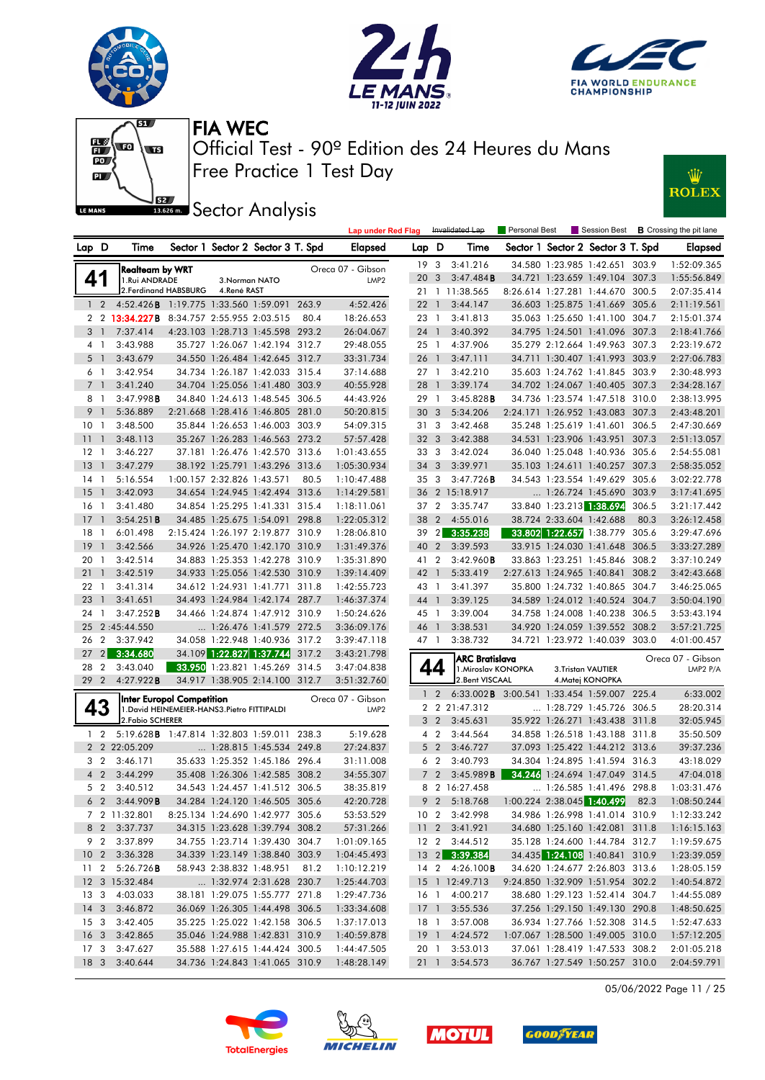







Free Practice 1 Test Day Official Test - 90º Edition des 24 Heures du Mans FIA WEC

 1 2 4:52.426B 1:19.775 1:33.560 1:59.091 263.9 4:52.426 2 2 **13:34 227B** 8:34 757 2:55.955 2:03.515 80.4 18:26.653 3 1 7:37.414 4:23.103 1:28.713 1:45.598 293.2 26:04.067 4 1 3:43.988 35.727 1:26.067 1:42.194 312.7 29:48.055 5 1 3:43.679 34.550 1:26.484 1:42.645 312.7 33:31.734 6 1 3:42.954 34.734 1:26.187 1:42.033 315.4 37:14.688 7 1 3:41.240 34.704 1:25.056 1:41.480 303.9 40:55.928 8 1 3:47.998B 34.840 1:24.613 1:48.545 306.5 44:43.926 9 1 5:36.889 2:21.668 1:28.416 1:46.805 281.0 50:20.815 10 1 3:48.500 35.844 1:26.653 1:46.003 303.9 54:09.315 11 1 3:48.113 35.267 1:26.283 1:46.563 273.2 57:57.428 12 1 3:46.227 37.181 1:26.476 1:42.570 313.6 1:01:43.655 13 1 3:47.279 38.192 1:25.791 1:43.296 313.6 1:05:30.934 14 1 5:16.554 1:00.157 2:32.826 1:43.571 80.5 1:10:47.488 15 1 3:42.093 34.654 1:24.945 1:42.494 313.6 1:14:29.581 16 1 3:41.480 34.854 1:25.295 1:41.331 315.4 1:18:11.061 17 1 3:54.251B 34.485 1:25.675 1:54.091 298.8 1:22:05.312 18 1 6:01.498 2:15.424 1:26.197 2:19.877 310.9 1:28:06.810 19 1 3:42.566 34.926 1:25.470 1:42.170 310.9 1:31:49.376 20 1 3:42.514 34.883 1:25.353 1:42.278 310.9 1:35:31.890 21 1 3:42.519 34.933 1:25.056 1:42.530 310.9 1:39:14.409 22 1 3:41.314 34.612 1:24.931 1:41.771 311.8 1:42:55.723 23 1 3:41.651 34.493 1:24.984 1:42.174 287.7 1:46:37.374 24 1 3:47.252B 34.466 1:24.874 1:47.912 310.9 1:50:24.626 25 21:45:44.550 ... 1:26.476 1:41.579 272.5 3:36:09.176 26 2 3:37.942 34.058 1:22.948 1:40.936 317.2 3:39:47.118<br>27 2 3:34.680 34.109 1:22.827 1:37.744 317.2 3:43:21.798

| <b>LE MANS</b>  |                | - 62                                       | 13.626 m.            |                            | <b>Sector Analysis</b>            |       |                           |       |                |                 |                      |                          |                                   |       |                                |
|-----------------|----------------|--------------------------------------------|----------------------|----------------------------|-----------------------------------|-------|---------------------------|-------|----------------|-----------------|----------------------|--------------------------|-----------------------------------|-------|--------------------------------|
|                 |                |                                            |                      |                            |                                   |       | <b>Lap under Red Flag</b> |       |                | Invalidated Lap | <b>Personal Best</b> |                          | Session Best                      |       | <b>B</b> Crossing the pit lane |
| Lap D           |                | Time                                       |                      |                            | Sector 1 Sector 2 Sector 3 T. Spd |       | Elapsed                   | Lap D |                | Time            |                      |                          | Sector 1 Sector 2 Sector 3 T. Spd |       | <b>Elapsed</b>                 |
|                 |                | Realteam by WRT                            |                      |                            |                                   |       | Oreca 07 - Gibson         | 19    | 3              | 3:41.216        |                      |                          | 34.580 1:23.985 1:42.651 303.9    |       | 1:52:09.365                    |
| 41              |                | 1.Rui ANDRADE                              |                      |                            | 3. Norman NATO                    |       | LMP <sub>2</sub>          | 20    | 3              | 3:47.484B       |                      |                          | 34.721 1:23.659 1:49.104 307.3    |       | 1:55:56.849                    |
|                 |                |                                            | 2.Ferdinand HABSBURG | 4.René RAST                |                                   |       |                           | 21    |                | 1 11:38.565     |                      |                          | 8:26.614 1:27.281 1:44.670 300.5  |       | 2:07:35.414                    |
|                 | $\overline{2}$ | 4:52.426B 1:19.775 1:33.560 1:59.091 263.9 |                      |                            |                                   |       | 4:52.426                  | 22    | $\overline{1}$ | 3:44.147        |                      |                          | 36.603 1:25.875 1:41.669 305.6    |       | 2:11:19.561                    |
|                 | 2 2            | 13:34.227B 8:34.757 2:55.955 2:03.515      |                      |                            |                                   | 80.4  | 18:26.653                 | 23    | -1             | 3:41.813        |                      |                          | 35.063 1:25.650 1:41.100 304.7    |       | 2:15:01.374                    |
| 3               |                | 7:37.414                                   |                      |                            | 4:23.103 1:28.713 1:45.598 293.2  |       | 26:04.067                 | 24    | $\mathbf{1}$   | 3:40.392        |                      |                          | 34.795 1:24.501 1:41.096 307.3    |       | 2:18:41.766                    |
|                 | 4 1            | 3:43.988                                   |                      |                            | 35.727 1:26.067 1:42.194 312.7    |       | 29:48.055                 | 25    | $\mathbf{1}$   | 4:37.906        |                      |                          | 35.279 2:12.664 1:49.963 307.3    |       | 2:23:19.672                    |
|                 | $5-1$          | 3:43.679                                   |                      |                            | 34.550 1:26.484 1:42.645 312.7    |       | 33:31.734                 | 26    | $\overline{1}$ | 3:47.111        |                      |                          | 34.711 1:30.407 1:41.993 303.9    |       | 2:27:06.783                    |
|                 | 61             | 3:42.954                                   |                      |                            | 34.734 1:26.187 1:42.033 315.4    |       | 37:14.688                 | 27    | $\mathbf{1}$   | 3:42.210        |                      |                          | 35.603 1:24.762 1:41.845 303.9    |       | 2:30:48.993                    |
|                 | 7 1            | 3:41.240                                   |                      |                            | 34.704 1:25.056 1:41.480 303.9    |       | 40:55.928                 | 28    | -1             | 3:39.174        |                      |                          | 34.702 1:24.067 1:40.405 307.3    |       | 2:34:28.167                    |
| 8               | -1             | 3:47.998B                                  |                      |                            | 34.840 1:24.613 1:48.545 306.5    |       | 44:43.926                 | 29    | -1             | 3:45.828B       |                      |                          | 34.736 1:23.574 1:47.518 310.0    |       | 2:38:13.995                    |
| 9 <sup>1</sup>  |                | 5:36.889                                   |                      |                            | 2:21.668 1:28.416 1:46.805 281.0  |       | 50:20.815                 | 30    | 3              | 5:34.206        |                      |                          | 2:24.171 1:26.952 1:43.083 307.3  |       | 2:43:48.201                    |
| 10 <sup>1</sup> |                | 3:48.500                                   |                      |                            | 35.844 1:26.653 1:46.003 303.9    |       | 54:09.315                 | 31    | 3              | 3:42.468        |                      |                          | 35.248 1:25.619 1:41.601 306.5    |       | 2:47:30.669                    |
| $11-1$          |                | 3:48.113                                   |                      |                            | 35.267 1:26.283 1:46.563 273.2    |       | 57:57.428                 | 32    | $\overline{3}$ | 3:42.388        |                      |                          | 34.531 1:23.906 1:43.951 307.3    |       | 2:51:13.057                    |
| 12 1            |                | 3:46.227                                   |                      |                            | 37.181 1:26.476 1:42.570 313.6    |       | 1:01:43.655               | 33    | 3              | 3:42.024        |                      |                          | 36.040 1:25.048 1:40.936 305.6    |       | 2:54:55.081                    |
| $13-1$          |                | 3:47.279                                   |                      |                            | 38.192 1:25.791 1:43.296 313.6    |       | 1:05:30.934               | 34    | 3              | 3:39.971        |                      |                          | 35.103 1:24.611 1:40.257 307.3    |       | 2:58:35.052                    |
| $14-1$          |                | 5:16.554                                   |                      | 1:00.157 2:32.826 1:43.571 |                                   | 80.5  | 1:10:47.488               | 35    | 3              | 3:47.726B       |                      |                          | 34.543 1:23.554 1:49.629 305.6    |       | 3:02:22.778                    |
| $15-1$          |                | 3:42.093                                   |                      |                            | 34.654 1:24.945 1:42.494 313.6    |       | 1:14:29.581               | 36    |                | 2 15:18.917     |                      |                          | 1:26.724 1:45.690 303.9           |       | 3:17:41.695                    |
| 16 1            |                | 3:41.480                                   |                      |                            | 34.854 1:25.295 1:41.331 315.4    |       | 1:18:11.061               | 37    | 2              | 3:35.747        |                      |                          | 33.840 1:23.213 1:38.694          | 306.5 | 3:21:17.442                    |
| $17-1$          |                | 3:54.251B                                  |                      |                            | 34.485 1:25.675 1:54.091 298.8    |       | 1:22:05.312               | 38    | 2              | 4:55.016        |                      | 38.724 2:33.604 1:42.688 |                                   | 80.3  | 3:26:12.458                    |
| 18              |                | 6:01.498                                   |                      |                            | 2:15.424 1:26.197 2:19.877 310.9  |       | 1:28:06.810               | 39    | 2              | 3:35.238        |                      |                          | 33.802 1:22.657 1:38.779          | 305.6 | 3:29:47.696                    |
| $19-1$          |                | 3:42.566                                   |                      |                            | 34.926 1:25.470 1:42.170 310.9    |       | 1:31:49.376               | 40    | $\overline{2}$ | 3:39.593        |                      |                          | 33.915 1:24.030 1:41.648 306.5    |       | 3:33:27.289                    |
| 20 <sub>1</sub> |                | 3:42.514                                   |                      |                            | 34.883 1:25.353 1:42.278 310.9    |       | 1:35:31.890               | 41    | $\overline{2}$ | 3:42.960B       |                      |                          | 33.863 1:23.251 1:45.846 308.2    |       | 3:37:10.249                    |
| $21 \quad 1$    |                | 3:42.519                                   |                      |                            | 34.933 1:25.056 1:42.530 310.9    |       | 1:39:14.409               | 42    | $\mathbf{1}$   | 5:33.419        |                      |                          | 2:27.613 1:24.965 1:40.841        | 308.2 | 3:42:43.668                    |
| $22 \quad 1$    |                | 3:41.314                                   |                      | 34.612 1:24.931 1:41.771   |                                   | 311.8 | 1:42:55.723               | 43    |                | 3:41.397        |                      |                          | 35.800 1:24.732 1:40.865 304.7    |       | 3:46:25.065                    |
| $23-1$          |                | 3:41.651                                   |                      |                            | 34.493 1:24.984 1:42.174 287.7    |       | 1:46:37.374               | 44    |                | 3:39.125        |                      |                          | 34.589 1:24.012 1:40.524 304.7    |       | 3:50:04.190                    |
| 24 1            |                | 3:47.252B                                  |                      |                            | 34.466 1:24.874 1:47.912 310.9    |       | 1:50:24.626               | 45    | -1             | 3:39.004        |                      |                          | 34.758 1:24.008 1:40.238 306.5    |       | 3:53:43.194                    |

|                | <b>ARC Bratislava</b> |                                                                                                                                                               |                                       |          |                                                                                                                                                                      | Oreca 07 - Gibson<br>LMP2 P/A |
|----------------|-----------------------|---------------------------------------------------------------------------------------------------------------------------------------------------------------|---------------------------------------|----------|----------------------------------------------------------------------------------------------------------------------------------------------------------------------|-------------------------------|
| $\mathbf{1}$   | 6:33.002B             | 3:00.541                                                                                                                                                      |                                       |          | 225.4                                                                                                                                                                | 6:33.002                      |
| $\overline{2}$ | 21:47.312             |                                                                                                                                                               | 1:28.729                              | 1:45.726 | 306.5                                                                                                                                                                | 28:20.314                     |
| 3              | 3:45.631              | 35.922                                                                                                                                                        | 1:26.271                              | 1:43.438 | 311.8                                                                                                                                                                | 32:05.945                     |
| 4              | 3:44.564              | 34.858                                                                                                                                                        | 1:26.518                              | 1:43.188 | 311.8                                                                                                                                                                | 35:50.509                     |
| 5              | 3:46.727              | 37.093                                                                                                                                                        |                                       |          | 313.6                                                                                                                                                                | 39:37.236                     |
| 6              | 3:40.793              | 34.304                                                                                                                                                        | 1:24.895                              |          | 316.3                                                                                                                                                                | 43:18.029                     |
| $\overline{7}$ | 3:45.989B             | 34.246                                                                                                                                                        |                                       |          | 314.5                                                                                                                                                                | 47:04.018                     |
| 8              | 16:27.458             |                                                                                                                                                               | 1:26.585                              | 1:41.496 | 298.8                                                                                                                                                                | 1:03:31.476                   |
| 9              | 5:18.768              | 1:00.224                                                                                                                                                      | 2:38.045                              | 1:40.499 | 82.3                                                                                                                                                                 | 1:08:50.244                   |
| 10             | 3:42.998              | 34.986                                                                                                                                                        | 1:26.998                              |          | 310.9                                                                                                                                                                | 1:12:33.242                   |
| 11             | 3:41.921              | 34.680                                                                                                                                                        | 1:25.160                              | 1:42.081 | 311.8                                                                                                                                                                | 1:16:15.163                   |
| 12             | 3:44.512              | 35.128                                                                                                                                                        | 1:24.600                              | 1:44.784 | 312.7                                                                                                                                                                | 1:19:59.675                   |
| 13             | 3:39.384              | 34.435                                                                                                                                                        | 1:24.108                              | 1:40.841 | 310.9                                                                                                                                                                | 1:23:39.059                   |
| 14             | 4:26.100B             | 34.620                                                                                                                                                        |                                       | 2:26.803 | 313.6                                                                                                                                                                | 1:28:05.159                   |
| 15<br>1        | 12:49.713             | 9:24.850                                                                                                                                                      | 1:32.909                              | 1:51.954 | 302.2                                                                                                                                                                | 1:40:54.872                   |
| 16<br>1        | 4:00.217              | 38.680                                                                                                                                                        | 1:29.123                              | 1:52.414 | 304.7                                                                                                                                                                | 1:44:55.089                   |
| 17<br>1        | 3:55.536              | 37.256                                                                                                                                                        | 1:29.150                              | 1:49.130 | 290.8                                                                                                                                                                | 1:48:50.625                   |
| 18<br>1        | 3:57.008              | 36.934                                                                                                                                                        | 1:27.766                              | 1:52.308 | 314.5                                                                                                                                                                | 1:52:47.633                   |
| 19<br>1        | 4:24.572              | 1:07.067                                                                                                                                                      | 1:28.500                              | 1:49.005 | 310.0                                                                                                                                                                | 1:57:12.205                   |
| 20<br>1        | 3:53.013              | 37.061                                                                                                                                                        | 1:28.419                              | 1:47.533 | 308.2                                                                                                                                                                | 2:01:05.218                   |
| 21<br>1        | 3:54.573              | 36.767                                                                                                                                                        |                                       |          | 310.0                                                                                                                                                                | 2:04:59.791                   |
|                |                       | $\overline{2}$<br>2<br>$\overline{2}$<br>2<br>$\overline{2}$<br>2<br>$\overline{2}$<br>2<br>$\overline{2}$<br>2<br>$\overline{2}$<br>2<br>$\overline{2}$<br>2 | 1. Miroslav KONOPKA<br>2.Bent VISCAAL |          | <b>3.Tristan VAUTIER</b><br>4. Matej KONOPKA<br>1:33.454 1:59.007<br>1:25.422 1:44.212<br>1:41.594<br>1:24.694 1:47.049<br>1:41.014<br>1:24.677<br>1:27.549 1:50.257 |                               |

46 1 3:38.531 34.920 1:24.059 1:39.552 308.2 3:57:21.725



|  | 18 3 3:40.644 |  |  | 34.736 1:24.843 1:41.065 310.9 1:48:28.149 |  |
|--|---------------|--|--|--------------------------------------------|--|
|  |               |  |  |                                            |  |
|  |               |  |  |                                            |  |

**TotalEneraies** 

34.109 1:22.827 1:37.744 317.2 3:43:21.798

 28 2 3:43.040 33.950 1:23.821 1:45.269 314.5 3:47:04.838 29 2 4:27.922B 34.917 1:38.905 2:14.100 312.7 3:51:32.760

**43** Int**er Europol Competition** Oreca 07 - Gibson **43**<br>
1.David HEINEMEIER-HANS3.Pietro FITTIPALDI LMP2<br>
2.Packia SCUERER

 1 2 5:19.628B 1:47.814 1:32.803 1:59.011 238.3 5:19.628 2 2 22:05.209 ... 1:28.815 1:45.534 249.8 27:24.837 3 2 3:46.171 35.633 1:25.352 1:45.186 296.4 31:11.008 4 2 3:44.299 35.408 1:26.306 1:42.585 308.2 34:55.307 5 2 3:40.512 34.543 1:24.457 1:41.512 306.5 38:35.819 6 2 3:44.909B 34.284 1:24.120 1:46.505 305.6 42:20.728 7 2 11:32.801 8:25.134 1:24.690 1:42.977 305.6 53:53.529 8 2 3:37.737 34.315 1:23.628 1:39.794 308.2 57:31.266 9 2 3:37.899 34.755 1:23.714 1:39.430 304.7 1:01:09.165 10 2 3:36.328 34.339 1:23.149 1:38.840 303.9 1:04:45.493 11 2 5:26.726B 58.943 2:38.832 1:48.951 81.2 1:10:12.219 12 3 15:32.484 ... 1:32.974 2:31.628 230.7 1:25:44.703 13 3 4:03.033 38.181 1:29.075 1:55.777 271.8 1:29:47.736 14 3 3:46.872 36.069 1:26.305 1:44.498 306.5 1:33:34.608 15 3 3:42.405 35.225 1:25.022 1:42.158 306.5 1:37:17.013 16 3 3:42.865 35.046 1:24.988 1:42.831 310.9 1:40:59.878 17 3 3:47.627 35.588 1:27.615 1:44.424 300.5 1:44:47.505

2.Fabio SCHERER





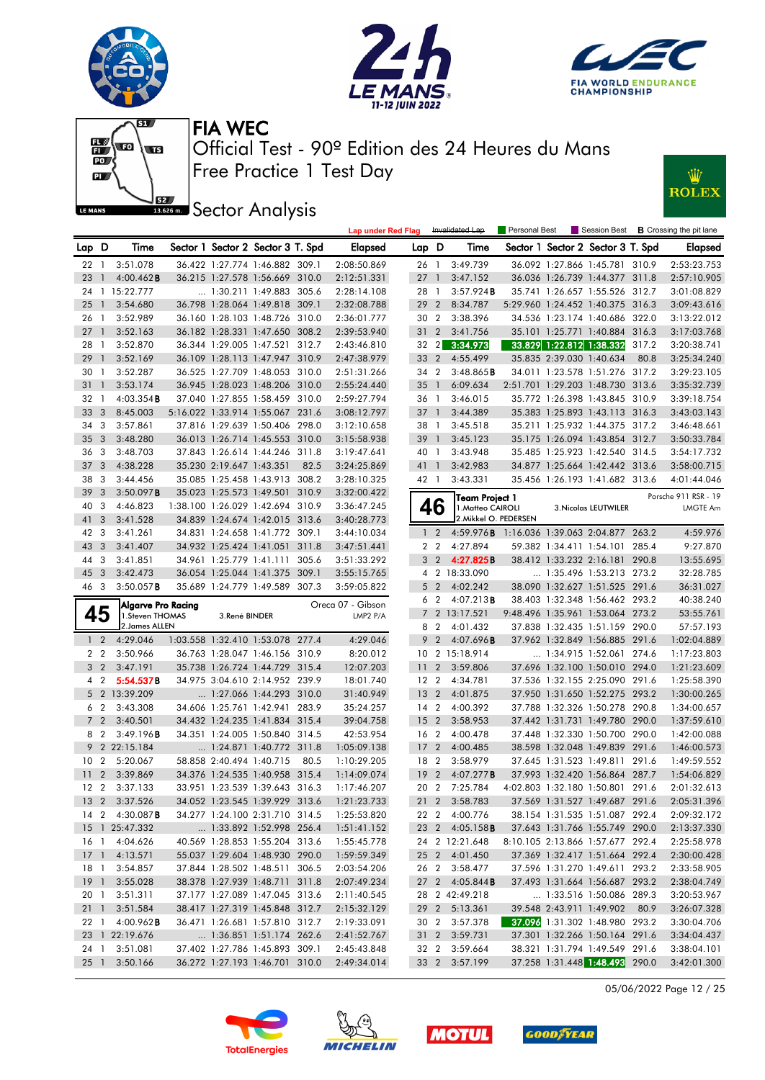











|                 |                         |                        |                          |                                   |      | <b>Lap under Red Flag</b>  |                 |                | Invalidated Lap                            | <b>Personal Best</b> |                                |                                                                  |       | Session Best <b>B</b> Crossing the pit lane |
|-----------------|-------------------------|------------------------|--------------------------|-----------------------------------|------|----------------------------|-----------------|----------------|--------------------------------------------|----------------------|--------------------------------|------------------------------------------------------------------|-------|---------------------------------------------|
| Lap D           |                         | Time                   |                          | Sector 1 Sector 2 Sector 3 T. Spd |      | Elapsed                    | Lap D           |                | Time                                       |                      |                                | Sector 1 Sector 2 Sector 3 T. Spd                                |       | Elapsed                                     |
| 22              | $\overline{1}$          | 3:51.078               |                          | 36.422 1:27.774 1:46.882 309.1    |      | 2:08:50.869                | 26 1            |                | 3:49.739                                   |                      |                                | 36.092 1:27.866 1:45.781 310.9                                   |       | 2:53:23.753                                 |
| 23              | $\mathbf{1}$            | $4:00.462$ B           |                          | 36.215 1:27.578 1:56.669 310.0    |      | 2:12:51.331                | 27              | $\overline{1}$ | 3:47.152                                   |                      |                                | 36.036 1:26.739 1:44.377 311.8                                   |       | 2:57:10.905                                 |
|                 |                         | 24 1 15:22.777         |                          | 1:30.211 1:49.883 305.6           |      | 2:28:14.108                | 28              | $\overline{1}$ | 3:57.924B                                  |                      |                                | 35.741 1:26.657 1:55.526 312.7                                   |       | 3:01:08.829                                 |
| 25              | $\overline{1}$          | 3:54.680               |                          | 36.798 1:28.064 1:49.818 309.1    |      | 2:32:08.788                | 29              | $\overline{2}$ | 8:34.787                                   |                      |                                | 5:29.960 1:24.452 1:40.375 316.3                                 |       | 3:09:43.616                                 |
| 26              | $\overline{1}$          | 3:52.989               |                          | 36.160 1:28.103 1:48.726 310.0    |      | 2:36:01.777                | 30              | $\overline{2}$ | 3:38.396                                   |                      |                                | 34.536 1:23.174 1:40.686 322.0                                   |       | 3:13:22.012                                 |
| 27              | $\overline{1}$          | 3:52.163               |                          | 36.182 1:28.331 1:47.650 308.2    |      | 2:39:53.940                | 31              | $\overline{2}$ | 3:41.756                                   |                      |                                | 35.101 1:25.771 1:40.884 316.3                                   |       | 3:17:03.768                                 |
| 28              | $\overline{1}$          | 3:52.870               |                          | 36.344 1:29.005 1:47.521 312.7    |      | 2:43:46.810                | 32 2            |                | 3:34.973                                   |                      |                                | 33.829 1:22.812 1:38.332                                         | 317.2 | 3:20:38.741                                 |
| 29              | $\overline{1}$          | 3:52.169               |                          | 36.109 1:28.113 1:47.947 310.9    |      | 2:47:38.979                | 33 2            |                | 4:55.499                                   |                      | 35.835 2:39.030 1:40.634       |                                                                  | 80.8  | 3:25:34.240                                 |
| 30              | $\overline{1}$          | 3:52.287               |                          | 36.525 1:27.709 1:48.053 310.0    |      | 2:51:31.266                | 34              | $\overline{2}$ | 3:48.865B                                  |                      |                                | 34.011 1:23.578 1:51.276 317.2                                   |       | 3:29:23.105                                 |
| 31              | $\mathbf{1}$            | 3:53.174               |                          | 36.945 1:28.023 1:48.206 310.0    |      | 2:55:24.440                | 35              | $\overline{1}$ | 6:09.634                                   |                      |                                | 2:51.701 1:29.203 1:48.730 313.6                                 |       | 3:35:32.739                                 |
| 32 1            |                         | $4:03.354$ <b>B</b>    |                          | 37.040 1:27.855 1:58.459 310.0    |      | 2:59:27.794                | 36 1            |                | 3:46.015                                   |                      |                                | 35.772 1:26.398 1:43.845 310.9                                   |       | 3:39:18.754                                 |
| 33              | $\overline{3}$          | 8:45.003               |                          | 5:16.022 1:33.914 1:55.067 231.6  |      | 3:08:12.797                | 371             |                | 3:44.389                                   |                      |                                | 35.383 1:25.893 1:43.113 316.3                                   |       | 3:43:03.143                                 |
| 34              | 3                       | 3:57.861               |                          | 37.816 1:29.639 1:50.406 298.0    |      | 3:12:10.658                | 38              | $\overline{1}$ | 3:45.518                                   |                      |                                | 35.211 1:25.932 1:44.375 317.2                                   |       | 3:46:48.661                                 |
| 35              | $\overline{3}$          | 3:48.280               |                          | 36.013 1:26.714 1:45.553 310.0    |      | 3:15:58.938                | 39              | $\overline{1}$ | 3:45.123                                   |                      |                                | 35.175 1:26.094 1:43.854 312.7                                   |       | 3:50:33.784                                 |
| 36 3            |                         | 3:48.703               |                          | 37.843 1:26.614 1:44.246 311.8    |      | 3:19:47.641                | 40 1            |                | 3:43.948                                   |                      |                                | 35.485 1:25.923 1:42.540 314.5                                   |       | 3:54:17.732                                 |
| 37              | $\overline{\mathbf{3}}$ | 4:38.228               | 35.230 2:19.647 1:43.351 |                                   | 82.5 | 3:24:25.869                | 41 1            |                | 3:42.983                                   |                      |                                | 34.877 1:25.664 1:42.442 313.6                                   |       | 3:58:00.715                                 |
| 38              | -3                      | 3:44.456               |                          | 35.085 1:25.458 1:43.913 308.2    |      | 3:28:10.325                | 42 1            |                | 3:43.331                                   |                      |                                | 35.456 1:26.193 1:41.682 313.6                                   |       | 4:01:44.046                                 |
| 39              | $\overline{3}$          | 3:50.097B              |                          | 35.023 1:25.573 1:49.501 310.9    |      | 3:32:00.422                |                 |                | Team Project 1                             |                      |                                |                                                                  |       | Porsche 911 RSR - 19                        |
| 40              | -3                      | 4:46.823               |                          | 1:38.100 1:26.029 1:42.694 310.9  |      | 3:36:47.245                |                 | 46             | 1. Matteo CAIROLI                          |                      |                                | 3. Nicolas LEUTWILER                                             |       | LMGTE Am                                    |
| 41              | 3                       | 3:41.528               |                          | 34.839 1:24.674 1:42.015 313.6    |      | 3:40:28.773                |                 |                | 2. Mikkel O. PEDERSEN                      |                      |                                |                                                                  |       |                                             |
| 42              | $\overline{\mathbf{3}}$ | 3:41.261               |                          | 34.831 1:24.658 1:41.772 309.1    |      | 3:44:10.034                |                 | $1\quad2$      | 4:59.976B 1:16.036 1:39.063 2:04.877 263.2 |                      |                                |                                                                  |       | 4:59.976                                    |
| 43 3            |                         | 3:41.407               |                          | 34.932 1:25.424 1:41.051 311.8    |      | 3:47:51.441                |                 | 2 <sub>2</sub> | 4:27.894                                   |                      |                                | 59.382 1:34.411 1:54.101 285.4                                   |       | 9:27.870                                    |
| 44 3            |                         | 3:41.851               |                          | 34.961 1:25.779 1:41.111 305.6    |      | 3:51:33.292                |                 | 3 2            | 4:27.825B                                  |                      |                                | 38.412 1:33.232 2:16.181 290.8                                   |       | 13:55.695                                   |
| 45              | $\overline{\mathbf{3}}$ | 3:42.473               |                          | 36.054 1:25.044 1:41.375 309.1    |      | 3:55:15.765                |                 |                | 4 2 18:33.090                              |                      |                                | 1:35.496 1:53.213 273.2                                          |       | 32:28.785                                   |
| 46 3            |                         | $3:50.057$ <b>B</b>    |                          | 35.689 1:24.779 1:49.589 307.3    |      | 3:59:05.822                |                 | 5 <sub>2</sub> | 4:02.242                                   |                      |                                | 38.090 1:32.627 1:51.525 291.6                                   |       | 36:31.027                                   |
|                 |                         | Algarve Pro Racing     |                          |                                   |      | Oreca 07 - Gibson          |                 | 6 2            | $4:07.213$ B                               |                      |                                | 38.403 1:32.348 1:56.462 293.2                                   |       | 40:38.240                                   |
| 45              |                         | 1.Steven THOMAS        | 3.René BINDER            |                                   |      | LMP2 P/A                   |                 |                | 7 2 13:17.521                              |                      |                                | 9:48.496 1:35.961 1:53.064 273.2                                 |       | 53:55.761                                   |
|                 |                         | 2.James ALLEN          |                          |                                   |      |                            |                 | 8 2            | 4:01.432                                   |                      |                                | 37.838 1:32.435 1:51.159 290.0                                   |       | 57:57.193                                   |
|                 | $1\quad2$               | 4:29.046               |                          | 1:03.558 1:32.410 1:53.078 277.4  |      | 4:29.046                   | 9               | $\overline{2}$ | 4:07.696 <b>B</b>                          |                      |                                | 37.962 1:32.849 1:56.885 291.6                                   |       | 1:02:04.889                                 |
|                 | 2 2                     | 3:50.966               |                          | 36.763 1:28.047 1:46.156 310.9    |      | 8:20.012                   |                 |                | 10 2 15:18.914                             |                      |                                | 1:34.915 1:52.061 274.6                                          |       | 1:17:23.803                                 |
|                 | 3 <sub>2</sub>          | 3:47.191               |                          | 35.738 1:26.724 1:44.729 315.4    |      | 12:07.203                  | 11 <sub>2</sub> |                | 3:59.806                                   |                      |                                | 37.696 1:32.100 1:50.010 294.0                                   |       | 1:21:23.609                                 |
|                 | 4 2                     | 5:54.537B              |                          |                                   |      |                            |                 |                | 4:34.781                                   |                      | 37.536 1:32.155 2:25.090 291.6 |                                                                  |       | 1:25:58.390                                 |
|                 |                         |                        |                          | 34.975 3:04.610 2:14.952 239.9    |      | 18:01.740                  | 12 2            |                |                                            |                      |                                |                                                                  |       |                                             |
|                 |                         | 5 2 13:39.209          |                          | 1:27.066 1:44.293 310.0           |      | 31:40.949                  | 13              | $\overline{2}$ | 4:01.875                                   |                      |                                | 37.950 1:31.650 1:52.275 293.2                                   |       | 1:30:00.265                                 |
|                 | 6 2                     | 3:43.308               |                          | 34.606 1:25.761 1:42.941 283.9    |      | 35:24.257                  | 14 2            |                | 4:00.392                                   |                      |                                | 37.788 1:32.326 1:50.278 290.8                                   |       | 1:34:00.657                                 |
|                 | 7 <sup>2</sup>          | 3:40.501               |                          | 34.432 1:24.235 1:41.834 315.4    |      | 39:04.758                  | 15              | $\overline{2}$ | 3:58.953                                   |                      |                                | 37.442 1:31.731 1:49.780 290.0                                   |       | 1:37:59.610                                 |
|                 | 8 2                     | 3:49.196B              |                          | 34.351 1:24.005 1:50.840 314.5    |      | 42:53.954                  | 16 2            |                | 4:00.478                                   |                      |                                | 37.448 1:32.330 1:50.700 290.0                                   |       | 1:42:00.088                                 |
|                 |                         | 9 2 22:15.184          |                          | $\ldots$ 1:24.871 1:40.772 311.8  |      | 1:05:09.138                | 17 <sub>2</sub> |                | 4:00.485                                   |                      |                                | 38.598 1:32.048 1:49.839 291.6                                   |       | 1:46:00.573                                 |
|                 |                         | 10 2 5:20.067          |                          | 58.858 2:40.494 1:40.715          | 80.5 | 1:10:29.205                | 18 2            |                | 3:58.979                                   |                      |                                | 37.645 1:31.523 1:49.811 291.6                                   |       | 1:49:59.552                                 |
| 11              | $2^{\circ}$             | 3:39.869               |                          | 34.376 1:24.535 1:40.958 315.4    |      | 1:14:09.074                | 19 <sup>2</sup> |                | 4:07.277B                                  |                      |                                | 37.993 1:32.420 1:56.864 287.7                                   |       | 1:54:06.829                                 |
| 12 <sub>2</sub> |                         | 3:37.133               |                          | 33.951 1:23.539 1:39.643 316.3    |      | 1:17:46.207                | 20 2            |                | 7:25.784                                   |                      |                                | 4:02.803 1:32.180 1:50.801 291.6                                 |       | 2:01:32.613                                 |
|                 |                         | 13 2 3:37.526          |                          | 34.052 1:23.545 1:39.929 313.6    |      | 1:21:23.733                |                 |                | 21 2 3:58.783                              |                      |                                | 37.569 1:31.527 1:49.687 291.6                                   |       | 2:05:31.396                                 |
|                 |                         | 14 2 4:30.087 <b>B</b> |                          | 34.277 1:24.100 2:31.710 314.5    |      | 1:25:53.820                |                 |                | 22 2 4:00.776                              |                      |                                | 38.154 1:31.535 1:51.087 292.4                                   |       | 2:09:32.172                                 |
|                 |                         | 15 1 25:47.332         |                          | 1:33.892 1:52.998 256.4           |      | 1:51:41.152                |                 |                | 23 2 4:05.158 <b>B</b>                     |                      |                                | 37.643 1:31.766 1:55.749 290.0                                   |       | 2:13:37.330                                 |
|                 |                         | 16 1 4:04.626          |                          | 40.569 1:28.853 1:55.204 313.6    |      | 1:55:45.778                |                 |                | 24 2 12:21.648                             |                      |                                | 8:10.105 2:13.866 1:57.677 292.4                                 |       | 2:25:58.978                                 |
|                 |                         | 17 1 4:13.571          |                          | 55.037 1:29.604 1:48.930 290.0    |      | 1:59:59.349                |                 |                | 25 2 4:01.450                              |                      |                                | 37.369 1:32.417 1:51.664 292.4                                   |       | 2:30:00.428                                 |
|                 |                         | 18 1 3:54.857          |                          | 37.844 1:28.502 1:48.511 306.5    |      | 2:03:54.206                |                 |                | 26 2 3:58.477                              |                      |                                | 37.596 1:31.270 1:49.611 293.2                                   |       | 2:33:58.905                                 |
| 19 <sup>1</sup> |                         | 3:55.028               |                          | 38.378 1:27.939 1:48.711 311.8    |      | 2:07:49.234                |                 |                | 27 2 4:05.844 <b>B</b>                     |                      |                                | 37.493 1:31.664 1:56.687 293.2                                   |       | 2:38:04.749                                 |
| 20 1            |                         | 3:51.311               |                          | 37.177 1:27.089 1:47.045 313.6    |      | 2:11:40.545                |                 |                | 28 2 42:49.218                             |                      |                                | 1:33.516 1:50.086 289.3                                          |       | 3:20:53.967                                 |
| 211             |                         | 3:51.584               |                          | 38.417 1:27.319 1:45.848 312.7    |      | 2:15:32.129                | 29 2            |                | 5:13.361                                   |                      |                                | 39.548 2:43.911 1:49.902 80.9                                    |       | 3:26:07.328                                 |
|                 |                         | 22 1 4:00.962 <b>B</b> |                          | 36.471 1:26.681 1:57.810 312.7    |      | 2:19:33.091                | 30 2            |                | 3:57.378                                   |                      |                                | 37.096 1:31.302 1:48.980 293.2                                   |       | 3:30:04.706                                 |
|                 |                         | 23 1 22:19.676         |                          | 1:36.851 1:51.174 262.6           |      | 2:41:52.767                | 31 2            |                | 3:59.731                                   |                      |                                | 37.301 1:32.266 1:50.164 291.6                                   |       | 3:34:04.437                                 |
| 24 1            |                         | 3:51.081<br>3:50.166   |                          | 37.402 1:27.786 1:45.893 309.1    |      | 2:45:43.848<br>2:49:34.014 | 32 2            |                | 3:59.664                                   |                      |                                | 38.321 1:31.794 1:49.549 291.6<br>37.258 1:31.448 1:48.493 290.0 |       | 3:38:04.101                                 |

05/06/2022 Page 12 / 25







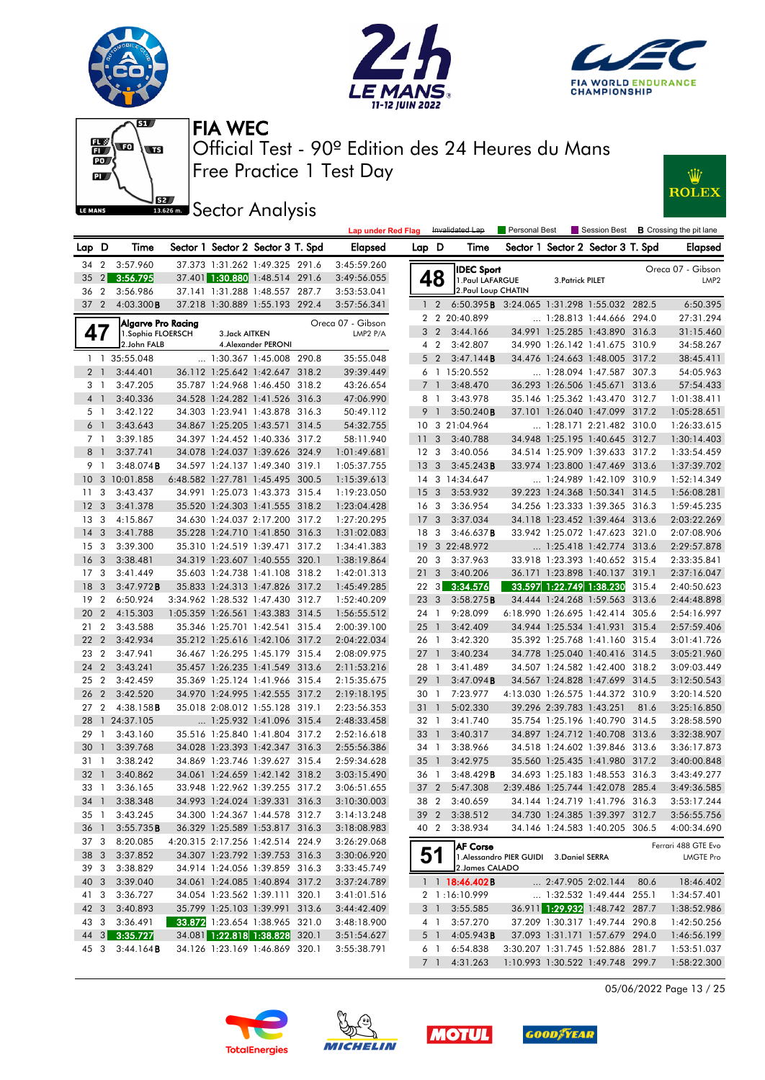







**J**<br>**Bassem Sector Analysis** 



|                 |                 |                        |                |                                   |       | <b>Lap under Red Flag</b> |                 |                | Invalidated Lap                                    | Personal Best                            |                          |                                                                    |      | Session Best <b>B</b> Crossing the pit lane |
|-----------------|-----------------|------------------------|----------------|-----------------------------------|-------|---------------------------|-----------------|----------------|----------------------------------------------------|------------------------------------------|--------------------------|--------------------------------------------------------------------|------|---------------------------------------------|
| Lap D           |                 | Time                   |                | Sector 1 Sector 2 Sector 3 T. Spd |       | <b>Elapsed</b>            | Lap D           |                | Time                                               |                                          |                          | Sector 1 Sector 2 Sector 3 T. Spd                                  |      | <b>Elapsed</b>                              |
|                 |                 | 34 2 3:57.960          |                | 37.373 1:31.262 1:49.325 291.6    |       | 3:45:59.260               |                 |                | <b>IDEC Sport</b>                                  |                                          |                          |                                                                    |      | Oreca 07 - Gibson                           |
|                 |                 | 35 2 3:56.795          |                | 37.401 1:30.880 1:48.514 291.6    |       | 3:49:56.055               |                 | 48             | 1. Paul LAFARGUE                                   |                                          | 3. Patrick PILET         |                                                                    |      | LMP <sub>2</sub>                            |
| 36              | $\overline{2}$  | 3:56.986               |                | 37.141 1:31.288 1:48.557 287.7    |       | 3:53:53.041               |                 |                | 2. Paul Loup CHATIN                                |                                          |                          |                                                                    |      |                                             |
|                 | $37 \quad 2$    | 4:03.300B              |                | 37.218 1:30.889 1:55.193 292.4    |       | 3:57:56.341               |                 | $1\quad2$      | 6:50.395 <b>B</b> 3:24.065 1:31.298 1:55.032 282.5 |                                          |                          |                                                                    |      | 6:50.395                                    |
|                 |                 | Algarve Pro Racing     |                |                                   |       | Oreca 07 - Gibson         |                 |                | 2 2 20:40.899                                      |                                          |                          | 1:28.813 1:44.666 294.0                                            |      | 27:31.294                                   |
|                 | 47              | 1.Sophia FLOERSCH      | 3. Jack AITKEN |                                   |       | LMP2 P/A                  | 3               | $\overline{2}$ | 3:44.166                                           |                                          |                          | 34.991 1:25.285 1:43.890 316.3                                     |      | 31:15.460                                   |
|                 |                 | 2.John FALB            |                | 4. Alexander PERONI               |       |                           |                 | 4 2            | 3:42.807                                           |                                          |                          | 34.990 1:26.142 1:41.675 310.9                                     |      | 34:58.267                                   |
|                 |                 | 1 1 35:55.048          |                | $\ldots$ 1:30.367 1:45.008 290.8  |       | 35:55.048                 |                 | 5 <sub>2</sub> | 3:47.144B                                          |                                          |                          | 34.476 1:24.663 1:48.005 317.2                                     |      | 38:45.411                                   |
|                 | $2-1$           | 3:44.401               |                | 36.112 1:25.642 1:42.647 318.2    |       | 39:39.449                 |                 |                | 6 1 15:20.552                                      |                                          |                          | 1:28.094 1:47.587 307.3                                            |      | 54:05.963                                   |
|                 | 3 1             | 3:47.205               |                | 35.787 1:24.968 1:46.450 318.2    |       | 43:26.654                 |                 | 7 <sup>1</sup> | 3:48.470                                           |                                          |                          | 36.293 1:26.506 1:45.671 313.6                                     |      | 57:54.433                                   |
|                 | $4-1$           | 3:40.336               |                | 34.528 1:24.282 1:41.526 316.3    |       | 47:06.990                 |                 | 8 1            | 3:43.978                                           |                                          |                          | 35.146 1:25.362 1:43.470 312.7                                     |      | 1:01:38.411                                 |
|                 | 5 1             | 3:42.122               |                | 34.303 1:23.941 1:43.878 316.3    |       | 50:49.112                 | 9               | $\overline{1}$ | 3:50.240B                                          |                                          |                          | 37.101 1:26.040 1:47.099 317.2                                     |      | 1:05:28.651                                 |
|                 | 6 <sup>1</sup>  | 3:43.643               |                | 34.867 1:25.205 1:43.571 314.5    |       | 54:32.755                 |                 |                | 10 3 21:04.964                                     |                                          |                          | $\ldots$ 1:28.171 2:21.482 310.0                                   |      | 1:26:33.615                                 |
|                 | 7 <sub>1</sub>  | 3:39.185               |                | 34.397 1:24.452 1:40.336 317.2    |       | 58:11.940                 | 11 <sub>3</sub> |                | 3:40.788                                           |                                          |                          | 34.948 1:25.195 1:40.645 312.7                                     |      | 1:30:14.403                                 |
| 8               | $\overline{1}$  | 3:37.741               |                | 34.078 1:24.037 1:39.626 324.9    |       | 1:01:49.681               | 12 3            |                | 3:40.056                                           |                                          |                          | 34.514 1:25.909 1:39.633 317.2                                     |      | 1:33:54.459                                 |
|                 | 9 1             | $3:48.074$ B           |                | 34.597 1:24.137 1:49.340 319.1    |       | 1:05:37.755               | 13 <sub>3</sub> |                | 3:45.243B                                          |                                          |                          | 33.974 1:23.800 1:47.469 313.6                                     |      | 1:37:39.702                                 |
|                 |                 | 10 3 10:01.858         |                | 6:48.582 1:27.781 1:45.495 300.5  |       | 1:15:39.613               |                 |                | 14 3 14:34.647                                     |                                          |                          | 1:24.989 1:42.109 310.9                                            |      | 1:52:14.349                                 |
| 11              | 3               | 3:43.437               |                | 34.991 1:25.073 1:43.373 315.4    |       | 1:19:23.050               | 15 <sub>3</sub> |                | 3:53.932                                           |                                          |                          | 39.223 1:24.368 1:50.341 314.5                                     |      | 1:56:08.281                                 |
| 12 <sup>3</sup> |                 | 3:41.378               |                | 35.520 1:24.303 1:41.555 318.2    |       | 1:23:04.428               | 16 <sub>3</sub> |                | 3:36.954                                           |                                          |                          | 34.256 1:23.333 1:39.365 316.3                                     |      | 1:59:45.235                                 |
|                 | 13 <sub>3</sub> | 4:15.867               |                | 34.630 1:24.037 2:17.200 317.2    |       | 1:27:20.295               | 17 <sub>3</sub> |                | 3:37.034                                           |                                          |                          | 34.118 1:23.452 1:39.464 313.6                                     |      | 2:03:22.269                                 |
| $14 \quad 3$    |                 | 3:41.788               |                | 35.228 1:24.710 1:41.850 316.3    |       | 1:31:02.083               | 18 3            |                | 3:46.637B                                          |                                          |                          | 33.942 1:25.072 1:47.623 321.0                                     |      | 2:07:08.906                                 |
|                 | 15 <sub>3</sub> | 3:39.300               |                | 35.310 1:24.519 1:39.471          | 317.2 | 1:34:41.383               | 19              |                | 3 22:48.972                                        |                                          |                          | 1:25.418 1:42.774 313.6                                            |      | 2:29:57.878                                 |
| 16 <sub>3</sub> |                 | 3:38.481               |                | 34.319 1:23.607 1:40.555 320.1    |       | 1:38:19.864               | 20 3            |                | 3:37.963                                           |                                          |                          | 33.918 1:23.393 1:40.652 315.4                                     |      | 2:33:35.841                                 |
|                 | 17 <sub>3</sub> | 3:41.449               |                | 35.603 1:24.738 1:41.108 318.2    |       | 1:42:01.313               | 21 <sub>3</sub> |                | 3:40.206                                           |                                          |                          | 36.171 1:23.898 1:40.137 319.1                                     |      | 2:37:16.047                                 |
| 18              | $\mathbf{3}$    | $3:47.972$ B           |                | 35.833 1:24.313 1:47.826 317.2    |       | 1:45:49.285               |                 | $22 \quad 3$   | 3:34.576                                           |                                          |                          | 33.597 1:22.749 1:38.230 315.4                                     |      | 2:40:50.623                                 |
| 19              | $\overline{2}$  | 6:50.924               |                | 3:34.962 1:28.532 1:47.430 312.7  |       | 1:52:40.209               | 23 <sub>3</sub> |                | 3:58.275B                                          |                                          |                          | 34.444 1:24.268 1:59.563 313.6                                     |      | 2:44:48.898                                 |
| 20 2            |                 | 4:15.303               |                | 1:05.359 1:26.561 1:43.383 314.5  |       | 1:56:55.512               | 24 1            |                | 9:28.099                                           |                                          |                          | 6:18.990 1:26.695 1:42.414 305.6                                   |      | 2:54:16.997                                 |
| 21              | $\overline{2}$  | 3:43.588               |                | 35.346 1:25.701 1:42.541 315.4    |       | 2:00:39.100               | $25 \quad 1$    |                | 3:42.409                                           |                                          |                          | 34.944 1:25.534 1:41.931 315.4                                     |      | 2:57:59.406                                 |
|                 | 22 <sub>2</sub> | 3:42.934               |                | 35.212 1:25.616 1:42.106 317.2    |       | 2:04:22.034               | 26 1            |                | 3:42.320                                           |                                          |                          | 35.392 1:25.768 1:41.160 315.4                                     |      | 3:01:41.726                                 |
|                 | 23 2            | 3:47.941               |                | 36.467 1:26.295 1:45.179 315.4    |       | 2:08:09.975               | $27-1$          |                | 3:40.234                                           |                                          |                          | 34.778 1:25.040 1:40.416 314.5                                     |      | 3:05:21.960                                 |
|                 | 24 2            | 3:43.241               |                | 35.457 1:26.235 1:41.549 313.6    |       | 2:11:53.216               | 28 1            |                | 3:41.489                                           |                                          |                          | 34.507 1:24.582 1:42.400 318.2                                     |      | 3:09:03.449                                 |
| 25              | $\overline{2}$  | 3:42.459               |                | 35.369 1:25.124 1:41.966 315.4    |       | 2:15:35.675               | 29 1            |                | 3:47.094B                                          |                                          |                          | 34.567 1:24.828 1:47.699 314.5                                     |      | 3:12:50.543                                 |
|                 | 26 2            | 3:42.520               |                | 34.970 1:24.995 1:42.555 317.2    |       | 2:19:18.195               | 30 1            |                | 7:23.977                                           |                                          |                          | 4:13.030 1:26.575 1:44.372 310.9                                   |      | 3:20:14.520                                 |
|                 | 27 <sub>2</sub> | $4:38.158$ <b>B</b>    |                | 35.018 2:08.012 1:55.128 319.1    |       | 2:23:56.353               | 31              | $\overline{1}$ | 5:02.330                                           |                                          | 39.296 2:39.783 1:43.251 |                                                                    | 81.6 | 3:25:16.850                                 |
| 28              |                 | 1 24:37.105            |                | 1:25.932 1:41.096 315.4           |       | 2:48:33.458               | 32 1            |                | 3:41.740                                           |                                          |                          | 35.754 1:25.196 1:40.790 314.5                                     |      | 3:28:58.590                                 |
| 29              | $\overline{1}$  | 3:43.160               |                | 35.516 1:25.840 1:41.804 317.2    |       | 2:52:16.618               | 33 1            |                | 3:40.317                                           |                                          |                          | 34.897 1:24.712 1:40.708 313.6                                     |      | 3:32:38.907                                 |
| 30              | $\overline{1}$  | 3:39.768               |                | 34.028 1:23.393 1:42.347 316.3    |       | 2:55:56.386               | 34 1            |                | 3:38.966                                           |                                          |                          | 34.518 1:24.602 1:39.846 313.6                                     |      | 3:36:17.873                                 |
|                 | 31 1            | 3:38.242               |                | 34.869 1:23.746 1:39.627 315.4    |       | 2:59:34.628               | 35              | $\overline{1}$ | 3:42.975                                           |                                          |                          | 35.560 1:25.435 1:41.980 317.2                                     |      | 3:40:00.848                                 |
| 32 <sub>1</sub> |                 | 3:40.862               |                | 34.061 1:24.659 1:42.142 318.2    |       | 3:03:15.490               | 36 1            |                | 3:48.429B                                          |                                          |                          | 34.693 1:25.183 1:48.553 316.3                                     |      | 3:43:49.277                                 |
|                 | 33 1            | 3:36.165               |                | 33.948 1:22.962 1:39.255 317.2    |       | 3:06:51.655               |                 | 37 2           | 5:47.308                                           |                                          |                          | 2:39.486 1:25.744 1:42.078 285.4                                   |      | 3:49:36.585                                 |
|                 |                 | 34 1 3:38.348          |                | 34.993 1:24.024 1:39.331 316.3    |       | 3:10:30.003               |                 |                | 38 2 3:40.659                                      |                                          |                          | 34.144 1:24.719 1:41.796 316.3                                     |      | 3:53:17.244                                 |
|                 |                 | 35 1 3:43.245          |                | 34.300 1:24.367 1:44.578 312.7    |       | 3:14:13.248               |                 |                | 39 2 3:38.512                                      |                                          |                          | 34.730 1:24.385 1:39.397 312.7                                     |      | 3:56:55.756                                 |
|                 | 36 1            | 3:55.735B              |                | 36.329 1:25.589 1:53.817 316.3    |       | 3:18:08.983               |                 | 40 2           | 3:38.934                                           |                                          |                          | 34.146 1:24.583 1:40.205 306.5                                     |      | 4:00:34.690                                 |
|                 | 37 3            | 8:20.085               |                | 4:20.315 2:17.256 1:42.514 224.9  |       | 3:26:29.068               |                 |                | <b>AF Corse</b>                                    |                                          |                          |                                                                    |      | Ferrari 488 GTE Evo                         |
|                 |                 | 38 3 3:37.852          |                | 34.307 1:23.792 1:39.753 316.3    |       | 3:30:06.920               |                 | 51             |                                                    | 1. Alessandro PIER GUIDI 3. Daniel SERRA |                          |                                                                    |      | LMGTE Pro                                   |
|                 | 39 3            | 3:38.829               |                | 34.914 1:24.056 1:39.859 316.3    |       | 3:33:45.749               |                 |                | 2. James CALADO                                    |                                          |                          |                                                                    |      |                                             |
|                 | 40 3            | 3:39.040               |                | 34.061 1:24.085 1:40.894 317.2    |       | 3:37:24.789               |                 |                | 1 1 <b>8:46.402B</b>                               |                                          |                          | $\ldots$ 2:47.905 2:02.144 80.6                                    |      | 18:46.402                                   |
|                 | 41 3            | 3:36.727               |                | 34.054 1:23.562 1:39.111 320.1    |       | 3:41:01.516               |                 |                | 2 1:16:10.999                                      |                                          |                          | $\ldots$ 1:32.532 1:49.444 255.1                                   |      | 1:34:57.401                                 |
|                 | 42 3            | 3:40.893               |                | 35.799 1:25.103 1:39.991 313.6    |       | 3:44:42.409               |                 | 3 1            | 3:55.585                                           |                                          |                          | 36.911 1:29.932 1:48.742 287.7                                     |      | 1:38:52.986                                 |
|                 |                 | 43 3 3:36.491          |                | 33.872 1:23.654 1:38.965 321.0    |       | 3:48:18.900               |                 | 4 1            | 3:57.270                                           |                                          |                          | 37.209 1:30.317 1:49.744 290.8                                     |      | 1:42:50.256                                 |
|                 |                 | 44 3 3:35.727          |                | 34.081 1:22.818 1:38.828 320.1    |       | 3:51:54.627               |                 | 5 1<br>6 1     | 4:05.943B<br>6:54.838                              |                                          |                          | 37.093 1:31.171 1:57.679 294.0<br>3:30.207 1:31.745 1:52.886 281.7 |      | 1:46:56.199                                 |
|                 |                 | 45 3 3:44.164 <b>B</b> |                | 34.126 1:23.169 1:46.869 320.1    |       | 3:55:38.791               |                 |                | 7 1 4:31.263                                       |                                          |                          | 1:10.993 1:30.522 1:49.748 299.7                                   |      | 1:53:51.037<br>1:58:22.300                  |
|                 |                 |                        |                |                                   |       |                           |                 |                |                                                    |                                          |                          |                                                                    |      |                                             |

05/06/2022 Page 13 / 25





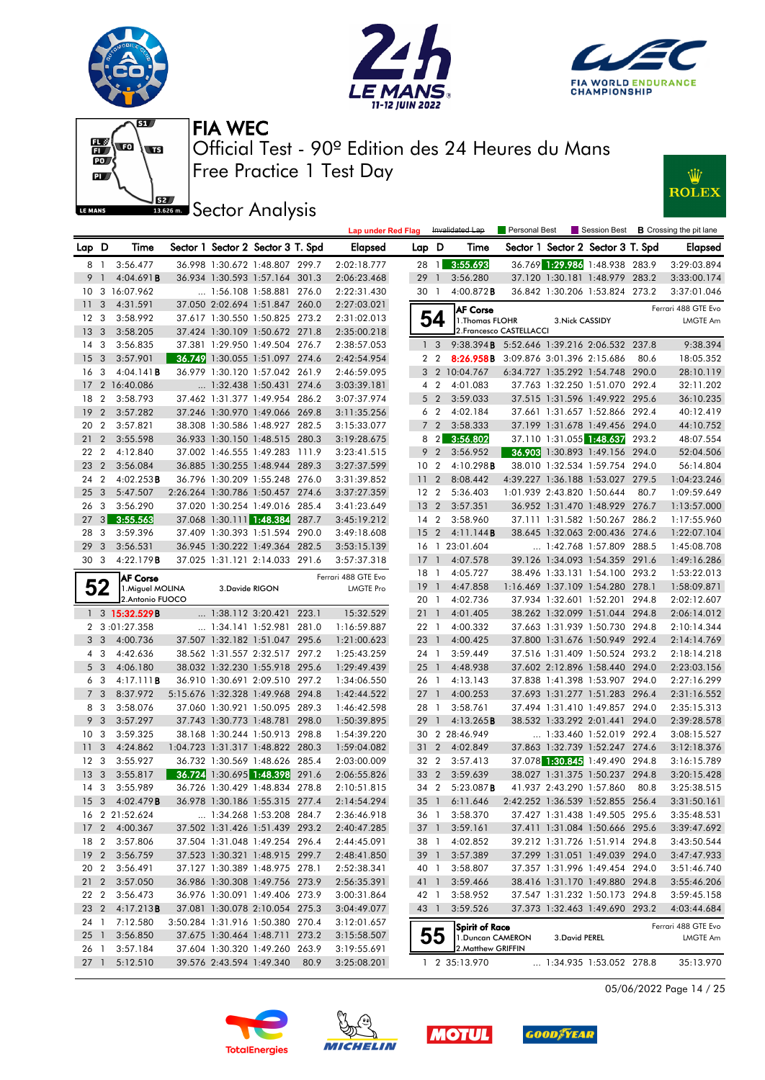











|                 |                |                        |                          |                                   |       | <b>Lap under Red Flag</b> |                 |                | Invalidated Lap                                    | <b>Personal Best</b>     |                 |                                   |       | Session Best <b>B</b> Crossing the pit lane |
|-----------------|----------------|------------------------|--------------------------|-----------------------------------|-------|---------------------------|-----------------|----------------|----------------------------------------------------|--------------------------|-----------------|-----------------------------------|-------|---------------------------------------------|
| Lap D           |                | Time                   |                          | Sector 1 Sector 2 Sector 3 T. Spd |       | <b>Elapsed</b>            | Lap D           |                | Time                                               |                          |                 | Sector 1 Sector 2 Sector 3 T. Spd |       | Elapsed                                     |
| 8 1             |                | 3:56.477               |                          | 36.998 1:30.672 1:48.807 299.7    |       | 2:02:18.777               | 28 1            |                | 3:55.693                                           |                          |                 | 36.769 1:29.986 1:48.938 283.9    |       | 3:29:03.894                                 |
| 9               | $\overline{1}$ | 4:04.691B              |                          | 36.934 1:30.593 1:57.164 301.3    |       | 2:06:23.468               | 29              | $\overline{1}$ | 3:56.280                                           |                          |                 | 37.120 1:30.181 1:48.979 283.2    |       | 3:33:00.174                                 |
|                 |                | 10 3 16:07.962         |                          | $\ldots$ 1:56.108 1:58.881 276.0  |       | 2:22:31.430               | 30 1            |                | $4:00.872$ B                                       |                          |                 | 36.842 1:30.206 1:53.824 273.2    |       | 3:37:01.046                                 |
| 11              | 3              | 4:31.591               |                          | 37.050 2:02.694 1:51.847 260.0    |       | 2:27:03.021               |                 |                | <b>AF Corse</b>                                    |                          |                 |                                   |       | Ferrari 488 GTE Evo                         |
| 12              | 3              | 3:58.992               |                          | 37.617 1:30.550 1:50.825 273.2    |       | 2:31:02.013               |                 | 54             | 1. Thomas FLOHR                                    |                          | 3. Nick CASSIDY |                                   |       | <b>LMGTE Am</b>                             |
| 13              | 3              | 3:58.205               |                          | 37.424 1:30.109 1:50.672 271.8    |       | 2:35:00.218               |                 |                |                                                    | 2. Francesco CASTELLACCI |                 |                                   |       |                                             |
| 14              | 3              | 3:56.835               |                          | 37.381 1:29.950 1:49.504 276.7    |       | 2:38:57.053               |                 | 1 <sup>3</sup> | 9:38.394 <b>B</b> 5:52.646 1:39.216 2:06.532 237.8 |                          |                 |                                   |       | 9:38.394                                    |
| 15              | 3              | 3:57.901               |                          | 36.749 1:30.055 1:51.097 274.6    |       | 2:42:54.954               |                 | 2 <sub>2</sub> | <b>8:26.958B</b> 3:09.876 3:01.396 2:15.686        |                          |                 |                                   | 80.6  | 18:05.352                                   |
| 16              | 3              | 4:04.141B              |                          | 36.979 1:30.120 1:57.042 261.9    |       | 2:46:59.095               |                 |                | 3 2 10:04.767                                      |                          |                 | 6:34.727 1:35.292 1:54.748 290.0  |       | 28:10.119                                   |
| 17              |                | 2 16:40.086            |                          | $\ldots$ 1:32.438 1:50.431 274.6  |       | 3:03:39.181               |                 | 4 <sup>2</sup> | 4:01.083                                           |                          |                 | 37.763 1:32.250 1:51.070 292.4    |       | 32:11.202                                   |
| 18              | $\overline{2}$ | 3:58.793               |                          | 37.462 1:31.377 1:49.954 286.2    |       | 3:07:37.974               |                 | 5 <sub>2</sub> | 3:59.033                                           |                          |                 | 37.515 1:31.596 1:49.922 295.6    |       | 36:10.235                                   |
| 19              | $\overline{2}$ | 3:57.282               |                          | 37.246 1:30.970 1:49.066 269.8    |       | 3:11:35.256               |                 | 6 2            | 4:02.184                                           |                          |                 | 37.661 1:31.657 1:52.866 292.4    |       | 40:12.419                                   |
| 20              | $\overline{2}$ | 3:57.821               |                          | 38.308 1:30.586 1:48.927 282.5    |       | 3:15:33.077               |                 | 7 <sup>2</sup> | 3:58.333                                           |                          |                 | 37.199 1:31.678 1:49.456 294.0    |       | 44:10.752                                   |
| 21              | $\overline{2}$ | 3:55.598               |                          | 36.933 1:30.150 1:48.515 280.3    |       | 3:19:28.675               |                 | $8 \quad 2$    | 3:56.802                                           |                          |                 | 37.110 1:31.055 1:48.637          | 293.2 | 48:07.554                                   |
| 22 2            |                | 4:12.840               |                          | 37.002 1:46.555 1:49.283 111.9    |       | 3:23:41.515               |                 | 9 2            | 3:56.952                                           |                          |                 | 36.903 1:30.893 1:49.156 294.0    |       | 52:04.506                                   |
| 23              | $\overline{2}$ | 3:56.084               |                          | 36.885 1:30.255 1:48.944 289.3    |       | 3:27:37.599               | 10 <sub>2</sub> |                | 4:10.298B                                          |                          |                 | 38.010 1:32.534 1:59.754 294.0    |       | 56:14.804                                   |
| 24              | $\overline{2}$ | $4:02.253$ B           |                          | 36.796 1:30.209 1:55.248 276.0    |       | 3:31:39.852               | 11 <sub>2</sub> |                | 8:08.442                                           |                          |                 | 4:39.227 1:36.188 1:53.027 279.5  |       | 1:04:23.246                                 |
| 25              | 3              | 5:47.507               |                          | 2:26.264 1:30.786 1:50.457 274.6  |       | 3:37:27.359               | 12 <sub>2</sub> |                | 5:36.403                                           |                          |                 | 1:01.939 2:43.820 1:50.644        | 80.7  | 1:09:59.649                                 |
| 26              | 3              | 3:56.290               |                          | 37.020 1:30.254 1:49.016 285.4    |       | 3:41:23.649               | 13              | $\overline{2}$ | 3:57.351                                           |                          |                 | 36.952 1:31.470 1:48.929 276.7    |       | 1:13:57.000                                 |
| 27              | 3 <sup>1</sup> | 3:55.563               |                          | 37.068 1:30.111 1:48.384          | 287.7 | 3:45:19.212               | $14 \quad 2$    |                | 3:58.960                                           |                          |                 | 37.111 1:31.582 1:50.267 286.2    |       | 1:17:55.960                                 |
| 28              | 3              | 3:59.396               |                          | 37.409 1:30.393 1:51.594          | 290.0 | 3:49:18.608               | 15              | $\overline{2}$ | 4:11.144B                                          |                          |                 | 38.645 1:32.063 2:00.436 274.6    |       | 1:22:07.104                                 |
| 29              | 3              | 3:56.531               |                          | 36.945 1:30.222 1:49.364 282.5    |       | 3:53:15.139               |                 |                | 16 1 23:01.604                                     |                          |                 | $\ldots$ 1:42.768 1:57.809 288.5  |       | 1:45:08.708                                 |
| 30 <sub>3</sub> |                | 4:22.179 <b>B</b>      |                          | 37.025 1:31.121 2:14.033 291.6    |       | 3:57:37.318               | $17-1$          |                | 4:07.578                                           |                          |                 | 39.126 1:34.093 1:54.359 291.6    |       | 1:49:16.286                                 |
|                 |                | <b>AF Corse</b>        |                          |                                   |       | Ferrari 488 GTE Evo       | 18 1            |                | 4:05.727                                           |                          |                 | 38.496 1:33.131 1:54.100 293.2    |       | 1:53:22.013                                 |
|                 | 52             | 1. Miguel MOLINA       | 3.Davide RIGON           |                                   |       | <b>LMGTE Pro</b>          | 19              | $\overline{1}$ | 4:47.858                                           |                          |                 | 1:16.469 1:37.109 1:54.280 278.1  |       | 1:58:09.871                                 |
|                 |                | 2.Antonio FUOCO        |                          |                                   |       |                           | 20 1            |                | 4:02.736                                           |                          |                 | 37.934 1:32.601 1:52.201 294.8    |       | 2:02:12.607                                 |
|                 |                | 1 3 15:32.529B         |                          | $\ldots$ 1:38.112 3:20.421 223.1  |       | 15:32.529                 | $21 \quad 1$    |                | 4:01.405                                           |                          |                 | 38.262 1:32.099 1:51.044 294.8    |       | 2:06:14.012                                 |
|                 |                | 2 3:01:27.358          |                          | 1:34.141 1:52.981 281.0           |       | 1:16:59.887               | 22 1            |                | 4:00.332                                           |                          |                 | 37.663 1:31.939 1:50.730 294.8    |       | 2:10:14.344                                 |
|                 | 3 <sub>3</sub> | 4:00.736               |                          | 37.507 1:32.182 1:51.047 295.6    |       | 1:21:00.623               | $23 \quad 1$    |                | 4:00.425                                           |                          |                 | 37.800 1:31.676 1:50.949 292.4    |       | 2:14:14.769                                 |
|                 | 4 3            | 4:42.636               |                          | 38.562 1:31.557 2:32.517 297.2    |       | 1:25:43.259               | 24 1            |                | 3:59.449                                           |                          |                 | 37.516 1:31.409 1:50.524 293.2    |       | 2:18:14.218                                 |
|                 | 5 <sub>3</sub> | 4:06.180               |                          | 38.032 1:32.230 1:55.918 295.6    |       | 1:29:49.439               | $25 \quad 1$    |                | 4:48.938                                           |                          |                 | 37.602 2:12.896 1:58.440 294.0    |       | 2:23:03.156                                 |
|                 | 6 3            | 4:17.111B              |                          | 36.910 1:30.691 2:09.510 297.2    |       | 1:34:06.550               | 26 1            |                | 4:13.143                                           |                          |                 | 37.838 1:41.398 1:53.907 294.0    |       | 2:27:16.299                                 |
| $7^{\circ}$     | 3              | 8:37.972               |                          | 5:15.676 1:32.328 1:49.968 294.8  |       | 1:42:44.522               | $27-1$          |                | 4:00.253                                           |                          |                 | 37.693 1:31.277 1:51.283 296.4    |       | 2:31:16.552                                 |
|                 | 8 3            | 3:58.076               |                          | 37.060 1:30.921 1:50.095 289.3    |       | 1:46:42.598               | 28 1            |                | 3:58.761                                           |                          |                 | 37.494 1:31.410 1:49.857 294.0    |       | 2:35:15.313                                 |
|                 | 9 <sup>3</sup> | 3:57.297               |                          | 37.743 1:30.773 1:48.781 298.0    |       | 1:50:39.895               | 29              | $\overline{1}$ | 4:13.265B                                          |                          |                 | 38.532 1:33.292 2:01.441          | 294.0 | 2:39:28.578                                 |
| 10              | 3              | 3:59.325               |                          | 38.168 1:30.244 1:50.913 298.8    |       | 1:54:39.220               |                 |                | 30 2 28:46.949                                     |                          |                 | 1:33.460 1:52.019 292.4           |       | 3:08:15.527                                 |
| 11              | 3              | 4:24.862               |                          | 1:04.723 1:31.317 1:48.822 280.3  |       | 1:59:04.082               | 31              | $\overline{2}$ | 4:02.849                                           |                          |                 | 37.863 1:32.739 1:52.247 274.6    |       | 3:12:18.376                                 |
| 12 <sup>2</sup> | 3              | 3:55.927               |                          | 36.732 1:30.569 1:48.626 285.4    |       | 2:03:00.009               | 32 2            |                | 3:57.413                                           |                          |                 | 37.078 1:30.845 1:49.490 294.8    |       | 3:16:15.789                                 |
| 13              | 3              | 3:55.817               |                          | 36.724 1:30.695 1:48.398 291.6    |       | 2:06:55.826               | 33 2            |                | 3:59.639                                           |                          |                 | 38.027 1:31.375 1:50.237 294.8    |       | 3:20:15.428                                 |
| 14              | 3              | 3:55.989               |                          | 36.726 1:30.429 1:48.834 278.8    |       | 2:10:51.815               |                 |                | 34 2 5:23.087B                                     |                          |                 | 41.937 2:43.290 1:57.860          | 80.8  | 3:25:38.515                                 |
|                 |                | 15 3 4:02.479 <b>B</b> |                          | 36.978 1:30.186 1:55.315 277.4    |       | 2:14:54.294               |                 |                | 35 1 6:11.646                                      |                          |                 | 2:42.252 1:36.539 1:52.855 256.4  |       | 3:31:50.161                                 |
|                 |                | 16 2 21:52.624         |                          | 1:34.268 1:53.208 284.7           |       | 2:36:46.918               |                 |                | 36 1 3:58.370                                      |                          |                 | 37.427 1:31.438 1:49.505 295.6    |       | 3:35:48.531                                 |
|                 |                | 17 2 4:00.367          |                          | 37.502 1:31.426 1:51.439 293.2    |       | 2:40:47.285               | 37 1            |                | 3:59.161                                           |                          |                 | 37.411 1:31.084 1:50.666 295.6    |       | 3:39:47.692                                 |
| 18 2            |                | 3:57.806               |                          | 37.504 1:31.048 1:49.254 296.4    |       | 2:44:45.091               | 38 1            |                | 4:02.852                                           |                          |                 | 39.212 1:31.726 1:51.914 294.8    |       | 3:43:50.544                                 |
|                 |                | 19 2 3:56.759          |                          | 37.523 1:30.321 1:48.915 299.7    |       | 2:48:41.850               | 39 1            |                | 3:57.389                                           |                          |                 | 37.299 1:31.051 1:49.039 294.0    |       | 3:47:47.933                                 |
|                 |                | 20 2 3:56.491          |                          | 37.127 1:30.389 1:48.975 278.1    |       | 2:52:38.341               | 40 1            |                | 3:58.807                                           |                          |                 | 37.357 1:31.996 1:49.454 294.0    |       | 3:51:46.740                                 |
| $21\quad2$      |                | 3:57.050               |                          | 36.986 1:30.308 1:49.756 273.9    |       | 2:56:35.391               | 41 1            |                | 3:59.466                                           |                          |                 | 38.416 1:31.170 1:49.880 294.8    |       | 3:55:46.206                                 |
| 22 2            |                | 3:56.473               |                          | 36.976 1:30.091 1:49.406 273.9    |       | 3:00:31.864               | 42 1            |                | 3:58.952                                           |                          |                 | 37.547 1:31.232 1:50.173 294.8    |       | 3:59:45.158                                 |
| 23 2            |                | 4:17.213B              |                          | 37.081 1:30.078 2:10.054 275.3    |       | 3:04:49.077               | 43 1            |                | 3:59.526                                           |                          |                 | 37.373 1:32.463 1:49.690 293.2    |       | 4:03:44.684                                 |
| 24 1            |                | 7:12.580               |                          | 3:50.284 1:31.916 1:50.380 270.4  |       | 3:12:01.657               |                 |                | Spirit of Race                                     |                          |                 |                                   |       | Ferrari 488 GTE Evo                         |
| $25 \quad 1$    |                | 3:56.850               |                          | 37.675 1:30.464 1:48.711 273.2    |       | 3:15:58.507               |                 | 55             | 1. Duncan CAMERON                                  |                          | 3. David PEREL  |                                   |       | LMGTE Am                                    |
| 26 1            |                | 3:57.184               |                          | 37.604 1:30.320 1:49.260 263.9    |       | 3:19:55.691               |                 |                | 2. Matthew GRIFFIN                                 |                          |                 |                                   |       |                                             |
| $27-1$          |                | 5:12.510               | 39.576 2:43.594 1:49.340 |                                   | 80.9  | 3:25:08.201               |                 |                | 1 2 35:13.970                                      |                          |                 | 1:34.935 1:53.052 278.8           |       | 35:13.970                                   |

05/06/2022 Page 14 / 25







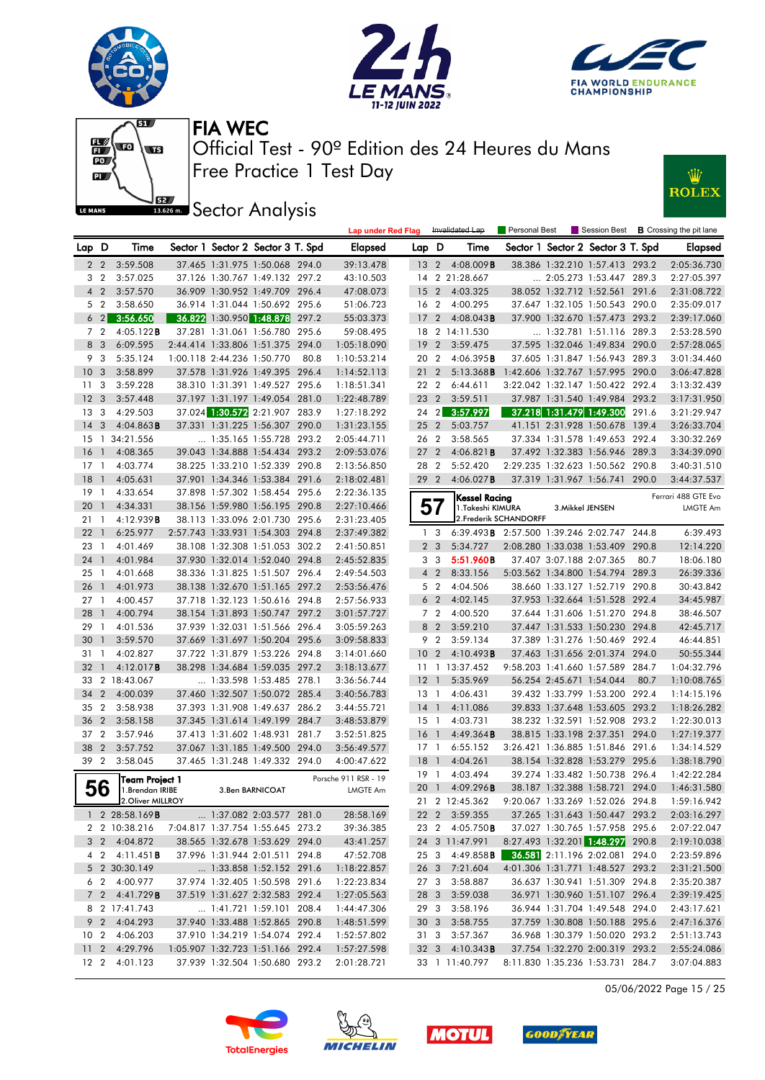







**ISSECT:** Sector Analysis



|                |                         |                                     |                            |                                   |       | <b>Lap under Red Flag</b> |                 |                | Invalidated Lap                            | Personal Best                    |                                       |       | Session Best <b>B</b> Crossing the pit lane |
|----------------|-------------------------|-------------------------------------|----------------------------|-----------------------------------|-------|---------------------------|-----------------|----------------|--------------------------------------------|----------------------------------|---------------------------------------|-------|---------------------------------------------|
| Lap D          |                         | Time                                |                            | Sector 1 Sector 2 Sector 3 T. Spd |       | <b>Elapsed</b>            | Lap D           |                | Time                                       |                                  | Sector 1 Sector 2 Sector 3 T. Spd     |       | <b>Elapsed</b>                              |
|                | $2\quad 2$              | 3:59.508                            |                            | 37.465 1:31.975 1:50.068 294.0    |       | 39:13.478                 | 13 <sub>2</sub> |                | $4:08.009$ <b>B</b>                        |                                  | 38.386 1:32.210 1:57.413 293.2        |       | 2:05:36.730                                 |
| 3              | $\overline{2}$          | 3:57.025                            |                            | 37.126 1:30.767 1:49.132 297.2    |       | 43:10.503                 | 14              |                | 2 21:28.667                                |                                  | $\ldots$ 2:05.273 1:53.447 289.3      |       | 2:27:05.397                                 |
| $\overline{4}$ | $\overline{2}$          | 3:57.570                            |                            | 36.909 1:30.952 1:49.709 296.4    |       | 47:08.073                 | 15              | $\overline{2}$ | 4:03.325                                   |                                  | 38.052 1:32.712 1:52.561 291.6        |       | 2:31:08.722                                 |
|                | 5 <sub>2</sub>          | 3:58.650                            |                            | 36.914 1:31.044 1:50.692 295.6    |       | 51:06.723                 | 16 2            |                | 4:00.295                                   |                                  | 37.647 1:32.105 1:50.543 290.0        |       | 2:35:09.017                                 |
|                | $6\quad2$               | 3:56.650                            |                            | 36.822 1:30.950 1:48.878 297.2    |       | 55:03.373                 | 17              | $\overline{2}$ | $4:08.043$ B                               |                                  | 37.900 1:32.670 1:57.473 293.2        |       | 2:39:17.060                                 |
|                | 7 <sup>2</sup>          | 4:05.122B                           |                            | 37.281 1:31.061 1:56.780 295.6    |       | 59:08.495                 |                 |                | 18 2 14:11.530                             |                                  | $\ldots$ 1:32.781 1:51.116 289.3      |       | 2:53:28.590                                 |
|                | 8 3                     | 6:09.595                            | 2:44.414 1:33.806 1:51.375 |                                   | 294.0 | 1:05:18.090               | 19              | $\overline{2}$ | 3:59.475                                   |                                  | 37.595 1:32.046 1:49.834 290.0        |       | 2:57:28.065                                 |
|                | 9 3                     | 5:35.124                            | 1:00.118 2:44.236 1:50.770 |                                   | 80.8  | 1:10:53.214               | 20 2            |                | 4:06.395B                                  |                                  | 37.605 1:31.847 1:56.943 289.3        |       | 3:01:34.460                                 |
| 10             | $\overline{\mathbf{3}}$ | 3:58.899                            |                            | 37.578 1:31.926 1:49.395 296.4    |       | 1:14:52.113               | $21 \t2$        |                | 5:13.368B                                  | 1:42.606 1:32.767 1:57.995 290.0 |                                       |       | 3:06:47.828                                 |
| 11             | 3                       | 3:59.228                            |                            | 38.310 1:31.391 1:49.527 295.6    |       | 1:18:51.341               | 22 2            |                | 6:44.611                                   |                                  | 3:22.042 1:32.147 1:50.422 292.4      |       | 3:13:32.439                                 |
| 12             | $\overline{\mathbf{3}}$ | 3:57.448                            |                            | 37.197 1:31.197 1:49.054 281.0    |       | 1:22:48.789               | 23 2            |                | 3:59.511                                   |                                  | 37.987 1:31.540 1:49.984 293.2        |       | 3:17:31.950                                 |
| 13             | 3                       | 4:29.503                            |                            | 37.024 1:30.572 2:21.907 283.9    |       | 1:27:18.292               | 24 2            |                | 3:57.997                                   |                                  | 37.218 1:31.479 1:49.300              | 291.6 | 3:21:29.947                                 |
| 14             | $\overline{\mathbf{3}}$ | $4:04.863$ B                        |                            | 37.331 1:31.225 1:56.307          | 290.0 | 1:31:23.155               | 25 2            |                | 5:03.757                                   |                                  | 41.151 2:31.928 1:50.678              | 139.4 | 3:26:33.704                                 |
| 15             |                         | 1 34:21.556                         | 1:35.165 1:55.728          |                                   | 293.2 | 2:05:44.711               | 26 2            |                | 3:58.565                                   |                                  | 37.334 1:31.578 1:49.653              | 292.4 | 3:30:32.269                                 |
| <b>16</b>      | $\mathbf{1}$            | 4:08.365                            |                            | 39.043 1:34.888 1:54.434 293.2    |       | 2:09:53.076               | 27 <sub>2</sub> |                | 4:06.821B                                  |                                  | 37.492 1:32.383 1:56.946 289.3        |       | 3:34:39.090                                 |
| $17-1$         |                         | 4:03.774                            |                            | 38.225 1:33.210 1:52.339 290.8    |       | 2:13:56.850               | 28 2            |                | 5:52.420                                   |                                  | 2:29.235 1:32.623 1:50.562 290.8      |       | 3:40:31.510                                 |
| 18             | $\overline{1}$          | 4:05.631                            |                            | 37.901 1:34.346 1:53.384 291.6    |       | 2:18:02.481               | 29 2            |                | $4:06.027$ B                               |                                  | 37.319 1:31.967 1:56.741 290.0        |       | 3:44:37.537                                 |
| 19             | -1                      | 4:33.654                            |                            | 37.898 1:57.302 1:58.454 295.6    |       | 2:22:36.135               |                 |                | Kessel Racina                              |                                  |                                       |       | Ferrari 488 GTE Evo                         |
| 20             | $\overline{1}$          | 4:34.331                            |                            | 38.156 1:59.980 1:56.195 290.8    |       | 2:27:10.466               |                 | 57             | 1.Takeshi KIMURA                           |                                  | 3. Mikkel JENSEN                      |       | <b>LMGTE Am</b>                             |
| 21             | $\overline{1}$          | 4:12.939B                           |                            | 38.113 1:33.096 2:01.730 295.6    |       | 2:31:23.405               |                 |                |                                            | 2. Frederik SCHANDORFF           |                                       |       |                                             |
| 22             | $\overline{1}$          | 6:25.977                            |                            | 2:57.743 1:33.931 1:54.303 294.8  |       | 2:37:49.382               | $\mathbf{1}$    | 3              | 6:39.493B 2:57.500 1:39.246 2:02.747 244.8 |                                  |                                       |       | 6:39.493                                    |
| 23             | -1                      | 4:01.469                            |                            | 38.108 1:32.308 1:51.053 302.2    |       | 2:41:50.851               |                 | 2 <sub>3</sub> | 5:34.727                                   |                                  | 2:08.280 1:33.038 1:53.409 290.8      |       | 12:14.220                                   |
| 24             | $\overline{1}$          | 4:01.984                            |                            | 37.930 1:32.014 1:52.040 294.8    |       | 2:45:52.835               |                 | 3 <sub>3</sub> | 5:51.960B                                  |                                  | 37.407 3:07.188 2:07.365              | 80.7  | 18:06.180                                   |
| 25             | -1                      | 4:01.668                            |                            | 38.336 1:31.825 1:51.507 296.4    |       | 2:49:54.503               |                 | 4 <sup>2</sup> | 8:33.156                                   |                                  | 5:03.562 1:34.800 1:54.794 289.3      |       | 26:39.336                                   |
| 26             | $\overline{1}$          | 4:01.973                            |                            | 38.138 1:32.670 1:51.165 297.2    |       | 2:53:56.476               |                 | 5 <sub>2</sub> | 4:04.506                                   |                                  | 38.660 1:33.127 1:52.719 290.8        |       | 30:43.842                                   |
| 27             | $\mathbf{1}$            | 4:00.457                            |                            | 37.718 1:32.123 1:50.616 294.8    |       | 2:57:56.933               |                 | 6 <sub>2</sub> | 4:02.145                                   |                                  | 37.953 1:32.664 1:51.528 292.4        |       | 34:45.987                                   |
| 28             | $\overline{1}$          | 4:00.794                            |                            | 38.154 1:31.893 1:50.747 297.2    |       | 3:01:57.727               |                 | 7 <sup>2</sup> | 4:00.520                                   |                                  | 37.644 1:31.606 1:51.270 294.8        |       | 38:46.507                                   |
| 29             | $\overline{1}$          | 4:01.536                            |                            | 37.939 1:32.031 1:51.566 296.4    |       | 3:05:59.263               | 8               | $\overline{2}$ | 3:59.210                                   |                                  | 37.447 1:31.533 1:50.230 294.8        |       | 42:45.717                                   |
| 30             | $\overline{1}$          | 3:59.570                            |                            | 37.669 1:31.697 1:50.204 295.6    |       | 3:09:58.833               | 9               | $\overline{2}$ | 3:59.134                                   |                                  | 37.389 1:31.276 1:50.469 292.4        |       | 46:44.851                                   |
| 31             | $\mathbf{1}$            | 4:02.827                            |                            | 37.722 1:31.879 1:53.226 294.8    |       | 3:14:01.660               | 10              | $\overline{2}$ | 4:10.493B                                  |                                  | 37.463 1:31.656 2:01.374 294.0        |       | 50:55.344                                   |
| 32             | $\mathbf{1}$            | 4:12.017B                           |                            | 38.298 1:34.684 1:59.035 297.2    |       | 3:18:13.677               |                 |                | 11 13:37.452                               |                                  | 9:58.203 1:41.660 1:57.589 284.7      |       | 1:04:32.796                                 |
| 33             |                         | 2 18:43.067                         |                            | $\ldots$ 1:33.598 1:53.485 278.1  |       | 3:36:56.744               | 12              | $\overline{1}$ | 5:35.969                                   |                                  | 56.254 2:45.671 1:54.044              | 80.7  | 1:10:08.765                                 |
| 34             | $\overline{2}$          | 4:00.039                            |                            | 37.460 1:32.507 1:50.072 285.4    |       | 3:40:56.783               | $13-1$          |                | 4:06.431                                   |                                  | 39.432 1:33.799 1:53.200 292.4        |       | 1:14:15.196                                 |
| 35             | $\overline{2}$          | 3:58.938                            |                            | 37.393 1:31.908 1:49.637 286.2    |       | 3:44:55.721               | 14              | $\overline{1}$ | 4:11.086                                   |                                  | 39.833 1:37.648 1:53.605 293.2        |       | 1:18:26.282                                 |
| 36             | $\overline{2}$          | 3:58.158                            |                            | 37.345 1:31.614 1:49.199 284.7    |       | 3:48:53.879               | $15-1$          |                | 4:03.731                                   |                                  | 38.232 1:32.591 1:52.908 293.2        |       | 1:22:30.013                                 |
| 37             | $\overline{2}$          | 3:57.946                            |                            | 37.413 1:31.602 1:48.931 281.7    |       | 3:52:51.825               | 16              | $\overline{1}$ | 4:49.364B                                  |                                  | 38.815 1:33.198 2:37.351 294.0        |       | 1:27:19.377                                 |
| 38             | $\overline{2}$          | 3:57.752                            | 37.067 1:31.185 1:49.500   |                                   | 294.0 | 3:56:49.577               | $17-1$          |                | 6:55.152                                   |                                  | 3:26.421 1:36.885 1:51.846 291.6      |       | 1:34:14.529                                 |
| 39 2           |                         | 3:58.045                            |                            | 37.465 1:31.248 1:49.332 294.0    |       | 4:00:47.622               | 18              | $\overline{1}$ | 4:04.261                                   |                                  | 38.154 1:32.828 1:53.279 295.6        |       | 1:38:18.790                                 |
|                |                         | Team Project 1                      |                            |                                   |       | Porsche 911 RSR - 19      | $19-1$          |                | 4:03.494                                   |                                  | 39.274 1:33.482 1:50.738 296.4        |       | 1:42:22.284                                 |
|                | 56                      | 1.Brendan IRIBE                     |                            | 3.Ben BARNICOAT                   |       | LMGTE Am                  | 20 <sub>1</sub> |                | 4:09.296B                                  |                                  | 38.187 1:32.388 1:58.721 294.0        |       | 1:46:31.580                                 |
|                |                         | 2.Oliver MILLROY                    |                            |                                   |       |                           |                 |                | 21 2 12:45.362                             |                                  | 9:20.067 1:33.269 1:52.026 294.8      |       | 1:59:16.942                                 |
|                |                         | 1 2 28:58.169 <b>B</b>              |                            | 1:37.082 2:03.577 281.0           |       | 28:58.169                 |                 |                | 22 2 3:59.355                              |                                  | 37.265 1:31.643 1:50.447 293.2        |       | 2:03:16.297                                 |
|                |                         | 2 2 10:38.216                       |                            | 7:04.817 1:37.754 1:55.645 273.2  |       | 39:36.385                 |                 |                | 23 2 4:05.750 <b>B</b>                     |                                  | 37.027 1:30.765 1:57.958 295.6        |       | 2:07:22.047                                 |
|                |                         | 3 2 4:04.872                        |                            | 38.565 1:32.678 1:53.629 294.0    |       | 43:41.257                 |                 |                | 24 3 11:47.991                             |                                  | 8:27.493 1:32.201 1:48.297 290.8      |       | 2:19:10.038                                 |
|                |                         | 4 2 4:11.451 <b>B</b>               |                            | 37.996 1:31.944 2:01.511 294.8    |       | 47:52.708                 |                 |                | 25 3 4:49.858 <b>B</b>                     |                                  | <b>36.581</b> 2:11.196 2:02.081 294.0 |       | 2:23:59.896                                 |
|                |                         | 5 2 30:30.149                       |                            | 1:33.858 1:52.152 291.6           |       | 1:18:22.857               |                 |                | 26 3 7:21.604                              |                                  | 4:01.306 1:31.771 1:48.527 293.2      |       | 2:31:21.500                                 |
|                |                         | 6 2 4:00.977                        |                            | 37.974 1:32.405 1:50.598 291.6    |       | 1:22:23.834               |                 |                | 27 3 3:58.887                              |                                  | 36.637 1:30.941 1:51.309 294.8        |       | 2:35:20.387                                 |
|                |                         | $7 \quad 2 \quad 4:41.729 \text{B}$ |                            | 37.519 1:31.627 2:32.583 292.4    |       | 1:27:05.563               |                 |                | 28 3 3:59.038                              |                                  | 36.971 1:30.960 1:51.107 296.4        |       | 2:39:19.425                                 |
|                |                         | 8 2 17:41.743                       |                            | 1:41.721 1:59.101 208.4           |       | 1:44:47.306               |                 | 293            | 3:58.196                                   |                                  | 36.944 1:31.704 1:49.548 294.0        |       | 2:43:17.621                                 |
|                |                         | 9 2 4:04.293                        |                            | 37.940 1:33.488 1:52.865 290.8    |       | 1:48:51.599               | 30 3            |                | 3:58.755                                   |                                  | 37.759 1:30.808 1:50.188 295.6        |       | 2:47:16.376                                 |
|                |                         | 10 2 4:06.203                       |                            | 37.910 1:34.219 1:54.074 292.4    |       | 1:52:57.802               |                 |                | 31 3 3:57.367                              |                                  | 36.968 1:30.379 1:50.020 293.2        |       | 2:51:13.743                                 |
|                |                         | 11 2 4:29.796                       |                            | 1:05.907 1:32.723 1:51.166 292.4  |       | 1:57:27.598               |                 |                | 32 3 4:10.343 <b>B</b>                     |                                  | 37.754 1:32.270 2:00.319 293.2        |       | 2:55:24.086                                 |
|                |                         | 12 2 4:01.123                       |                            | 37.939 1:32.504 1:50.680 293.2    |       | 2:01:28.721               |                 |                | 33 1 11:40.797                             |                                  | 8:11.830 1:35.236 1:53.731 284.7      |       | 3:07:04.883                                 |

05/06/2022 Page 15 / 25







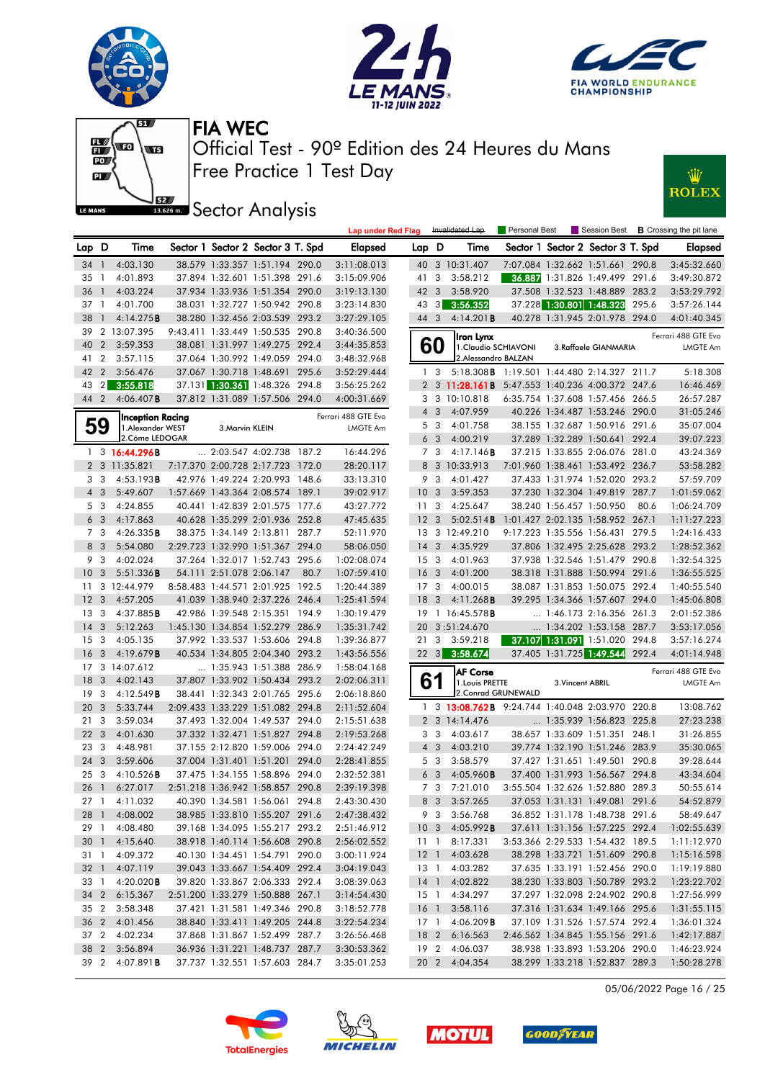





Lap under Red Flag Invalidated Lap Personal Best Session Best **B** Crossing the pit lane



Free Practice 1 Test Day Official Test - 90º Edition des 24 Heures du Mans FIA WEC



**IBER Sector Analysis** 

| Lap D           |                         | Time                                  | Sector 1 Sector 2 Sector 3 T. Spd |      | <b>Elapsed</b>      | Lap D           |                         | Time                                            |                          | Sector 1 Sector 2 Sector 3 T. Spd |       | <b>Elapsed</b>      |
|-----------------|-------------------------|---------------------------------------|-----------------------------------|------|---------------------|-----------------|-------------------------|-------------------------------------------------|--------------------------|-----------------------------------|-------|---------------------|
| 34 1            |                         | 4:03.130                              | 38.579 1:33.357 1:51.194 290.0    |      | 3:11:08.013         |                 |                         | 40 3 10:31.407                                  |                          | 7:07.084 1:32.662 1:51.661 290.8  |       | 3:45:32.660         |
| 35 1            |                         | 4:01.893                              | 37.894 1:32.601 1:51.398 291.6    |      | 3:15:09.906         | 41 3            |                         | 3:58.212                                        |                          | 36.887 1:31.826 1:49.499 291.6    |       | 3:49:30.872         |
| 36              | $\overline{1}$          | 4:03.224                              | 37.934 1:33.936 1:51.354 290.0    |      | 3:19:13.130         | 42 3            |                         | 3:58.920                                        |                          | 37.508 1:32.523 1:48.889 283.2    |       | 3:53:29.792         |
| 37 1            |                         | 4:01.700                              | 38.031 1:32.727 1:50.942 290.8    |      | 3:23:14.830         | 43              | $\lceil 3 \rceil$       | 3:56.352                                        |                          | 37.228 1:30.801 1:48.323          | 295.6 | 3:57:26.144         |
| 38              | $\overline{1}$          | 4:14.275B                             | 38.280 1:32.456 2:03.539 293.2    |      | 3:27:29.105         | 44 3            |                         | 4:14.201B                                       |                          | 40.278 1:31.945 2:01.978 294.0    |       | 4:01:40.345         |
| 39              |                         | 2 13:07.395                           | 9:43.411 1:33.449 1:50.535 290.8  |      | 3:40:36.500         |                 |                         | Iron Lynx                                       |                          |                                   |       | Ferrari 488 GTE Evo |
| 40              | $\overline{2}$          | 3:59.353                              | 38.081 1:31.997 1:49.275 292.4    |      | 3:44:35.853         |                 | 60                      | 1. Claudio SCHIAVONI                            |                          | 3.Raffaele GIANMARIA              |       | LMGTE Am            |
| 41              | $\overline{2}$          | 3:57.115                              | 37.064 1:30.992 1:49.059 294.0    |      | 3:48:32.968         |                 |                         | 2. Alessandro BALZAN                            |                          |                                   |       |                     |
| 42 2            |                         | 3:56.476                              | 37.067 1:30.718 1:48.691 295.6    |      | 3:52:29.444         |                 | 13                      | 5:18.308 B 1:19.501 1:44.480 2:14.327 211.7     |                          |                                   |       | 5:18.308            |
|                 | $43 \quad 2$            | 3:55.818                              | 37.131 1:30.361 1:48.326 294.8    |      | 3:56:25.262         |                 |                         | 2 3 11:28.161B 5:47.553 1:40.236 4:00.372 247.6 |                          |                                   |       | 16:46.469           |
| 44 2            |                         | $4:06.407$ <b>B</b>                   | 37.812 1:31.089 1:57.506 294.0    |      | 4:00:31.669         |                 |                         | 3 3 10:10.818                                   |                          | 6:35.754 1:37.608 1:57.456 266.5  |       | 26:57.287           |
|                 |                         |                                       |                                   |      | Ferrari 488 GTE Evo |                 | $4 \quad 3$             | 4:07.959                                        |                          | 40.226 1:34.487 1:53.246 290.0    |       | 31:05.246           |
|                 | 59                      | Inception Racing<br>1. Alexander WEST | 3. Marvin KLEIN                   |      | LMGTE Am            |                 | 5 3                     | 4:01.758                                        |                          | 38.155 1:32.687 1:50.916 291.6    |       | 35:07.004           |
|                 |                         | 2. Côme LEDOGAR                       |                                   |      |                     |                 | 6 <sub>3</sub>          | 4:00.219                                        |                          | 37.289 1:32.289 1:50.641 292.4    |       | 39:07.223           |
|                 |                         | 1 3 16:44.296B                        | 2:03.547 4:02.738 187.2           |      | 16:44.296           |                 | 7 3                     | 4:17.146B                                       |                          | 37.215 1:33.855 2:06.076 281.0    |       | 43:24.369           |
|                 |                         | 2 3 11:35.821                         | 7:17.370 2:00.728 2:17.723 172.0  |      | 28:20.117           |                 |                         | 8 3 10:33.913                                   |                          | 7:01.960 1:38.461 1:53.492 236.7  |       | 53:58.282           |
|                 | 3 3                     | 4:53.193B                             | 42.976 1:49.224 2:20.993 148.6    |      | 33:13.310           |                 | 9 3                     | 4:01.427                                        |                          | 37.433 1:31.974 1:52.020 293.2    |       | 57:59.709           |
|                 | $4 \quad 3$             | 5:49.607                              | 1:57.669 1:43.364 2:08.574 189.1  |      | 39:02.917           | 10 <sub>3</sub> |                         | 3:59.353                                        |                          | 37.230 1:32.304 1:49.819 287.7    |       | 1:01:59.062         |
|                 | 5 <sub>3</sub>          | 4:24.855                              | 40.441 1:42.839 2:01.575 177.6    |      | 43:27.772           | 11 <sub>3</sub> |                         | 4:25.647                                        | 38.240 1:56.457 1:50.950 |                                   | 80.6  | 1:06:24.709         |
|                 | 6 <sub>3</sub>          | 4:17.863                              | 40.628 1:35.299 2:01.936 252.8    |      | 47:45.635           | 12 <sup>3</sup> |                         | 5:02.514B                                       |                          | 1:01.427 2:02.135 1:58.952 267.1  |       | 1:11:27.223         |
|                 | 7 3                     | 4:26.335B                             | 38.375 1:34.149 2:13.811 287.7    |      | 52:11.970           |                 |                         | 13 3 12:49.210                                  |                          | 9:17.223 1:35.556 1:56.431 279.5  |       | 1:24:16.433         |
|                 | 8 3                     | 5:54.080                              | 2:29.723 1:32.990 1:51.367 294.0  |      | 58:06.050           | 14 <sub>3</sub> |                         | 4:35.929                                        |                          | 37.806 1:32.495 2:25.628 293.2    |       | 1:28:52.362         |
|                 | 9 3                     | 4:02.024                              | 37.264 1:32.017 1:52.743 295.6    |      | 1:02:08.074         | 15              | $\overline{\mathbf{3}}$ | 4:01.963                                        |                          | 37.938 1:32.546 1:51.479 290.8    |       | 1:32:54.325         |
| 10 <sub>3</sub> |                         | 5:51.336B                             | 54.111 2:51.078 2:06.147          | 80.7 | 1:07:59.410         | 16              | $\overline{\mathbf{3}}$ | 4:01.200                                        |                          | 38.318 1:31.888 1:50.994 291.6    |       | 1:36:55.525         |
|                 |                         | 11 3 12:44.979                        | 8:58.483 1:44.571 2:01.925 192.5  |      | 1:20:44.389         | 17 <sub>3</sub> |                         | 4:00.015                                        |                          | 38.087 1:31.853 1:50.075 292.4    |       | 1:40:55.540         |
| 12 <sup>3</sup> |                         | 4:57.205                              | 41.039 1:38.940 2:37.226 246.4    |      | 1:25:41.594         | 18 <sup>3</sup> |                         | 4:11.268B                                       |                          | 39.295 1:34.366 1:57.607 294.0    |       | 1:45:06.808         |
| 13              | -3                      | 4:37.885B                             | 42.986 1:39.548 2:15.351 194.9    |      | 1:30:19.479         | 19              |                         | 1 16:45.578 <b>B</b>                            |                          | 1:46.173 2:16.356 261.3           |       | 2:01:52.386         |
| 14 <sub>3</sub> |                         | 5:12.263                              | 1:45.130 1:34.854 1:52.279 286.9  |      | 1:35:31.742         | 20              |                         | 3:51:24.670                                     |                          | 1:34.202 1:53.158 287.7           |       | 3:53:17.056         |
| 15 <sup>3</sup> |                         | 4:05.135                              | 37.992 1:33.537 1:53.606 294.8    |      | 1:39:36.877         | 213             |                         | 3:59.218                                        |                          | 37.107 1:31.091 1:51.020 294.8    |       | 3:57:16.274         |
| 16              | $\overline{\mathbf{3}}$ | 4:19.679B                             | 40.534 1:34.805 2:04.340 293.2    |      | 1:43:56.556         |                 |                         | 22 3 3:58.674                                   |                          | 37.405 1:31.725 1:49.544 292.4    |       | 4:01:14.948         |
|                 |                         | 17 3 14:07.612                        | 1:35.943 1:51.388 286.9           |      | 1:58:04.168         |                 |                         | <b>AF Corse</b>                                 |                          |                                   |       | Ferrari 488 GTE Evo |
| 18 <sup>3</sup> |                         | 4:02.143                              | 37.807 1:33.902 1:50.434 293.2    |      | 2:02:06.311         | 61              |                         | 1. Louis PRETTE                                 | 3. Vincent ABRIL         |                                   |       | LMGTE Am            |
| 19 <sup>3</sup> |                         | 4:12.549B                             | 38.441 1:32.343 2:01.765 295.6    |      | 2:06:18.860         |                 |                         | 2. Conrad GRUNEWALD                             |                          |                                   |       |                     |
| 20 3            |                         | 5:33.744                              | 2:09.433 1:33.229 1:51.082 294.8  |      | 2:11:52.604         |                 |                         | 1 3 13:08.762B 9:24.744 1:40.048 2:03.970 220.8 |                          |                                   |       | 13:08.762           |
| 21              | $\overline{\mathbf{3}}$ | 3:59.034                              | 37.493 1:32.004 1:49.537 294.0    |      | 2:15:51.638         |                 |                         | 2 3 14:14.476                                   |                          | 1:35.939 1:56.823 225.8           |       | 27:23.238           |
| 22 3            |                         | 4:01.630                              | 37.332 1:32.471 1:51.827 294.8    |      | 2:19:53.268         |                 | 3 <sub>3</sub>          | 4:03.617                                        |                          | 38.657 1:33.609 1:51.351 248.1    |       | 31:26.855           |
| 23 3            |                         | 4:48.981                              | 37.155 2:12.820 1:59.006 294.0    |      | 2:24:42.249         |                 | $4 \quad 3$             | 4:03.210                                        |                          | 39.774 1:32.190 1:51.246 283.9    |       | 35:30.065           |
| 24 3            |                         | 3:59.606                              | 37.004 1:31.401 1:51.201 294.0    |      | 2:28:41.855         |                 | 5 3                     | 3:58.579                                        |                          | 37.427 1:31.651 1:49.501 290.8    |       | 39:28.644           |
| 25 3            |                         | 4:10.526B                             | 37.475 1:34.155 1:58.896 294.0    |      | 2:32:52.381         | 6               | $\overline{\mathbf{3}}$ | 4:05.960B                                       |                          | 37.400 1:31.993 1:56.567 294.8    |       | 43:34.604           |
| 26              | $\overline{1}$          | 6:27.017                              | 2:51.218 1:36.942 1:58.857 290.8  |      | 2:39:19.398         |                 | 7 <sub>3</sub>          | 7:21.010                                        |                          | 3:55.504 1:32.626 1:52.880 289.3  |       | 50:55.614           |
| 27 1            |                         | 4:11.032                              | 40.390 1:34.581 1:56.061 294.8    |      | 2:43:30.430         |                 | 8 3                     | 3:57.265                                        |                          | 37.053 1:31.131 1:49.081 291.6    |       | 54:52.879           |
|                 |                         | 28 1 4:08.002                         | 38.985 1:33.810 1:55.207 291.6    |      | 2:47:38.432         |                 |                         | 9 3 3:56.768                                    |                          | 36.852 1:31.178 1:48.738 291.6    |       | 58:49.647           |
|                 | 29 1                    | 4:08.480                              | 39.168 1:34.095 1:55.217 293.2    |      | 2:51:46.912         |                 |                         | 10 3 4:05.992 <b>B</b>                          |                          | 37.611 1:31.156 1:57.225 292.4    |       | 1:02:55.639         |
| 30 <sub>1</sub> |                         | 4:15.640                              | 38.918 1:40.114 1:56.608 290.8    |      | 2:56:02.552         |                 |                         | 11 1 8:17.331                                   |                          | 3:53.366 2:29.533 1:54.432 189.5  |       | 1:11:12.970         |
| 31 1            |                         | 4:09.372                              | 40.130 1:34.451 1:54.791 290.0    |      | 3:00:11.924         | $12-1$          |                         | 4:03.628                                        |                          | 38.298 1:33.721 1:51.609 290.8    |       | 1:15:16.598         |
|                 |                         | 32 1 4:07.119                         | 39.043 1:33.667 1:54.409 292.4    |      | 3:04:19.043         | 13 1            |                         | 4:03.282                                        |                          | 37.635 1:33.191 1:52.456 290.0    |       | 1:19:19.880         |
| 33 1            |                         | 4:20.020B                             | 39.820 1:33.867 2:06.333 292.4    |      | 3:08:39.063         | 14 <sup>1</sup> |                         | 4:02.822                                        |                          | 38.230 1:33.803 1:50.789 293.2    |       | 1:23:22.702         |
| 34 2            |                         | 6:15.367                              | 2:51.200 1:33.279 1:50.888 267.1  |      | 3:14:54.430         | 15 1            |                         | 4:34.297                                        |                          | 37.297 1:32.098 2:24.902 290.8    |       | 1:27:56.999         |
| 35 2            |                         | 3:58.348                              | 37.421 1:31.581 1:49.346 290.8    |      | 3:18:52.778         | 16 <sub>1</sub> |                         | 3:58.116                                        |                          | 37.316 1:31.634 1:49.166 295.6    |       | 1:31:55.115         |
|                 |                         | 36 2 4:01.456                         | 38.840 1:33.411 1:49.205 244.8    |      | 3:22:54.234         | 17 1            |                         | 4:06.209B                                       |                          | 37.109 1:31.526 1:57.574 292.4    |       | 1:36:01.324         |
| 37 2            |                         | 4:02.234                              | 37.868 1:31.867 1:52.499 287.7    |      | 3:26:56.468         | 18 2            |                         | 6:16.563                                        |                          | 2:46.562 1:34.845 1:55.156 291.6  |       | 1:42:17.887         |
| 38 2            |                         | 3:56.894                              | 36.936 1:31.221 1:48.737 287.7    |      | 3:30:53.362         | 19 2            |                         | 4:06.037                                        |                          | 38.938 1:33.893 1:53.206 290.0    |       | 1:46:23.924         |
|                 |                         | 39 2 4:07.891 <b>B</b>                | 37.737 1:32.551 1:57.603 284.7    |      | 3:35:01.253         |                 |                         | 20 2 4:04.354                                   |                          | 38.299 1:33.218 1:52.837 289.3    |       | 1:50:28.278         |

05/06/2022 Page 16 / 25





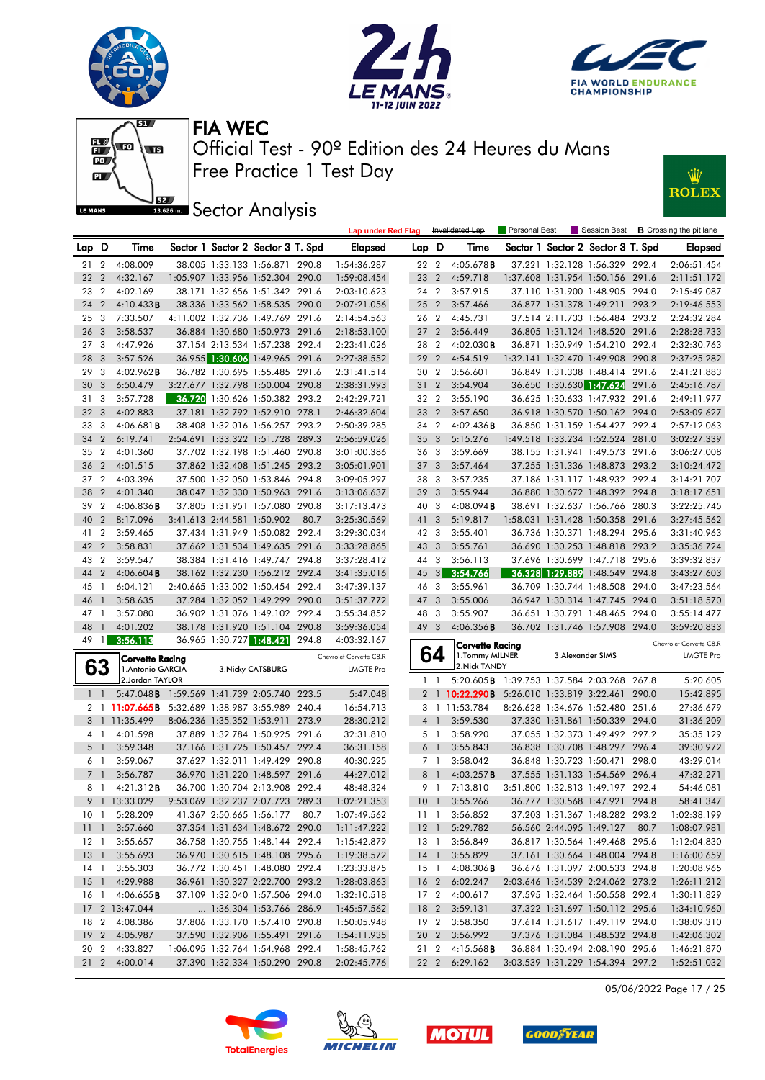











|                 |                |                                                 |                            |                                   |       | <b>Lap under Red Flag</b> |                 |                         | Invalidated Lap                                 | Personal Best |                                   |      | Session Best <b>B</b> Crossing the pit lane |
|-----------------|----------------|-------------------------------------------------|----------------------------|-----------------------------------|-------|---------------------------|-----------------|-------------------------|-------------------------------------------------|---------------|-----------------------------------|------|---------------------------------------------|
| Lap D           |                | Time                                            |                            | Sector 1 Sector 2 Sector 3 T. Spd |       | Elapsed                   | Lap D           |                         | Time                                            |               | Sector 1 Sector 2 Sector 3 T. Spd |      | Elapsed                                     |
| 21              | $\overline{2}$ | 4:08.009                                        |                            | 38.005 1:33.133 1:56.871 290.8    |       | 1:54:36.287               | 22 2            |                         | 4:05.678B                                       |               | 37.221 1:32.128 1:56.329 292.4    |      | 2:06:51.454                                 |
| 22              | $\overline{2}$ | 4:32.167                                        |                            | 1:05.907 1:33.956 1:52.304 290.0  |       | 1:59:08.454               | 23              | $\overline{2}$          | 4:59.718                                        |               | 1:37.608 1:31.954 1:50.156 291.6  |      | 2:11:51.172                                 |
| 23              | $\overline{2}$ | 4:02.169                                        |                            | 38.171 1:32.656 1:51.342 291.6    |       | 2:03:10.623               | 24 2            |                         | 3:57.915                                        |               | 37.110 1:31.900 1:48.905 294.0    |      | 2:15:49.087                                 |
| 24              | $\overline{2}$ | 4:10.433B                                       |                            | 38.336 1:33.562 1:58.535 290.0    |       | 2:07:21.056               | $25\quad2$      |                         | 3:57.466                                        |               | 36.877 1:31.378 1:49.211 293.2    |      | 2:19:46.553                                 |
| 25              | 3              | 7:33.507                                        |                            | 4:11.002 1:32.736 1:49.769 291.6  |       | 2:14:54.563               | 26 2            |                         | 4:45.731                                        |               | 37.514 2:11.733 1:56.484 293.2    |      | 2:24:32.284                                 |
| 26              | $\overline{3}$ | 3:58.537                                        |                            | 36.884 1:30.680 1:50.973 291.6    |       | 2:18:53.100               | 27 <sub>2</sub> |                         | 3:56.449                                        |               | 36.805 1:31.124 1:48.520 291.6    |      | 2:28:28.733                                 |
| 27 <sub>3</sub> |                | 4:47.926                                        |                            | 37.154 2:13.534 1:57.238 292.4    |       | 2:23:41.026               | 28 2            |                         | $4:02.030$ <b>B</b>                             |               | 36.871 1:30.949 1:54.210 292.4    |      | 2:32:30.763                                 |
| 28              | $\overline{3}$ | 3:57.526                                        |                            | 36.955 1:30.606 1:49.965 291.6    |       | 2:27:38.552               | 292             |                         | 4:54.519                                        |               | 1:32.141 1:32.470 1:49.908 290.8  |      | 2:37:25.282                                 |
| 29              | 3              | $4:02.962$ B                                    |                            | 36.782 1:30.695 1:55.485 291.6    |       | 2:31:41.514               | 30 2            |                         | 3:56.601                                        |               | 36.849 1:31.338 1:48.414 291.6    |      | 2:41:21.883                                 |
| 30              | 3              | 6:50.479                                        |                            | 3:27.677 1:32.798 1:50.004 290.8  |       | 2:38:31.993               | 31 2            |                         | 3:54.904                                        |               | 36.650 1:30.630 1:47.624 291.6    |      | 2:45:16.787                                 |
| 31              | - 3            | 3:57.728                                        |                            | 36.720 1:30.626 1:50.382 293.2    |       | 2:42:29.721               | 32 2            |                         | 3:55.190                                        |               | 36.625 1:30.633 1:47.932 291.6    |      | 2:49:11.977                                 |
| 32              | $\overline{3}$ | 4:02.883                                        |                            | 37.181 1:32.792 1:52.910 278.1    |       | 2:46:32.604               | 33 2            |                         | 3:57.650                                        |               | 36.918 1:30.570 1:50.162 294.0    |      | 2:53:09.627                                 |
| 33              | 3              | 4:06.681B                                       |                            | 38.408 1:32.016 1:56.257 293.2    |       | 2:50:39.285               | 34 2            |                         | $4:02.436$ B                                    |               | 36.850 1:31.159 1:54.427 292.4    |      | 2:57:12.063                                 |
| 34              | $\overline{2}$ | 6:19.741                                        |                            | 2:54.691 1:33.322 1:51.728 289.3  |       | 2:56:59.026               | 35 <sub>3</sub> |                         | 5:15.276                                        |               | 1:49.518 1:33.234 1:52.524 281.0  |      | 3:02:27.339                                 |
| 35              | $\overline{2}$ | 4:01.360                                        |                            | 37.702 1:32.198 1:51.460 290.8    |       | 3:01:00.386               | 36 3            |                         | 3:59.669                                        |               | 38.155 1:31.941 1:49.573 291.6    |      | 3:06:27.008                                 |
| 36              | $\overline{2}$ | 4:01.515                                        |                            | 37.862 1:32.408 1:51.245 293.2    |       | 3:05:01.901               | 37 <sub>3</sub> |                         | 3:57.464                                        |               | 37.255 1:31.336 1:48.873 293.2    |      | 3:10:24.472                                 |
| 37              | $\overline{2}$ | 4:03.396                                        |                            | 37.500 1:32.050 1:53.846 294.8    |       | 3:09:05.297               | 383             |                         | 3:57.235                                        |               | 37.186 1:31.117 1:48.932 292.4    |      | 3:14:21.707                                 |
| 38              | $\overline{2}$ | 4:01.340                                        |                            | 38.047 1:32.330 1:50.963 291.6    |       | 3:13:06.637               | 39              | $\mathbf{3}$            | 3:55.944                                        |               | 36.880 1:30.672 1:48.392 294.8    |      | 3:18:17.651                                 |
| 39              | $\overline{2}$ | 4:06.836B                                       |                            | 37.805 1:31.951 1:57.080 290.8    |       | 3:17:13.473               | 40 3            |                         | 4:08.094B                                       |               | 38.691 1:32.637 1:56.766 280.3    |      | 3:22:25.745                                 |
| 40              | $\overline{2}$ | 8:17.096                                        | 3:41.613 2:44.581 1:50.902 |                                   | 80.7  | 3:25:30.569               | 41 3            |                         | 5:19.817                                        |               | 1:58.031 1:31.428 1:50.358 291.6  |      | 3:27:45.562                                 |
| 41              | $\overline{2}$ | 3:59.465                                        |                            | 37.434 1:31.949 1:50.082 292.4    |       | 3:29:30.034               | 42 3            |                         | 3:55.401                                        |               | 36.736 1:30.371 1:48.294 295.6    |      | 3:31:40.963                                 |
| 42              | $\overline{2}$ | 3:58.831                                        |                            | 37.662 1:31.534 1:49.635 291.6    |       | 3:33:28.865               | 43 3            |                         | 3:55.761                                        |               | 36.690 1:30.253 1:48.818 293.2    |      | 3:35:36.724                                 |
| 43              | $\overline{2}$ | 3:59.547                                        |                            | 38.384 1:31.416 1:49.747 294.8    |       | 3:37:28.412               | 44 3            |                         | 3:56.113                                        |               | 37.696 1:30.699 1:47.718 295.6    |      | 3:39:32.837                                 |
| 44              | $\overline{2}$ | $4:06.604$ B                                    |                            | 38.162 1:32.230 1:56.212 292.4    |       | 3:41:35.016               | $45 \quad 3$    |                         | 3:54.766                                        |               | 36.328 1:29.889 1:48.549 294.8    |      | 3:43:27.603                                 |
| 45              | $\overline{1}$ | 6:04.121                                        |                            | 2:40.665 1:33.002 1:50.454 292.4  |       | 3:47:39.137               | 46 3            |                         | 3:55.961                                        |               | 36.709 1:30.744 1:48.508 294.0    |      | 3:47:23.564                                 |
| 46              | $\mathbf{1}$   | 3:58.635                                        |                            | 37.284 1:32.052 1:49.299 290.0    |       | 3:51:37.772               | 47              | $\overline{\mathbf{3}}$ | 3:55.006                                        |               | 36.947 1:30.314 1:47.745 294.0    |      | 3:51:18.570                                 |
| 47 1            |                | 3:57.080                                        |                            | 36.902 1:31.076 1:49.102 292.4    |       | 3:55:34.852               | 48 3            |                         | 3:55.907                                        |               | 36.651 1:30.791 1:48.465 294.0    |      | 3:55:14.477                                 |
| 48              | $\overline{1}$ | 4:01.202                                        |                            | 38.178 1:31.920 1:51.104 290.8    |       | 3:59:36.054               | 49 3            |                         | 4:06.356B                                       |               | 36.702 1:31.746 1:57.908 294.0    |      | 3:59:20.833                                 |
| 49              | $\overline{1}$ | 3:56.113                                        | 36.965 1:30.727 1:48.421   |                                   | 294.8 | 4:03:32.167               |                 |                         | <b>Corvette Racing</b>                          |               |                                   |      | Chevrolet Corvette C8.R                     |
|                 |                | Corvette Racing                                 |                            |                                   |       | Chevrolet Corvette C8.R   |                 | 64                      | 1. Tommy MILNER                                 |               | 3. Alexander SIMS                 |      | <b>LMGTE Pro</b>                            |
|                 | 63             | 1. Antonio GARCIA                               |                            | 3. Nicky CATSBURG                 |       | <b>LMGTE Pro</b>          |                 |                         | 2. Nick TANDY                                   |               |                                   |      |                                             |
|                 |                | 2.Jordan TAYLOR                                 |                            |                                   |       |                           |                 | $1\quad$                | 5:20.605 B 1:39.753 1:37.584 2:03.268 267.8     |               |                                   |      | 5:20.605                                    |
|                 | $1\quad$       | 5:47.048 B 1:59.569 1:41.739 2:05.740 223.5     |                            |                                   |       | 5:47.048                  |                 |                         | 2 1 10:22.290B 5:26.010 1:33.819 3:22.461 290.0 |               |                                   |      | 15:42.895                                   |
|                 |                | 2 1 11:07.665B 5:32.689 1:38.987 3:55.989 240.4 |                            |                                   |       | 16:54.713                 |                 |                         | 3 1 11:53.784                                   |               | 8:26.628 1:34.676 1:52.480 251.6  |      | 27:36.679                                   |
|                 |                | 3 1 11:35.499                                   |                            | 8:06.236 1:35.352 1:53.911 273.9  |       | 28:30.212                 |                 | 4 1                     | 3:59.530                                        |               | 37.330 1:31.861 1:50.339 294.0    |      | 31:36.209                                   |
|                 | 4 1            | 4:01.598                                        |                            | 37.889 1:32.784 1:50.925 291.6    |       | 32:31.810                 |                 | 5 1                     | 3:58.920                                        |               | 37.055 1:32.373 1:49.492 297.2    |      | 35:35.129                                   |
| 5 <sub>1</sub>  |                | 3:59.348                                        |                            | 37.166 1:31.725 1:50.457 292.4    |       | 36:31.158                 |                 | 6 <sup>1</sup>          | 3:55.843                                        |               | 36.838 1:30.708 1:48.297 296.4    |      | 39:30.972                                   |
|                 | 6 1            | 3:59.067                                        |                            | 37.627 1:32.011 1:49.429 290.8    |       | 40:30.225                 |                 | 7 <sub>1</sub>          | 3:58.042                                        |               | 36.848 1:30.723 1:50.471 298.0    |      | 43:29.014                                   |
| 7 <sub>1</sub>  |                | 3:56.787                                        |                            | 36.970 1:31.220 1:48.597 291.6    |       | 44:27.012                 | 8               | $\overline{1}$          | 4:03.257B                                       |               | 37.555 1:31.133 1:54.569 296.4    |      | 47:32.271                                   |
| 8               | $\overline{1}$ | 4:21.312B                                       |                            | 36.700 1:30.704 2:13.908 292.4    |       | 48:48.324                 |                 | 9 1                     | 7:13.810                                        |               | 3:51.800 1:32.813 1:49.197 292.4  |      | 54:46.081                                   |
|                 |                | 9 1 13:33.029                                   |                            | 9:53.069 1:32.237 2:07.723 289.3  |       | 1:02:21.353               |                 |                         | 10 1 3:55.266                                   |               | 36.777 1:30.568 1:47.921 294.8    |      | 58:41.347                                   |
|                 |                | 10 1 5:28.209                                   |                            | 41.367 2:50.665 1:56.177 80.7     |       | 1:07:49.562               |                 |                         | 11 1 3:56.852                                   |               | 37.203 1:31.367 1:48.282 293.2    |      | 1:02:38.199                                 |
|                 |                | 11 1 3:57.660                                   |                            | 37.354 1:31.634 1:48.672 290.0    |       | 1:11:47.222               |                 |                         | 12 1 5:29.782                                   |               | 56.560 2:44.095 1:49.127          | 80.7 | 1:08:07.981                                 |
| $12-1$          |                | 3:55.657                                        |                            | 36.758 1:30.755 1:48.144 292.4    |       | 1:15:42.879               | 13 1            |                         | 3:56.849                                        |               | 36.817 1:30.564 1:49.468 295.6    |      | 1:12:04.830                                 |
|                 |                | 13 1 3:55.693                                   |                            | 36.970 1:30.615 1:48.108 295.6    |       | 1:19:38.572               | 14 <sup>1</sup> |                         | 3:55.829                                        |               | 37.161 1:30.664 1:48.004 294.8    |      | 1:16:00.659                                 |
|                 |                | 14 1 3:55.303                                   |                            | 36.772 1:30.451 1:48.080 292.4    |       | 1:23:33.875               | 15 <sup>1</sup> |                         | $4:08.306$ <b>B</b>                             |               | 36.676 1:31.097 2:00.533 294.8    |      | 1:20:08.965                                 |
| 15 <sub>1</sub> |                | 4:29.988                                        |                            | 36.961 1:30.327 2:22.700 293.2    |       | 1:28:03.863               | 16 2            |                         | 6:02.247                                        |               | 2:03.646 1:34.539 2:24.062 273.2  |      | 1:26:11.212                                 |
| 16 1            |                | 4:06.655B                                       |                            | 37.109 1:32.040 1:57.506 294.0    |       | 1:32:10.518               |                 |                         | 17 2 4:00.617                                   |               | 37.595 1:32.464 1:50.558 292.4    |      | 1:30:11.829                                 |
|                 |                | 17 2 13:47.044                                  |                            | 1:36.304 1:53.766 286.9           |       | 1:45:57.562               | 18 2            |                         | 3:59.131                                        |               | 37.322 1:31.697 1:50.112 295.6    |      | 1:34:10.960                                 |
|                 |                | 18 2 4:08.386                                   |                            | 37.806 1:33.170 1:57.410 290.8    |       | 1:50:05.948               |                 |                         | 19 2 3:58.350                                   |               | 37.614 1:31.617 1:49.119 294.0    |      | 1:38:09.310                                 |
|                 |                | 19 2 4:05.987                                   |                            | 37.590 1:32.906 1:55.491 291.6    |       | 1:54:11.935               |                 |                         | 20 2 3:56.992                                   |               | 37.376 1:31.084 1:48.532 294.8    |      | 1:42:06.302                                 |
| 20 2            |                | 4:33.827                                        |                            | 1:06.095 1:32.764 1:54.968 292.4  |       | 1:58:45.762               |                 |                         | 21 2 4:15.568 <b>B</b>                          |               | 36.884 1:30.494 2:08.190 295.6    |      | 1:46:21.870                                 |
| $21\quad2$      |                | 4:00.014                                        |                            | 37.390 1:32.334 1:50.290 290.8    |       | 2:02:45.776               |                 |                         | 22 2 6:29.162                                   |               | 3:03.539 1:31.229 1:54.394 297.2  |      | 1:52:51.032                                 |

05/06/2022 Page 17 / 25







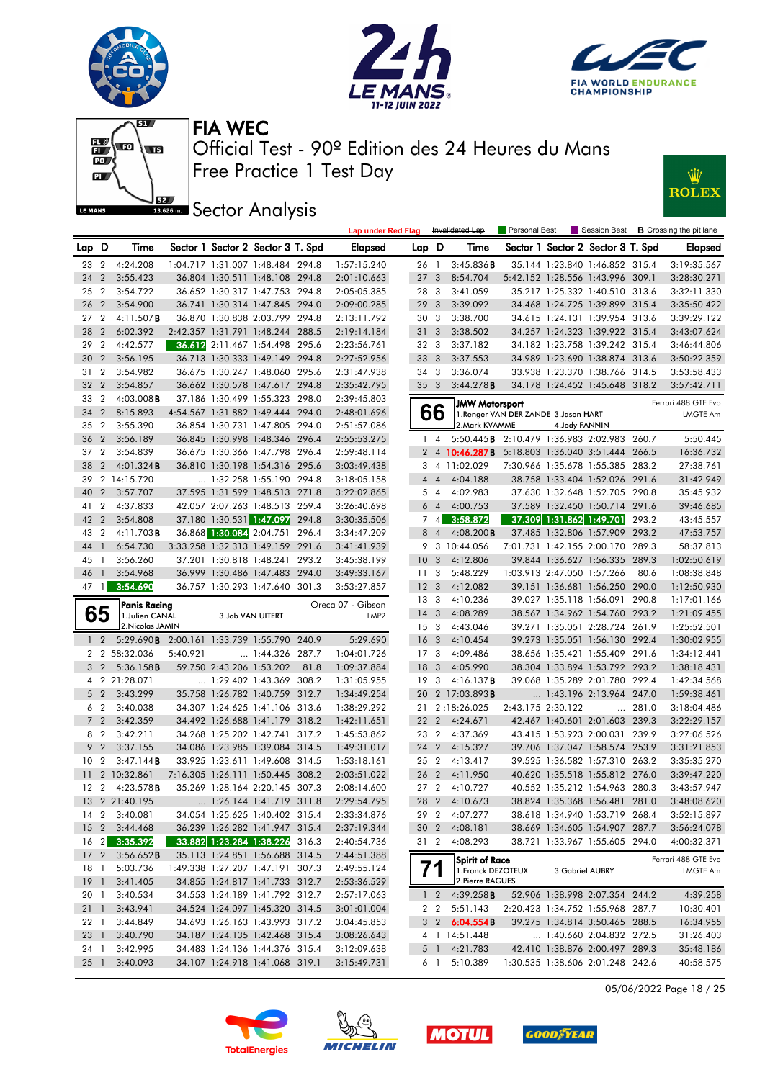









**J**<br>**Bassem Sector Analysis** 

|                 |                |                                            |          |                                |                                   |       | <b>Lap under Red Flag</b> |                 |                | Invalidated Lap                                 | <b>Personal Best</b>                  |                  |                                   |               | Session Best <b>B</b> Crossing the pit lane |
|-----------------|----------------|--------------------------------------------|----------|--------------------------------|-----------------------------------|-------|---------------------------|-----------------|----------------|-------------------------------------------------|---------------------------------------|------------------|-----------------------------------|---------------|---------------------------------------------|
| Lap D           |                | Time                                       |          |                                | Sector 1 Sector 2 Sector 3 T. Spd |       | Elapsed                   | Lap D           |                | Time                                            |                                       |                  | Sector 1 Sector 2 Sector 3 T. Spd |               | <b>Elapsed</b>                              |
| 23              | 2              | 4:24.208                                   |          |                                | 1:04.717 1:31.007 1:48.484 294.8  |       | 1:57:15.240               | 26 1            |                | 3:45.836B                                       |                                       |                  | 35.144 1:23.840 1:46.852 315.4    |               | 3:19:35.567                                 |
| 24              | $\overline{2}$ | 3:55.423                                   |          |                                | 36.804 1:30.511 1:48.108 294.8    |       | 2:01:10.663               | 27 <sub>3</sub> |                | 8:54.704                                        |                                       |                  | 5:42.152 1:28.556 1:43.996 309.1  |               | 3:28:30.271                                 |
| 25              | $\overline{2}$ | 3:54.722                                   |          |                                | 36.652 1:30.317 1:47.753 294.8    |       | 2:05:05.385               | 28 3            |                | 3:41.059                                        |                                       |                  | 35.217 1:25.332 1:40.510 313.6    |               | 3:32:11.330                                 |
| 26              | $\overline{2}$ | 3:54.900                                   |          |                                | 36.741 1:30.314 1:47.845 294.0    |       | 2:09:00.285               | 293             |                | 3:39.092                                        |                                       |                  | 34.468 1:24.725 1:39.899 315.4    |               | 3:35:50.422                                 |
| 27              | $\overline{2}$ | $4:11.507$ B                               |          |                                | 36.870 1:30.838 2:03.799 294.8    |       | 2:13:11.792               | 30 3            |                | 3:38.700                                        |                                       |                  | 34.615 1:24.131 1:39.954 313.6    |               | 3:39:29.122                                 |
| 28              | $\overline{2}$ | 6:02.392                                   |          |                                | 2:42.357 1:31.791 1:48.244 288.5  |       | 2:19:14.184               | 31              | 3              | 3:38.502                                        |                                       |                  | 34.257 1:24.323 1:39.922 315.4    |               | 3:43:07.624                                 |
| 29              | $\overline{2}$ | 4:42.577                                   |          |                                | 36.612 2:11.467 1:54.498 295.6    |       | 2:23:56.761               | 32 3            |                | 3:37.182                                        |                                       |                  | 34.182 1:23.758 1:39.242 315.4    |               | 3:46:44.806                                 |
| 30              | $\overline{2}$ | 3:56.195                                   |          |                                | 36.713 1:30.333 1:49.149 294.8    |       | 2:27:52.956               | 33 3            |                | 3:37.553                                        |                                       |                  | 34.989 1:23.690 1:38.874 313.6    |               | 3:50:22.359                                 |
| 31              | $\overline{2}$ | 3:54.982                                   |          |                                | 36.675 1:30.247 1:48.060 295.6    |       | 2:31:47.938               | 34 3            |                | 3:36.074                                        |                                       |                  | 33.938 1:23.370 1:38.766 314.5    |               | 3:53:58.433                                 |
| 32              | $\overline{2}$ | 3:54.857                                   |          |                                | 36.662 1:30.578 1:47.617 294.8    |       | 2:35:42.795               | 35 <sub>3</sub> |                | 3:44.278B                                       |                                       |                  | 34.178 1:24.452 1:45.648 318.2    |               | 3:57:42.711                                 |
| 33              | $\overline{2}$ | $4:03.008$ <b>B</b>                        |          |                                | 37.186 1:30.499 1:55.323 298.0    |       | 2:39:45.803               |                 |                |                                                 |                                       |                  |                                   |               |                                             |
| 34              | $\overline{2}$ | 8:15.893                                   |          |                                | 4:54.567 1:31.882 1:49.444 294.0  |       | 2:48:01.696               |                 | 66             | <b>JMW Motorsport</b>                           | 1. Renger VAN DER ZANDE 3. Jason HART |                  |                                   |               | Ferrari 488 GTE Evo<br><b>LMGTE Am</b>      |
| 35              | $\overline{2}$ | 3:55.390                                   |          |                                | 36.854 1:30.731 1:47.805 294.0    |       | 2:51:57.086               |                 |                | 2. Mark KVAMME                                  |                                       | 4. Jody FANNIN   |                                   |               |                                             |
| 36              | $\overline{2}$ | 3:56.189                                   |          |                                | 36.845 1:30.998 1:48.346 296.4    |       | 2:55:53.275               |                 | $1 \quad 4$    | 5:50.445B 2:10.479 1:36.983 2:02.983 260.7      |                                       |                  |                                   |               | 5:50.445                                    |
| 37 2            |                | 3:54.839                                   |          |                                | 36.675 1:30.366 1:47.798 296.4    |       | 2:59:48.114               |                 |                | 2 4 10:46.287B 5:18.803 1:36.040 3:51.444 266.5 |                                       |                  |                                   |               | 16:36.732                                   |
| 38              | $\overline{2}$ | 4:01.324B                                  |          |                                | 36.810 1:30.198 1:54.316 295.6    |       | 3:03:49.438               |                 |                | 3 4 11:02.029                                   |                                       |                  | 7:30.966 1:35.678 1:55.385 283.2  |               | 27:38.761                                   |
| 39              |                | 2 14:15.720                                |          |                                | 1:32.258 1:55.190 294.8           |       | 3:18:05.158               |                 | $4\quad 4$     | 4:04.188                                        |                                       |                  | 38.758 1:33.404 1:52.026 291.6    |               | 31:42.949                                   |
| 40              | $\overline{2}$ | 3:57.707                                   |          |                                | 37.595 1:31.599 1:48.513 271.8    |       | 3:22:02.865               |                 |                | 4:02.983                                        |                                       |                  | 37.630 1:32.648 1:52.705 290.8    |               | 35:45.932                                   |
|                 |                |                                            |          |                                | 42.057 2:07.263 1:48.513 259.4    |       | 3:26:40.698               |                 | 5 4            |                                                 |                                       |                  |                                   |               |                                             |
| 41              | $\overline{2}$ | 4:37.833                                   |          |                                |                                   |       |                           |                 | 64             | 4:00.753                                        |                                       |                  | 37.589 1:32.450 1:50.714 291.6    |               | 39:46.685                                   |
| 42              | $\overline{2}$ | 3:54.808                                   |          |                                | 37.180 1:30.531 1:47.097 294.8    |       | 3:30:35.506               |                 | 74             | 3:58.872                                        |                                       |                  | 37.309 1:31.862 1:49.701 293.2    |               | 43:45.557                                   |
| 43              | $\overline{2}$ | $4:11.703$ <b>B</b>                        |          |                                | 36.868 1:30.084 2:04.751          | 296.4 | 3:34:47.209               |                 | 8 4            | $4:08.200$ <b>B</b>                             |                                       |                  | 37.485 1:32.806 1:57.909 293.2    |               | 47:53.757                                   |
| 44              | $\overline{1}$ | 6:54.730                                   |          |                                | 3:33.258 1:32.313 1:49.159 291.6  |       | 3:41:41.939               |                 |                | 9 3 10:44.056                                   |                                       |                  | 7:01.731 1:42.155 2:00.170 289.3  |               | 58:37.813                                   |
| 45              | - 1            | 3:56.260                                   |          |                                | 37.201 1:30.818 1:48.241 293.2    |       | 3:45:38.199               | 10 <sub>3</sub> |                | 4:12.806                                        |                                       |                  | 39.844 1:36.627 1:56.335 289.3    |               | 1:02:50.619                                 |
| 46              | $\overline{1}$ | 3:54.968                                   |          |                                | 36.999 1:30.486 1:47.483 294.0    |       | 3:49:33.167               | 11 <sub>3</sub> |                | 5:48.229                                        |                                       |                  | 1:03.913 2:47.050 1:57.266        | 80.6          | 1:08:38.848                                 |
| 47              |                | $1 \quad 3:54.690$                         |          |                                | 36.757 1:30.293 1:47.640 301.3    |       | 3:53:27.857               | 12 <sup>3</sup> |                | 4:12.082                                        |                                       |                  | 39.151 1:36.681 1:56.250 290.0    |               | 1:12:50.930                                 |
|                 |                | Panis Racing                               |          |                                |                                   |       | Oreca 07 - Gibson         | 13 3            |                | 4:10.236                                        |                                       |                  | 39.027 1:35.118 1:56.091 290.8    |               | 1:17:01.166                                 |
|                 | 65             | 1. Julien CANAL                            |          |                                | 3.Job VAN UITERT                  |       | LMP <sub>2</sub>          | $14 \quad 3$    |                | 4:08.289                                        |                                       |                  | 38.567 1:34.962 1:54.760 293.2    |               | 1:21:09.455                                 |
|                 |                | 2. Nicolas JAMIN                           |          |                                |                                   |       |                           | 15 <sub>3</sub> |                | 4:43.046                                        |                                       |                  | 39.271 1:35.051 2:28.724 261.9    |               | 1:25:52.501                                 |
|                 | $1\quad2$      | 5:29.690B 2:00.161 1:33.739 1:55.790 240.9 |          |                                |                                   |       | 5:29.690                  | 16 <sub>3</sub> |                | 4:10.454                                        |                                       |                  | 39.273 1:35.051 1:56.130 292.4    |               | 1:30:02.955                                 |
|                 |                | 2 2 58:32.036                              | 5:40.921 |                                | $\dots$ 1:44.326 287.7            |       | 1:04:01.726               | 17 <sub>3</sub> |                | 4:09.486                                        |                                       |                  | 38.656 1:35.421 1:55.409 291.6    |               | 1:34:12.441                                 |
|                 | 3 2            | 5:36.158B                                  |          | 59.750 2:43.206 1:53.202       |                                   | 81.8  | 1:09:37.884               | 18 <sup>3</sup> |                | 4:05.990                                        |                                       |                  | 38.304 1:33.894 1:53.792 293.2    |               | 1:38:18.431                                 |
|                 |                | 4 2 21:28.071                              |          |                                | 1:29.402 1:43.369 308.2           |       | 1:31:05.955               | 19              | -3             | 4:16.137B                                       |                                       |                  | 39.068 1:35.289 2:01.780 292.4    |               | 1:42:34.568                                 |
|                 | $5\quad2$      | 3:43.299                                   |          |                                | 35.758 1:26.782 1:40.759 312.7    |       | 1:34:49.254               |                 |                | 20 2 17:03.893 <b>B</b>                         |                                       |                  | 1:43.196 2:13.964 247.0           |               | 1:59:38.461                                 |
|                 | 6 2            | 3:40.038                                   |          |                                | 34.307 1:24.625 1:41.106 313.6    |       | 1:38:29.292               |                 |                | 21 2:18:26.025                                  | 2:43.175 2:30.122                     |                  |                                   | $\dots$ 281.0 | 3:18:04.486                                 |
|                 | 7 <sub>2</sub> | 3:42.359                                   |          |                                | 34.492 1:26.688 1:41.179 318.2    |       | 1:42:11.651               | 22 2            |                | 4:24.671                                        |                                       |                  | 42.467 1:40.601 2:01.603 239.3    |               | 3:22:29.157                                 |
|                 | 8 2            | 3:42.211                                   |          |                                | 34.268 1:25.202 1:42.741 317.2    |       | 1:45:53.862               | 23 2            |                | 4:37.369                                        |                                       |                  | 43.415 1:53.923 2:00.031 239.9    |               | 3:27:06.526                                 |
|                 | 9 <sub>2</sub> | 3:37.155                                   |          |                                | 34.086 1:23.985 1:39.084 314.5    |       | 1:49:31.017               | 24              | $\overline{2}$ | 4:15.327                                        |                                       |                  | 39.706 1:37.047 1:58.574 253.9    |               | 3:31:21.853                                 |
| 10 <sub>2</sub> |                | 3:47.144B                                  |          |                                | 33.925 1:23.611 1:49.608 314.5    |       | 1:53:18.161               | 25 <sub>2</sub> |                | 4:13.417                                        |                                       |                  | 39.525 1:36.582 1:57.310 263.2    |               | 3:35:35.270                                 |
| 11              |                | 2 10:32.861                                |          |                                | 7:16.305 1:26.111 1:50.445 308.2  |       | 2:03:51.022               | 26 2            |                | 4:11.950                                        |                                       |                  | 40.620 1:35.518 1:55.812 276.0    |               | 3:39:47.220                                 |
|                 |                | 12 2 4:23.578 <b>B</b>                     |          |                                | 35.269 1:28.164 2:20.145 307.3    |       | 2:08:14.600               | 27 <sub>2</sub> |                | 4:10.727                                        |                                       |                  | 40.552 1:35.212 1:54.963 280.3    |               | 3:43:57.947                                 |
|                 |                | 13 2 21:40.195                             |          |                                | 1:26.144 1:41.719 311.8           |       | 2:29:54.795               |                 |                | 28 2 4:10.673                                   |                                       |                  | 38.824 1:35.368 1:56.481 281.0    |               | 3:48:08.620                                 |
|                 |                | 14 2 3:40.081                              |          |                                | 34.054 1:25.625 1:40.402 315.4    |       | 2:33:34.876               |                 |                | 29 2 4:07.277                                   |                                       |                  | 38.618 1:34.940 1:53.719 268.4    |               | 3:52:15.897                                 |
|                 |                | 15 2 3:44.468                              |          |                                | 36.239 1:26.282 1:41.947 315.4    |       | 2:37:19.344               |                 |                | 30 2 4:08.181                                   |                                       |                  | 38.669 1:34.605 1:54.907 287.7    |               | 3:56:24.078                                 |
|                 |                | 16 2 3:35.392                              |          |                                | 33.882 1:23.284 1:38.226 316.3    |       | 2:40:54.736               | 31 2            |                | 4:08.293                                        |                                       |                  | 38.721 1:33.967 1:55.605 294.0    |               | 4:00:32.371                                 |
|                 |                | 17 2 3:56.652B                             |          |                                | 35.113 1:24.851 1:56.688 314.5    |       | 2:44:51.388               |                 |                | Spirit of Race                                  |                                       |                  |                                   |               | Ferrari 488 GTE Evo                         |
| 18 1            |                | 5:03.736                                   |          |                                | 1:49.338 1:27.207 1:47.191 307.3  |       | 2:49:55.124               |                 |                | 1. Franck DEZOTEUX                              |                                       | 3. Gabriel AUBRY |                                   |               | LMGTE Am                                    |
| $19-1$          |                | 3:41.405                                   |          |                                | 34.855 1:24.817 1:41.733 312.7    |       | 2:53:36.529               |                 |                | 2. Pierre RAGUES                                |                                       |                  |                                   |               |                                             |
| 20 1            |                | 3:40.534                                   |          |                                | 34.553 1:24.189 1:41.792 312.7    |       | 2:57:17.063               |                 |                | 1 2 4:39.258 <b>B</b>                           |                                       |                  | 52.906 1:38.998 2:07.354 244.2    |               | 4:39.258                                    |
| $21 \quad 1$    |                | 3:43.941                                   |          |                                | 34.524 1:24.097 1:45.320 314.5    |       | 3:01:01.004               |                 | 2 2            | 5:51.143                                        |                                       |                  | 2:20.423 1:34.752 1:55.968 287.7  |               | 10:30.401                                   |
| 22 1            |                | 3:44.849                                   |          |                                | 34.693 1:26.163 1:43.993 317.2    |       | 3:04:45.853               |                 |                | 3 2 6:04.554B                                   |                                       |                  | 39.275 1:34.814 3:50.465 288.5    |               | 16:34.955                                   |
| 23 1            |                | 3:40.790                                   |          |                                | 34.187 1:24.135 1:42.468 315.4    |       | 3:08:26.643               |                 |                | 4 1 14:51.448                                   |                                       |                  | 1:40.660 2:04.832 272.5           |               | 31:26.403                                   |
| 24 1            |                | 3:42.995                                   |          |                                | 34.483 1:24.136 1:44.376 315.4    |       | 3:12:09.638               |                 |                | 5 1 4:21.783                                    |                                       |                  | 42.410 1:38.876 2:00.497 289.3    |               | 35:48.186                                   |
|                 | $25 \quad 1$   | 3:40.093                                   |          | 34.107 1:24.918 1:41.068 319.1 |                                   |       | 3:15:49.731               |                 |                | 6 1 5:10.389                                    |                                       |                  | 1:30.535 1:38.606 2:01.248 242.6  |               | 40:58.575                                   |

05/06/2022 Page 18 / 25







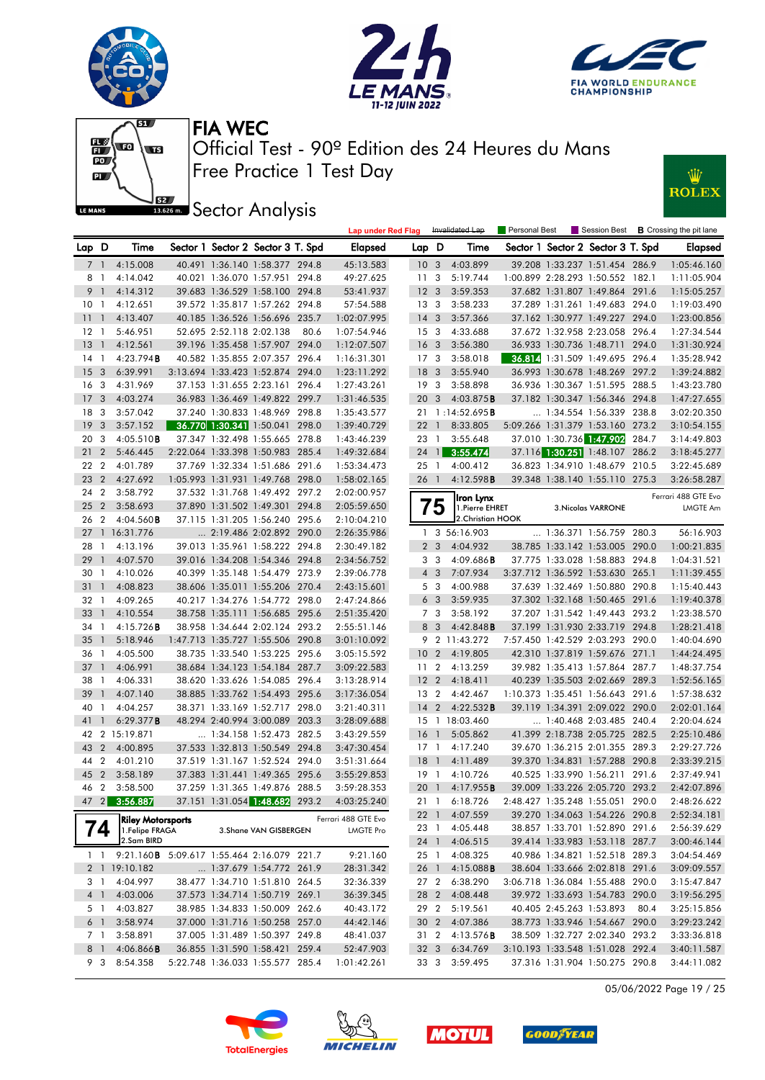









**J**<br>**Bassem Sector Analysis** 

|                 |                |                                            |                                  |                                   |      | <b>Lap under Red Flag</b> |                 |                 | Invalidated Lap        | Personal Best |                                                                    |      | Session Best <b>B</b> Crossing the pit lane |
|-----------------|----------------|--------------------------------------------|----------------------------------|-----------------------------------|------|---------------------------|-----------------|-----------------|------------------------|---------------|--------------------------------------------------------------------|------|---------------------------------------------|
| Lap D           |                | Time                                       |                                  | Sector 1 Sector 2 Sector 3 T. Spd |      | Elapsed                   | Lap D           |                 | Time                   |               | Sector 1 Sector 2 Sector 3 T. Spd                                  |      | Elapsed                                     |
|                 | 7 1            | 4:15.008                                   |                                  | 40.491 1:36.140 1:58.377 294.8    |      | 45:13.583                 | 10 <sub>3</sub> |                 | 4:03.899               |               | 39.208 1:33.237 1:51.454 286.9                                     |      | 1:05:46.160                                 |
| 8               | $\mathbf{1}$   | 4:14.042                                   |                                  | 40.021 1:36.070 1:57.951 294.8    |      | 49:27.625                 | 11              | $\mathbf{3}$    | 5:19.744               |               | 1:00.899 2:28.293 1:50.552 182.1                                   |      | 1:11:05.904                                 |
|                 | 9 1            | 4:14.312                                   |                                  | 39.683 1:36.529 1:58.100 294.8    |      | 53:41.937                 | 12 <sup>3</sup> |                 | 3:59.353               |               | 37.682 1:31.807 1:49.864 291.6                                     |      | 1:15:05.257                                 |
| 10 <sub>1</sub> |                | 4:12.651                                   |                                  | 39.572 1:35.817 1:57.262 294.8    |      | 57:54.588                 | 13 <sub>3</sub> |                 | 3:58.233               |               | 37.289 1:31.261 1:49.683 294.0                                     |      | 1:19:03.490                                 |
| -11-1           |                | 4:13.407                                   |                                  | 40.185 1:36.526 1:56.696 235.7    |      | 1:02:07.995               | $14 \quad 3$    |                 | 3:57.366               |               | 37.162 1:30.977 1:49.227 294.0                                     |      | 1:23:00.856                                 |
| 12 <sub>1</sub> |                | 5:46.951                                   | 52.695 2:52.118 2:02.138         |                                   | 80.6 | 1:07:54.946               | 15 <sub>3</sub> |                 | 4:33.688               |               | 37.672 1:32.958 2:23.058 296.4                                     |      | 1:27:34.544                                 |
| 13 1            |                | 4:12.561                                   |                                  | 39.196 1:35.458 1:57.907 294.0    |      | 1:12:07.507               | 16 <sub>3</sub> |                 | 3:56.380               |               | 36.933 1:30.736 1:48.711 294.0                                     |      | 1:31:30.924                                 |
| 14 1            |                | 4:23.794B                                  |                                  | 40.582 1:35.855 2:07.357 296.4    |      | 1:16:31.301               | 17 <sub>3</sub> |                 | 3:58.018               |               | 36.814 1:31.509 1:49.695 296.4                                     |      | 1:35:28.942                                 |
| 15 <sub>3</sub> |                | 6:39.991                                   |                                  | 3:13.694 1:33.423 1:52.874 294.0  |      | 1:23:11.292               | 18 <sup>3</sup> |                 | 3:55.940               |               | 36.993 1:30.678 1:48.269 297.2                                     |      | 1:39:24.882                                 |
| 16 <sub>3</sub> |                | 4:31.969                                   |                                  | 37.153 1:31.655 2:23.161 296.4    |      | 1:27:43.261               | 19 <sup>3</sup> |                 | 3:58.898               |               | 36.936 1:30.367 1:51.595 288.5                                     |      | 1:43:23.780                                 |
| 17 <sub>3</sub> |                | 4:03.274                                   |                                  | 36.983 1:36.469 1:49.822 299.7    |      | 1:31:46.535               | 20 <sub>3</sub> |                 | 4:03.875B              |               | 37.182 1:30.347 1:56.346 294.8                                     |      | 1:47:27.655                                 |
| 18 3            |                | 3:57.042                                   |                                  | 37.240 1:30.833 1:48.969 298.8    |      | 1:35:43.577               |                 |                 | 21 1:14:52.695B        |               | 1:34.554 1:56.339 238.8                                            |      | 3:02:20.350                                 |
| 19 <sup>3</sup> |                | 3:57.152                                   |                                  | 36.770 1:30.341 1:50.041 298.0    |      | 1:39:40.729               | $22 \quad 1$    |                 | 8:33.805               |               | 5:09.266 1:31.379 1:53.160 273.2                                   |      | 3:10:54.155                                 |
| 20 3            |                | 4:05.510B                                  |                                  | 37.347 1:32.498 1:55.665 278.8    |      | 1:43:46.239               | 23 1            |                 | 3:55.648               |               | 37.010 1:30.736 1:47.902 284.7                                     |      | 3:14:49.803                                 |
| 212             |                | 5:46.445                                   |                                  | 2:22.064 1:33.398 1:50.983 285.4  |      | 1:49:32.684               |                 |                 | 24 1 3:55.474          |               | 37.116 1:30.251 1:48.107 286.2                                     |      | 3:18:45.277                                 |
| 22 2            |                | 4:01.789                                   |                                  | 37.769 1:32.334 1:51.686 291.6    |      | 1:53:34.473               | 25 1            |                 | 4:00.412               |               | 36.823 1:34.910 1:48.679 210.5                                     |      | 3:22:45.689                                 |
| 23 <sub>2</sub> |                | 4:27.692                                   |                                  | 1:05.993 1:31.931 1:49.768 298.0  |      | 1:58:02.165               | 26 1            |                 | 4:12.598B              |               | 39.348 1:38.140 1:55.110 275.3                                     |      | 3:26:58.287                                 |
| 24 2            |                | 3:58.792                                   |                                  | 37.532 1:31.768 1:49.492 297.2    |      | 2:02:00.957               |                 |                 | Iron Lynx              |               |                                                                    |      | Ferrari 488 GTE Evo                         |
| 25 <sub>2</sub> |                | 3:58.693                                   |                                  | 37.890 1:31.502 1:49.301 294.8    |      | 2:05:59.650               |                 | 5               | 1. Pierre EHRET        |               | 3. Nicolas VARRONE                                                 |      | LMGTE Am                                    |
| 26 2            |                | $4:04.560$ <b>B</b>                        |                                  | 37.115 1:31.205 1:56.240 295.6    |      | 2:10:04.210               |                 |                 | 2.Christian HOOK       |               |                                                                    |      |                                             |
|                 |                | 27 1 16:31.776                             |                                  | 2:19.486 2:02.892 290.0           |      | 2:26:35.986               |                 |                 | 1 3 56:16.903          |               | $\ldots$ 1:36.371 1:56.759 280.3                                   |      | 56:16.903                                   |
| 28              | $\overline{1}$ | 4:13.196                                   |                                  | 39.013 1:35.961 1:58.222 294.8    |      | 2:30:49.182               |                 | 2 <sub>3</sub>  | 4:04.932               |               | 38.785 1:33.142 1:53.005 290.0                                     |      | 1:00:21.835                                 |
| 29              | $\overline{1}$ | 4:07.570                                   |                                  | 39.016 1:34.208 1:54.346 294.8    |      | 2:34:56.752               |                 | 3 <sub>3</sub>  | 4:09.686B              |               | 37.775 1:33.028 1:58.883 294.8                                     |      | 1:04:31.521                                 |
| 30 1            |                | 4:10.026                                   |                                  | 40.399 1:35.148 1:54.479 273.9    |      | 2:39:06.778               |                 | $4 \quad 3$     | 7:07.934               |               | 3:37.712 1:36.592 1:53.630 265.1                                   |      | 1:11:39.455                                 |
|                 |                | 31 1 4:08.823                              |                                  | 38.606 1:35.011 1:55.206 270.4    |      | 2:43:15.601               |                 | 5 <sub>3</sub>  | 4:00.988               |               | 37.639 1:32.469 1:50.880 290.8                                     |      | 1:15:40.443                                 |
| 32 1            |                | 4:09.265                                   |                                  | 40.217 1:34.276 1:54.772 298.0    |      | 2:47:24.866               |                 | 6 <sub>3</sub>  | 3:59.935               |               | 37.302 1:32.168 1:50.465 291.6                                     |      | 1:19:40.378                                 |
| $33 \quad 1$    |                | 4:10.554                                   |                                  | 38.758 1:35.111 1:56.685 295.6    |      | 2:51:35.420               |                 | 7 <sub>3</sub>  | 3:58.192               |               | 37.207 1:31.542 1:49.443 293.2                                     |      | 1:23:38.570                                 |
| 34 1            |                | 4:15.726B                                  |                                  | 38.958 1:34.644 2:02.124 293.2    |      | 2:55:51.146               |                 | 8 3             | 4:42.848B              |               | 37.199 1:31.930 2:33.719 294.8                                     |      | 1:28:21.418                                 |
| 35 <sup>1</sup> |                | 5:18.946                                   |                                  | 1:47.713 1:35.727 1:55.506 290.8  |      | 3:01:10.092               |                 |                 | 9 2 11:43.272          |               | 7:57.450 1:42.529 2:03.293 290.0                                   |      | 1:40:04.690                                 |
| 36 1            |                | 4:05.500                                   |                                  | 38.735 1:33.540 1:53.225 295.6    |      | 3:05:15.592               | 10 <sub>2</sub> |                 | 4:19.805               |               | 42.310 1:37.819 1:59.676 271.1                                     |      | 1:44:24.495                                 |
| $37-1$          |                | 4:06.991                                   |                                  | 38.684 1:34.123 1:54.184 287.7    |      | 3:09:22.583               | 11 <sub>2</sub> |                 | 4:13.259               |               | 39.982 1:35.413 1:57.864 287.7                                     |      | 1:48:37.754                                 |
| 38              | $\overline{1}$ | 4:06.331                                   |                                  | 38.620 1:33.626 1:54.085 296.4    |      | 3:13:28.914               | 12 <sub>2</sub> |                 | 4:18.411               |               | 40.239 1:35.503 2:02.669 289.3                                     |      | 1:52:56.165                                 |
| 39              | $\overline{1}$ | 4:07.140                                   |                                  | 38.885 1:33.762 1:54.493 295.6    |      | 3:17:36.054               | 13 2            |                 | 4:42.467               |               | 1:10.373 1:35.451 1:56.643 291.6                                   |      | 1:57:38.632                                 |
| 40              | $\overline{1}$ | 4:04.257                                   |                                  | 38.371 1:33.169 1:52.717 298.0    |      | 3:21:40.311               | $14 \quad 2$    |                 | 4:22.532B              |               | 39.119 1:34.391 2:09.022 290.0                                     |      | 2:02:01.164                                 |
| 41 1            |                | 6:29.377B                                  |                                  | 48.294 2:40.994 3:00.089 203.3    |      | 3:28:09.688               |                 |                 | 15 1 18:03.460         |               | $\ldots$ 1:40.468 2:03.485 240.4                                   |      | 2:20:04.624                                 |
|                 |                | 42 2 15:19.871                             |                                  | 1:34.158 1:52.473 282.5           |      | 3:43:29.559               | 16 1            |                 | 5:05.862               |               | 41.399 2:18.738 2:05.725 282.5                                     |      | 2:25:10.486                                 |
| 43 2            |                | 4:00.895                                   |                                  | 37.533 1:32.813 1:50.549 294.8    |      | 3:47:30.454               | $17-1$          |                 | 4:17.240               |               | 39.670 1:36.215 2:01.355 289.3                                     |      | 2:29:27.726                                 |
| 44 2            |                | 4:01.210                                   |                                  | 37.519 1:31.167 1:52.524 294.0    |      | 3:51:31.664               | $18-1$          |                 | 4:11.489               |               | 39.370 1:34.831 1:57.288 290.8                                     |      | 2:33:39.215                                 |
| 45 2            |                | 3:58.189                                   |                                  | 37.383 1:31.441 1:49.365 295.6    |      | 3:55:29.853               | $19-1$          |                 | 4:10.726               |               | 40.525 1:33.990 1:56.211 291.6                                     |      | 2:37:49.941                                 |
|                 |                | 46 2 3:58.500                              |                                  | 37.259 1:31.365 1:49.876 288.5    |      | 3:59:28.353               |                 |                 | 20 1 4:17.955 <b>B</b> |               | 39.009 1:33.226 2:05.720 293.2                                     |      | 2:42:07.896                                 |
|                 |                | 47 2 3:56.887                              |                                  | 37.151 1:31.054 1:48.682 293.2    |      | 4:03:25.240               |                 |                 | 21 1 6:18.726          |               | 2.48 427 1.35 248 1.55 051 290 0                                   |      | 2.48.26622                                  |
|                 |                | <b>Riley Motorsports</b>                   |                                  |                                   |      | Ferrari 488 GTE Evo       |                 |                 | 22 1 4:07.559          |               | 39.270 1:34.063 1:54.226 290.8                                     |      | 2:52:34.181                                 |
|                 | 74             | 1.Felipe FRAGA                             |                                  | 3. Shane VAN GISBERGEN            |      | <b>LMGTE Pro</b>          | 23 1            |                 | 4:05.448               |               | 38.857 1:33.701 1:52.890 291.6                                     |      | 2:56:39.629                                 |
|                 |                | 2.Sam BIRD                                 |                                  |                                   |      |                           |                 | 24 1            | 4:06.515               |               | 39.414 1:33.983 1:53.118 287.7                                     |      | 3:00:46.144                                 |
|                 | $1\quad1$      | 9:21.160B 5:09.617 1:55.464 2:16.079 221.7 |                                  |                                   |      | 9:21.160                  | 25 1            |                 | 4:08.325               |               | 40.986 1:34.821 1:52.518 289.3                                     |      | 3:04:54.469                                 |
|                 |                | 2 1 19:10.182                              |                                  | 1:37.679 1:54.772 261.9           |      | 28:31.342                 | 26 1            |                 | 4:15.088B              |               | 38.604 1:33.666 2:02.818 291.6                                     |      | 3:09:09.557                                 |
|                 | 3 1            | 4:04.997                                   |                                  | 38.477 1:34.710 1:51.810 264.5    |      | 32:36.339                 |                 | 27 <sub>2</sub> | 6:38.290               |               | 3:06.718 1:36.084 1:55.488 290.0                                   |      | 3:15:47.847                                 |
|                 | 4 <sup>1</sup> | 4:03.006                                   |                                  | 37.573 1:34.714 1:50.719 269.1    |      | 36:39.345                 | 28 2            |                 | 4:08.448               |               | 39.972 1:33.693 1:54.783 290.0                                     |      | 3:19:56.295                                 |
|                 | 5 1            | 4:03.827                                   |                                  | 38.985 1:34.833 1:50.009 262.6    |      | 40:43.172                 | 29 2            |                 | 5:19.561               |               | 40.405 2:45.263 1:53.893                                           | 80.4 | 3:25:15.856                                 |
|                 | 6 1            | 3:58.974                                   |                                  | 37.000 1:31.716 1:50.258 257.0    |      | 44:42.146                 | 30 2            |                 | 4:07.386               |               | 38.773 1:33.946 1:54.667 290.0                                     |      | 3:29:23.242                                 |
|                 | 7 1            | 3:58.891                                   |                                  | 37.005 1:31.489 1:50.397 249.8    |      | 48:41.037                 | 31 2            |                 | 4:13.576 <b>B</b>      |               | 38.509 1:32.727 2:02.340 293.2                                     |      | 3:33:36.818                                 |
|                 | 8 1<br>9 3     | 4:06.866B                                  |                                  | 36.855 1:31.590 1:58.421 259.4    |      | 52:47.903                 | 32 3            |                 | 6:34.769               |               | 3:10.193 1:33.548 1:51.028 292.4<br>37.316 1:31.904 1:50.275 290.8 |      | 3:40:11.587                                 |
|                 |                | 8:54.358                                   | 5:22.748 1:36.033 1:55.577 285.4 |                                   |      | 1:01:42.261               |                 | 33 3            | 3:59.495               |               |                                                                    |      | 3:44:11.082                                 |

05/06/2022 Page 19 / 25







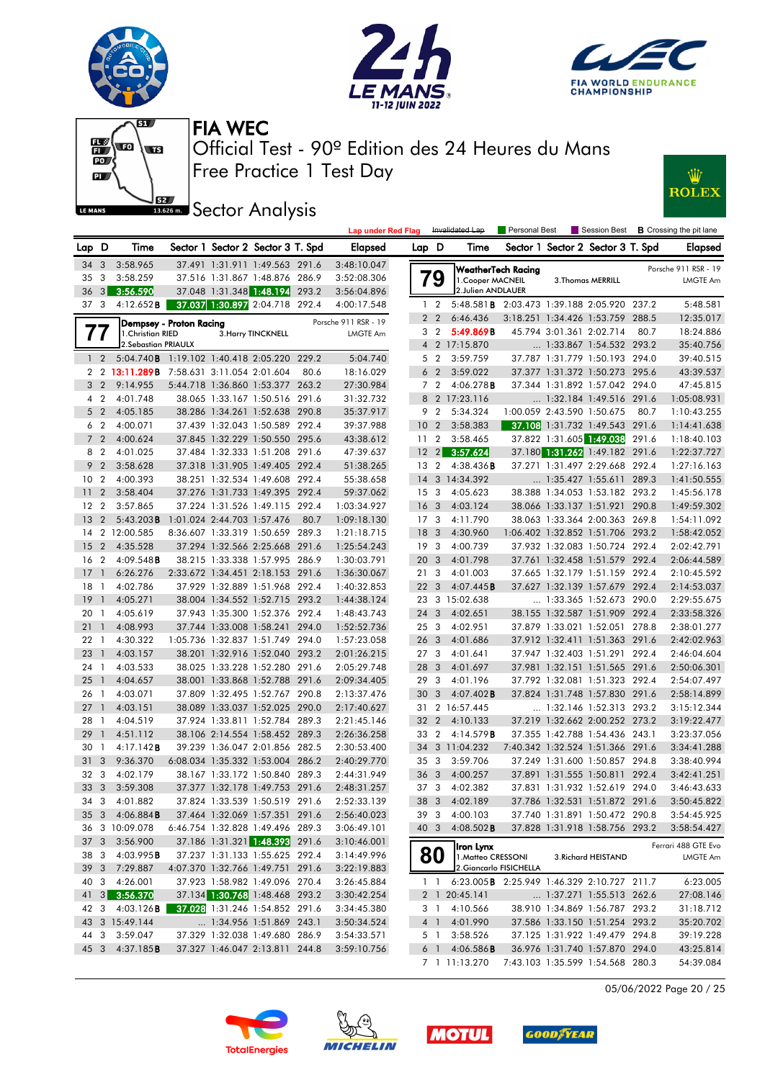







**ISEE** Sector Analysis



|                 |                         |                                                    |                            |                            |                                                                    |       | <b>Lap under Red Flag</b>  |                 |                         | Invalidated Lap                                    | Personal Best      |                            |                                                                  |       | Session Best <b>B</b> Crossing the pit lane |
|-----------------|-------------------------|----------------------------------------------------|----------------------------|----------------------------|--------------------------------------------------------------------|-------|----------------------------|-----------------|-------------------------|----------------------------------------------------|--------------------|----------------------------|------------------------------------------------------------------|-------|---------------------------------------------|
| Lap             | D                       | Time                                               |                            |                            | Sector 1 Sector 2 Sector 3 T. Spd                                  |       | <b>Elapsed</b>             | Lap D           |                         | Time                                               |                    |                            | Sector 1 Sector 2 Sector 3 T. Spd                                |       | Elapsed                                     |
| 34 3            |                         | 3:58.965                                           |                            |                            | 37.491 1:31.911 1:49.563 291.6                                     |       | 3:48:10.047                |                 |                         |                                                    | WeatherTech Racing |                            |                                                                  |       | Porsche 911 RSR - 19                        |
| 35              | 3                       | 3:58.259                                           |                            |                            | 37.516 1:31.867 1:48.876 286.9                                     |       | 3:52:08.306                |                 | 79                      | 1. Cooper MACNEIL                                  |                    |                            | 3. Thomas MERRILL                                                |       | <b>LMGTE Am</b>                             |
| 36              | 3 <sup>1</sup>          | 3:56.590                                           |                            |                            | 37.048 1:31.348 1:48.194                                           | 293.2 | 3:56:04.896                |                 |                         | 2.Julien ANDLAUER                                  |                    |                            |                                                                  |       |                                             |
| 37 <sub>3</sub> |                         | 4:12.652B                                          |                            |                            | 37.037 1:30.897 2:04.718 292.4                                     |       | 4:00:17.548                |                 | $1\quad 2$              | 5:48.581 <b>B</b> 2:03.473 1:39.188 2:05.920 237.2 |                    |                            |                                                                  |       | 5:48.581                                    |
|                 |                         | Dempsey - Proton Racing                            |                            |                            |                                                                    |       | Porsche 911 RSR - 19       |                 | 2 <sub>2</sub>          | 6:46.436                                           |                    |                            | 3:18.251 1:34.426 1:53.759 288.5                                 |       | 12:35.017                                   |
|                 | 77                      | 1. Christian RIED                                  |                            |                            | 3. Harry TINCKNELL                                                 |       | <b>LMGTE Am</b>            |                 | 3 <sub>2</sub>          | 5:49.869B                                          |                    | 45.794 3:01.361 2:02.714   |                                                                  | 80.7  | 18:24.886                                   |
|                 |                         | 2. Sebastian PRIAULX                               |                            |                            |                                                                    |       |                            |                 |                         | 4 2 17:15.870                                      |                    |                            | 1:33.867 1:54.532 293.2                                          |       | 35:40.756                                   |
|                 | $1\quad 2$              | 5:04.740 <b>B</b> 1:19.102 1:40.418 2:05.220 229.2 |                            |                            |                                                                    |       | 5:04.740                   |                 | 5 <sub>2</sub>          | 3:59.759                                           |                    |                            | 37.787 1:31.779 1:50.193 294.0                                   |       | 39:40.515                                   |
| 2               |                         | 2 13:11.289B                                       | 7:58.631 3:11.054 2:01.604 |                            |                                                                    | 80.6  | 18:16.029                  |                 | 6 <sub>2</sub>          | 3:59.022                                           |                    |                            | 37.377 1:31.372 1:50.273 295.6                                   |       | 43:39.537                                   |
| 3               | $\overline{2}$          | 9:14.955                                           |                            |                            | 5:44.718 1:36.860 1:53.377 263.2                                   |       | 27:30.984                  |                 | 7 <sub>2</sub>          | 4:06.278B                                          |                    |                            | 37.344 1:31.892 1:57.042 294.0                                   |       | 47:45.815                                   |
| 4               | $\overline{2}$          | 4:01.748                                           |                            |                            | 38.065 1:33.167 1:50.516 291.6                                     |       | 31:32.732                  |                 |                         | 8 2 17:23.116                                      |                    |                            | 1:32.184 1:49.516 291.6                                          |       | 1:05:08.931                                 |
| 5               | $\overline{2}$          | 4:05.185                                           |                            |                            | 38.286 1:34.261 1:52.638 290.8                                     |       | 35:37.917                  |                 | 9 2                     | 5:34.324                                           |                    | 1:00.059 2:43.590 1:50.675 |                                                                  | 80.7  | 1:10:43.255                                 |
| 6               | $\overline{2}$          | 4:00.071                                           |                            |                            | 37.439 1:32.043 1:50.589 292.4                                     |       | 39:37.988                  | 10              | $\overline{2}$          | 3:58.383                                           |                    |                            | 37.108 1:31.732 1:49.543 291.6                                   |       | 1:14:41.638                                 |
| $\overline{7}$  | $\overline{2}$          | 4:00.624                                           |                            |                            | 37.845 1:32.229 1:50.550 295.6                                     |       | 43:38.612                  | 11 2            |                         | 3:58.465                                           |                    |                            | 37.822 1:31.605 1:49.038                                         | 291.6 | 1:18:40.103                                 |
| 8               | $\overline{2}$          | 4:01.025                                           |                            |                            | 37.484 1:32.333 1:51.208 291.6                                     |       | 47:39.637                  | $12 \quad 2$    |                         | 3:57.624                                           |                    |                            | 37.180 1:31.262 1:49.182 291.6                                   |       | 1:22:37.727                                 |
| 9               | $\overline{2}$          | 3:58.628                                           |                            |                            | 37.318 1:31.905 1:49.405 292.4                                     |       | 51:38.265                  | 13 2            |                         | $4:38.436$ <b>B</b>                                |                    |                            | 37.271 1:31.497 2:29.668 292.4                                   |       | 1:27:16.163                                 |
| 10              | $\overline{2}$          | 4:00.393                                           |                            |                            | 38.251 1:32.534 1:49.608 292.4                                     |       | 55:38.658                  | 14              |                         | 3 14:34.392                                        |                    |                            | 1:35.427 1:55.611 289.3                                          |       | 1:41:50.555                                 |
| 11              | $\overline{2}$          | 3:58.404                                           |                            |                            | 37.276 1:31.733 1:49.395 292.4                                     |       | 59:37.062                  | 15 <sup>3</sup> |                         | 4:05.623                                           |                    |                            | 38.388 1:34.053 1:53.182 293.2                                   |       | 1:45:56.178                                 |
| 12              | $\overline{2}$          | 3:57.865                                           |                            |                            | 37.224 1:31.526 1:49.115 292.4                                     |       | 1:03:34.927                | 16              | $\overline{3}$          | 4:03.124                                           |                    |                            | 38.066 1:33.137 1:51.921 290.8                                   |       | 1:49:59.302                                 |
| 13              | $\overline{2}$          | $5:43.203$ <b>B</b>                                |                            | 1:01.024 2:44.703 1:57.476 |                                                                    | 80.7  | 1:09:18.130                | 17 <sub>3</sub> |                         | 4:11.790                                           |                    |                            | 38.063 1:33.364 2:00.363 269.8                                   |       | 1:54:11.092                                 |
| 14              |                         | 2 12:00.585                                        |                            |                            | 8:36.607 1:33.319 1:50.659 289.3                                   |       | 1:21:18.715                | 18              | $\overline{3}$          | 4:30.960                                           |                    |                            | 1:06.402 1:32.852 1:51.706 293.2                                 |       | 1:58:42.052                                 |
| 15              | 2                       | 4:35.528                                           |                            |                            | 37.294 1:32.566 2:25.668 291.6                                     |       | 1:25:54.243                | 19              | $\overline{3}$          | 4:00.739                                           |                    |                            | 37.932 1:32.083 1:50.724 292.4                                   |       | 2:02:42.791                                 |
| 16              | $\overline{2}$          | $4:09.548$ B                                       |                            |                            | 38.215 1:33.338 1:57.995 286.9                                     |       | 1:30:03.791                | 20              | $\mathbf{3}$            | 4:01.798                                           |                    |                            | 37.761 1:32.458 1:51.579 292.4                                   |       | 2:06:44.589                                 |
| 17              | $\mathbf{1}$            | 6:26.276                                           |                            |                            | 2:33.672 1:34.451 2:18.153 291.6                                   |       | 1:36:30.067                | 213             |                         | 4:01.003                                           |                    |                            | 37.665 1:32.179 1:51.159 292.4                                   |       | 2:10:45.592                                 |
| 18              | $\mathbf{1}$            | 4:02.786                                           |                            |                            | 37.929 1:32.889 1:51.968 292.4                                     |       | 1:40:32.853                | 22 <sub>3</sub> |                         | 4:07.445B                                          |                    |                            | 37.627 1:32.139 1:57.679 292.4                                   |       | 2:14:53.037                                 |
| 19              | $\mathbf{1}$            | 4:05.271                                           |                            |                            | 38.004 1:34.552 1:52.715 293.2                                     |       | 1:44:38.124                |                 |                         | 23 3 15:02.638                                     |                    |                            | 1:33.365 1:52.673 290.0                                          |       | 2:29:55.675                                 |
| 20              | -1                      | 4:05.619                                           |                            |                            | 37.943 1:35.300 1:52.376 292.4                                     |       | 1:48:43.743                | 24 3            |                         | 4:02.651                                           |                    |                            | 38.155 1:32.587 1:51.909 292.4                                   |       | 2:33:58.326                                 |
| 211             |                         | 4:08.993                                           |                            |                            | 37.744 1:33.008 1:58.241 294.0                                     |       | 1:52:52.736                | 25 3            |                         | 4:02.951                                           |                    |                            | 37.879 1:33.021 1:52.051 278.8                                   |       | 2:38:01.277                                 |
| 22              | $\overline{1}$          | 4:30.322                                           |                            |                            | 1:05.736 1:32.837 1:51.749 294.0                                   |       | 1:57:23.058                | 26 <sub>3</sub> |                         | 4:01.686                                           |                    |                            | 37.912 1:32.411 1:51.363 291.6                                   |       | 2:42:02.963                                 |
| 23              | $\overline{1}$          | 4:03.157                                           |                            |                            | 38.201 1:32.916 1:52.040 293.2                                     |       | 2:01:26.215                | 27 <sub>3</sub> |                         | 4:01.641                                           |                    |                            | 37.947 1:32.403 1:51.291                                         | 292.4 | 2:46:04.604                                 |
| 24 1            |                         | 4:03.533                                           |                            |                            | 38.025 1:33.228 1:52.280 291.6                                     |       | 2:05:29.748                | 28              | $\overline{\mathbf{3}}$ | 4:01.697                                           |                    |                            | 37.981 1:32.151 1:51.565 291.6                                   |       | 2:50:06.301                                 |
| 25              | $\overline{1}$          | 4:04.657                                           |                            |                            | 38.001 1:33.868 1:52.788 291.6                                     |       | 2:09:34.405                | 29 3            |                         | 4:01.196                                           |                    |                            | 37.792 1:32.081 1:51.323 292.4                                   |       | 2:54:07.497                                 |
| 26              | $\overline{1}$          | 4:03.071                                           |                            |                            | 37.809 1:32.495 1:52.767 290.8                                     |       | 2:13:37.476                | 30              | $\mathbf{3}$            | $4:07.402$ B                                       |                    |                            | 37.824 1:31.748 1:57.830 291.6                                   |       | 2:58:14.899                                 |
| 27              | $\overline{1}$          | 4:03.151                                           |                            |                            | 38.089 1:33.037 1:52.025 290.0                                     |       | 2:17:40.627                |                 |                         | 31 2 16:57.445                                     |                    |                            | 1:32.146 1:52.313 293.2                                          |       | 3:15:12.344                                 |
| 28              | $\overline{1}$          | 4:04.519                                           |                            |                            | 37.924 1:33.811 1:52.784 289.3                                     |       | 2:21:45.146                | 32              | $\overline{2}$          | 4:10.133                                           |                    |                            | 37.219 1:32.662 2:00.252 273.2                                   |       | 3:19:22.477                                 |
| 29              | $\mathbf{1}$            | 4:51.112                                           |                            |                            | 38.106 2:14.554 1:58.452 289.3                                     |       | 2:26:36.258                | 33 2            |                         | 4:14.579B                                          |                    |                            | 37.355 1:42.788 1:54.436 243.1                                   |       | 3:23:37.056                                 |
| 30              | $\overline{1}$          | 4:17.142B                                          |                            |                            | 39.239 1:36.047 2:01.856 282.5                                     |       | 2:30:53.400                | 34              |                         | 3 11:04.232                                        |                    |                            | 7:40.342 1:32.524 1:51.366 291.6                                 |       | 3:34:41.288<br>3:38:40.994                  |
| 31<br>32 3      | 3                       | 9:36.370                                           |                            |                            | 6:08.034 1:35.332 1:53.004 286.2                                   |       | 2:40:29.770                | 35 3<br>36      | 3                       | 3:59.706                                           |                    |                            | 37.249 1:31.600 1:50.857 294.8<br>37.891 1:31.555 1:50.811 292.4 |       | 3:42:41.251                                 |
|                 |                         | 4:02.179<br>3:59.308                               |                            |                            | 38.167 1:33.172 1:50.840 289.3                                     |       | 2:44:31.949                | 37 3            |                         | 4:00.257                                           |                    |                            |                                                                  |       |                                             |
| 33 <sup>3</sup> |                         | 34 3 4:01.882                                      |                            |                            | 37.377 1:32.178 1:49.753 291.6<br>37.824 1:33.539 1:50.519 291.6   |       | 2:48:31.257<br>2:52:33.139 |                 |                         | 4:02.382<br>38 3 4:02.189                          |                    |                            | 37.831 1:31.932 1:52.619 294.0<br>37.786 1:32.531 1:51.872 291.6 |       | 3:46:43.633<br>3:50:45.822                  |
|                 |                         | 35 3 4:06.884 <b>B</b>                             |                            |                            |                                                                    |       |                            | 39 3            |                         | 4:00.103                                           |                    |                            |                                                                  |       |                                             |
|                 |                         |                                                    |                            |                            | 37.464 1:32.069 1:57.351 291.6<br>6:46.754 1:32.828 1:49.496 289.3 |       | 2:56:40.023                | 40 3            |                         |                                                    |                    |                            | 37.740 1:31.891 1:50.472 290.8                                   |       | 3:54:45.925                                 |
| 37 3            |                         | 36 3 10:09.078<br>3:56.900                         |                            |                            | 37.186 1:31.321 1:48.393 291.6                                     |       | 3:06:49.101<br>3:10:46.001 |                 |                         | $4:08.502$ <b>B</b>                                |                    |                            | 37.828 1:31.918 1:58.756 293.2                                   |       | 3:58:54.427                                 |
| 38              | $\overline{\mathbf{3}}$ | 4:03.995B                                          |                            |                            | 37.237 1:31.133 1:55.625 292.4                                     |       | 3:14:49.996                |                 |                         | Iron Lynx                                          |                    |                            |                                                                  |       | Ferrari 488 GTE Evo                         |
|                 |                         | 39 3 7:29.887                                      |                            |                            | 4:07.370 1:32.766 1:49.751 291.6                                   |       | 3:22:19.883                |                 | 80                      | 1. Matteo CRESSONI<br>2. Giancarlo FISICHELLA      |                    |                            | 3. Richard HEISTAND                                              |       | LMGTE Am                                    |
| 40              | 3                       | 4:26.001                                           |                            |                            | 37.923 1:58.982 1:49.096 270.4                                     |       | 3:26:45.884                |                 | 1 <sup>1</sup>          | 6:23.005B 2:25.949 1:46.329 2:10.727 211.7         |                    |                            |                                                                  |       | 6:23.005                                    |
| 41              | 3                       | 3:56.370                                           |                            |                            | 37.134 1:30.768 1:48.468 293.2                                     |       | 3:30:42.254                |                 |                         | 2 1 20:45.141                                      |                    |                            | 1:37.271 1:55.513 262.6                                          |       | 27:08.146                                   |
| 42              | 3                       | 4:03.126 <b>B</b>                                  |                            |                            | 37.028 1:31.246 1:54.852 291.6                                     |       | 3:34:45.380                |                 | 3 1                     | 4:10.566                                           |                    |                            | 38.910 1:34.869 1:56.787 293.2                                   |       | 31:18.712                                   |
|                 |                         | 43 3 15:49.144                                     |                            |                            | 1:34.956 1:51.869 243.1                                            |       | 3:50:34.524                |                 | 4 1                     | 4:01.990                                           |                    |                            | 37.586 1:33.150 1:51.254 293.2                                   |       | 35:20.702                                   |
| 44 3            |                         | 3:59.047                                           |                            |                            | 37.329 1:32.038 1:49.680 286.9                                     |       | 3:54:33.571                |                 | 5 1                     | 3:58.526                                           |                    |                            | 37.125 1:31.922 1:49.479 294.8                                   |       | 39:19.228                                   |
|                 |                         | 45 3 4:37.185 <b>B</b>                             |                            |                            | 37.327 1:46.047 2:13.811 244.8                                     |       | 3:59:10.756                |                 | 6 <sup>1</sup>          | 4:06.586B                                          |                    |                            | 36.976 1:31.740 1:57.870 294.0                                   |       | 43:25.814                                   |
|                 |                         |                                                    |                            |                            |                                                                    |       |                            |                 |                         | 7 1 11:13.270                                      |                    |                            | 7:43.103 1:35.599 1:54.568 280.3                                 |       | 54:39.084                                   |

05/06/2022 Page 20 / 25





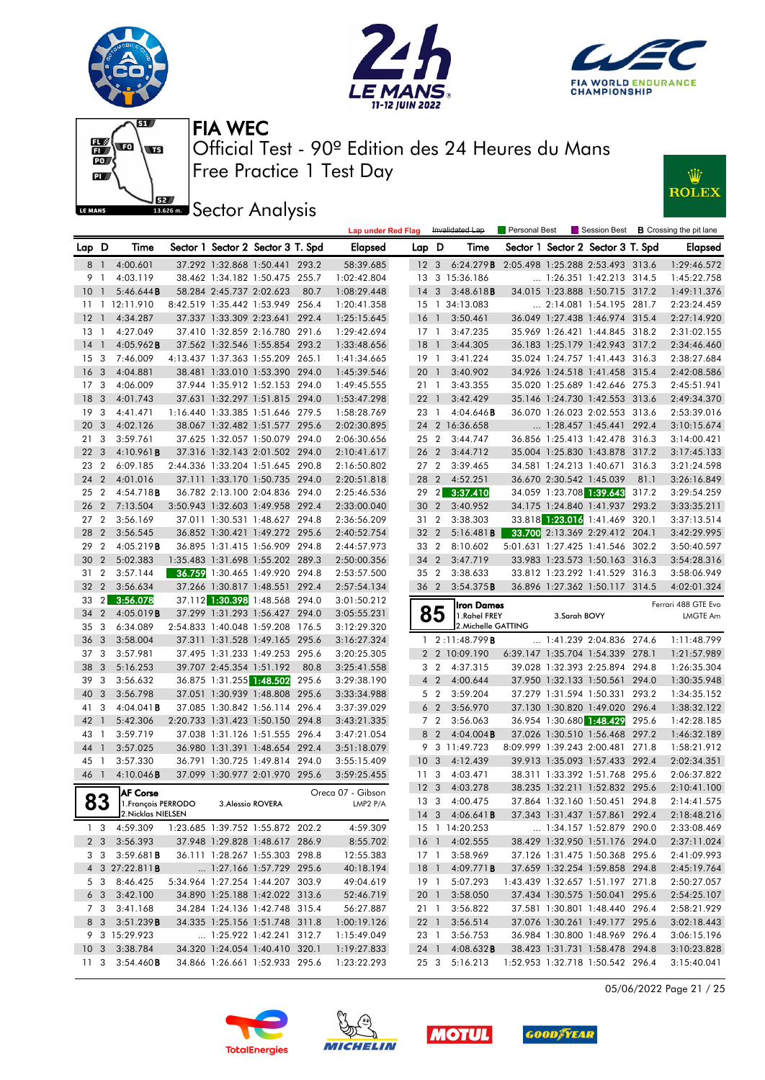







**J**<br>Issuem Sector Analysis



|                 |                |                                         |                          |                                                                  |       | <b>Lap under Red Flag</b>  |                 |                | Invalidated Lap                         | Personal Best                    |              |                                                                    |       | Session Best <b>B</b> Crossing the pit lane |
|-----------------|----------------|-----------------------------------------|--------------------------|------------------------------------------------------------------|-------|----------------------------|-----------------|----------------|-----------------------------------------|----------------------------------|--------------|--------------------------------------------------------------------|-------|---------------------------------------------|
| Lap D           |                | Time                                    |                          | Sector 1 Sector 2 Sector 3 T. Spd                                |       | Elapsed                    | Lap D           |                | Time                                    |                                  |              | Sector 1 Sector 2 Sector 3 T. Spd                                  |       | Elapsed                                     |
| 8 1             |                | 4:00.601                                |                          | 37.292 1:32.868 1:50.441 293.2                                   |       | 58:39.685                  |                 |                | 12 3 6:24.279 <b>B</b>                  | 2:05.498 1:25.288 2:53.493 313.6 |              |                                                                    |       | 1:29:46.572                                 |
| 9 1             |                | 4:03.119                                |                          | 38.462 1:34.182 1:50.475 255.7                                   |       | 1:02:42.804                |                 |                | 13 3 15:36.186                          |                                  |              | 1:26.351 1:42.213 314.5                                            |       | 1:45:22.758                                 |
| 10              | -1             | 5:46.644B                               | 58.284 2:45.737 2:02.623 |                                                                  | 80.7  | 1:08:29.448                | 14 3            |                | $3:48.618$ <b>B</b>                     |                                  |              | 34.015 1:23.888 1:50.715 317.2                                     |       | 1:49:11.376                                 |
| 11              |                | 1 12:11.910                             |                          | 8:42.519 1:35.442 1:53.949 256.4                                 |       | 1:20:41.358                |                 |                | 15 1 34:13.083                          |                                  |              | 2:14.081 1:54.195 281.7                                            |       | 2:23:24.459                                 |
| 12              | $\overline{1}$ | 4:34.287                                |                          | 37.337 1:33.309 2:23.641 292.4                                   |       | 1:25:15.645                | 16 1            |                | 3:50.461                                |                                  |              | 36.049 1:27.438 1:46.974 315.4                                     |       | 2:27:14.920                                 |
| 13              | -1             | 4:27.049                                |                          | 37.410 1:32.859 2:16.780 291.6                                   |       | 1:29:42.694                | 17 <sub>1</sub> |                | 3:47.235                                |                                  |              | 35.969 1:26.421 1:44.845 318.2                                     |       | 2:31:02.155                                 |
| 14              | $\overline{1}$ | $4:05.962$ <b>B</b>                     |                          | 37.562 1:32.546 1:55.854 293.2                                   |       | 1:33:48.656                | <b>18</b>       | $\overline{1}$ | 3:44.305                                |                                  |              | 36.183 1:25.179 1:42.943 317.2                                     |       | 2:34:46.460                                 |
| 15              | 3              | 7:46.009                                |                          | 4:13.437 1:37.363 1:55.209 265.1                                 |       | 1:41:34.665                | $19-1$          |                | 3:41.224                                |                                  |              | 35.024 1:24.757 1:41.443 316.3                                     |       | 2:38:27.684                                 |
| 16              | 3              | 4:04.881                                |                          | 38.481 1:33.010 1:53.390 294.0                                   |       | 1:45:39.546                | 20              | $\overline{1}$ | 3:40.902                                |                                  |              | 34.926 1:24.518 1:41.458 315.4                                     |       | 2:42:08.586                                 |
| 17              | 3              | 4:06.009                                |                          | 37.944 1:35.912 1:52.153 294.0                                   |       | 1:49:45.555                | 21 1            |                | 3:43.355                                |                                  |              | 35.020 1:25.689 1:42.646 275.3                                     |       | 2:45:51.941                                 |
| 18              | 3              | 4:01.743                                |                          | 37.631 1:32.297 1:51.815 294.0                                   |       | 1:53:47.298                | 22 <sub>1</sub> |                | 3:42.429                                |                                  |              | 35.146 1:24.730 1:42.553 313.6                                     |       | 2:49:34.370                                 |
| 19              | 3              | 4:41.471                                |                          | 1:16.440 1:33.385 1:51.646 279.5                                 |       | 1:58:28.769                | 23 1            |                | 4:04.646B                               |                                  |              | 36.070 1:26.023 2:02.553 313.6                                     |       | 2:53:39.016                                 |
| 20              | 3              | 4:02.126                                |                          | 38.067 1:32.482 1:51.577 295.6                                   |       | 2:02:30.895                |                 |                | 24 2 16:36.658                          |                                  |              | $\ldots$ 1:28.457 1:45.441 292.4                                   |       | 3:10:15.674                                 |
| 21              | 3              | 3:59.761                                |                          | 37.625 1:32.057 1:50.079 294.0                                   |       | 2:06:30.656                | 25 2            |                | 3:44.747                                |                                  |              | 36.856 1:25.413 1:42.478 316.3                                     |       | 3:14:00.421                                 |
| 22              | 3              | 4:10.961B                               |                          | 37.316 1:32.143 2:01.502 294.0                                   |       | 2:10:41.617                | 26 2            |                | 3:44.712                                |                                  |              | 35.004 1:25.830 1:43.878 317.2                                     |       | 3:17:45.133                                 |
| 23              | $\overline{2}$ | 6:09.185                                |                          | 2:44.336 1:33.204 1:51.645 290.8                                 |       | 2:16:50.802                | 27 <sub>2</sub> |                | 3:39.465                                |                                  |              | 34.581 1:24.213 1:40.671 316.3                                     |       | 3:21:24.598                                 |
| 24              | $\overline{2}$ | 4:01.016                                |                          | 37.111 1:33.170 1:50.735 294.0                                   |       | 2:20:51.818                | 28 2            |                | 4:52.251                                |                                  |              | 36.670 2:30.542 1:45.039                                           | 81.1  | 3:26:16.849                                 |
| 25 <sub>2</sub> |                | 4:54.718 <b>B</b>                       |                          | 36.782 2:13.100 2:04.836 294.0                                   |       | 2:25:46.536                |                 |                | 29 2 3:37.410                           |                                  |              | 34.059 1:23.708 1:39.643                                           | 317.2 | 3:29:54.259                                 |
| 26              | $\overline{2}$ | 7:13.504                                |                          | 3:50.943 1:32.603 1:49.958 292.4                                 |       | 2:33:00.040                | 30 <sub>2</sub> |                | 3:40.952                                |                                  |              | 34.175 1:24.840 1:41.937 293.2                                     |       | 3:33:35.211                                 |
| 27              | $\overline{2}$ | 3:56.169                                |                          | 37.011 1:30.531 1:48.627 294.8                                   |       | 2:36:56.209                | 31 2            |                | 3:38.303                                |                                  |              | 33.818 1:23.016 1:41.469 320.1                                     |       | 3:37:13.514                                 |
| 28              | $\overline{2}$ | 3:56.545                                |                          | 36.852 1:30.421 1:49.272 295.6                                   |       | 2:40:52.754                | 32 2            |                | 5:16.481B                               |                                  |              | 33.700 2:13.369 2:29.412 204.1                                     |       | 3:42:29.995                                 |
| 29              | $\overline{2}$ | 4:05.219B                               |                          | 36.895 1:31.415 1:56.909 294.8                                   |       | 2:44:57.973                | 33 2            |                | 8:10.602                                |                                  |              | 5:01.631 1:27.425 1:41.546 302.2                                   |       | 3:50:40.597                                 |
| 30              | $\overline{2}$ | 5:02.383                                |                          | 1:35.483 1:31.698 1:55.202 289.3                                 |       | 2:50:00.356                | 34 2            |                | 3:47.719                                |                                  |              | 33.983 1:23.573 1:50.163 316.3                                     |       | 3:54:28.316                                 |
| 31              | $\overline{2}$ | 3:57.144                                |                          | 36.759 1:30.465 1:49.920 294.8                                   |       | 2:53:57.500                | 35 2            |                | 3:38.633                                |                                  |              | 33.812 1:23.292 1:41.529 316.3                                     |       | 3:58:06.949                                 |
| 32              | $\overline{2}$ | 3:56.634                                |                          | 37.266 1:30.817 1:48.551 292.4                                   |       | 2:57:54.134                | 36 2            |                | 3:54.375B                               |                                  |              | 36.896 1:27.362 1:50.117 314.5                                     |       | 4:02:01.324                                 |
| 33              | $\overline{2}$ | 3:56.078                                |                          | 37.112 1:30.398 1:48.568 294.0                                   |       | 3:01:50.212                |                 |                |                                         |                                  |              |                                                                    |       |                                             |
| 34              | $\overline{2}$ | 4:05.019B                               |                          | 37.299 1:31.293 1:56.427 294.0                                   |       | 3:05:55.231                |                 | 85             | <b>Iron Dames</b><br>1.Rahel FREY       |                                  | 3.Sarah BOVY |                                                                    |       | Ferrari 488 GTE Evo                         |
|                 |                |                                         |                          |                                                                  |       |                            |                 |                |                                         |                                  |              |                                                                    |       |                                             |
|                 |                |                                         |                          |                                                                  |       |                            |                 |                |                                         |                                  |              |                                                                    |       | LMGTE Am                                    |
| 35              | 3              | 6:34.089                                |                          | 2:54.833 1:40.048 1:59.208 176.5                                 |       | 3:12:29.320                |                 |                | 2. Michelle GATTING                     |                                  |              |                                                                    |       |                                             |
| 36              | 3              | 3:58.004                                |                          | 37.311 1:31.528 1:49.165 295.6                                   |       | 3:16:27.324                | 1               |                | 2:11:48.799B                            |                                  |              | 1:41.239 2:04.836 274.6                                            |       | 1:11:48.799                                 |
| 37              | 3              | 3:57.981                                |                          | 37.495 1:31.233 1:49.253 295.6                                   |       | 3:20:25.305                |                 |                | 2 2 10:09.190                           |                                  |              | 6:39.147 1:35.704 1:54.339 278.1                                   |       | 1:21:57.989                                 |
| 38              | 3              | 5:16.253                                |                          | 39.707 2:45.354 1:51.192                                         | 80.8  | 3:25:41.558                |                 | 3 2            | 4:37.315                                |                                  |              | 39.028 1:32.393 2:25.894 294.8                                     |       | 1:26:35.304                                 |
| 39              | 3              | 3:56.632                                |                          | 36.875 1:31.255 1:48.502                                         | 295.6 | 3:29:38.190                |                 | 4 <sup>2</sup> | 4:00.644                                |                                  |              | 37.950 1:32.133 1:50.561 294.0                                     |       | 1:30:35.948                                 |
| 40              | 3              | 3:56.798                                |                          | 37.051 1:30.939 1:48.808 295.6                                   |       | 3:33:34.988                |                 | 5 <sub>2</sub> | 3:59.204                                |                                  |              | 37.279 1:31.594 1:50.331 293.2                                     |       | 1:34:35.152                                 |
| 41              | 3              | $4:04.041$ <b>B</b>                     |                          | 37.085 1:30.842 1:56.114 296.4                                   |       | 3:37:39.029                |                 | 6 <sub>2</sub> | 3:56.970                                |                                  |              | 37.130 1:30.820 1:49.020 296.4                                     |       | 1:38:32.122                                 |
| 42              | $\overline{1}$ | 5:42.306                                |                          | 2:20.733 1:31.423 1:50.150 294.8                                 |       | 3:43:21.335                |                 | 7 <sub>2</sub> | 3:56.063                                |                                  |              | 36.954 1:30.680 1:48.429 295.6                                     |       | 1:42:28.185                                 |
| 43              | $\overline{1}$ | 3:59.719                                |                          | 37.038 1:31.126 1:51.555 296.4                                   |       | 3:47:21.054                |                 | 8 2            | $4:04.004$ <b>B</b>                     |                                  |              | 37.026 1:30.510 1:56.468 297.2                                     |       | 1:46:32.189                                 |
| 44              | $\mathbf{1}$   | 3:57.025                                |                          | 36.980 1:31.391 1:48.654 292.4                                   |       | 3:51:18.079                |                 |                | 9 3 11:49.723                           |                                  |              | 8:09.999 1:39.243 2:00.481 271.8                                   |       | 1:58:21.912                                 |
| 45              | - 1            | 3:57.330                                |                          | 36.791 1:30.725 1:49.814 294.0                                   |       | 3:55:15.409                | 10              | $\mathbf{3}$   | 4:12.439                                |                                  |              | 39.913 1:35.093 1:57.433 292.4                                     |       | 2:02:34.351                                 |
| 46              | $\overline{1}$ | 4:10.046B                               |                          | 37.099 1:30.977 2:01.970 295.6                                   |       | 3:59:25.455                | 11              | 3              | 4:03.471                                |                                  |              | 38.311 1:33.392 1:51.768 295.6                                     |       | 2:06:37.822                                 |
|                 |                | <b>AF Corse</b>                         |                          |                                                                  |       | Oreca 07 - Gibson          | 12 <sup>3</sup> |                | 4:03.278                                |                                  |              | 38.235 1:32.211 1:52.832 295.6                                     |       | 2:10:41.100                                 |
|                 | 83             | 1. François PERRODO                     |                          | 3. Alessio ROVERA                                                |       | LMP2 P/A                   |                 |                | 13 3 4:00.475                           |                                  |              | 37.864 1:32.160 1:50.451 294.8                                     |       | 2:14:41.575                                 |
|                 |                | 2. Nicklas NIELSEN                      |                          |                                                                  |       |                            |                 |                | 14 3 4:06.641 <b>B</b>                  |                                  |              | 37.343 1:31.437 1:57.861 292.4                                     |       | 2:18:48.216                                 |
|                 | 13             | 4:59.309                                |                          | 1:23.685 1:39.752 1:55.872 202.2                                 |       | 4:59.309                   |                 |                | 15 1 14:20.253                          |                                  |              | 1:34.157 1:52.879 290.0                                            |       | 2:33:08.469                                 |
|                 | 2 3            | 3:56.393                                |                          | 37.948 1:29.828 1:48.617 286.9                                   |       | 8:55.702                   |                 |                | 16 1 4:02.555                           |                                  |              | 38.429 1:32.950 1:51.176 294.0                                     |       | 2:37:11.024                                 |
|                 | 3 3            | 3:59.681B                               |                          | 36.111 1:28.267 1:55.303 298.8                                   |       | 12:55.383                  | $17-1$          |                | 3:58.969                                |                                  |              | 37.126 1:31.475 1:50.368 295.6                                     |       | 2:41:09.993                                 |
|                 |                | 4 3 27:22.811 <b>B</b>                  |                          | 1:27.166 1:57.729 295.6                                          |       | 40:18.194                  |                 |                | 18 1 4:09.771 <b>B</b>                  |                                  |              | 37.659 1:32.254 1:59.858 294.8                                     |       | 2:45:19.764                                 |
|                 |                | 5 3 8:46.425                            |                          | 5:34.964 1:27.254 1:44.207 303.9                                 |       | 49:04.619                  | 19 1            |                | 5:07.293                                |                                  |              | 1:43.439 1:32.657 1:51.197 271.8                                   |       | 2:50:27.057                                 |
|                 | 6 3            | 3:42.100                                |                          | 34.890 1:25.188 1:42.022 313.6                                   |       | 52:46.719                  | 20 1            |                | 3:58.050                                |                                  |              | 37.434 1:30.575 1:50.041 295.6                                     |       | 2:54:25.107                                 |
|                 | 7 3            | 3:41.168                                |                          | 34.284 1:24.136 1:42.748 315.4                                   |       | 56:27.887                  |                 |                | 21 1 3:56.822                           |                                  |              | 37.581 1:30.801 1:48.440 296.4                                     |       | 2:58:21.929                                 |
|                 |                | 8 3 3:51.239 <b>B</b>                   |                          | 34.335 1:25.156 1:51.748 311.8                                   |       | 1:00:19.126                | 22 1            |                | 3:56.514                                |                                  |              | 37.076 1:30.261 1:49.177 295.6                                     |       | 3:02:18.443                                 |
|                 |                | 9 3 15:29.923                           |                          | 1:25.922 1:42.241 312.7                                          |       | 1:15:49.049                | 23 1            |                | 3:56.753                                |                                  |              | 36.984 1:30.800 1:48.969 296.4                                     |       | 3:06:15.196                                 |
|                 |                | 10 3 3:38.784<br>11 3 3:54.460 <b>B</b> |                          | 34.320 1:24.054 1:40.410 320.1<br>34.866 1:26.661 1:52.933 295.6 |       | 1:19:27.833<br>1:23:22.293 |                 |                | 24 1 4:08.632 <b>B</b><br>25 3 5:16.213 |                                  |              | 38.423 1:31.731 1:58.478 294.8<br>1:52.953 1:32.718 1:50.542 296.4 |       | 3:10:23.828<br>3:15:40.041                  |

05/06/2022 Page 21 / 25







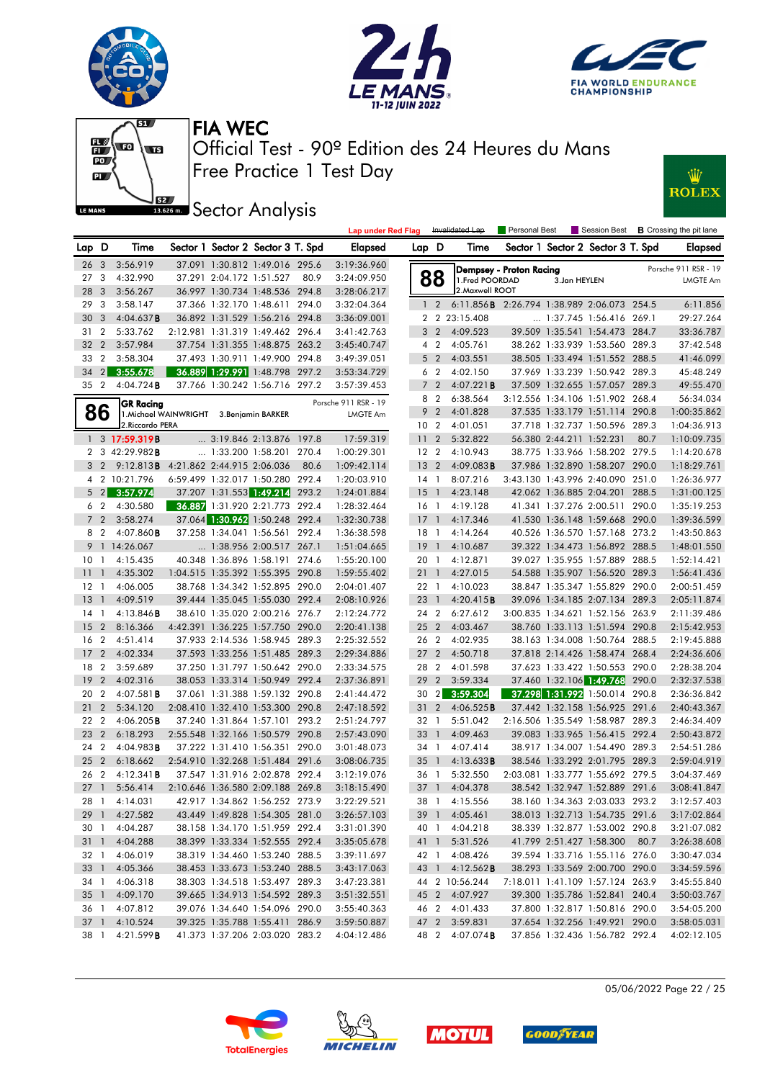











|                 |                         |                            |                                          |                                   |       | <b>Lap under Red Flag</b> |                 |                | Invalidated Lap                            | Personal Best           |                          | Session Best                      |       | <b>B</b> Crossing the pit lane |
|-----------------|-------------------------|----------------------------|------------------------------------------|-----------------------------------|-------|---------------------------|-----------------|----------------|--------------------------------------------|-------------------------|--------------------------|-----------------------------------|-------|--------------------------------|
| Lap D           |                         | Time                       |                                          | Sector 1 Sector 2 Sector 3 T. Spd |       | <b>Elapsed</b>            | Lap D           |                | Time                                       |                         |                          | Sector 1 Sector 2 Sector 3 T. Spd |       | <b>Elapsed</b>                 |
| 26              | $\overline{\mathbf{3}}$ | 3:56.919                   |                                          | 37.091 1:30.812 1:49.016 295.6    |       | 3:19:36.960               |                 |                |                                            | Dempsey - Proton Racing |                          |                                   |       | Porsche 911 RSR - 19           |
| 27 <sub>3</sub> |                         | 4:32.990                   |                                          | 37.291 2:04.172 1:51.527          | 80.9  | 3:24:09.950               |                 | 88             | 1. Fred POORDAD                            |                         | 3.Jan HEYLEN             |                                   |       | LMGTE Am                       |
| 28              | $\mathbf{3}$            | 3:56.267                   |                                          | 36.997 1:30.734 1:48.536 294.8    |       | 3:28:06.217               |                 |                | 2. Maxwell ROOT                            |                         |                          |                                   |       |                                |
| 29              | 3                       | 3:58.147                   |                                          | 37.366 1:32.170 1:48.611          | 294.0 | 3:32:04.364               | $\mathbf{1}$    | $\overline{2}$ | 6:11.856B 2:26.794 1:38.989 2:06.073 254.5 |                         |                          |                                   |       | 6:11.856                       |
| 30              | 3                       | 4:04.637B                  |                                          | 36.892 1:31.529 1:56.216 294.8    |       | 3:36:09.001               |                 |                | 2 2 23:15.408                              |                         |                          | $\ldots$ 1:37.745 1:56.416 269.1  |       | 29:27.264                      |
| 31              | $\overline{2}$          | 5:33.762                   |                                          | 2:12.981 1:31.319 1:49.462 296.4  |       | 3:41:42.763               | 3               | $\overline{2}$ | 4:09.523                                   |                         |                          | 39.509 1:35.541 1:54.473 284.7    |       | 33:36.787                      |
| 32              | $\overline{2}$          | 3:57.984                   |                                          | 37.754 1:31.355 1:48.875 263.2    |       | 3:45:40.747               |                 | 4 <sup>2</sup> | 4:05.761                                   |                         |                          | 38.262 1:33.939 1:53.560 289.3    |       | 37:42.548                      |
| 33              | $\overline{2}$          | 3:58.304                   |                                          | 37.493 1:30.911 1:49.900          | 294.8 | 3:49:39.051               |                 | 5 <sub>2</sub> | 4:03.551                                   |                         |                          | 38.505 1:33.494 1:51.552 288.5    |       | 41:46.099                      |
| 34              |                         | 2 3:55.678                 |                                          | 36.889 1:29.991 1:48.798 297.2    |       | 3:53:34.729               |                 | 6 <sub>2</sub> | 4:02.150                                   |                         |                          | 37.969 1:33.239 1:50.942 289.3    |       | 45:48.249                      |
| 35              | $\overline{2}$          | $4:04.724$ B               |                                          | 37.766 1:30.242 1:56.716 297.2    |       | 3:57:39.453               |                 | 7 <sub>2</sub> | 4:07.221B                                  |                         |                          | 37.509 1:32.655 1:57.057 289.3    |       | 49:55.470                      |
|                 |                         | <b>GR Racing</b>           |                                          |                                   |       | Porsche 911 RSR - 19      |                 | 8 2            | 6:38.564                                   |                         |                          | 3:12.556 1:34.106 1:51.902 268.4  |       | 56:34.034                      |
|                 | 86                      |                            | 1. Michael WAINWRIGHT 3. Benjamin BARKER |                                   |       | <b>LMGTE Am</b>           | 9               | $\overline{2}$ | 4:01.828                                   |                         |                          | 37.535 1:33.179 1:51.114 290.8    |       | 1:00:35.862                    |
|                 |                         | 2. Riccardo PERA           |                                          |                                   |       |                           | 10 <sub>2</sub> |                | 4:01.051                                   |                         |                          | 37.718 1:32.737 1:50.596 289.3    |       | 1:04:36.913                    |
|                 |                         | 1 3 17:59.319B             |                                          | 3:19.846 2:13.876 197.8           |       | 17:59.319                 | 11              | $\overline{2}$ | 5:32.822                                   |                         | 56.380 2:44.211 1:52.231 |                                   | 80.7  | 1:10:09.735                    |
|                 |                         | 2 3 42:29.982 <b>B</b>     |                                          | 1:33.200 1:58.201 270.4           |       | 1:00:29.301               | 12 <sub>2</sub> |                | 4:10.943                                   |                         |                          | 38.775 1:33.966 1:58.202 279.5    |       | 1:14:20.678                    |
|                 | $3\quad2$               | 9:12.813B                  | 4:21.862 2:44.915 2:06.036               |                                   | 80.6  | 1:09:42.114               | 13              | $\overline{2}$ | $4:09.083$ B                               |                         |                          | 37.986 1:32.890 1:58.207 290.0    |       | 1:18:29.761                    |
|                 |                         | 4 2 10:21.796              |                                          | 6:59.499 1:32.017 1:50.280 292.4  |       | 1:20:03.910               | 14 1            |                | 8:07.216                                   |                         |                          | 3:43.130 1:43.996 2:40.090 251.0  |       | 1:26:36.977                    |
|                 |                         | $5 \quad 2 \quad 3:57.974$ |                                          | 37.207 1:31.553 1:49.214          | 293.2 | 1:24:01.884               | $15-1$          |                | 4:23.148                                   |                         |                          | 42.062 1:36.885 2:04.201 288.5    |       | 1:31:00.125                    |
|                 | 6 2                     | 4:30.580                   |                                          | 36.887 1:31.920 2:21.773 292.4    |       | 1:28:32.464               | 16 <sub>1</sub> |                | 4:19.128                                   |                         |                          | 41.341 1:37.276 2:00.511 290.0    |       | 1:35:19.253                    |
| $7^{\circ}$     | $\overline{2}$          | 3:58.274                   |                                          | 37.064 1:30.962 1:50.248 292.4    |       | 1:32:30.738               | $17-1$          |                | 4:17.346                                   |                         |                          | 41.530 1:36.148 1:59.668 290.0    |       | 1:39:36.599                    |
|                 | 8 2                     | $4:07.860$ <b>B</b>        |                                          | 37.258 1:34.041 1:56.561 292.4    |       | 1:36:38.598               | 18 1            |                | 4:14.264                                   |                         |                          | 40.526 1:36.570 1:57.168 273.2    |       | 1:43:50.863                    |
| 9               |                         | 1 14:26.067                |                                          | 1:38.956 2:00.517 267.1           |       | 1:51:04.665               | $19-1$          |                | 4:10.687                                   |                         |                          | 39.322 1:34.473 1:56.892 288.5    |       | 1:48:01.550                    |
| 10              | -1                      | 4:15.435                   |                                          | 40.348 1:36.896 1:58.191 274.6    |       | 1:55:20.100               | 20 1            |                | 4:12.871                                   |                         |                          | 39.027 1:35.955 1:57.889 288.5    |       | 1:52:14.421                    |
| 11              | $\mathbf{1}$            | 4:35.302                   |                                          | 1:04.515 1:35.392 1:55.395 290.8  |       | 1:59:55.402               | 21 1            |                | 4:27.015                                   |                         |                          | 54.588 1:35.907 1:56.520 289.3    |       | 1:56:41.436                    |
| 12 <sub>1</sub> |                         | 4:06.005                   |                                          | 38.768 1:34.342 1:52.895 290.0    |       | 2:04:01.407               | 22 1            |                | 4:10.023                                   |                         |                          | 38.847 1:35.347 1:55.829 290.0    |       | 2:00:51.459                    |
| 13              | $\overline{1}$          | 4:09.519                   |                                          | 39.444 1:35.045 1:55.030 292.4    |       | 2:08:10.926               | 23              | $\overline{1}$ | 4:20.415B                                  |                         |                          | 39.096 1:34.185 2:07.134 289.3    |       | 2:05:11.874                    |
| 14              | $\overline{1}$          | $4:13.846$ B               |                                          | 38.610 1:35.020 2:00.216 276.7    |       | 2:12:24.772               | 24              | $\overline{2}$ | 6:27.612                                   |                         |                          | 3:00.835 1:34.621 1:52.156 263.9  |       | 2:11:39.486                    |
| 15              | $\overline{2}$          | 8:16.366                   |                                          | 4:42.391 1:36.225 1:57.750 290.0  |       | 2:20:41.138               | 25 2            |                | 4:03.467                                   |                         |                          | 38.760 1:33.113 1:51.594 290.8    |       | 2:15:42.953                    |
| 16              | $\overline{2}$          | 4:51.414                   |                                          | 37.933 2:14.536 1:58.945 289.3    |       | 2:25:32.552               | 26 2            |                | 4:02.935                                   |                         |                          | 38.163 1:34.008 1:50.764 288.5    |       | 2:19:45.888                    |
| 17              | $\overline{2}$          | 4:02.334                   |                                          | 37.593 1:33.256 1:51.485 289.3    |       | 2:29:34.886               | 27              | $\overline{2}$ | 4:50.718                                   |                         |                          | 37.818 2:14.426 1:58.474 268.4    |       | 2:24:36.606                    |
| 18              | $\overline{2}$          | 3:59.689                   |                                          | 37.250 1:31.797 1:50.642 290.0    |       | 2:33:34.575               | 28              | $\overline{2}$ | 4:01.598                                   |                         |                          | 37.623 1:33.422 1:50.553          | 290.0 | 2:28:38.204                    |
| 19              | $\overline{2}$          | 4:02.316                   |                                          | 38.053 1:33.314 1:50.949 292.4    |       | 2:37:36.891               | 29              | $\overline{2}$ | 3:59.334                                   |                         |                          | 37.460 1:32.106 1:49.768          | 290.0 | 2:32:37.538                    |
| 20              | $\overline{2}$          | $4:07.581$ <b>B</b>        |                                          | 37.061 1:31.388 1:59.132 290.8    |       | 2:41:44.472               | 30 2            |                | 3:59.304                                   |                         |                          | 37.298 1:31.992 1:50.014 290.8    |       | 2:36:36.842                    |
| 21              | $\overline{2}$          | 5:34.120                   |                                          | 2:08.410 1:32.410 1:53.300 290.8  |       | 2:47:18.592               | 31              | $\overline{2}$ | 4:06.525B                                  |                         |                          | 37.442 1:32.158 1:56.925 291.6    |       | 2:40:43.367                    |
| 22              | $\overline{2}$          | $4:06.205$ B               |                                          | 37.240 1:31.864 1:57.101          | 293.2 | 2:51:24.797               | 32 1            |                | 5:51.042                                   |                         |                          | 2:16.506 1:35.549 1:58.987 289.3  |       | 2:46:34.409                    |
| 23              | $\overline{2}$          | 6:18.293                   |                                          | 2:55.548 1:32.166 1:50.579 290.8  |       | 2:57:43.090               | 33              | $\overline{1}$ | 4:09.463                                   |                         |                          | 39.083 1:33.965 1:56.415 292.4    |       | 2:50:43.872                    |
| 24              | $\overline{2}$          | 4:04.983B                  |                                          | 37.222 1:31.410 1:56.351 290.0    |       | 3:01:48.073               | 34 1            |                | 4:07.414                                   |                         |                          | 38.917 1:34.007 1:54.490 289.3    |       | 2:54:51.286                    |
| 25              | $\overline{2}$          | 6:18.662                   |                                          | 2:54.910 1:32.268 1:51.484 291.6  |       | 3:08:06.735               | $35 \quad 1$    |                | 4:13.633B                                  |                         |                          | 38.546 1:33.292 2:01.795 289.3    |       | 2:59:04.919                    |
| 26              | $\overline{2}$          | 4:12.341B                  |                                          | 37.547 1:31.916 2:02.878 292.4    |       | 3:12:19.076               | 36 1            |                | 5:32.550                                   |                         |                          | 2:03.081 1:33.777 1:55.692 279.5  |       | 3:04:37.469                    |
| 27              | $\overline{1}$          | 5:56.414                   |                                          | 2:10.646 1:36.580 2:09.188 269.8  |       | 3:18:15.490               | 37 1            |                | 4:04.378                                   |                         |                          | 38.542 1:32.947 1:52.889 291.6    |       | 3:08:41.847                    |
| 28 1            |                         | 4:14.031                   |                                          | 42.917 1:34.862 1:56.252 273.9    |       | 3:22:29.521               |                 |                | 38 1 4:15.556                              |                         |                          | 38.160 1:34.363 2:03.033 293.2    |       | 3:12:57.403                    |
| 291             |                         | 4:27.582                   |                                          | 43.449 1:49.828 1:54.305 281.0    |       | 3:26:57.103               |                 |                | 39 1 4:05.461                              |                         |                          | 38.013 1:32.713 1:54.735 291.6    |       | 3:17:02.864                    |
| 30 1            |                         | 4:04.287                   |                                          | 38.158 1:34.170 1:51.959 292.4    |       | 3:31:01.390               |                 | 40 1           | 4:04.218                                   |                         |                          | 38.339 1:32.877 1:53.002 290.8    |       | 3:21:07.082                    |
| $31 \quad 1$    |                         | 4:04.288                   |                                          | 38.399 1:33.334 1:52.555 292.4    |       | 3:35:05.678               |                 | 41 1           | 5:31.526                                   |                         |                          | 41.799 2:51.427 1:58.300          | 80.7  | 3:26:38.608                    |
| 32 1            |                         | 4:06.019                   |                                          | 38.319 1:34.460 1:53.240 288.5    |       | 3:39:11.697               |                 | 42 1           | 4:08.426                                   |                         |                          | 39.594 1:33.716 1:55.116 276.0    |       | 3:30:47.034                    |
| 33 1            |                         | 4:05.366                   |                                          | 38.453 1:33.673 1:53.240 288.5    |       | 3:43:17.063               |                 |                | 43 1 4:12.562 <b>B</b>                     |                         |                          | 38.293 1:33.569 2:00.700 290.0    |       | 3:34:59.596                    |
| 34 1            |                         | 4:06.318                   |                                          | 38.303 1:34.518 1:53.497 289.3    |       | 3:47:23.381               |                 |                | 44 2 10:56.244                             |                         |                          | 7:18.011 1:41.109 1:57.124 263.9  |       | 3:45:55.840                    |
| $35 \quad 1$    |                         | 4:09.170                   |                                          | 39.665 1:34.913 1:54.592 289.3    |       | 3:51:32.551               |                 |                | 45 2 4:07.927                              |                         |                          | 39.300 1:35.786 1:52.841 240.4    |       | 3:50:03.767                    |
| 36 1            |                         | 4:07.812                   |                                          | 39.076 1:34.640 1:54.096 290.0    |       | 3:55:40.363               |                 | 46 2           | 4:01.433                                   |                         |                          | 37.800 1:32.817 1:50.816 290.0    |       | 3:54:05.200                    |
| 37 <sup>1</sup> |                         | 4:10.524                   |                                          | 39.325 1:35.788 1:55.411 286.9    |       | 3:59:50.887               |                 |                | 47 2 3:59.831                              |                         |                          | 37.654 1:32.256 1:49.921 290.0    |       | 3:58:05.031                    |
| 38 1            |                         | 4:21.599B                  |                                          | 41.373 1:37.206 2:03.020 283.2    |       | 4:04:12.486               |                 |                | 48 2 4:07.074 <b>B</b>                     |                         |                          | 37.856 1:32.436 1:56.782 292.4    |       | 4:02:12.105                    |

05/06/2022 Page 22 / 25







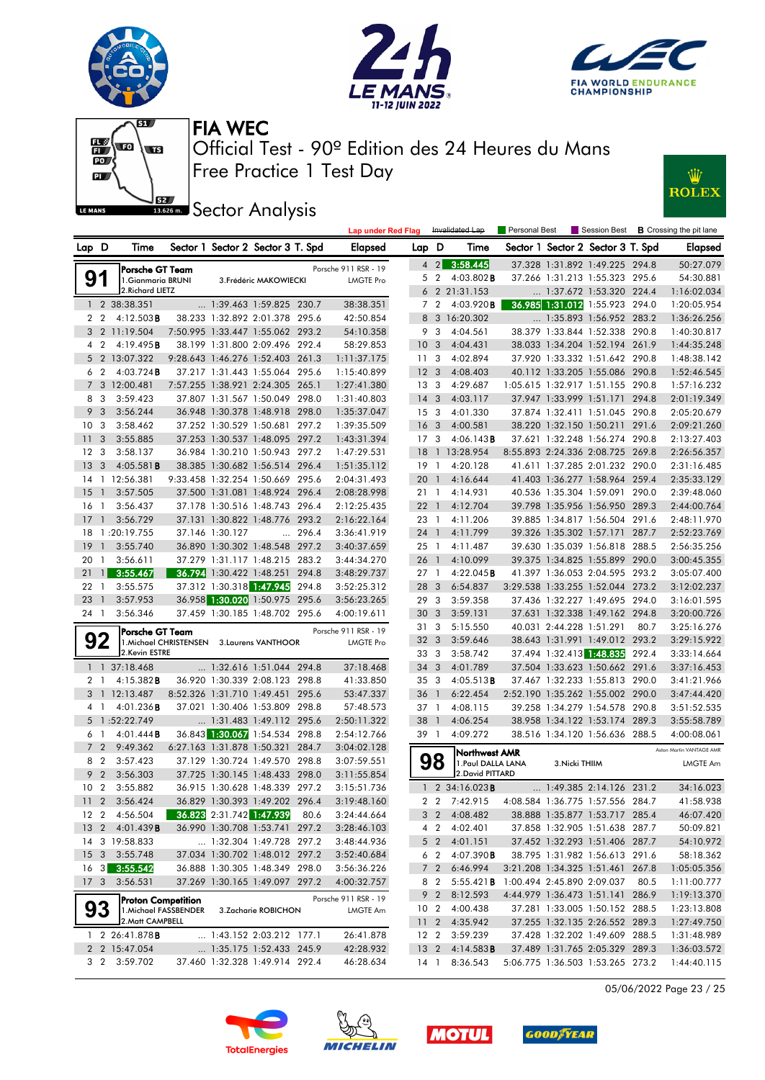







**JEE** Sector Analysis



|                      |                         |                                                    |                                            |                 |                                                                  |       | <b>Lap under Red Flag</b>        |                                    |                | Invalidated Lap                        | Personal Best              |                          |                                                            |       | Session Best <b>B</b> Crossing the pit lane |
|----------------------|-------------------------|----------------------------------------------------|--------------------------------------------|-----------------|------------------------------------------------------------------|-------|----------------------------------|------------------------------------|----------------|----------------------------------------|----------------------------|--------------------------|------------------------------------------------------------|-------|---------------------------------------------|
| Lap D                |                         | Time                                               |                                            |                 | Sector 1 Sector 2 Sector 3 T. Spd                                |       | <b>Elapsed</b>                   | Lap D                              |                | Time                                   |                            |                          | Sector 1 Sector 2 Sector 3 T. Spd                          |       | Elapsed                                     |
|                      |                         | Porsche GT Team                                    |                                            |                 |                                                                  |       | Porsche 911 RSR - 19             |                                    | $4 \quad 2$    | 3:58.445                               |                            |                          | 37.328 1:31.892 1:49.225 294.8                             |       | 50:27.079                                   |
| 91                   |                         | 1. Gianmaria BRUNI                                 |                                            |                 | 3. Frédéric MAKOWIECKI                                           |       | <b>LMGTE Pro</b>                 |                                    | 5 <sub>2</sub> | $4:03.802$ <b>B</b>                    |                            |                          | 37.266 1:31.213 1:55.323 295.6                             |       | 54:30.881                                   |
|                      |                         | 2. Richard LIETZ                                   |                                            |                 |                                                                  |       |                                  |                                    |                | 6 2 21:31.153                          |                            |                          | 1:37.672 1:53.320 224.4                                    |       | 1:16:02.034                                 |
|                      |                         | 1 2 38:38.351                                      |                                            |                 | 1:39.463 1:59.825 230.7                                          |       | 38:38.351                        | 7                                  | $\overline{2}$ | 4:03.920B                              |                            |                          | 36.985 1:31.012 1:55.923 294.0                             |       | 1:20:05.954                                 |
| 2 <sub>2</sub>       |                         | 4:12.503B                                          |                                            |                 | 38.233 1:32.892 2:01.378 295.6                                   |       | 42:50.854                        | 8                                  |                | 3 16:20.302                            |                            |                          | 1:35.893 1:56.952 283.2                                    |       | 1:36:26.256                                 |
|                      |                         | 3 2 11:19.504                                      |                                            |                 | 7:50.995 1:33.447 1:55.062 293.2                                 |       | 54:10.358                        |                                    | 9 3            | 4:04.561                               |                            |                          | 38.379 1:33.844 1:52.338 290.8                             |       | 1:40:30.817                                 |
| 4 2                  |                         | 4:19.495B                                          |                                            |                 | 38.199 1:31.800 2:09.496 292.4                                   |       | 58:29.853                        | 10 <sub>3</sub>                    |                | 4:04.431                               |                            |                          | 38.033 1:34.204 1:52.194 261.9                             |       | 1:44:35.248                                 |
|                      |                         | 5 2 13:07.322                                      |                                            |                 | 9:28.643 1:46.276 1:52.403 261.3                                 |       | 1:11:37.175                      | 11                                 | 3              | 4:02.894                               |                            |                          | 37.920 1:33.332 1:51.642 290.8                             |       | 1:48:38.142                                 |
| 6 2                  |                         | $4:03.724$ B                                       |                                            |                 | 37.217 1:31.443 1:55.064 295.6                                   |       | 1:15:40.899                      | 12 <sup>3</sup>                    |                | 4:08.403                               |                            |                          | 40.112 1:33.205 1:55.086 290.8                             |       | 1:52:46.545                                 |
|                      |                         | 7 3 12:00.481                                      |                                            |                 | 7:57.255 1:38.921 2:24.305 265.1                                 |       | 1:27:41.380                      | 13 <sub>3</sub>                    |                | 4:29.687                               |                            |                          | 1:05.615 1:32.917 1:51.155 290.8                           |       | 1:57:16.232                                 |
| 8                    | 3                       | 3:59.423                                           |                                            |                 | 37.807 1:31.567 1:50.049 298.0                                   |       | 1:31:40.803                      | $14 \quad 3$                       |                | 4:03.117                               |                            |                          | 37.947 1:33.999 1:51.171                                   | 294.8 | 2:01:19.349                                 |
| 9<br>10 <sub>3</sub> | 3                       | 3:56.244<br>3:58.462                               |                                            |                 | 36.948 1:30.378 1:48.918 298.0<br>37.252 1:30.529 1:50.681 297.2 |       | 1:35:37.047<br>1:39:35.509       | 15 <sub>3</sub><br>16 <sub>3</sub> |                | 4:01.330<br>4:00.581                   |                            |                          | 37.874 1:32.411 1:51.045 290.8<br>38.220 1:32.150 1:50.211 | 291.6 | 2:05:20.679                                 |
| 11                   | 3                       | 3:55.885                                           |                                            |                 | 37.253 1:30.537 1:48.095 297.2                                   |       | 1:43:31.394                      | 17 <sup>7</sup>                    | 3              | 4:06.143B                              |                            |                          | 37.621 1:32.248 1:56.274 290.8                             |       | 2:09:21.260<br>2:13:27.403                  |
| 12 <sup>3</sup>      |                         | 3:58.137                                           |                                            |                 | 36.984 1:30.210 1:50.943 297.2                                   |       | 1:47:29.531                      | 18                                 |                | 1 13:28.954                            |                            |                          | 8:55.893 2:24.336 2:08.725 269.8                           |       | 2:26:56.357                                 |
| 13                   | $\overline{\mathbf{3}}$ | 4:05.581B                                          |                                            |                 | 38.385 1:30.682 1:56.514 296.4                                   |       | 1:51:35.112                      | $19-1$                             |                | 4:20.128                               |                            |                          | 41.611 1:37.285 2:01.232 290.0                             |       | 2:31:16.485                                 |
|                      |                         | 14 1 12:56.381                                     |                                            |                 | 9:33.458 1:32.254 1:50.669 295.6                                 |       | 2:04:31.493                      | 20                                 | $\mathbf{1}$   | 4:16.644                               |                            |                          | 41.403 1:36.277 1:58.964 259.4                             |       | 2:35:33.129                                 |
| 15                   | $\overline{1}$          | 3:57.505                                           |                                            |                 | 37.500 1:31.081 1:48.924 296.4                                   |       | 2:08:28.998                      | 21 1                               |                | 4:14.931                               |                            |                          | 40.536 1:35.304 1:59.091 290.0                             |       | 2:39:48.060                                 |
| 16                   | $\overline{1}$          | 3:56.437                                           |                                            |                 | 37.178 1:30.516 1:48.743 296.4                                   |       | 2:12:25.435                      | $22 \quad 1$                       |                | 4:12.704                               |                            |                          | 39.798 1:35.956 1:56.950 289.3                             |       | 2:44:00.764                                 |
| 17                   | $\overline{1}$          | 3:56.729                                           |                                            |                 | 37.131 1:30.822 1:48.776 293.2                                   |       | 2:16:22.164                      | 23 1                               |                | 4:11.206                               |                            |                          | 39.885 1:34.817 1:56.504 291.6                             |       | 2:48:11.970                                 |
| 18                   |                         | 1:20:19.755                                        |                                            | 37.146 1:30.127 |                                                                  | 296.4 | 3:36:41.919                      | 24 1                               |                | 4:11.799                               |                            |                          | 39.326 1:35.302 1:57.171                                   | 287.7 | 2:52:23.769                                 |
| 19                   | $\mathbf{1}$            | 3:55.740                                           |                                            |                 | 36.890 1:30.302 1:48.548 297.2                                   |       | 3:40:37.659                      | 25 1                               |                | 4:11.487                               |                            |                          | 39.630 1:35.039 1:56.818 288.5                             |       | 2:56:35.256                                 |
| 20                   | $\overline{1}$          | 3:56.611                                           |                                            |                 | 37.279 1:31.117 1:48.215 283.2                                   |       | 3:44:34.270                      | 26 1                               |                | 4:10.099                               |                            |                          | 39.375 1:34.825 1:55.899 290.0                             |       | 3:00:45.355                                 |
| 21                   | $\overline{1}$          | 3:55.467                                           |                                            |                 | 36.794 1:30.422 1:48.251                                         | 294.8 | 3:48:29.737                      | 27 1                               |                | 4:22.045B                              |                            |                          | 41.397 1:36.053 2:04.595 293.2                             |       | 3:05:07.400                                 |
| 22 1                 |                         | 3:55.575                                           |                                            |                 | 37.312 1:30.318 1:47.945                                         | 294.8 | 3:52:25.312                      | 28                                 | 3              | 6:54.837                               |                            |                          | 3:29.538 1:33.255 1:52.044 273.2                           |       | 3:12:02.237                                 |
| 23                   | $\overline{1}$          | 3:57.953                                           |                                            |                 | 36.958 1:30.020 1:50.975 295.6                                   |       | 3:56:23.265                      | 29 3                               |                | 3:59.358                               |                            |                          | 37.436 1:32.227 1:49.695 294.0                             |       | 3:16:01.595                                 |
| 24 1                 |                         | 3:56.346                                           |                                            |                 | 37.459 1:30.185 1:48.702 295.6                                   |       | 4:00:19.611                      | 30 <sub>3</sub>                    |                | 3:59.131                               |                            |                          | 37.631 1:32.338 1:49.162 294.8                             |       | 3:20:00.726                                 |
|                      |                         | <b>Porsche GT Team</b>                             |                                            |                 |                                                                  |       | Porsche 911 RSR - 19             | 31 3                               |                | 5:15.550                               |                            | 40.031 2:44.228 1:51.291 |                                                            | 80.7  | 3:25:16.276                                 |
|                      | 92                      |                                                    | 1. Michael CHRISTENSEN 3. Laurens VANTHOOR |                 |                                                                  |       | <b>LMGTE Pro</b>                 | 32                                 | 3              | 3:59.646                               |                            |                          | 38.643 1:31.991 1:49.012 293.2                             |       | 3:29:15.922                                 |
|                      |                         | 2.Kevin ESTRE                                      |                                            |                 |                                                                  |       |                                  | 33 3                               |                | 3:58.742                               |                            |                          | 37.494 1:32.413 1:48.835 292.4                             |       | 3:33:14.664                                 |
|                      |                         | 1 1 37:18.468                                      |                                            |                 | 1:32.616 1:51.044 294.8                                          |       | 37:18.468                        | 34                                 | 3              | 4:01.789                               |                            |                          | 37.504 1:33.623 1:50.662 291.6                             |       | 3:37:16.453                                 |
| 2                    | -1                      | 4:15.382B                                          |                                            |                 | 36.920 1:30.339 2:08.123 298.8                                   |       | 41:33.850                        | 35 <sub>3</sub>                    |                | 4:05.513B                              |                            |                          | 37.467 1:32.233 1:55.813 290.0                             |       | 3:41:21.966                                 |
|                      |                         | 3 1 12:13.487                                      |                                            |                 | 8:52.326 1:31.710 1:49.451 295.6                                 |       | 53:47.337                        | 36                                 | $\overline{1}$ | 6:22.454                               |                            |                          | 2:52.190 1:35.262 1:55.002 290.0                           |       | 3:47:44.420                                 |
| 41                   |                         | 4:01.236B                                          |                                            |                 | 37.021 1:30.406 1:53.809 298.8                                   |       | 57:48.573                        | 37 1                               |                | 4:08.115                               |                            |                          | 39.258 1:34.279 1:54.578 290.8                             |       | 3:51:52.535                                 |
| 5                    |                         | 1:52:22.749                                        |                                            |                 | $\ldots$ 1:31.483 1:49.112 295.6                                 |       | 2:50:11.322                      | 38 1                               |                | 4:06.254                               |                            |                          | 38.958 1:34.122 1:53.174 289.3                             |       | 3:55:58.789                                 |
| 6                    | -1                      | 4:01.444B                                          |                                            |                 | 36.843 1:30.067 1:54.534 298.8                                   |       | 2:54:12.766                      | 39 1                               |                | 4:09.272                               |                            |                          | 38.516 1:34.120 1:56.636 288.5                             |       | 4:00:08.061                                 |
| $\overline{7}$       | $\overline{2}$          | 9:49.362                                           |                                            |                 | 6:27.163 1:31.878 1:50.321                                       | 284.7 | 3:04:02.128                      |                                    |                | Northwest AMR                          |                            |                          |                                                            |       | Aston Martin VANTAGE AMR                    |
| 8 2<br>9             |                         | 3:57.423                                           |                                            |                 | 37.129 1:30.724 1:49.570 298.8                                   |       | 3:07:59.551                      |                                    | 98             | 1. Paul DALLA LANA<br>2. David PITTARD |                            | 3. Nicki THIIM           |                                                            |       | LMGTE Am                                    |
| 10 <sub>2</sub>      | $\overline{2}$          | 3:56.303<br>3:55.882                               |                                            |                 | 37.725 1:30.145 1:48.433 298.0<br>36.915 1:30.628 1:48.339 297.2 |       | 3:11:55.854<br>3:15:51.736       |                                    |                | 1 2 34:16.023 <b>B</b>                 |                            |                          | 1:49.385 2:14.126 231.2                                    |       | 34:16.023                                   |
|                      |                         | 11 2 3:56.424                                      |                                            |                 | 36.829 1:30.393 1:49.202 296.4                                   |       | 3:19:48.160                      |                                    | $2\quad 2$     | 7:42.915                               |                            |                          | 4:08.584 1:36.775 1:57.556 284.7                           |       | 41:58.938                                   |
|                      |                         | 12 2 4:56.504                                      |                                            |                 | 36.823 2:31.742 1:47.939                                         | 80.6  | 3:24:44.664                      |                                    | 3 <sub>2</sub> | 4:08.482                               |                            |                          | 38.888 1:35.877 1:53.717 285.4                             |       | 46:07.420                                   |
|                      |                         | 13 2 4:01.439 B                                    |                                            |                 | 36.990 1:30.708 1:53.741 297.2                                   |       | 3:28:46.103                      |                                    | 4 2            | 4:02.401                               |                            |                          | 37.858 1:32.905 1:51.638 287.7                             |       | 50:09.821                                   |
|                      |                         | 14 3 19:58.833                                     |                                            |                 | 1:32.304 1:49.728 297.2                                          |       | 3:48:44.936                      |                                    | 5 <sub>2</sub> | 4:01.151                               |                            |                          | 37.452 1:32.293 1:51.406 287.7                             |       | 54:10.972                                   |
|                      |                         | 15 3 3:55.748                                      |                                            |                 | 37.034 1:30.702 1:48.012 297.2                                   |       | 3:52:40.684                      |                                    | 6 2            | 4:07.390 <b>B</b>                      |                            |                          | 38.795 1:31.982 1:56.613 291.6                             |       | 58:18.362                                   |
|                      |                         | 16 3 3:55.542                                      |                                            |                 | 36.888 1:30.305 1:48.349 298.0                                   |       | 3:56:36.226                      |                                    | 7 <sup>2</sup> | 6:46.994                               |                            |                          | 3:21.208 1:34.325 1:51.461 267.8                           |       | 1:05:05.356                                 |
| 17 <sub>3</sub>      |                         | 3:56.531                                           |                                            |                 | 37.269 1:30.165 1:49.097 297.2                                   |       | 4:00:32.757                      |                                    | 8 2            | $5:55.421$ <b>B</b>                    | 1:00.494 2:45.890 2:09.037 |                          |                                                            | 80.5  | 1:11:00.777                                 |
|                      |                         |                                                    |                                            |                 |                                                                  |       |                                  |                                    | 9 2            | 8:12.593                               |                            |                          | 4:44.979 1:36.473 1:51.141 286.9                           |       | 1:19:13.370                                 |
| 93                   |                         | <b>Proton Competition</b><br>1. Michael FASSBENDER |                                            |                 | 3. Zacharie ROBICHON                                             |       | Porsche 911 RSR - 19<br>LMGTE Am | 10 <sub>2</sub>                    |                | 4:00.438                               |                            |                          | 37.281 1:33.005 1:50.152 288.5                             |       | 1:23:13.808                                 |
|                      |                         | 2. Matt CAMPBELL                                   |                                            |                 |                                                                  |       |                                  |                                    |                | 11 2 4:35.942                          |                            |                          | 37.255 1:32.135 2:26.552 289.3                             |       | 1:27:49.750                                 |
|                      |                         | $1 \quad 2 \quad 26:41.878$ B                      |                                            |                 | 1:43.152 2:03.212 177.1                                          |       | 26:41.878                        | 12 <sub>2</sub>                    |                | 3:59.239                               |                            |                          | 37.428 1:32.202 1:49.609 288.5                             |       | 1:31:48.989                                 |
|                      |                         | 2 2 15:47.054                                      |                                            |                 | 1:35.175 1:52.433 245.9                                          |       | 42:28.932                        | 13 <sub>2</sub>                    |                | 4:14.583B                              |                            |                          | 37.489 1:31.765 2:05.329 289.3                             |       | 1:36:03.572                                 |
|                      |                         | 3 2 3:59.702                                       |                                            |                 | 37.460 1:32.328 1:49.914 292.4                                   |       | 46:28.634                        | 14 1                               |                | 8:36.543                               |                            |                          | 5:06.775 1:36.503 1:53.265 273.2                           |       | 1:44:40.115                                 |

05/06/2022 Page 23 / 25







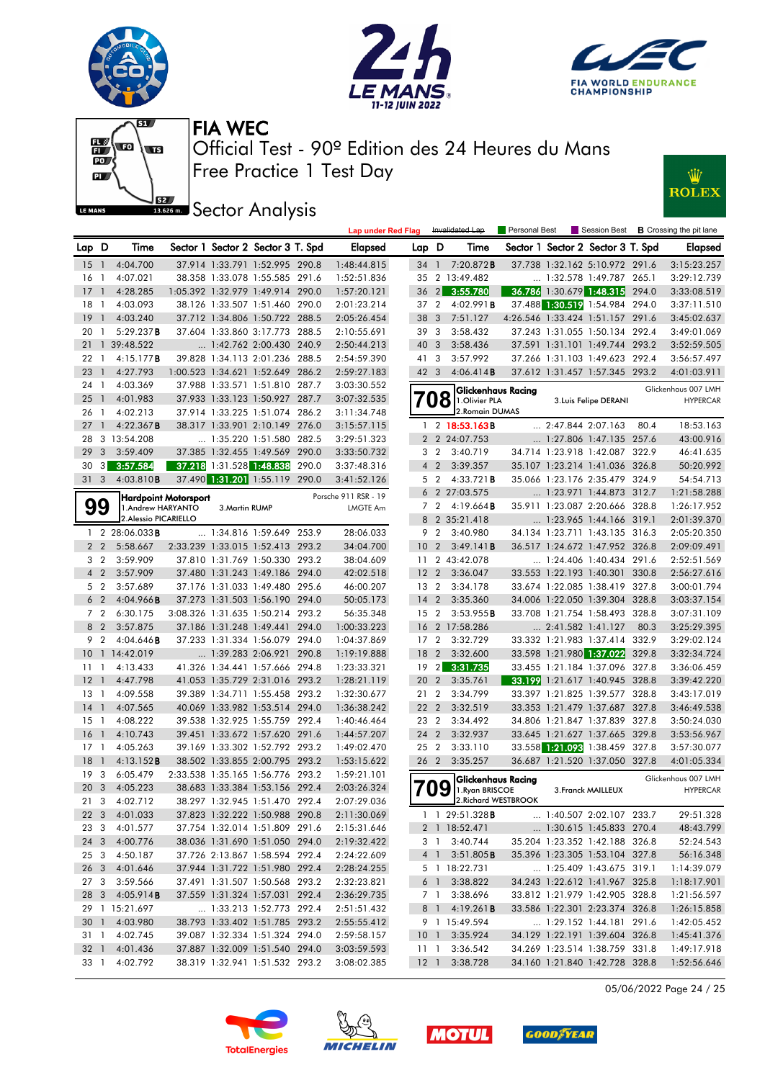





Lap under Red Flag Invalidated Lap Personal Best Session Best **B** Crossing the pit lane



Free Practice 1 Test Day Official Test - 90º Edition des 24 Heures du Mans FIA WEC



**IBER Sector Analysis** 

| Lap D           |                          | Time                   |                      |                | Sector 1 Sector 2 Sector 3 T. Spd |       | Elapsed                          | Lap D           |                         | Time                                         |                            | Sector 1 Sector 2 Sector 3 T. Spd |       | <b>Elapsed</b>                         |
|-----------------|--------------------------|------------------------|----------------------|----------------|-----------------------------------|-------|----------------------------------|-----------------|-------------------------|----------------------------------------------|----------------------------|-----------------------------------|-------|----------------------------------------|
| 15              | $\overline{1}$           | 4:04.700               |                      |                | 37.914 1:33.791 1:52.995 290.8    |       | 1:48:44.815                      |                 |                         | 34 1 7:20.872B                               |                            | 37.738 1:32.162 5:10.972 291.6    |       | 3:15:23.257                            |
| 16 1            |                          | 4:07.021               |                      |                | 38.358 1:33.078 1:55.585 291.6    |       | 1:52:51.836                      |                 |                         | 35 2 13:49.482                               |                            | $\ldots$ 1:32.578 1:49.787 265.1  |       | 3:29:12.739                            |
| $17-1$          |                          | 4:28.285               |                      |                | 1:05.392 1:32.979 1:49.914 290.0  |       | 1:57:20.121                      |                 |                         | 36 2 3:55.780                                |                            | 36.786 1:30.679 1:48.315 294.0    |       | 3:33:08.519                            |
| 18 1            |                          | 4:03.093               |                      |                | 38.126 1:33.507 1:51.460 290.0    |       | 2:01:23.214                      | 37 2            |                         | 4:02.991B                                    |                            | 37.488 1:30.519 1:54.984 294.0    |       | 3:37:11.510                            |
| 19              | $\overline{1}$           | 4:03.240               |                      |                | 37.712 1:34.806 1:50.722 288.5    |       | 2:05:26.454                      | 38              | $\overline{\mathbf{3}}$ | 7:51.127                                     |                            | 4:26.546 1:33.424 1:51.157 291.6  |       | 3:45:02.637                            |
| 20 1            |                          | 5:29.237B              |                      |                | 37.604 1:33.860 3:17.773 288.5    |       | 2:10:55.691                      | 39 3            |                         | 3:58.432                                     |                            | 37.243 1:31.055 1:50.134 292.4    |       | 3:49:01.069                            |
|                 |                          | 21 1 39:48.522         |                      |                | 1:42.762 2:00.430 240.9           |       | 2:50:44.213                      | 40 3            |                         | 3:58.436                                     |                            | 37.591 1:31.101 1:49.744 293.2    |       | 3:52:59.505                            |
| 22 1            |                          | 4:15.177B              |                      |                | 39.828 1:34.113 2:01.236 288.5    |       | 2:54:59.390                      | 41 3            |                         | 3:57.992                                     |                            | 37.266 1:31.103 1:49.623 292.4    |       | 3:56:57.497                            |
| 23              | $\overline{\phantom{a}}$ | 4:27.793               |                      |                | 1:00.523 1:34.621 1:52.649 286.2  |       | 2:59:27.183                      | 42 3            |                         | 4:06.414B                                    |                            | 37.612 1:31.457 1:57.345 293.2    |       | 4:01:03.911                            |
| 24 1            |                          | 4:03.369               |                      |                | 37.988 1:33.571 1:51.810 287.7    |       | 3:03:30.552                      |                 |                         |                                              |                            |                                   |       | Glickenhaus 007 LMH                    |
| 25              | $\overline{1}$           | 4:01.983               |                      |                | 37.933 1:33.123 1:50.927 287.7    |       | 3:07:32.535                      |                 | Ό8                      | <b>Glickenhaus Racing</b><br>1.Olivier PLA   |                            | 3. Luis Felipe DERANI             |       | <b>HYPERCAR</b>                        |
| 26 1            |                          | 4:02.213               |                      |                | 37.914 1:33.225 1:51.074 286.2    |       | 3:11:34.748                      |                 |                         | 2. Romain DUMAS                              |                            |                                   |       |                                        |
| 27              | $\mathbf{1}$             | 4:22.367B              |                      |                | 38.317 1:33.901 2:10.149 276.0    |       | 3:15:57.115                      |                 |                         | 1 2 18:53.163B                               | $\ldots$ 2:47.844 2:07.163 |                                   | 80.4  | 18:53.163                              |
|                 |                          | 28 3 13:54.208         |                      |                | 1:35.220 1:51.580 282.5           |       | 3:29:51.323                      |                 |                         | 2 2 24:07.753                                |                            | 1:27.806 1:47.135 257.6           |       | 43:00.916                              |
| 29              | $\mathbf{3}$             | 3:59.409               |                      |                | 37.385 1:32.455 1:49.569 290.0    |       | 3:33:50.732                      |                 | 3 <sub>2</sub>          | 3:40.719                                     |                            | 34.714 1:23.918 1:42.087 322.9    |       | 46:41.635                              |
| 30              | 3                        | 3:57.584               |                      |                | 37.218 1:31.528 1:48.838          | 290.0 | 3:37:48.316                      |                 | 4 <sub>2</sub>          | 3:39.357                                     |                            | 35.107 1:23.214 1:41.036 326.8    |       | 50:20.992                              |
| 31 <sub>3</sub> |                          | 4:03.810B              |                      |                | 37.490 1:31.201 1:55.119 290.0    |       | 3:41:52.126                      |                 | 5 2                     | 4:33.721 <b>B</b>                            |                            | 35.066 1:23.176 2:35.479 324.9    |       | 54:54.713                              |
|                 |                          |                        |                      |                |                                   |       |                                  |                 |                         | 6 2 27:03.575                                |                            | 1:23.971 1:44.873 312.7           |       | 1:21:58.288                            |
|                 | 99                       | 1.Andrew HARYANTO      | Hardpoint Motorsport | 3. Martin RUMP |                                   |       | Porsche 911 RSR - 19<br>LMGTE Am |                 |                         | $7 \quad 2 \quad 4:19.664 \text{ B}$         |                            | 35.911 1:23.087 2:20.666 328.8    |       | 1:26:17.952                            |
|                 |                          | 2. Alessio PICARIELLO  |                      |                |                                   |       |                                  |                 |                         | 8 2 35:21.418                                |                            | 1:23.965 1:44.166 319.1           |       | 2:01:39.370                            |
|                 |                          | 1 2 28:06.033 <b>B</b> |                      |                | 1:34.816 1:59.649 253.9           |       | 28:06.033                        |                 |                         | 9 2 3:40.980                                 |                            | 34.134 1:23.711 1:43.135 316.3    |       | 2:05:20.350                            |
|                 | 2 <sub>2</sub>           | 5:58.667               |                      |                | 2:33.239 1:33.015 1:52.413 293.2  |       | 34:04.700                        | 10 <sub>2</sub> |                         | 3:49.141B                                    |                            | 36.517 1:24.672 1:47.952 326.8    |       | 2:09:09.491                            |
|                 | 3 <sub>2</sub>           | 3:59.909               |                      |                | 37.810 1:31.769 1:50.330 293.2    |       | 38:04.609                        |                 |                         | 11 2 43:42.078                               |                            | 1:24.406 1:40.434 291.6           |       | 2:52:51.569                            |
|                 | 4 <sub>2</sub>           | 3:57.909               |                      |                | 37.480 1:31.243 1:49.186 294.0    |       | 42:02.518                        | 12 <sub>2</sub> |                         | 3:36.047                                     |                            | 33.553 1:22.193 1:40.301 330.8    |       | 2:56:27.616                            |
|                 | 5 <sub>2</sub>           | 3:57.689               |                      |                | 37.176 1:31.033 1:49.480 295.6    |       | 46:00.207                        | 13 2            |                         | 3:34.178                                     |                            | 33.674 1:22.085 1:38.419 327.8    |       | 3:00:01.794                            |
|                 | 6 <sub>2</sub>           | 4:04.966B              |                      |                | 37.273 1:31.503 1:56.190 294.0    |       | 50:05.173                        | $14 \quad 2$    |                         | 3:35.360                                     |                            | 34.006 1:22.050 1:39.304 328.8    |       | 3:03:37.154                            |
|                 | 7 <sup>2</sup>           | 6:30.175               |                      |                | 3:08.326 1:31.635 1:50.214 293.2  |       | 56:35.348                        | 15              | $\overline{2}$          | 3:53.955B                                    |                            | 33.708 1:21.754 1:58.493 328.8    |       | 3:07:31.109                            |
|                 | 8 2                      | 3:57.875               |                      |                | 37.186 1:31.248 1:49.441 294.0    |       | 1:00:33.223                      |                 |                         | 16 2 17:58.286                               | $\ldots$ 2:41.582 1:41.127 |                                   | 80.3  | 3:25:29.395                            |
|                 | 9 2                      | 4:04.646B              |                      |                | 37.233 1:31.334 1:56.079 294.0    |       | 1:04:37.869                      |                 |                         | 17 2 3:32.729                                |                            | 33.332 1:21.983 1:37.414 332.9    |       | 3:29:02.124                            |
|                 |                          | 10 1 14:42.019         |                      |                | 1:39.283 2:06.921 290.8           |       | 1:19:19.888                      | 18              | $\overline{2}$          | 3:32.600                                     |                            | 33.598 1:21.980 1:37.022          | 329.8 | 3:32:34.724                            |
| 1111            |                          | 4:13.433               |                      |                | 41.326 1:34.441 1:57.666 294.8    |       | 1:23:33.321                      | 19              | $\overline{2}$          | 3:31.735                                     |                            | 33.455 1:21.184 1:37.096 327.8    |       | 3:36:06.459                            |
| $12-1$          |                          | 4:47.798               |                      |                | 41.053 1:35.729 2:31.016 293.2    |       | 1:28:21.119                      | 20 2            |                         | 3:35.761                                     |                            | 33.199 1:21.617 1:40.945 328.8    |       | 3:39:42.220                            |
| $13-1$          |                          | 4:09.558               |                      |                | 39.389 1:34.711 1:55.458 293.2    |       | 1:32:30.677                      | 21 2            |                         | 3:34.799                                     |                            | 33.397 1:21.825 1:39.577 328.8    |       | 3:43:17.019                            |
| $14-1$          |                          | 4:07.565               |                      |                | 40.069 1:33.982 1:53.514 294.0    |       | 1:36:38.242                      | 22 2            |                         | 3:32.519                                     |                            | 33.353 1:21.479 1:37.687 327.8    |       | 3:46:49.538                            |
| $15-1$          |                          | 4:08.222               |                      |                | 39.538 1:32.925 1:55.759 292.4    |       | 1:40:46.464                      | 23              | $\overline{2}$          | 3:34.492                                     |                            | 34.806 1:21.847 1:37.839 327.8    |       | 3:50:24.030                            |
| 16              | $\overline{1}$           | 4:10.743               |                      |                | 39.451 1:33.672 1:57.620 291.6    |       | 1:44:57.207                      | 24 2            |                         | 3:32.937                                     |                            | 33.645 1:21.627 1:37.665 329.8    |       | 3:53:56.967                            |
| $17-1$          |                          | 4:05.263               |                      |                | 39.169 1:33.302 1:52.792 293.2    |       | 1:49:02.470                      | 25 2            |                         | 3:33.110                                     |                            | 33.558 1:21.093 1:38.459 327.8    |       | 3:57:30.077                            |
| 18              | $\overline{1}$           | 4:13.152B              |                      |                | 38.502 1:33.855 2:00.795 293.2    |       | 1:53:15.622                      | 26 2            |                         | 3:35.257                                     |                            | 36.687 1:21.520 1:37.050 327.8    |       | 4:01:05.334                            |
| 19 <sup>3</sup> |                          | 6:05.479               |                      |                | 2:33.538 1:35.165 1:56.776 293.2  |       | 1:59:21.101                      |                 |                         |                                              |                            |                                   |       |                                        |
| 20 3            |                          | 4:05.223               |                      |                | 38.683 1:33.384 1:53.156 292.4    |       | 2:03:26.324                      |                 | 09                      | <b>Glickenhaus Racing</b><br>1. Ryan BRISCOE |                            | 3. Franck MAILLEUX                |       | Glickenhaus 007 LMH<br><b>HYPERCAR</b> |
| 21 3            |                          | 4:02.712               |                      |                | 38.297 1:32.945 1:51.470 292.4    |       | 2:07:29.036                      |                 |                         | 2. Richard WESTBROOK                         |                            |                                   |       |                                        |
|                 |                          | 22 3 4:01.033          |                      |                | 37.823 1:32.222 1:50.988 290.8    |       | 2:11:30.069                      |                 |                         | 1 1 29:51.328 B                              |                            | $\ldots$ 1:40.507 2:02.107 233.7  |       | 29:51.328                              |
|                 |                          | 23 3 4:01.577          |                      |                | 37.754 1:32.014 1:51.809 291.6    |       | 2:15:31.646                      |                 |                         | 2 1 18:52.471                                |                            | 1:30.615 1:45.833 270.4           |       | 48:43.799                              |
|                 |                          | 24 3 4:00.776          |                      |                | 38.036 1:31.690 1:51.050 294.0    |       | 2:19:32.422                      |                 |                         | 3 1 3:40.744                                 |                            | 35.204 1:23.352 1:42.188 326.8    |       | 52:24.543                              |
| 25 3            |                          | 4:50.187               |                      |                | 37.726 2:13.867 1:58.594 292.4    |       | 2:24:22.609                      |                 |                         | 4 1 3:51.805 <b>B</b>                        |                            | 35.396 1:23.305 1:53.104 327.8    |       | 56:16.348                              |
|                 |                          | 26 3 4:01.646          |                      |                | 37.944 1:31.722 1:51.980 292.4    |       | 2:28:24.255                      |                 |                         | 5 1 18:22.731                                |                            | $\ldots$ 1:25.409 1:43.675 319.1  |       | 1:14:39.079                            |
| 27 3            |                          | 3:59.566               |                      |                | 37.491 1:31.507 1:50.568 293.2    |       | 2:32:23.821                      |                 |                         | 6 1 3:38.822                                 |                            | 34.243 1:22.612 1:41.967 325.8    |       | 1:18:17.901                            |
|                 |                          | 28 3 4:05.914 <b>B</b> |                      |                | 37.559 1:31.324 1:57.031 292.4    |       | 2:36:29.735                      |                 |                         | 7 1 3:38.696                                 |                            | 33.812 1:21.979 1:42.905 328.8    |       | 1:21:56.597                            |
|                 |                          | 29 1 15:21.697         |                      |                | 1:33.213 1:52.773 292.4           |       | 2:51:51.432                      |                 |                         | 8 1 4:19.261 <b>B</b>                        |                            | 33.586 1:22.301 2:23.374 326.8    |       | 1:26:15.858                            |
|                 |                          | 30 1 4:03.980          |                      |                | 38.793 1:33.402 1:51.785 293.2    |       | 2:55:55.412                      |                 |                         | 9 1 15:49.594                                |                            | 1:29.152 1:44.181 291.6           |       | 1:42:05.452                            |
| 31 1            |                          | 4:02.745               |                      |                | 39.087 1:32.334 1:51.324 294.0    |       | 2:59:58.157                      |                 |                         | 10 1 3:35.924                                |                            | 34.129 1:22.191 1:39.604 326.8    |       | 1:45:41.376                            |
|                 |                          | 32 1 4:01.436          |                      |                | 37.887 1:32.009 1:51.540 294.0    |       | 3:03:59.593                      | 111             |                         | 3:36.542                                     |                            | 34.269 1:23.514 1:38.759 331.8    |       | 1:49:17.918                            |
| 33 1            |                          | 4:02.792               |                      |                | 38.319 1:32.941 1:51.532 293.2    |       | 3:08:02.385                      |                 |                         | 12 1 3:38.728                                |                            | 34.160 1:21.840 1:42.728 328.8    |       | 1:52:56.646                            |
|                 |                          |                        |                      |                |                                   |       |                                  |                 |                         |                                              |                            |                                   |       |                                        |

**MOTUL** 

**GOODFYEAR** 

05/06/2022 Page 24 / 25



**MICHELIN**